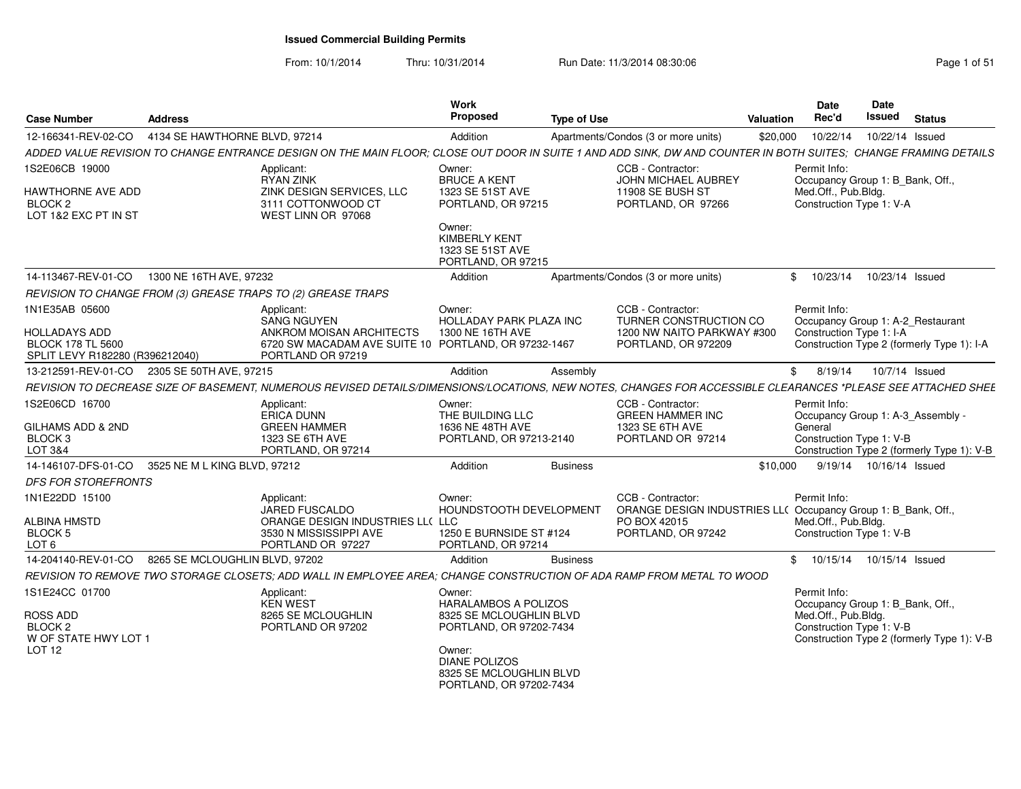From: 10/1/2014Thru: 10/31/2014 Run Date: 11/3/2014 08:30:06 Research 2010 12:00 Page 1 of 51

| <b>Case Number</b>                                                                             | <b>Address</b>                 |                                                                                                                                                                 | <b>Work</b><br>Proposed                                                                                                                                                             | <b>Type of Use</b> |                                                                                                  | <b>Valuation</b> | <b>Date</b><br>Rec'd                                                                                | Date<br>Issued             | <b>Status</b>                              |
|------------------------------------------------------------------------------------------------|--------------------------------|-----------------------------------------------------------------------------------------------------------------------------------------------------------------|-------------------------------------------------------------------------------------------------------------------------------------------------------------------------------------|--------------------|--------------------------------------------------------------------------------------------------|------------------|-----------------------------------------------------------------------------------------------------|----------------------------|--------------------------------------------|
| 12-166341-REV-02-CO                                                                            | 4134 SE HAWTHORNE BLVD, 97214  |                                                                                                                                                                 | Addition                                                                                                                                                                            |                    | Apartments/Condos (3 or more units)                                                              | \$20,000         | 10/22/14                                                                                            | 10/22/14 Issued            |                                            |
|                                                                                                |                                | ADDED VALUE REVISION TO CHANGE ENTRANCE DESIGN ON THE MAIN FLOOR; CLOSE OUT DOOR IN SUITE 1 AND ADD SINK, DW AND COUNTER IN BOTH SUITES; CHANGE FRAMING DETAILS |                                                                                                                                                                                     |                    |                                                                                                  |                  |                                                                                                     |                            |                                            |
| 1S2E06CB 19000<br>HAWTHORNE AVE ADD<br>BLOCK 2<br>LOT 1&2 EXC PT IN ST                         |                                | Applicant:<br><b>RYAN ZINK</b><br>ZINK DESIGN SERVICES, LLC<br>3111 COTTONWOOD CT<br>WEST LINN OR 97068                                                         | Owner:<br><b>BRUCE A KENT</b><br>1323 SE 51ST AVE<br>PORTLAND, OR 97215                                                                                                             |                    | CCB - Contractor:<br>JOHN MICHAEL AUBREY<br>11908 SE BUSH ST<br>PORTLAND, OR 97266               |                  | Permit Info:<br>Occupancy Group 1: B_Bank, Off.,<br>Med.Off., Pub.Bldg.<br>Construction Type 1: V-A |                            |                                            |
|                                                                                                |                                |                                                                                                                                                                 | Owner:<br><b>KIMBERLY KENT</b><br>1323 SE 51ST AVE<br>PORTLAND, OR 97215                                                                                                            |                    |                                                                                                  |                  |                                                                                                     |                            |                                            |
| 14-113467-REV-01-CO                                                                            | 1300 NE 16TH AVE, 97232        |                                                                                                                                                                 | Addition                                                                                                                                                                            |                    | Apartments/Condos (3 or more units)                                                              |                  | 10/23/14<br>\$                                                                                      | 10/23/14 Issued            |                                            |
|                                                                                                |                                | REVISION TO CHANGE FROM (3) GREASE TRAPS TO (2) GREASE TRAPS                                                                                                    |                                                                                                                                                                                     |                    |                                                                                                  |                  |                                                                                                     |                            |                                            |
| 1N1E35AB 05600<br>HOLLADAYS ADD<br><b>BLOCK 178 TL 5600</b><br>SPLIT LEVY R182280 (R396212040) |                                | Applicant:<br><b>SANG NGUYEN</b><br>ANKROM MOISAN ARCHITECTS<br>6720 SW MACADAM AVE SUITE 10 PORTLAND, OR 97232-1467<br>PORTLAND OR 97219                       | Owner:<br><b>HOLLADAY PARK PLAZA INC</b><br>1300 NE 16TH AVE                                                                                                                        |                    | CCB - Contractor:<br>TURNER CONSTRUCTION CO<br>1200 NW NAITO PARKWAY #300<br>PORTLAND, OR 972209 |                  | Permit Info:<br>Occupancy Group 1: A-2_Restaurant<br>Construction Type 1: I-A                       |                            | Construction Type 2 (formerly Type 1): I-A |
| 13-212591-REV-01-CO 2305 SE 50TH AVE, 97215                                                    |                                |                                                                                                                                                                 | Addition                                                                                                                                                                            | Assembly           |                                                                                                  |                  | 8/19/14<br>\$                                                                                       |                            | 10/7/14 Issued                             |
|                                                                                                |                                | REVISION TO DECREASE SIZE OF BASEMENT, NUMEROUS REVISED DETAILS/DIMENSIONS/LOCATIONS, NEW NOTES, CHANGES FOR ACCESSIBLE CLEARANCES *PLEASE SEE ATTACHED SHEE    |                                                                                                                                                                                     |                    |                                                                                                  |                  |                                                                                                     |                            |                                            |
| 1S2E06CD 16700<br>GILHAMS ADD & 2ND<br>BLOCK 3<br>LOT 3&4                                      |                                | Applicant:<br><b>ERICA DUNN</b><br><b>GREEN HAMMER</b><br>1323 SE 6TH AVE<br>PORTLAND, OR 97214                                                                 | Owner:<br>THE BUILDING LLC<br>1636 NE 48TH AVE<br>PORTLAND, OR 97213-2140                                                                                                           |                    | CCB - Contractor:<br><b>GREEN HAMMER INC</b><br>1323 SE 6TH AVE<br>PORTLAND OR 97214             |                  | Permit Info:<br>Occupancy Group 1: A-3 Assembly -<br>General<br>Construction Type 1: V-B            |                            | Construction Type 2 (formerly Type 1): V-B |
| 14-146107-DFS-01-CO                                                                            | 3525 NE M L KING BLVD, 97212   |                                                                                                                                                                 | Addition                                                                                                                                                                            | <b>Business</b>    |                                                                                                  | \$10,000         |                                                                                                     | 9/19/14  10/16/14  Issued  |                                            |
| <b>DFS FOR STOREFRONTS</b>                                                                     |                                |                                                                                                                                                                 |                                                                                                                                                                                     |                    |                                                                                                  |                  |                                                                                                     |                            |                                            |
| 1N1E22DD 15100<br>ALBINA HMSTD<br>BLOCK 5<br>LOT <sub>6</sub>                                  |                                | Applicant:<br>JARED FUSCALDO<br>ORANGE DESIGN INDUSTRIES LL( LLC<br>3530 N MISSISSIPPI AVE<br>PORTLAND OR 97227                                                 | Owner:<br><b>HOUNDSTOOTH DEVELOPMENT</b><br>1250 E BURNSIDE ST #124<br>PORTLAND, OR 97214                                                                                           |                    | CCB - Contractor:<br>ORANGE DESIGN INDUSTRIES LL(<br>PO BOX 42015<br>PORTLAND, OR 97242          |                  | Permit Info:<br>Occupancy Group 1: B_Bank, Off.,<br>Med.Off., Pub.Bldg.<br>Construction Type 1: V-B |                            |                                            |
| 14-204140-REV-01-CO                                                                            | 8265 SE MCLOUGHLIN BLVD, 97202 |                                                                                                                                                                 | Addition                                                                                                                                                                            | <b>Business</b>    |                                                                                                  |                  | \$                                                                                                  | 10/15/14  10/15/14  Issued |                                            |
|                                                                                                |                                | REVISION TO REMOVE TWO STORAGE CLOSETS; ADD WALL IN EMPLOYEE AREA; CHANGE CONSTRUCTION OF ADA RAMP FROM METAL TO WOOD                                           |                                                                                                                                                                                     |                    |                                                                                                  |                  |                                                                                                     |                            |                                            |
| 1S1E24CC 01700<br>ROSS ADD<br><b>BLOCK 2</b><br>W OF STATE HWY LOT 1<br>LOT 12                 |                                | Applicant:<br><b>KEN WEST</b><br>8265 SE MCLOUGHLIN<br>PORTLAND OR 97202                                                                                        | Owner:<br><b>HARALAMBOS A POLIZOS</b><br>8325 SE MCLOUGHLIN BLVD<br>PORTLAND, OR 97202-7434<br>Owner:<br><b>DIANE POLIZOS</b><br>8325 SE MCLOUGHLIN BLVD<br>PORTLAND, OR 97202-7434 |                    |                                                                                                  |                  | Permit Info:<br>Occupancy Group 1: B_Bank, Off.,<br>Med.Off., Pub.Bldg.<br>Construction Type 1: V-B |                            | Construction Type 2 (formerly Type 1): V-B |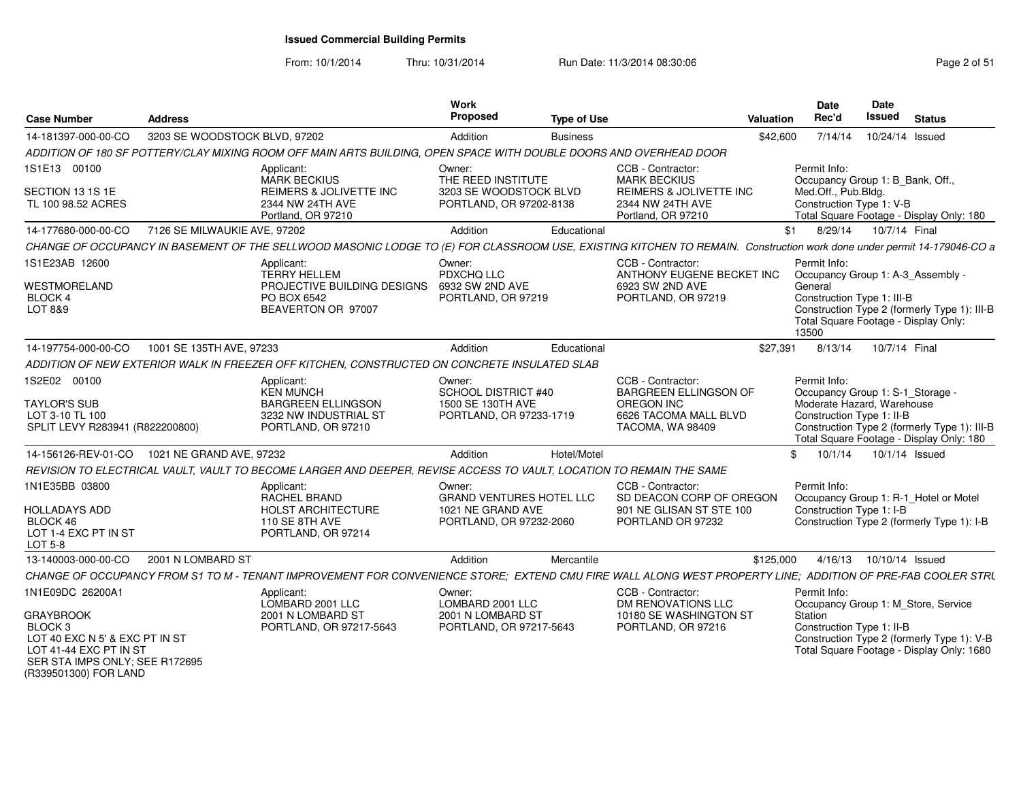From: 10/1/2014

Thru: 10/31/2014 Run Date: 11/3/2014 08:30:06 Research 2010 12:00 Page 2 of 51

| <b>Case Number</b>                                                                | Address                       |                                                                                                                                                                        | Work<br><b>Proposed</b>                           | <b>Type of Use</b> |                                                                   | Valuation | Date<br>Rec'd                                                                                                                                       | Date<br><b>Issued</b>     | <b>Status</b>  |  |
|-----------------------------------------------------------------------------------|-------------------------------|------------------------------------------------------------------------------------------------------------------------------------------------------------------------|---------------------------------------------------|--------------------|-------------------------------------------------------------------|-----------|-----------------------------------------------------------------------------------------------------------------------------------------------------|---------------------------|----------------|--|
| 14-181397-000-00-CO                                                               | 3203 SE WOODSTOCK BLVD, 97202 |                                                                                                                                                                        | Addition                                          | <b>Business</b>    |                                                                   | \$42,600  | 7/14/14                                                                                                                                             | 10/24/14 Issued           |                |  |
|                                                                                   |                               | ADDITION OF 180 SF POTTERY/CLAY MIXING ROOM OFF MAIN ARTS BUILDING, OPEN SPACE WITH DOUBLE DOORS AND OVERHEAD DOOR                                                     |                                                   |                    |                                                                   |           |                                                                                                                                                     |                           |                |  |
| 1S1E13 00100                                                                      |                               | Applicant:<br><b>MARK BECKIUS</b>                                                                                                                                      | Owner:<br>THE REED INSTITUTE                      |                    | CCB - Contractor:<br><b>MARK BECKIUS</b>                          |           | Permit Info:<br>Occupancy Group 1: B_Bank, Off.,                                                                                                    |                           |                |  |
| SECTION 13 1S 1E<br>TL 100 98.52 ACRES                                            |                               | <b>REIMERS &amp; JOLIVETTE INC</b><br>2344 NW 24TH AVE<br>Portland, OR 97210                                                                                           | 3203 SE WOODSTOCK BLVD<br>PORTLAND, OR 97202-8138 |                    | REIMERS & JOLIVETTE INC<br>2344 NW 24TH AVE<br>Portland, OR 97210 |           | Med.Off., Pub.Bldg.<br>Construction Type 1: V-B<br>Total Square Footage - Display Only: 180                                                         |                           |                |  |
| 14-177680-000-00-CO                                                               | 7126 SE MILWAUKIE AVE, 97202  |                                                                                                                                                                        | Addition                                          | Educational        |                                                                   | \$1       | 8/29/14                                                                                                                                             | 10/7/14 Final             |                |  |
|                                                                                   |                               | CHANGE OF OCCUPANCY IN BASEMENT OF THE SELLWOOD MASONIC LODGE TO (E) FOR CLASSROOM USE, EXISTING KITCHEN TO REMAIN. Construction work done under permit 14-179046-CO a |                                                   |                    |                                                                   |           |                                                                                                                                                     |                           |                |  |
| 1S1E23AB 12600                                                                    |                               | Applicant:<br><b>TERRY HELLEM</b>                                                                                                                                      | Owner:<br>PDXCHQ LLC                              |                    | CCB - Contractor:<br>ANTHONY EUGENE BECKET INC                    |           | Permit Info:<br>Occupancy Group 1: A-3_Assembly -                                                                                                   |                           |                |  |
| WESTMORELAND                                                                      |                               | PROJECTIVE BUILDING DESIGNS                                                                                                                                            | 6932 SW 2ND AVE                                   |                    | 6923 SW 2ND AVE                                                   |           | General                                                                                                                                             |                           |                |  |
| BLOCK 4<br>LOT 8&9                                                                |                               | PO BOX 6542<br>BEAVERTON OR 97007                                                                                                                                      | PORTLAND, OR 97219                                |                    | PORTLAND, OR 97219                                                |           | Construction Type 1: III-B<br>Construction Type 2 (formerly Type 1): III-B                                                                          |                           |                |  |
|                                                                                   |                               |                                                                                                                                                                        |                                                   |                    |                                                                   |           | Total Square Footage - Display Only:<br>13500                                                                                                       |                           |                |  |
| 14-197754-000-00-CO                                                               | 1001 SE 135TH AVE, 97233      |                                                                                                                                                                        | Addition                                          | Educational        |                                                                   | \$27,391  | 8/13/14                                                                                                                                             | 10/7/14 Final             |                |  |
|                                                                                   |                               | ADDITION OF NEW EXTERIOR WALK IN FREEZER OFF KITCHEN. CONSTRUCTED ON CONCRETE INSULATED SLAB                                                                           |                                                   |                    |                                                                   |           |                                                                                                                                                     |                           |                |  |
| 1S2E02 00100                                                                      |                               | Applicant:<br><b>KEN MUNCH</b>                                                                                                                                         | Owner:<br>SCHOOL DISTRICT #40                     |                    | CCB - Contractor:<br><b>BARGREEN ELLINGSON OF</b>                 |           | Permit Info:<br>Occupancy Group 1: S-1_Storage -                                                                                                    |                           |                |  |
| <b>TAYLOR'S SUB</b><br>LOT 3-10 TL 100<br>SPLIT LEVY R283941 (R822200800)         |                               | <b>BARGREEN ELLINGSON</b><br>3232 NW INDUSTRIAL ST<br>PORTLAND, OR 97210                                                                                               | 1500 SE 130TH AVE<br>PORTLAND, OR 97233-1719      |                    | OREGON INC<br>6626 TACOMA MALL BLVD<br>TACOMA, WA 98409           |           | Moderate Hazard, Warehouse<br>Construction Type 1: II-B<br>Construction Type 2 (formerly Type 1): III-B<br>Total Square Footage - Display Only: 180 |                           |                |  |
| 14-156126-REV-01-CO                                                               | 1021 NE GRAND AVE, 97232      |                                                                                                                                                                        | Addition                                          | Hotel/Motel        |                                                                   |           | \$10/1/14                                                                                                                                           |                           | 10/1/14 Issued |  |
|                                                                                   |                               | REVISION TO ELECTRICAL VAULT, VAULT TO BECOME LARGER AND DEEPER, REVISE ACCESS TO VAULT, LOCATION TO REMAIN THE SAME                                                   |                                                   |                    |                                                                   |           |                                                                                                                                                     |                           |                |  |
| 1N1E35BB 03800                                                                    |                               | Applicant:<br>RACHEL BRAND                                                                                                                                             | Owner:<br><b>GRAND VENTURES HOTEL LLC</b>         |                    | CCB - Contractor:<br>SD DEACON CORP OF OREGON                     |           | Permit Info:<br>Occupancy Group 1: R-1 Hotel or Motel                                                                                               |                           |                |  |
| <b>HOLLADAYS ADD</b><br>BLOCK 46<br>LOT 1-4 EXC PT IN ST                          |                               | <b>HOLST ARCHITECTURE</b><br>110 SE 8TH AVE<br>PORTLAND, OR 97214                                                                                                      | 1021 NE GRAND AVE<br>PORTLAND, OR 97232-2060      |                    | 901 NE GLISAN ST STE 100<br>PORTLAND OR 97232                     |           | Construction Type 1: I-B<br>Construction Type 2 (formerly Type 1): I-B                                                                              |                           |                |  |
| LOT 5-8                                                                           |                               |                                                                                                                                                                        |                                                   |                    |                                                                   |           |                                                                                                                                                     |                           |                |  |
| 13-140003-000-00-CO                                                               | 2001 N LOMBARD ST             |                                                                                                                                                                        | Addition                                          | Mercantile         |                                                                   | \$125,000 |                                                                                                                                                     | 4/16/13  10/10/14  Issued |                |  |
|                                                                                   |                               | CHANGE OF OCCUPANCY FROM S1 TO M - TENANT IMPROVEMENT FOR CONVENIENCE STORE; EXTEND CMU FIRE WALL ALONG WEST PROPERTY LINE; ADDITION OF PRE-FAB COOLER STRL            |                                                   |                    |                                                                   |           |                                                                                                                                                     |                           |                |  |
| 1N1E09DC 26200A1                                                                  |                               | Applicant:<br>LOMBARD 2001 LLC                                                                                                                                         | Owner:<br>LOMBARD 2001 LLC                        |                    | CCB - Contractor:<br><b>DM RENOVATIONS LLC</b>                    |           | Permit Info:<br>Occupancy Group 1: M Store, Service                                                                                                 |                           |                |  |
| <b>GRAYBROOK</b>                                                                  |                               | 2001 N LOMBARD ST                                                                                                                                                      | 2001 N LOMBARD ST                                 |                    | 10180 SE WASHINGTON ST                                            |           | Station                                                                                                                                             |                           |                |  |
| BLOCK <sub>3</sub><br>LOT 40 EXC N 5' & EXC PT IN ST                              |                               | PORTLAND, OR 97217-5643                                                                                                                                                | PORTLAND, OR 97217-5643                           |                    | PORTLAND, OR 97216                                                |           | Construction Type 1: II-B<br>Construction Type 2 (formerly Type 1): V-B                                                                             |                           |                |  |
| LOT 41-44 EXC PT IN ST<br>SER STA IMPS ONLY: SEE R172695<br>(R339501300) FOR LAND |                               |                                                                                                                                                                        |                                                   |                    |                                                                   |           | Total Square Footage - Display Only: 1680                                                                                                           |                           |                |  |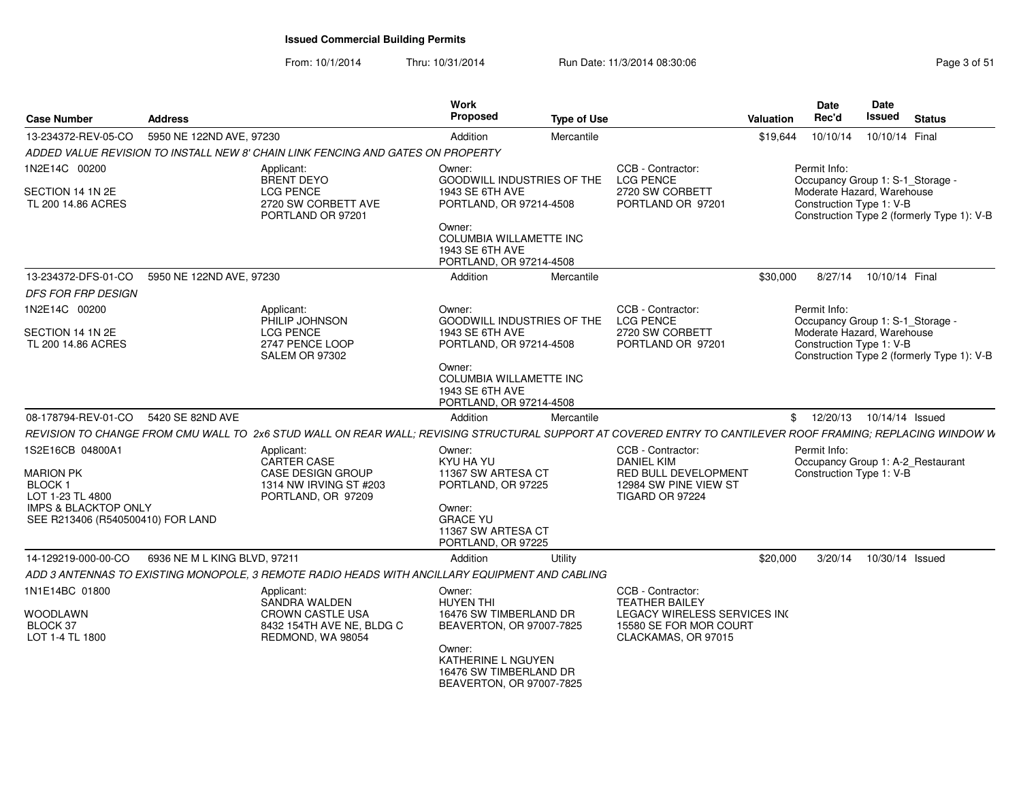From: 10/1/2014Thru: 10/31/2014 Run Date: 11/3/2014 08:30:06 Research 2010 12:00 Page 3 of 51

| <b>Address</b>                    |                                                                                                          | <b>Proposed</b>                                                                                                             |                                                                                                     |                                                                                                                                                                                                                                                                                                                                                                                               |                                                                                                                                                                      | Date<br>Rec'd                                                                  | <b>Issued</b>                                              | <b>Status</b>                                                                                                                                                                                                                                                                                                                                                                                                                                                                                                                                                                                          |
|-----------------------------------|----------------------------------------------------------------------------------------------------------|-----------------------------------------------------------------------------------------------------------------------------|-----------------------------------------------------------------------------------------------------|-----------------------------------------------------------------------------------------------------------------------------------------------------------------------------------------------------------------------------------------------------------------------------------------------------------------------------------------------------------------------------------------------|----------------------------------------------------------------------------------------------------------------------------------------------------------------------|--------------------------------------------------------------------------------|------------------------------------------------------------|--------------------------------------------------------------------------------------------------------------------------------------------------------------------------------------------------------------------------------------------------------------------------------------------------------------------------------------------------------------------------------------------------------------------------------------------------------------------------------------------------------------------------------------------------------------------------------------------------------|
|                                   |                                                                                                          | Addition                                                                                                                    | Mercantile                                                                                          |                                                                                                                                                                                                                                                                                                                                                                                               |                                                                                                                                                                      | 10/10/14                                                                       |                                                            |                                                                                                                                                                                                                                                                                                                                                                                                                                                                                                                                                                                                        |
|                                   |                                                                                                          |                                                                                                                             |                                                                                                     |                                                                                                                                                                                                                                                                                                                                                                                               |                                                                                                                                                                      |                                                                                |                                                            |                                                                                                                                                                                                                                                                                                                                                                                                                                                                                                                                                                                                        |
|                                   | Applicant:                                                                                               | Owner:                                                                                                                      |                                                                                                     | CCB - Contractor:                                                                                                                                                                                                                                                                                                                                                                             |                                                                                                                                                                      | Permit Info:                                                                   |                                                            |                                                                                                                                                                                                                                                                                                                                                                                                                                                                                                                                                                                                        |
|                                   | <b>LCG PENCE</b><br>2720 SW CORBETT AVE<br>PORTLAND OR 97201                                             | <b>1943 SE 6TH AVE</b>                                                                                                      |                                                                                                     | 2720 SW CORBETT<br>PORTLAND OR 97201                                                                                                                                                                                                                                                                                                                                                          |                                                                                                                                                                      |                                                                                |                                                            |                                                                                                                                                                                                                                                                                                                                                                                                                                                                                                                                                                                                        |
|                                   |                                                                                                          | 1943 SE 6TH AVE                                                                                                             |                                                                                                     |                                                                                                                                                                                                                                                                                                                                                                                               |                                                                                                                                                                      |                                                                                |                                                            |                                                                                                                                                                                                                                                                                                                                                                                                                                                                                                                                                                                                        |
|                                   |                                                                                                          | Addition                                                                                                                    | Mercantile                                                                                          |                                                                                                                                                                                                                                                                                                                                                                                               |                                                                                                                                                                      | 8/27/14                                                                        |                                                            |                                                                                                                                                                                                                                                                                                                                                                                                                                                                                                                                                                                                        |
|                                   |                                                                                                          |                                                                                                                             |                                                                                                     |                                                                                                                                                                                                                                                                                                                                                                                               |                                                                                                                                                                      |                                                                                |                                                            |                                                                                                                                                                                                                                                                                                                                                                                                                                                                                                                                                                                                        |
|                                   | Applicant:                                                                                               | Owner:                                                                                                                      |                                                                                                     | CCB - Contractor:                                                                                                                                                                                                                                                                                                                                                                             |                                                                                                                                                                      | Permit Info:                                                                   |                                                            |                                                                                                                                                                                                                                                                                                                                                                                                                                                                                                                                                                                                        |
|                                   | <b>LCG PENCE</b><br>2747 PENCE LOOP<br><b>SALEM OR 97302</b>                                             | 1943 SE 6TH AVE                                                                                                             |                                                                                                     | 2720 SW CORBETT<br>PORTLAND OR 97201                                                                                                                                                                                                                                                                                                                                                          |                                                                                                                                                                      |                                                                                |                                                            |                                                                                                                                                                                                                                                                                                                                                                                                                                                                                                                                                                                                        |
|                                   |                                                                                                          | Owner:<br><b>1943 SE 6TH AVE</b>                                                                                            |                                                                                                     |                                                                                                                                                                                                                                                                                                                                                                                               |                                                                                                                                                                      |                                                                                |                                                            |                                                                                                                                                                                                                                                                                                                                                                                                                                                                                                                                                                                                        |
| 5420 SE 82ND AVE                  |                                                                                                          | <b>Addition</b>                                                                                                             | Mercantile                                                                                          |                                                                                                                                                                                                                                                                                                                                                                                               |                                                                                                                                                                      | 12/20/13                                                                       |                                                            |                                                                                                                                                                                                                                                                                                                                                                                                                                                                                                                                                                                                        |
|                                   |                                                                                                          |                                                                                                                             |                                                                                                     |                                                                                                                                                                                                                                                                                                                                                                                               |                                                                                                                                                                      |                                                                                |                                                            |                                                                                                                                                                                                                                                                                                                                                                                                                                                                                                                                                                                                        |
|                                   | Applicant:<br>CARTER CASE<br><b>CASE DESIGN GROUP</b><br>1314 NW IRVING ST #203<br>PORTLAND, OR 97209    | Owner:<br>KYU HA YU                                                                                                         |                                                                                                     | CCB - Contractor:<br><b>DANIEL KIM</b><br>12984 SW PINE VIEW ST<br>TIGARD OR 97224                                                                                                                                                                                                                                                                                                            |                                                                                                                                                                      | Permit Info:                                                                   |                                                            |                                                                                                                                                                                                                                                                                                                                                                                                                                                                                                                                                                                                        |
| SEE R213406 (R540500410) FOR LAND |                                                                                                          | <b>GRACE YU</b>                                                                                                             |                                                                                                     |                                                                                                                                                                                                                                                                                                                                                                                               |                                                                                                                                                                      |                                                                                |                                                            |                                                                                                                                                                                                                                                                                                                                                                                                                                                                                                                                                                                                        |
|                                   |                                                                                                          | Addition                                                                                                                    | Utility                                                                                             |                                                                                                                                                                                                                                                                                                                                                                                               |                                                                                                                                                                      | 3/20/14                                                                        |                                                            |                                                                                                                                                                                                                                                                                                                                                                                                                                                                                                                                                                                                        |
|                                   |                                                                                                          |                                                                                                                             |                                                                                                     |                                                                                                                                                                                                                                                                                                                                                                                               |                                                                                                                                                                      |                                                                                |                                                            |                                                                                                                                                                                                                                                                                                                                                                                                                                                                                                                                                                                                        |
|                                   | Applicant:<br>SANDRA WALDEN<br><b>CROWN CASTLE USA</b><br>8432 154TH AVE NE, BLDG C<br>REDMOND, WA 98054 | Owner:<br><b>HUYEN THI</b><br>Owner:<br>KATHERINE L NGUYEN                                                                  |                                                                                                     | CCB - Contractor:<br><b>TEATHER BAILEY</b><br>CLACKAMAS, OR 97015                                                                                                                                                                                                                                                                                                                             |                                                                                                                                                                      |                                                                                |                                                            |                                                                                                                                                                                                                                                                                                                                                                                                                                                                                                                                                                                                        |
|                                   | <b>IMPS &amp; BLACKTOP ONLY</b>                                                                          | 5950 NE 122ND AVE, 97230<br><b>BRENT DEYO</b><br>5950 NE 122ND AVE, 97230<br>PHILIP JOHNSON<br>6936 NE M L KING BLVD, 97211 | ADDED VALUE REVISION TO INSTALL NEW 8' CHAIN LINK FENCING AND GATES ON PROPERTY<br>Owner:<br>Owner: | <b>GOODWILL INDUSTRIES OF THE</b><br>PORTLAND, OR 97214-4508<br>COLUMBIA WILLAMETTE INC<br>PORTLAND, OR 97214-4508<br><b>GOODWILL INDUSTRIES OF THE</b><br>PORTLAND, OR 97214-4508<br><b>COLUMBIA WILLAMETTE INC</b><br>PORTLAND, OR 97214-4508<br>11367 SW ARTESA CT<br>PORTLAND, OR 97225<br>11367 SW ARTESA CT<br>PORTLAND, OR 97225<br>16476 SW TIMBERLAND DR<br>BEAVERTON, OR 97007-7825 | Work<br><b>Type of Use</b><br><b>LCG PENCE</b><br><b>LCG PENCE</b><br>ADD 3 ANTENNAS TO EXISTING MONOPOLE, 3 REMOTE RADIO HEADS WITH ANCILLARY EQUIPMENT AND CABLING | RED BULL DEVELOPMENT<br>LEGACY WIRELESS SERVICES INC<br>15580 SE FOR MOR COURT | <b>Valuation</b><br>\$19,644<br>\$30,000<br>\$<br>\$20,000 | Date<br>10/10/14 Final<br>Occupancy Group 1: S-1_Storage -<br>Moderate Hazard, Warehouse<br>Construction Type 1: V-B<br>Construction Type 2 (formerly Type 1): V-B<br>10/10/14 Final<br>Occupancy Group 1: S-1_Storage -<br>Moderate Hazard, Warehouse<br>Construction Type 1: V-B<br>Construction Type 2 (formerly Type 1): V-B<br>10/14/14 Issued<br>REVISION TO CHANGE FROM CMU WALL TO 2x6 STUD WALL ON REAR WALL; REVISING STRUCTURAL SUPPORT AT COVERED ENTRY TO CANTILEVER ROOF FRAMING; REPLACING WINDOW W<br>Occupancy Group 1: A-2_Restaurant<br>Construction Type 1: V-B<br>10/30/14 Issued |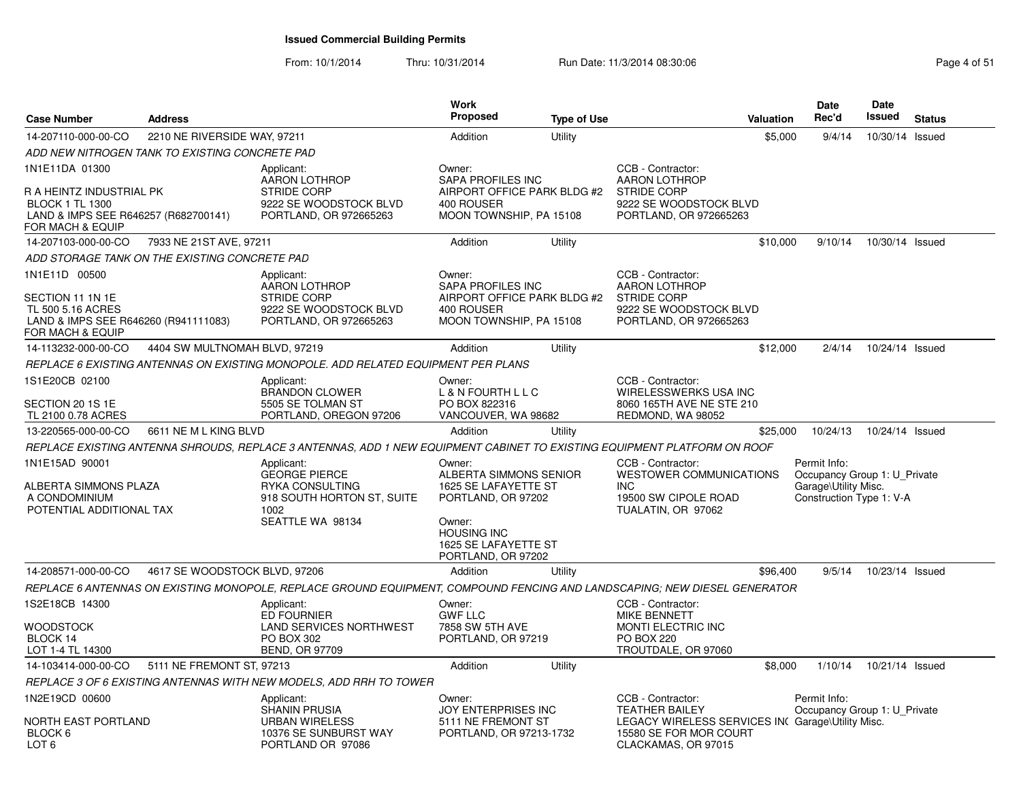From: 10/1/2014

Thru: 10/31/2014 Run Date: 11/3/2014 08:30:06 Research 2010 12:00 Page 4 of 51

| <b>Case Number</b>                                                                                                 | <b>Address</b>                                 |                                                                                                                           | Work<br>Proposed                                                                                                                                             | <b>Type of Use</b> |                                                                                                                          | Valuation | <b>Date</b><br>Rec'd                                                                             | <b>Date</b><br><b>Issued</b> | <b>Status</b> |
|--------------------------------------------------------------------------------------------------------------------|------------------------------------------------|---------------------------------------------------------------------------------------------------------------------------|--------------------------------------------------------------------------------------------------------------------------------------------------------------|--------------------|--------------------------------------------------------------------------------------------------------------------------|-----------|--------------------------------------------------------------------------------------------------|------------------------------|---------------|
| 14-207110-000-00-CO                                                                                                | 2210 NE RIVERSIDE WAY, 97211                   |                                                                                                                           | Addition                                                                                                                                                     | Utility            |                                                                                                                          | \$5,000   | 9/4/14                                                                                           | 10/30/14                     | Issued        |
|                                                                                                                    | ADD NEW NITROGEN TANK TO EXISTING CONCRETE PAD |                                                                                                                           |                                                                                                                                                              |                    |                                                                                                                          |           |                                                                                                  |                              |               |
| 1N1E11DA 01300                                                                                                     |                                                | Applicant:                                                                                                                | Owner:                                                                                                                                                       |                    | CCB - Contractor:                                                                                                        |           |                                                                                                  |                              |               |
| R A HEINTZ INDUSTRIAL PK<br><b>BLOCK 1 TL 1300</b><br>LAND & IMPS SEE R646257 (R682700141)<br>FOR MACH & EQUIP     |                                                | <b>AARON LOTHROP</b><br>STRIDE CORP<br>9222 SE WOODSTOCK BLVD<br>PORTLAND, OR 972665263                                   | SAPA PROFILES INC<br>AIRPORT OFFICE PARK BLDG #2<br>400 ROUSER<br>MOON TOWNSHIP, PA 15108                                                                    |                    | <b>AARON LOTHROP</b><br><b>STRIDE CORP</b><br>9222 SE WOODSTOCK BLVD<br>PORTLAND, OR 972665263                           |           |                                                                                                  |                              |               |
| 14-207103-000-00-CO                                                                                                | 7933 NE 21ST AVE, 97211                        |                                                                                                                           | Addition                                                                                                                                                     | Utility            |                                                                                                                          | \$10,000  | 9/10/14                                                                                          | 10/30/14 Issued              |               |
|                                                                                                                    | ADD STORAGE TANK ON THE EXISTING CONCRETE PAD  |                                                                                                                           |                                                                                                                                                              |                    |                                                                                                                          |           |                                                                                                  |                              |               |
| 1N1E11D 00500<br>SECTION 11 1N 1E<br>TL 500 5.16 ACRES<br>LAND & IMPS SEE R646260 (R941111083)<br>FOR MACH & EQUIP |                                                | Applicant:<br><b>AARON LOTHROP</b><br><b>STRIDE CORP</b><br>9222 SE WOODSTOCK BLVD<br>PORTLAND, OR 972665263              | Owner:<br><b>SAPA PROFILES INC</b><br>AIRPORT OFFICE PARK BLDG #2<br>400 ROUSER<br>MOON TOWNSHIP, PA 15108                                                   |                    | CCB - Contractor:<br><b>AARON LOTHROP</b><br><b>STRIDE CORP</b><br>9222 SE WOODSTOCK BLVD<br>PORTLAND, OR 972665263      |           |                                                                                                  |                              |               |
| 14-113232-000-00-CO                                                                                                | 4404 SW MULTNOMAH BLVD, 97219                  |                                                                                                                           | Addition                                                                                                                                                     | Utility            |                                                                                                                          | \$12,000  | 2/4/14                                                                                           | 10/24/14 Issued              |               |
|                                                                                                                    |                                                | REPLACE 6 EXISTING ANTENNAS ON EXISTING MONOPOLE. ADD RELATED EQUIPMENT PER PLANS                                         |                                                                                                                                                              |                    |                                                                                                                          |           |                                                                                                  |                              |               |
| 1S1E20CB 02100                                                                                                     |                                                | Applicant:<br><b>BRANDON CLOWER</b>                                                                                       | Owner:<br>L & N FOURTH L L C                                                                                                                                 |                    | CCB - Contractor:<br>WIRELESSWERKS USA INC                                                                               |           |                                                                                                  |                              |               |
| SECTION 20 1S 1E<br>TL 2100 0.78 ACRES                                                                             |                                                | 5505 SE TOLMAN ST<br>PORTLAND, OREGON 97206                                                                               | PO BOX 822316<br>VANCOUVER, WA 98682                                                                                                                         |                    | 8060 165TH AVE NE STE 210<br>REDMOND, WA 98052                                                                           |           |                                                                                                  |                              |               |
| 13-220565-000-00-CO                                                                                                | 6611 NE M L KING BLVD                          |                                                                                                                           | Addition                                                                                                                                                     | Utility            |                                                                                                                          | \$25,000  | 10/24/13                                                                                         | 10/24/14 Issued              |               |
|                                                                                                                    |                                                | REPLACE EXISTING ANTENNA SHROUDS, REPLACE 3 ANTENNAS, ADD 1 NEW EQUIPMENT CABINET TO EXISTING EQUIPMENT PLATFORM ON ROOF  |                                                                                                                                                              |                    |                                                                                                                          |           |                                                                                                  |                              |               |
| 1N1E15AD 90001<br>ALBERTA SIMMONS PLAZA<br>A CONDOMINIUM<br>POTENTIAL ADDITIONAL TAX                               |                                                | Applicant:<br><b>GEORGE PIERCE</b><br><b>RYKA CONSULTING</b><br>918 SOUTH HORTON ST, SUITE<br>1002<br>SEATTLE WA 98134    | Owner:<br>ALBERTA SIMMONS SENIOR<br>1625 SE LAFAYETTE ST<br>PORTLAND, OR 97202<br>Owner:<br><b>HOUSING INC</b><br>1625 SE LAFAYETTE ST<br>PORTLAND, OR 97202 |                    | CCB - Contractor:<br><b>WESTOWER COMMUNICATIONS</b><br><b>INC</b><br>19500 SW CIPOLE ROAD<br>TUALATIN, OR 97062          |           | Permit Info:<br>Occupancy Group 1: U_Private<br>Garage\Utility Misc.<br>Construction Type 1: V-A |                              |               |
| 14-208571-000-00-CO                                                                                                | 4617 SE WOODSTOCK BLVD, 97206                  |                                                                                                                           | Addition                                                                                                                                                     | Utility            |                                                                                                                          | \$96,400  | 9/5/14                                                                                           | 10/23/14 Issued              |               |
|                                                                                                                    |                                                | REPLACE 6 ANTENNAS ON EXISTING MONOPOLE, REPLACE GROUND EQUIPMENT, COMPOUND FENCING AND LANDSCAPING; NEW DIESEL GENERATOR |                                                                                                                                                              |                    |                                                                                                                          |           |                                                                                                  |                              |               |
| 1S2E18CB 14300<br><b>WOODSTOCK</b><br>BLOCK 14<br>LOT 1-4 TL 14300                                                 |                                                | Applicant:<br><b>ED FOURNIER</b><br><b>LAND SERVICES NORTHWEST</b><br>PO BOX 302<br><b>BEND, OR 97709</b>                 | Owner:<br><b>GWF LLC</b><br>7858 SW 5TH AVE<br>PORTLAND, OR 97219                                                                                            |                    | CCB - Contractor:<br><b>MIKE BENNETT</b><br>MONTI ELECTRIC INC<br><b>PO BOX 220</b><br>TROUTDALE, OR 97060               |           |                                                                                                  |                              |               |
| 14-103414-000-00-CO                                                                                                | 5111 NE FREMONT ST, 97213                      |                                                                                                                           | Addition                                                                                                                                                     | Utility            |                                                                                                                          | \$8,000   | 1/10/14                                                                                          | 10/21/14 Issued              |               |
|                                                                                                                    |                                                | REPLACE 3 OF 6 EXISTING ANTENNAS WITH NEW MODELS, ADD RRH TO TOWER                                                        |                                                                                                                                                              |                    |                                                                                                                          |           |                                                                                                  |                              |               |
| 1N2E19CD 00600<br><b>NORTH EAST PORTLAND</b><br>BLOCK 6                                                            |                                                | Applicant:<br><b>SHANIN PRUSIA</b><br><b>URBAN WIRELESS</b><br>10376 SE SUNBURST WAY                                      | Owner:<br><b>JOY ENTERPRISES INC</b><br>5111 NE FREMONT ST<br>PORTLAND, OR 97213-1732                                                                        |                    | CCB - Contractor:<br><b>TEATHER BAILEY</b><br>LEGACY WIRELESS SERVICES IN Garage\Utility Misc.<br>15580 SE FOR MOR COURT |           | Permit Info:<br>Occupancy Group 1: U Private                                                     |                              |               |
| LOT <sub>6</sub>                                                                                                   |                                                | PORTLAND OR 97086                                                                                                         |                                                                                                                                                              |                    | CLACKAMAS, OR 97015                                                                                                      |           |                                                                                                  |                              |               |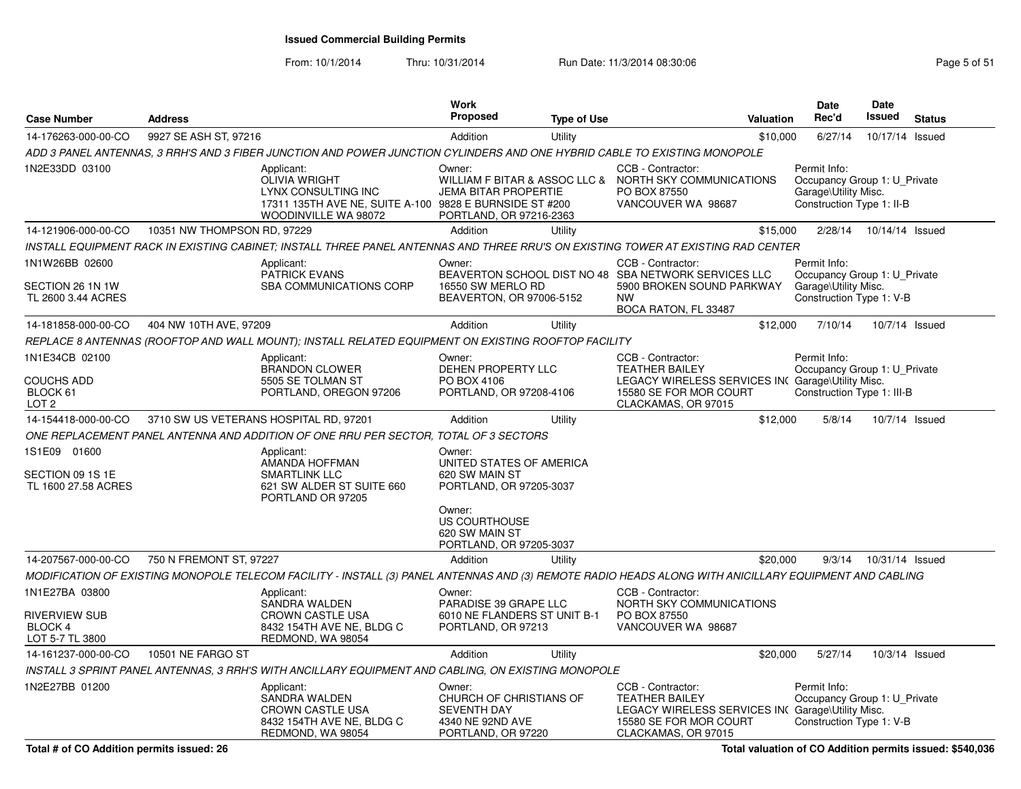| <b>Case Number</b>                                                          | <b>Address</b>              |                                                                                                                                              | <b>Work</b><br><b>Proposed</b>                                                                                               | <b>Type of Use</b> | Valuation                                                                                                                                              | <b>Date</b><br>Rec'd                                                                              | Date<br><b>Issued</b>     | <b>Status</b>  |
|-----------------------------------------------------------------------------|-----------------------------|----------------------------------------------------------------------------------------------------------------------------------------------|------------------------------------------------------------------------------------------------------------------------------|--------------------|--------------------------------------------------------------------------------------------------------------------------------------------------------|---------------------------------------------------------------------------------------------------|---------------------------|----------------|
| 14-176263-000-00-CO                                                         | 9927 SE ASH ST, 97216       |                                                                                                                                              | Addition                                                                                                                     | Utility            | \$10,000                                                                                                                                               | 6/27/14                                                                                           | 10/17/14 Issued           |                |
|                                                                             |                             | ADD 3 PANEL ANTENNAS, 3 RRH'S AND 3 FIBER JUNCTION AND POWER JUNCTION CYLINDERS AND ONE HYBRID CABLE TO EXISTING MONOPOLE                    |                                                                                                                              |                    |                                                                                                                                                        |                                                                                                   |                           |                |
| 1N2E33DD 03100                                                              |                             | Applicant:<br><b>OLIVIA WRIGHT</b><br>LYNX CONSULTING INC<br>17311 135TH AVE NE, SUITE A-100 9828 E BURNSIDE ST #200<br>WOODINVILLE WA 98072 | Owner:<br><b>JEMA BITAR PROPERTIE</b><br>PORTLAND, OR 97216-2363                                                             |                    | CCB - Contractor:<br>WILLIAM F BITAR & ASSOC LLC & NORTH SKY COMMUNICATIONS<br>PO BOX 87550<br>VANCOUVER WA 98687                                      | Permit Info:<br>Occupancy Group 1: U_Private<br>Garage\Utility Misc.<br>Construction Type 1: II-B |                           |                |
| 14-121906-000-00-CO                                                         | 10351 NW THOMPSON RD, 97229 |                                                                                                                                              | Addition                                                                                                                     | Utility            | \$15,000                                                                                                                                               |                                                                                                   | 2/28/14  10/14/14  Issued |                |
|                                                                             |                             |                                                                                                                                              |                                                                                                                              |                    | INSTALL EQUIPMENT RACK IN EXISTING CABINET; INSTALL THREE PANEL ANTENNAS AND THREE RRU'S ON EXISTING TOWER AT EXISTING RAD CENTER                      |                                                                                                   |                           |                |
| 1N1W26BB 02600<br>SECTION 26 1N 1W<br>TL 2600 3.44 ACRES                    |                             | Applicant:<br><b>PATRICK EVANS</b><br><b>SBA COMMUNICATIONS CORP</b>                                                                         | Owner:<br>16550 SW MERLO RD<br>BEAVERTON, OR 97006-5152                                                                      |                    | CCB - Contractor:<br>BEAVERTON SCHOOL DIST NO 48 SBA NETWORK SERVICES LLC<br>5900 BROKEN SOUND PARKWAY<br><b>NW</b><br>BOCA RATON, FL 33487            | Permit Info:<br>Occupancy Group 1: U Private<br>Garage\Utility Misc.<br>Construction Type 1: V-B  |                           |                |
| 14-181858-000-00-CO                                                         | 404 NW 10TH AVE, 97209      |                                                                                                                                              | Addition                                                                                                                     | Utility            | \$12,000                                                                                                                                               | 7/10/14                                                                                           |                           | 10/7/14 Issued |
|                                                                             |                             | REPLACE 8 ANTENNAS (ROOFTOP AND WALL MOUNT); INSTALL RELATED EQUIPMENT ON EXISTING ROOFTOP FACILITY                                          |                                                                                                                              |                    |                                                                                                                                                        |                                                                                                   |                           |                |
| 1N1E34CB 02100<br><b>COUCHS ADD</b><br>BLOCK 61<br>LOT <sub>2</sub>         |                             | Applicant:<br><b>BRANDON CLOWER</b><br>5505 SE TOLMAN ST<br>PORTLAND, OREGON 97206                                                           | Owner:<br>DEHEN PROPERTY LLC<br>PO BOX 4106<br>PORTLAND, OR 97208-4106                                                       |                    | CCB - Contractor:<br><b>TEATHER BAILEY</b><br>LEGACY WIRELESS SERVICES IN Garage\Utility Misc.<br>15580 SE FOR MOR COURT<br>CLACKAMAS, OR 97015        | Permit Info:<br>Occupancy Group 1: U Private<br>Construction Type 1: III-B                        |                           |                |
| 14-154418-000-00-CO                                                         |                             | 3710 SW US VETERANS HOSPITAL RD, 97201                                                                                                       | Addition                                                                                                                     | Utility            | \$12,000                                                                                                                                               | 5/8/14                                                                                            |                           | 10/7/14 Issued |
|                                                                             |                             | ONE REPLACEMENT PANEL ANTENNA AND ADDITION OF ONE RRU PER SECTOR, TOTAL OF 3 SECTORS                                                         |                                                                                                                              |                    |                                                                                                                                                        |                                                                                                   |                           |                |
| 1S1E09 01600<br>SECTION 09 1S 1E<br>TL 1600 27.58 ACRES                     |                             | Applicant:<br>AMANDA HOFFMAN<br><b>SMARTLINK LLC</b><br>621 SW ALDER ST SUITE 660<br>PORTLAND OR 97205                                       | Owner:<br>UNITED STATES OF AMERICA<br>620 SW MAIN ST<br>PORTLAND, OR 97205-3037<br>Owner:<br>US COURTHOUSE<br>620 SW MAIN ST |                    |                                                                                                                                                        |                                                                                                   |                           |                |
|                                                                             |                             |                                                                                                                                              | PORTLAND, OR 97205-3037                                                                                                      |                    |                                                                                                                                                        |                                                                                                   |                           |                |
| 14-207567-000-00-CO                                                         | 750 N FREMONT ST, 97227     |                                                                                                                                              | Addition                                                                                                                     | Utility            | \$20,000                                                                                                                                               | 9/3/14                                                                                            | 10/31/14 Issued           |                |
|                                                                             |                             |                                                                                                                                              |                                                                                                                              |                    | MODIFICATION OF EXISTING MONOPOLE TELECOM FACILITY - INSTALL (3) PANEL ANTENNAS AND (3) REMOTE RADIO HEADS ALONG WITH ANICILLARY EQUIPMENT AND CABLING |                                                                                                   |                           |                |
| 1N1E27BA 03800<br><b>RIVERVIEW SUB</b><br><b>BLOCK 4</b><br>LOT 5-7 TL 3800 |                             | Applicant:<br><b>SANDRA WALDEN</b><br><b>CROWN CASTLE USA</b><br>8432 154TH AVE NE, BLDG C<br>REDMOND, WA 98054                              | Owner:<br>PARADISE 39 GRAPE LLC<br>6010 NE FLANDERS ST UNIT B-1<br>PORTLAND, OR 97213                                        |                    | CCB - Contractor:<br>NORTH SKY COMMUNICATIONS<br>PO BOX 87550<br>VANCOUVER WA 98687                                                                    |                                                                                                   |                           |                |
| 14-161237-000-00-CO                                                         | 10501 NE FARGO ST           |                                                                                                                                              | Addition                                                                                                                     | Utility            | \$20,000                                                                                                                                               | 5/27/14                                                                                           |                           | 10/3/14 Issued |
|                                                                             |                             | INSTALL 3 SPRINT PANEL ANTENNAS, 3 RRH'S WITH ANCILLARY EQUIPMENT AND CABLING, ON EXISTING MONOPOLE                                          |                                                                                                                              |                    |                                                                                                                                                        |                                                                                                   |                           |                |
| 1N2E27BB 01200                                                              |                             | Applicant:<br>SANDRA WALDEN<br>CROWN CASTLE USA<br>8432 154TH AVE NE, BLDG C<br>REDMOND, WA 98054                                            | Owner:<br>CHURCH OF CHRISTIANS OF<br><b>SEVENTH DAY</b><br>4340 NE 92ND AVE<br>PORTLAND, OR 97220                            |                    | CCB - Contractor:<br><b>TEATHER BAILEY</b><br>LEGACY WIRELESS SERVICES IN( Garage\Utility Misc.<br>15580 SE FOR MOR COURT<br>CLACKAMAS, OR 97015       | Permit Info:<br>Occupancy Group 1: U Private<br>Construction Type 1: V-B                          |                           |                |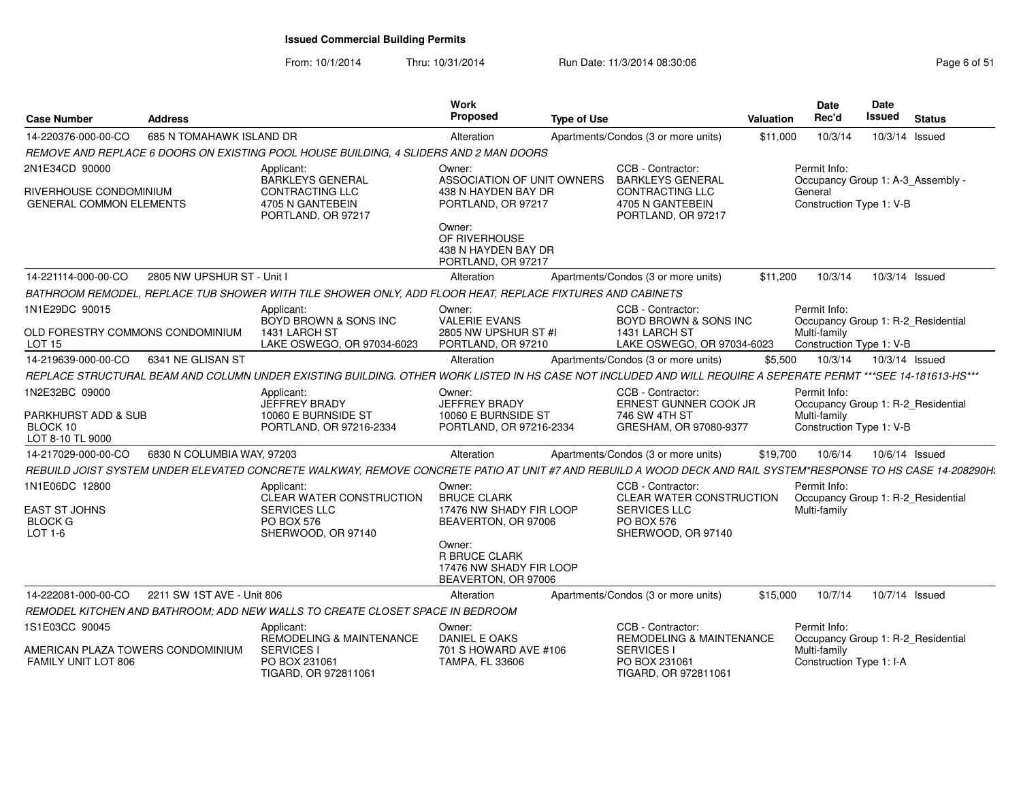From: 10/1/2014Thru: 10/31/2014 Run Date: 11/3/2014 08:30:06 Research 2010 12:00 Page 6 of 51

| <b>Case Number</b>                                       | <b>Address</b>             |                                                                                                                                                                | <b>Work</b><br>Proposed                                                          | <b>Type of Use</b>                           |                                                                                                   | Valuation                                         | Date<br>Rec'd                                                                  | Date<br>Issued | <b>Status</b>  |
|----------------------------------------------------------|----------------------------|----------------------------------------------------------------------------------------------------------------------------------------------------------------|----------------------------------------------------------------------------------|----------------------------------------------|---------------------------------------------------------------------------------------------------|---------------------------------------------------|--------------------------------------------------------------------------------|----------------|----------------|
| 14-220376-000-00-CO                                      | 685 N TOMAHAWK ISLAND DR   |                                                                                                                                                                | Alteration                                                                       |                                              | Apartments/Condos (3 or more units)                                                               | \$11,000                                          | 10/3/14                                                                        |                | 10/3/14 Issued |
|                                                          |                            | REMOVE AND REPLACE 6 DOORS ON EXISTING POOL HOUSE BUILDING, 4 SLIDERS AND 2 MAN DOORS                                                                          |                                                                                  |                                              |                                                                                                   |                                                   |                                                                                |                |                |
| 2N1E34CD 90000                                           |                            | Applicant:<br><b>BARKLEYS GENERAL</b>                                                                                                                          | Owner:<br>ASSOCIATION OF UNIT OWNERS                                             | CCB - Contractor:<br><b>BARKLEYS GENERAL</b> |                                                                                                   | Permit Info:<br>Occupancy Group 1: A-3_Assembly - |                                                                                |                |                |
| RIVERHOUSE CONDOMINIUM<br><b>GENERAL COMMON ELEMENTS</b> |                            | <b>CONTRACTING LLC</b><br>4705 N GANTEBEIN<br>PORTLAND, OR 97217                                                                                               | 438 N HAYDEN BAY DR<br>PORTLAND, OR 97217                                        |                                              | CONTRACTING LLC<br>4705 N GANTEBEIN<br>PORTLAND, OR 97217                                         |                                                   | General<br>Construction Type 1: V-B                                            |                |                |
|                                                          |                            |                                                                                                                                                                | Owner:<br>OF RIVERHOUSE<br>438 N HAYDEN BAY DR<br>PORTLAND, OR 97217             |                                              |                                                                                                   |                                                   |                                                                                |                |                |
| 14-221114-000-00-CO                                      | 2805 NW UPSHUR ST - Unit I |                                                                                                                                                                | Alteration                                                                       |                                              | Apartments/Condos (3 or more units)                                                               | \$11,200                                          | 10/3/14                                                                        |                | 10/3/14 Issued |
|                                                          |                            | BATHROOM REMODEL, REPLACE TUB SHOWER WITH TILE SHOWER ONLY, ADD FLOOR HEAT, REPLACE FIXTURES AND CABINETS                                                      |                                                                                  |                                              |                                                                                                   |                                                   |                                                                                |                |                |
| 1N1E29DC 90015                                           |                            | Applicant:<br>BOYD BROWN & SONS INC                                                                                                                            | Owner:<br><b>VALERIE EVANS</b>                                                   |                                              | CCB - Contractor:<br>BOYD BROWN & SONS INC                                                        |                                                   | Permit Info:<br>Occupancy Group 1: R-2 Residential                             |                |                |
| OLD FORESTRY COMMONS CONDOMINIUM<br><b>LOT 15</b>        |                            | 1431 LARCH ST<br>LAKE OSWEGO, OR 97034-6023                                                                                                                    | 2805 NW UPSHUR ST #I<br>PORTLAND, OR 97210                                       |                                              | 1431 LARCH ST<br>LAKE OSWEGO, OR 97034-6023                                                       |                                                   | Multi-family<br>Construction Type 1: V-B                                       |                |                |
| 14-219639-000-00-CO                                      | 6341 NE GLISAN ST          |                                                                                                                                                                | Alteration                                                                       |                                              | Apartments/Condos (3 or more units)                                                               | \$5,500                                           | 10/3/14                                                                        |                | 10/3/14 Issued |
|                                                          |                            | REPLACE STRUCTURAL BEAM AND COLUMN UNDER EXISTING BUILDING. OTHER WORK LISTED IN HS CASE NOT INCLUDED AND WILL REQUIRE A SEPERATE PERMT ***SEE 14-181613-HS*** |                                                                                  |                                              |                                                                                                   |                                                   |                                                                                |                |                |
| 1N2E32BC 09000                                           |                            | Applicant:<br>JEFFREY BRADY                                                                                                                                    | Owner:<br><b>JEFFREY BRADY</b>                                                   |                                              | CCB - Contractor:<br>ERNEST GUNNER COOK JR                                                        |                                                   | Permit Info:<br>Occupancy Group 1: R-2_Residential                             |                |                |
| PARKHURST ADD & SUB<br>BLOCK 10<br>LOT 8-10 TL 9000      |                            | 10060 E BURNSIDE ST<br>PORTLAND, OR 97216-2334                                                                                                                 | 10060 E BURNSIDE ST<br>PORTLAND, OR 97216-2334                                   |                                              | 746 SW 4TH ST<br>GRESHAM, OR 97080-9377                                                           |                                                   | Multi-family<br>Construction Type 1: V-B                                       |                |                |
| 14-217029-000-00-CO                                      | 6830 N COLUMBIA WAY, 97203 |                                                                                                                                                                | Alteration                                                                       |                                              | Apartments/Condos (3 or more units)                                                               | \$19,700                                          | 10/6/14                                                                        |                | 10/6/14 Issued |
|                                                          |                            | REBUILD JOIST SYSTEM UNDER ELEVATED CONCRETE WALKWAY, REMOVE CONCRETE PATIO AT UNIT #7 AND REBUILD A WOOD DECK AND RAIL SYSTEM*RESPONSE TO HS CASE 14-208290H. |                                                                                  |                                              |                                                                                                   |                                                   |                                                                                |                |                |
| 1N1E06DC 12800                                           |                            | Applicant:<br>CLEAR WATER CONSTRUCTION                                                                                                                         | Owner:<br><b>BRUCE CLARK</b>                                                     |                                              | CCB - Contractor:<br>CLEAR WATER CONSTRUCTION                                                     |                                                   | Permit Info:<br>Occupancy Group 1: R-2 Residential                             |                |                |
| <b>EAST ST JOHNS</b><br><b>BLOCK G</b><br>LOT 1-6        |                            | <b>SERVICES LLC</b><br>PO BOX 576<br>SHERWOOD, OR 97140                                                                                                        | 17476 NW SHADY FIR LOOP<br>BEAVERTON, OR 97006                                   |                                              | SERVICES LLC<br><b>PO BOX 576</b><br>SHERWOOD, OR 97140                                           |                                                   | Multi-family                                                                   |                |                |
|                                                          |                            |                                                                                                                                                                | Owner:<br><b>R BRUCE CLARK</b><br>17476 NW SHADY FIR LOOP<br>BEAVERTON, OR 97006 |                                              |                                                                                                   |                                                   |                                                                                |                |                |
| 14-222081-000-00-CO                                      | 2211 SW 1ST AVE - Unit 806 |                                                                                                                                                                | Alteration                                                                       |                                              | Apartments/Condos (3 or more units)                                                               | \$15,000                                          | 10/7/14                                                                        | 10/7/14 Issued |                |
|                                                          |                            | REMODEL KITCHEN AND BATHROOM: ADD NEW WALLS TO CREATE CLOSET SPACE IN BEDROOM                                                                                  |                                                                                  |                                              |                                                                                                   |                                                   |                                                                                |                |                |
| 1S1E03CC 90045                                           |                            | Applicant:                                                                                                                                                     | Owner:                                                                           |                                              | CCB - Contractor:                                                                                 |                                                   | Permit Info:                                                                   |                |                |
| AMERICAN PLAZA TOWERS CONDOMINIUM<br>FAMILY UNIT LOT 806 |                            | REMODELING & MAINTENANCE<br><b>SERVICES I</b><br>PO BOX 231061<br>TIGARD, OR 972811061                                                                         | DANIEL E OAKS<br>701 S HOWARD AVE #106<br><b>TAMPA, FL 33606</b>                 |                                              | <b>REMODELING &amp; MAINTENANCE</b><br><b>SERVICES I</b><br>PO BOX 231061<br>TIGARD, OR 972811061 |                                                   | Occupancy Group 1: R-2 Residential<br>Multi-family<br>Construction Type 1: I-A |                |                |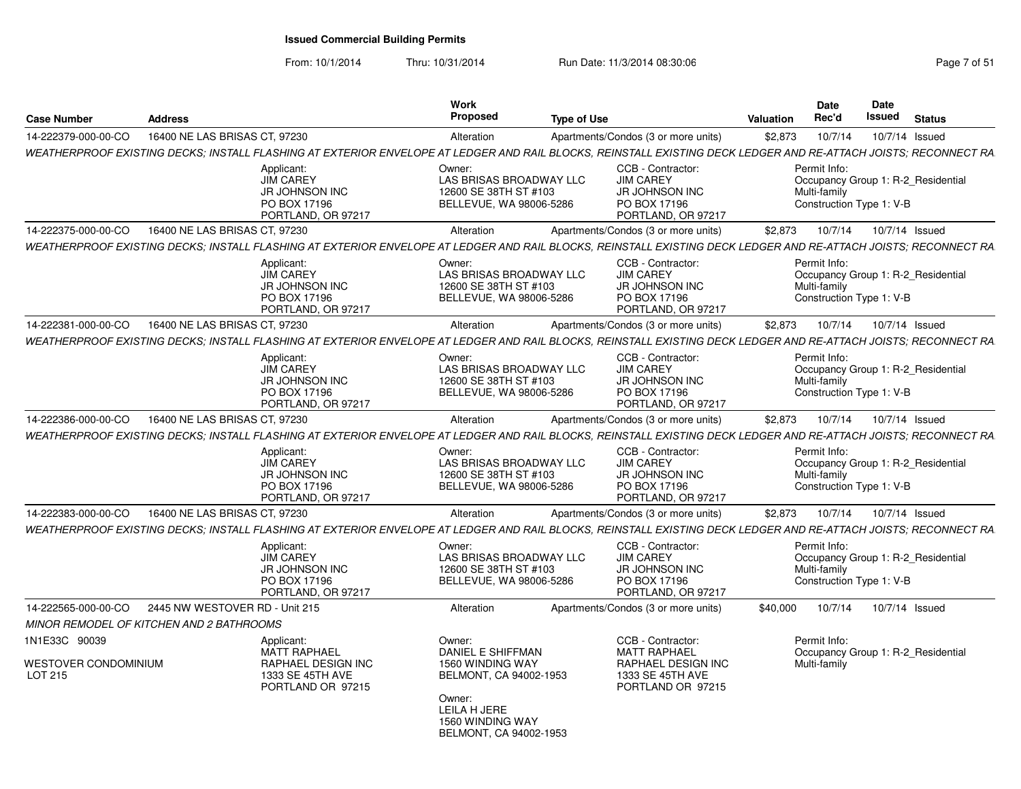From: 10/1/2014Thru: 10/31/2014 Run Date: 11/3/2014 08:30:06 Research 2010 12:00 Page 7 of 51

| <b>Case Number</b>                    | <b>Address</b>                           |                                                                                                                                                                  | Work<br><b>Proposed</b>                                                               | <b>Type of Use</b> |                                                                                                      | <b>Valuation</b> | <b>Date</b><br>Rec'd                                     | Date<br><b>Issued</b> | <b>Status</b>                      |
|---------------------------------------|------------------------------------------|------------------------------------------------------------------------------------------------------------------------------------------------------------------|---------------------------------------------------------------------------------------|--------------------|------------------------------------------------------------------------------------------------------|------------------|----------------------------------------------------------|-----------------------|------------------------------------|
| 14-222379-000-00-CO                   | 16400 NE LAS BRISAS CT, 97230            |                                                                                                                                                                  | Alteration                                                                            |                    | Apartments/Condos (3 or more units)                                                                  | \$2,873          | 10/7/14                                                  |                       | 10/7/14 Issued                     |
|                                       |                                          | WEATHERPROOF EXISTING DECKS: INSTALL FLASHING AT EXTERIOR ENVELOPE AT LEDGER AND RAIL BLOCKS. REINSTALL EXISTING DECK LEDGER AND RE-ATTACH JOISTS: RECONNECT RA  |                                                                                       |                    |                                                                                                      |                  |                                                          |                       |                                    |
|                                       |                                          | Applicant:<br><b>JIM CAREY</b><br>JR JOHNSON INC<br>PO BOX 17196<br>PORTLAND, OR 97217                                                                           | Owner:<br>LAS BRISAS BROADWAY LLC<br>12600 SE 38TH ST #103<br>BELLEVUE, WA 98006-5286 |                    | CCB - Contractor:<br><b>JIM CAREY</b><br>JR JOHNSON INC<br>PO BOX 17196<br>PORTLAND, OR 97217        |                  | Permit Info:<br>Multi-family<br>Construction Type 1: V-B |                       | Occupancy Group 1: R-2 Residential |
| 14-222375-000-00-CO                   | 16400 NE LAS BRISAS CT, 97230            |                                                                                                                                                                  | Alteration                                                                            |                    | Apartments/Condos (3 or more units)                                                                  | \$2,873          | 10/7/14                                                  |                       | 10/7/14 Issued                     |
|                                       |                                          | WEATHERPROOF EXISTING DECKS; INSTALL FLASHING AT EXTERIOR ENVELOPE AT LEDGER AND RAIL BLOCKS, REINSTALL EXISTING DECK LEDGER AND RE-ATTACH JOISTS; RECONNECT RA  |                                                                                       |                    |                                                                                                      |                  |                                                          |                       |                                    |
|                                       |                                          | Applicant:<br><b>JIM CAREY</b><br>JR JOHNSON INC<br>PO BOX 17196<br>PORTLAND, OR 97217                                                                           | Owner:<br>LAS BRISAS BROADWAY LLC<br>12600 SE 38TH ST #103<br>BELLEVUE, WA 98006-5286 |                    | CCB - Contractor:<br><b>JIM CAREY</b><br>JR JOHNSON INC<br>PO BOX 17196<br>PORTLAND, OR 97217        |                  | Permit Info:<br>Multi-family<br>Construction Type 1: V-B |                       | Occupancy Group 1: R-2 Residential |
| 14-222381-000-00-CO                   | 16400 NE LAS BRISAS CT, 97230            |                                                                                                                                                                  | Alteration                                                                            |                    | Apartments/Condos (3 or more units)                                                                  | \$2,873          | 10/7/14                                                  |                       | 10/7/14 Issued                     |
|                                       |                                          | WEATHERPROOF EXISTING DECKS: INSTALL FLASHING AT EXTERIOR ENVELOPE AT LEDGER AND RAIL BLOCKS. REINSTALL EXISTING DECK LEDGER AND RE-ATTACH JOISTS: RECONNECT RA  |                                                                                       |                    |                                                                                                      |                  |                                                          |                       |                                    |
|                                       |                                          | Applicant:<br><b>JIM CAREY</b><br><b>JR JOHNSON INC</b><br>PO BOX 17196<br>PORTLAND, OR 97217                                                                    | Owner:<br>LAS BRISAS BROADWAY LLC<br>12600 SE 38TH ST #103<br>BELLEVUE, WA 98006-5286 |                    | CCB - Contractor:<br><b>JIM CAREY</b><br><b>JR JOHNSON INC</b><br>PO BOX 17196<br>PORTLAND, OR 97217 |                  | Permit Info:<br>Multi-family<br>Construction Type 1: V-B |                       | Occupancy Group 1: R-2_Residential |
| 14-222386-000-00-CO                   | 16400 NE LAS BRISAS CT, 97230            |                                                                                                                                                                  | Alteration                                                                            |                    | Apartments/Condos (3 or more units)                                                                  | \$2,873          | 10/7/14                                                  |                       | 10/7/14 Issued                     |
|                                       |                                          | WEATHERPROOF EXISTING DECKS: INSTALL FLASHING AT EXTERIOR ENVELOPE AT LEDGER AND RAIL BLOCKS. REINSTALL EXISTING DECK LEDGER AND RE-ATTACH JOISTS: RECONNECT RA. |                                                                                       |                    |                                                                                                      |                  |                                                          |                       |                                    |
|                                       |                                          | Applicant:<br><b>JIM CAREY</b><br><b>JR JOHNSON INC</b><br>PO BOX 17196<br>PORTLAND, OR 97217                                                                    | Owner:<br>LAS BRISAS BROADWAY LLC<br>12600 SE 38TH ST #103<br>BELLEVUE, WA 98006-5286 |                    | CCB - Contractor:<br><b>JIM CAREY</b><br><b>JR JOHNSON INC</b><br>PO BOX 17196<br>PORTLAND, OR 97217 |                  | Permit Info:<br>Multi-family<br>Construction Type 1: V-B |                       | Occupancy Group 1: R-2 Residential |
| 14-222383-000-00-CO                   | 16400 NE LAS BRISAS CT, 97230            |                                                                                                                                                                  | Alteration                                                                            |                    | Apartments/Condos (3 or more units)                                                                  | \$2,873          | 10/7/14                                                  |                       | 10/7/14 Issued                     |
|                                       |                                          | WEATHERPROOF EXISTING DECKS: INSTALL FLASHING AT EXTERIOR ENVELOPE AT LEDGER AND RAIL BLOCKS. REINSTALL EXISTING DECK LEDGER AND RE-ATTACH JOISTS: RECONNECT RA. |                                                                                       |                    |                                                                                                      |                  |                                                          |                       |                                    |
|                                       |                                          | Applicant:<br><b>JIM CAREY</b><br><b>JR JOHNSON INC</b><br>PO BOX 17196<br>PORTLAND, OR 97217                                                                    | Owner:<br>LAS BRISAS BROADWAY LLC<br>12600 SE 38TH ST #103<br>BELLEVUE, WA 98006-5286 |                    | CCB - Contractor:<br><b>JIM CAREY</b><br><b>JR JOHNSON INC</b><br>PO BOX 17196<br>PORTLAND, OR 97217 |                  | Permit Info:<br>Multi-family<br>Construction Type 1: V-B |                       | Occupancy Group 1: R-2 Residential |
| 14-222565-000-00-CO                   | 2445 NW WESTOVER RD - Unit 215           |                                                                                                                                                                  | Alteration                                                                            |                    | Apartments/Condos (3 or more units)                                                                  | \$40,000         | 10/7/14                                                  |                       | 10/7/14 Issued                     |
|                                       | MINOR REMODEL OF KITCHEN AND 2 BATHROOMS |                                                                                                                                                                  |                                                                                       |                    |                                                                                                      |                  |                                                          |                       |                                    |
| 1N1E33C 90039<br>WESTOVER CONDOMINIUM |                                          | Applicant:<br><b>MATT RAPHAEL</b><br>RAPHAEL DESIGN INC                                                                                                          | Owner:<br><b>DANIEL E SHIFFMAN</b><br>1560 WINDING WAY                                |                    | CCB - Contractor:<br><b>MATT RAPHAEL</b><br>RAPHAEL DESIGN INC                                       |                  | Permit Info:<br>Multi-family                             |                       | Occupancy Group 1: R-2 Residential |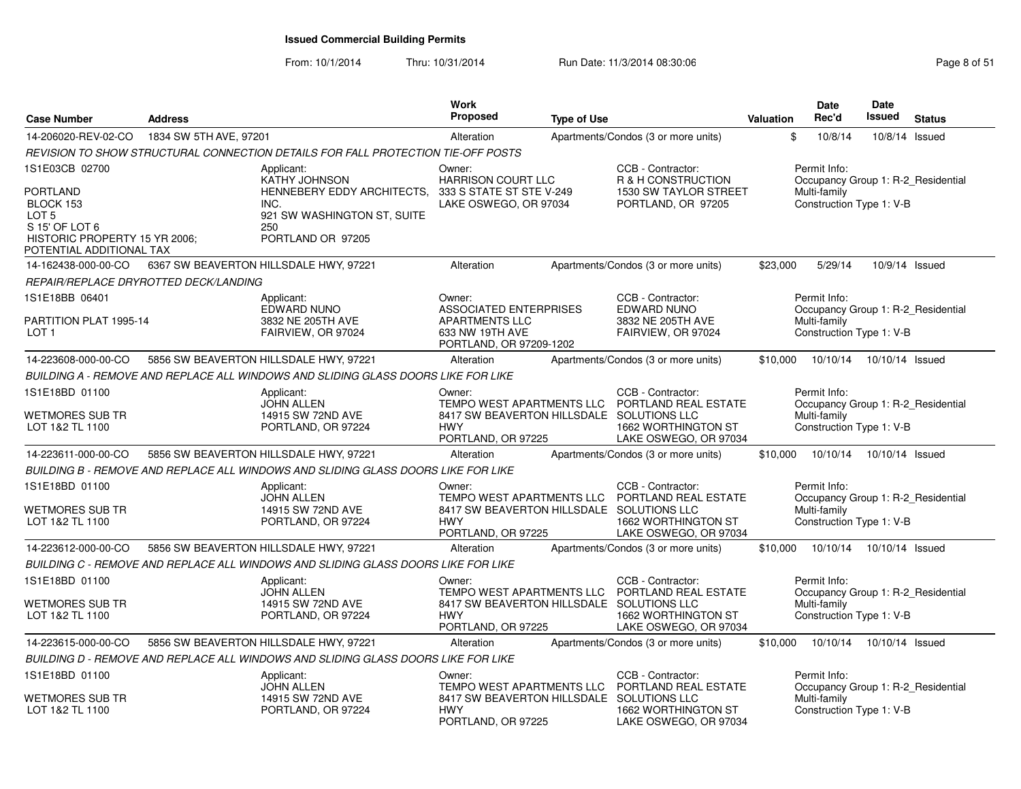From: 10/1/2014Thru: 10/31/2014 Run Date: 11/3/2014 08:30:06 Research 2010 12:00 Page 8 of 51

| <b>Case Number</b>                                                                                                              | <b>Address</b>                        |                                                                                                                                     | Work<br><b>Proposed</b>                                                                                              | <b>Type of Use</b> |                                                                                           | Valuation | <b>Date</b><br>Rec'd                                                                           | <b>Date</b><br><b>Issued</b> | <b>Status</b> |
|---------------------------------------------------------------------------------------------------------------------------------|---------------------------------------|-------------------------------------------------------------------------------------------------------------------------------------|----------------------------------------------------------------------------------------------------------------------|--------------------|-------------------------------------------------------------------------------------------|-----------|------------------------------------------------------------------------------------------------|------------------------------|---------------|
| 14-206020-REV-02-CO                                                                                                             | 1834 SW 5TH AVE, 97201                |                                                                                                                                     | Alteration                                                                                                           |                    | Apartments/Condos (3 or more units)                                                       | \$        | 10/8/14                                                                                        | 10/8/14 Issued               |               |
|                                                                                                                                 |                                       | REVISION TO SHOW STRUCTURAL CONNECTION DETAILS FOR FALL PROTECTION TIE-OFF POSTS                                                    |                                                                                                                      |                    |                                                                                           |           |                                                                                                |                              |               |
| 1S1E03CB 02700<br>PORTLAND<br>BLOCK 153<br>LOT 5<br>S 15' OF LOT 6<br>HISTORIC PROPERTY 15 YR 2006;<br>POTENTIAL ADDITIONAL TAX |                                       | Applicant:<br><b>KATHY JOHNSON</b><br>HENNEBERY EDDY ARCHITECTS.<br>INC.<br>921 SW WASHINGTON ST, SUITE<br>250<br>PORTLAND OR 97205 | Owner:<br><b>HARRISON COURT LLC</b><br>333 S STATE ST STE V-249<br>LAKE OSWEGO, OR 97034                             |                    | CCB - Contractor:<br>R & H CONSTRUCTION<br>1530 SW TAYLOR STREET<br>PORTLAND, OR 97205    |           | Permit Info:<br>Occupancy Group 1: R-2 Residential<br>Multi-family<br>Construction Type 1: V-B |                              |               |
| 14-162438-000-00-CO                                                                                                             |                                       | 6367 SW BEAVERTON HILLSDALE HWY, 97221                                                                                              | Alteration                                                                                                           |                    | Apartments/Condos (3 or more units)                                                       | \$23,000  | 5/29/14                                                                                        | 10/9/14 Issued               |               |
|                                                                                                                                 | REPAIR/REPLACE DRYROTTED DECK/LANDING |                                                                                                                                     |                                                                                                                      |                    |                                                                                           |           |                                                                                                |                              |               |
| 1S1E18BB 06401<br>PARTITION PLAT 1995-14<br>LOT 1                                                                               |                                       | Applicant:<br>EDWARD NUNO<br>3832 NE 205TH AVE<br>FAIRVIEW, OR 97024                                                                | Owner:<br>ASSOCIATED ENTERPRISES<br><b>APARTMENTS LLC</b><br>633 NW 19TH AVE<br>PORTLAND, OR 97209-1202              |                    | CCB - Contractor:<br><b>EDWARD NUNO</b><br>3832 NE 205TH AVE<br>FAIRVIEW, OR 97024        |           | Permit Info:<br>Occupancy Group 1: R-2 Residential<br>Multi-family<br>Construction Type 1: V-B |                              |               |
| 14-223608-000-00-CO                                                                                                             |                                       | 5856 SW BEAVERTON HILLSDALE HWY, 97221                                                                                              | Alteration                                                                                                           |                    | Apartments/Condos (3 or more units)                                                       | \$10,000  | 10/10/14                                                                                       | 10/10/14 Issued              |               |
|                                                                                                                                 |                                       | BUILDING A - REMOVE AND REPLACE ALL WINDOWS AND SLIDING GLASS DOORS LIKE FOR LIKE                                                   |                                                                                                                      |                    |                                                                                           |           |                                                                                                |                              |               |
| 1S1E18BD 01100<br>WETMORES SUB TR<br>LOT 1&2 TL 1100                                                                            |                                       | Applicant:<br><b>JOHN ALLEN</b><br>14915 SW 72ND AVE<br>PORTLAND, OR 97224                                                          | Owner:<br>TEMPO WEST APARTMENTS LLC<br>8417 SW BEAVERTON HILLSDALE SOLUTIONS LLC<br><b>HWY</b><br>PORTLAND, OR 97225 |                    | CCB - Contractor:<br>PORTLAND REAL ESTATE<br>1662 WORTHINGTON ST<br>LAKE OSWEGO, OR 97034 |           | Permit Info:<br>Occupancy Group 1: R-2 Residential<br>Multi-family<br>Construction Type 1: V-B |                              |               |
| 14-223611-000-00-CO                                                                                                             |                                       | 5856 SW BEAVERTON HILLSDALE HWY, 97221                                                                                              | Alteration                                                                                                           |                    | Apartments/Condos (3 or more units)                                                       | \$10,000  | 10/10/14                                                                                       | 10/10/14 Issued              |               |
|                                                                                                                                 |                                       | BUILDING B - REMOVE AND REPLACE ALL WINDOWS AND SLIDING GLASS DOORS LIKE FOR LIKE                                                   |                                                                                                                      |                    |                                                                                           |           |                                                                                                |                              |               |
| 1S1E18BD 01100<br>WETMORES SUB TR<br>LOT 1&2 TL 1100                                                                            |                                       | Applicant:<br><b>JOHN ALLEN</b><br>14915 SW 72ND AVE<br>PORTLAND, OR 97224                                                          | Owner:<br>TEMPO WEST APARTMENTS LLC<br>8417 SW BEAVERTON HILLSDALE SOLUTIONS LLC<br><b>HWY</b><br>PORTLAND, OR 97225 |                    | CCB - Contractor:<br>PORTLAND REAL ESTATE<br>1662 WORTHINGTON ST<br>LAKE OSWEGO, OR 97034 |           | Permit Info:<br>Occupancy Group 1: R-2_Residential<br>Multi-family<br>Construction Type 1: V-B |                              |               |
| 14-223612-000-00-CO                                                                                                             |                                       | 5856 SW BEAVERTON HILLSDALE HWY, 97221                                                                                              | Alteration                                                                                                           |                    | Apartments/Condos (3 or more units)                                                       | \$10,000  | 10/10/14                                                                                       | 10/10/14 Issued              |               |
|                                                                                                                                 |                                       | BUILDING C - REMOVE AND REPLACE ALL WINDOWS AND SLIDING GLASS DOORS LIKE FOR LIKE                                                   |                                                                                                                      |                    |                                                                                           |           |                                                                                                |                              |               |
| 1S1E18BD 01100<br>WETMORES SUB TR<br>LOT 1&2 TL 1100                                                                            |                                       | Applicant:<br><b>JOHN ALLEN</b><br>14915 SW 72ND AVE<br>PORTLAND, OR 97224                                                          | Owner:<br>TEMPO WEST APARTMENTS LLC<br>8417 SW BEAVERTON HILLSDALE SOLUTIONS LLC<br><b>HWY</b><br>PORTLAND, OR 97225 |                    | CCB - Contractor:<br>PORTLAND REAL ESTATE<br>1662 WORTHINGTON ST<br>LAKE OSWEGO, OR 97034 |           | Permit Info:<br>Occupancy Group 1: R-2_Residential<br>Multi-family<br>Construction Type 1: V-B |                              |               |
| 14-223615-000-00-CO                                                                                                             |                                       | 5856 SW BEAVERTON HILLSDALE HWY, 97221                                                                                              | Alteration                                                                                                           |                    | Apartments/Condos (3 or more units)                                                       | \$10,000  | 10/10/14                                                                                       | 10/10/14 Issued              |               |
|                                                                                                                                 |                                       | BUILDING D - REMOVE AND REPLACE ALL WINDOWS AND SLIDING GLASS DOORS LIKE FOR LIKE                                                   |                                                                                                                      |                    |                                                                                           |           |                                                                                                |                              |               |
| 1S1E18BD 01100<br>WETMORES SUB TR                                                                                               |                                       | Applicant:<br><b>JOHN ALLEN</b><br>14915 SW 72ND AVE                                                                                | Owner:<br>TEMPO WEST APARTMENTS LLC<br>8417 SW BEAVERTON HILLSDALE SOLUTIONS LLC                                     |                    | CCB - Contractor:<br>PORTLAND REAL ESTATE                                                 |           | Permit Info:<br>Occupancy Group 1: R-2_Residential<br>Multi-family                             |                              |               |
| LOT 1&2 TL 1100                                                                                                                 |                                       | PORTLAND, OR 97224                                                                                                                  | <b>HWY</b><br>PORTLAND, OR 97225                                                                                     |                    | 1662 WORTHINGTON ST<br>LAKE OSWEGO, OR 97034                                              |           | Construction Type 1: V-B                                                                       |                              |               |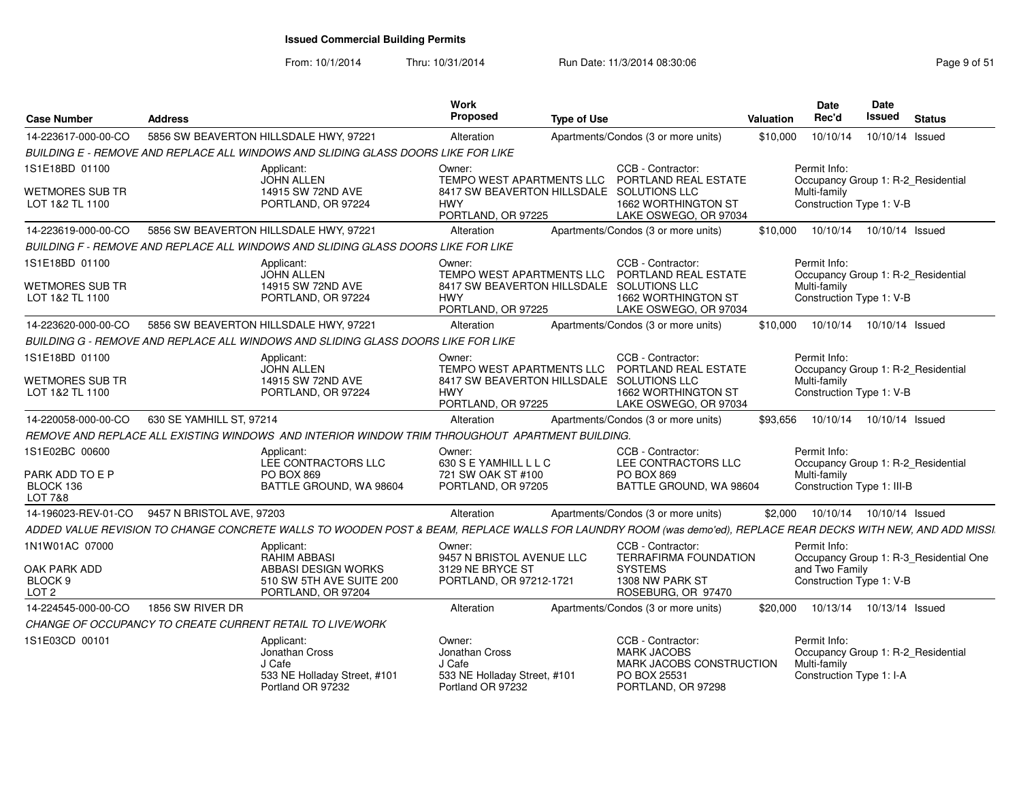From: 10/1/2014Thru: 10/31/2014 Run Date: 11/3/2014 08:30:06 Research 2010 12:00 Page 9 of 51

| <b>Case Number</b>                                     | Address                                                                                                                                                       | Work<br><b>Proposed</b><br><b>Type of Use</b>                                 |                                                                | Valuation | <b>Date</b><br>Rec'd                       | <b>Date</b><br>Issued | <b>Status</b>                          |  |
|--------------------------------------------------------|---------------------------------------------------------------------------------------------------------------------------------------------------------------|-------------------------------------------------------------------------------|----------------------------------------------------------------|-----------|--------------------------------------------|-----------------------|----------------------------------------|--|
| 14-223617-000-00-CO                                    | 5856 SW BEAVERTON HILLSDALE HWY, 97221                                                                                                                        | Alteration                                                                    | Apartments/Condos (3 or more units)                            | \$10,000  | 10/10/14                                   | 10/10/14 Issued       |                                        |  |
|                                                        | BUILDING E - REMOVE AND REPLACE ALL WINDOWS AND SLIDING GLASS DOORS LIKE FOR LIKE                                                                             |                                                                               |                                                                |           |                                            |                       |                                        |  |
| 1S1E18BD 01100                                         | Applicant:<br><b>JOHN ALLEN</b>                                                                                                                               | Owner:<br>TEMPO WEST APARTMENTS LLC                                           | CCB - Contractor:<br>PORTLAND REAL ESTATE                      |           | Permit Info:                               |                       | Occupancy Group 1: R-2 Residential     |  |
| WETMORES SUB TR<br>LOT 1&2 TL 1100                     | 14915 SW 72ND AVE<br>PORTLAND, OR 97224                                                                                                                       | 8417 SW BEAVERTON HILLSDALE SOLUTIONS LLC<br><b>HWY</b><br>PORTLAND, OR 97225 | 1662 WORTHINGTON ST<br>LAKE OSWEGO, OR 97034                   |           | Multi-family<br>Construction Type 1: V-B   |                       |                                        |  |
| 14-223619-000-00-CO                                    | 5856 SW BEAVERTON HILLSDALE HWY, 97221                                                                                                                        | Alteration                                                                    | Apartments/Condos (3 or more units)                            | \$10,000  | 10/10/14  10/10/14  Issued                 |                       |                                        |  |
|                                                        | BUILDING F - REMOVE AND REPLACE ALL WINDOWS AND SLIDING GLASS DOORS LIKE FOR LIKE                                                                             |                                                                               |                                                                |           |                                            |                       |                                        |  |
| 1S1E18BD 01100                                         | Applicant:<br>JOHN ALLEN                                                                                                                                      | Owner:<br>TEMPO WEST APARTMENTS LLC                                           | CCB - Contractor:<br>PORTLAND REAL ESTATE                      |           | Permit Info:                               |                       | Occupancy Group 1: R-2_Residential     |  |
| WETMORES SUB TR<br>LOT 1&2 TL 1100                     | 14915 SW 72ND AVE<br>PORTLAND, OR 97224                                                                                                                       | 8417 SW BEAVERTON HILLSDALE SOLUTIONS LLC<br><b>HWY</b><br>PORTLAND, OR 97225 | 1662 WORTHINGTON ST<br>LAKE OSWEGO, OR 97034                   |           | Multi-family<br>Construction Type 1: V-B   |                       |                                        |  |
| 14-223620-000-00-CO                                    | 5856 SW BEAVERTON HILLSDALE HWY, 97221                                                                                                                        | Alteration                                                                    | Apartments/Condos (3 or more units)                            | \$10,000  | 10/10/14  10/10/14  Issued                 |                       |                                        |  |
|                                                        | BUILDING G - REMOVE AND REPLACE ALL WINDOWS AND SLIDING GLASS DOORS LIKE FOR LIKE                                                                             |                                                                               |                                                                |           |                                            |                       |                                        |  |
| 1S1E18BD 01100                                         | Applicant:<br><b>JOHN ALLEN</b>                                                                                                                               | Owner:<br>TEMPO WEST APARTMENTS LLC                                           | CCB - Contractor:<br>PORTLAND REAL ESTATE                      |           | Permit Info:                               |                       | Occupancy Group 1: R-2_Residential     |  |
| WETMORES SUB TR<br>LOT 1&2 TL 1100                     | 14915 SW 72ND AVE<br>PORTLAND, OR 97224                                                                                                                       | 8417 SW BEAVERTON HILLSDALE SOLUTIONS LLC<br><b>HWY</b><br>PORTLAND, OR 97225 | 1662 WORTHINGTON ST<br>LAKE OSWEGO, OR 97034                   |           | Multi-family<br>Construction Type 1: V-B   |                       |                                        |  |
| 14-220058-000-00-CO                                    | 630 SE YAMHILL ST, 97214                                                                                                                                      | Alteration                                                                    | Apartments/Condos (3 or more units)                            | \$93.656  | 10/10/14  10/10/14  Issued                 |                       |                                        |  |
|                                                        | REMOVE AND REPLACE ALL EXISTING WINDOWS AND INTERIOR WINDOW TRIM THROUGHOUT APARTMENT BUILDING.                                                               |                                                                               |                                                                |           |                                            |                       |                                        |  |
| 1S1E02BC 00600                                         | Applicant:<br>LEE CONTRACTORS LLC                                                                                                                             | Owner:<br>630 S E YAMHILL L L C                                               | CCB - Contractor:<br>LEE CONTRACTORS LLC                       |           | Permit Info:                               |                       | Occupancy Group 1: R-2_Residential     |  |
| PARK ADD TO E P<br>BLOCK 136<br>LOT 7&8                | <b>PO BOX 869</b><br>BATTLE GROUND, WA 98604                                                                                                                  | 721 SW OAK ST #100<br>PORTLAND, OR 97205                                      | <b>PO BOX 869</b><br>BATTLE GROUND, WA 98604                   |           | Multi-family<br>Construction Type 1: III-B |                       |                                        |  |
| 14-196023-REV-01-CO                                    | 9457 N BRISTOL AVE, 97203                                                                                                                                     | Alteration                                                                    | Apartments/Condos (3 or more units)                            | \$2.000   | 10/10/14  10/10/14  Issued                 |                       |                                        |  |
|                                                        | ADDED VALUE REVISION TO CHANGE CONCRETE WALLS TO WOODEN POST & BEAM, REPLACE WALLS FOR LAUNDRY ROOM (was demo'ed), REPLACE REAR DECKS WITH NEW, AND ADD MISSI |                                                                               |                                                                |           |                                            |                       |                                        |  |
| 1N1W01AC 07000                                         | Applicant:<br>RAHIM ABBASI                                                                                                                                    | Owner:<br>9457 N BRISTOL AVENUE LLC                                           | CCB - Contractor:<br><b>TERRAFIRMA FOUNDATION</b>              |           | Permit Info:                               |                       | Occupancy Group 1: R-3_Residential One |  |
| OAK PARK ADD<br>BLOCK <sub>9</sub><br>LOT <sub>2</sub> | ABBASI DESIGN WORKS<br>510 SW 5TH AVE SUITE 200<br>PORTLAND, OR 97204                                                                                         | 3129 NE BRYCE ST<br>PORTLAND, OR 97212-1721                                   | <b>SYSTEMS</b><br>1308 NW PARK ST<br>ROSEBURG, OR 97470        |           | and Two Family<br>Construction Type 1: V-B |                       |                                        |  |
| 14-224545-000-00-CO                                    | 1856 SW RIVER DR                                                                                                                                              | Alteration                                                                    | Apartments/Condos (3 or more units)                            | \$20,000  | 10/13/14  10/13/14  Issued                 |                       |                                        |  |
|                                                        | CHANGE OF OCCUPANCY TO CREATE CURRENT RETAIL TO LIVE/WORK                                                                                                     |                                                                               |                                                                |           |                                            |                       |                                        |  |
| 1S1E03CD 00101                                         | Applicant:                                                                                                                                                    | Owner:                                                                        | CCB - Contractor:                                              |           | Permit Info:                               |                       |                                        |  |
|                                                        | Jonathan Cross<br>J Cafe<br>533 NE Holladay Street, #101                                                                                                      | Jonathan Cross<br>J Cafe<br>533 NE Holladay Street, #101                      | <b>MARK JACOBS</b><br>MARK JACOBS CONSTRUCTION<br>PO BOX 25531 |           | Multi-family<br>Construction Type 1: I-A   |                       | Occupancy Group 1: R-2 Residential     |  |
|                                                        | Portland OR 97232                                                                                                                                             | Portland OR 97232                                                             | PORTLAND, OR 97298                                             |           |                                            |                       |                                        |  |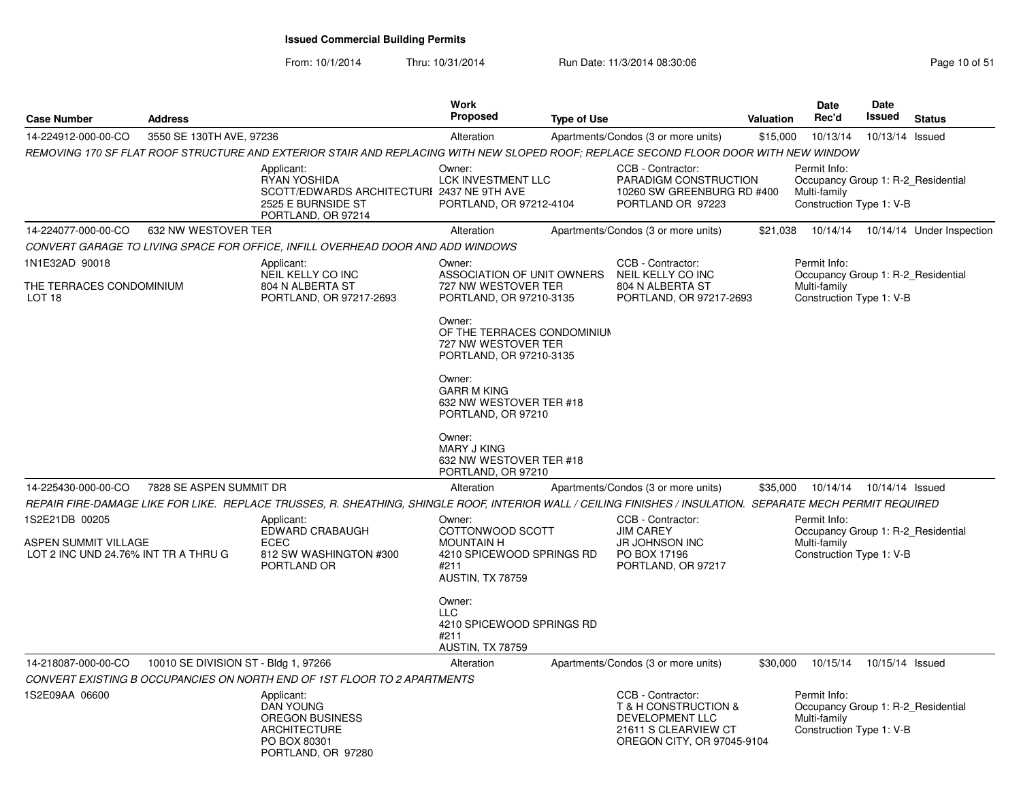| <b>Case Number</b>                                                  | <b>Address</b>                       |                                                                                                                                                             | <b>Work</b><br>Proposed                                                                 | <b>Type of Use</b> |                                                                                                                    | Valuation | Date<br>Rec'd                                                                                  | <b>Date</b><br>Issued | <b>Status</b>             |
|---------------------------------------------------------------------|--------------------------------------|-------------------------------------------------------------------------------------------------------------------------------------------------------------|-----------------------------------------------------------------------------------------|--------------------|--------------------------------------------------------------------------------------------------------------------|-----------|------------------------------------------------------------------------------------------------|-----------------------|---------------------------|
| 14-224912-000-00-CO                                                 | 3550 SE 130TH AVE, 97236             |                                                                                                                                                             | Alteration                                                                              |                    | Apartments/Condos (3 or more units)                                                                                | \$15,000  | 10/13/14                                                                                       | 10/13/14 Issued       |                           |
|                                                                     |                                      | REMOVING 170 SF FLAT ROOF STRUCTURE AND EXTERIOR STAIR AND REPLACING WITH NEW SLOPED ROOF; REPLACE SECOND FLOOR DOOR WITH NEW WINDOW                        |                                                                                         |                    |                                                                                                                    |           |                                                                                                |                       |                           |
|                                                                     |                                      | Applicant:<br>RYAN YOSHIDA<br>SCOTT/EDWARDS ARCHITECTURI 2437 NE 9TH AVE<br>2525 E BURNSIDE ST<br>PORTLAND, OR 97214                                        | Owner:<br>LCK INVESTMENT LLC<br>PORTLAND, OR 97212-4104                                 |                    | CCB - Contractor:<br>PARADIGM CONSTRUCTION<br>10260 SW GREENBURG RD #400<br>PORTLAND OR 97223                      |           | Permit Info:<br>Occupancy Group 1: R-2 Residential<br>Multi-family<br>Construction Type 1: V-B |                       |                           |
| 14-224077-000-00-CO                                                 | 632 NW WESTOVER TER                  |                                                                                                                                                             | Alteration                                                                              |                    | Apartments/Condos (3 or more units)                                                                                | \$21,038  | 10/14/14                                                                                       |                       | 10/14/14 Under Inspection |
|                                                                     |                                      | CONVERT GARAGE TO LIVING SPACE FOR OFFICE, INFILL OVERHEAD DOOR AND ADD WINDOWS                                                                             |                                                                                         |                    |                                                                                                                    |           |                                                                                                |                       |                           |
| 1N1E32AD 90018<br>THE TERRACES CONDOMINIUM                          |                                      | Applicant:<br>NEIL KELLY CO INC<br>804 N ALBERTA ST                                                                                                         | Owner:<br>ASSOCIATION OF UNIT OWNERS<br>727 NW WESTOVER TER                             |                    | CCB - Contractor:<br>NEIL KELLY CO INC<br>804 N ALBERTA ST                                                         |           | Permit Info:<br>Occupancy Group 1: R-2 Residential<br>Multi-family                             |                       |                           |
| LOT 18                                                              |                                      | PORTLAND, OR 97217-2693                                                                                                                                     | PORTLAND, OR 97210-3135                                                                 |                    | PORTLAND, OR 97217-2693                                                                                            |           | Construction Type 1: V-B                                                                       |                       |                           |
|                                                                     |                                      |                                                                                                                                                             | Owner:<br>OF THE TERRACES CONDOMINIUM<br>727 NW WESTOVER TER<br>PORTLAND, OR 97210-3135 |                    |                                                                                                                    |           |                                                                                                |                       |                           |
|                                                                     |                                      |                                                                                                                                                             | Owner:<br><b>GARR M KING</b><br>632 NW WESTOVER TER #18<br>PORTLAND, OR 97210           |                    |                                                                                                                    |           |                                                                                                |                       |                           |
|                                                                     |                                      |                                                                                                                                                             | Owner:<br><b>MARY J KING</b><br>632 NW WESTOVER TER #18<br>PORTLAND, OR 97210           |                    |                                                                                                                    |           |                                                                                                |                       |                           |
| 14-225430-000-00-CO                                                 | 7828 SE ASPEN SUMMIT DR              |                                                                                                                                                             | Alteration                                                                              |                    | Apartments/Condos (3 or more units)                                                                                | \$35,000  | 10/14/14                                                                                       | 10/14/14 Issued       |                           |
|                                                                     |                                      | REPAIR FIRE-DAMAGE LIKE FOR LIKE. REPLACE TRUSSES, R. SHEATHING, SHINGLE ROOF, INTERIOR WALL / CEILING FINISHES / INSULATION. SEPARATE MECH PERMIT REQUIRED |                                                                                         |                    |                                                                                                                    |           |                                                                                                |                       |                           |
| 1S2E21DB 00205                                                      |                                      | Applicant:<br>EDWARD CRABAUGH                                                                                                                               | Owner:<br>COTTONWOOD SCOTT                                                              |                    | CCB - Contractor:<br><b>JIM CAREY</b>                                                                              |           | Permit Info:<br>Occupancy Group 1: R-2_Residential                                             |                       |                           |
| <b>ASPEN SUMMIT VILLAGE</b><br>LOT 2 INC UND 24.76% INT TR A THRU G |                                      | <b>ECEC</b><br>812 SW WASHINGTON #300<br>PORTLAND OR                                                                                                        | <b>MOUNTAIN H</b><br>4210 SPICEWOOD SPRINGS RD<br>#211<br>AUSTIN, TX 78759              |                    | JR JOHNSON INC<br>PO BOX 17196<br>PORTLAND, OR 97217                                                               |           | Multi-family<br>Construction Type 1: V-B                                                       |                       |                           |
|                                                                     |                                      |                                                                                                                                                             | Owner:<br>LLC<br>4210 SPICEWOOD SPRINGS RD<br>#211<br>AUSTIN, TX 78759                  |                    |                                                                                                                    |           |                                                                                                |                       |                           |
| 14-218087-000-00-CO                                                 | 10010 SE DIVISION ST - Bldg 1, 97266 |                                                                                                                                                             | Alteration                                                                              |                    | Apartments/Condos (3 or more units)                                                                                | \$30,000  | 10/15/14                                                                                       | 10/15/14 Issued       |                           |
|                                                                     |                                      | CONVERT EXISTING B OCCUPANCIES ON NORTH END OF 1ST FLOOR TO 2 APARTMENTS                                                                                    |                                                                                         |                    |                                                                                                                    |           |                                                                                                |                       |                           |
| 1S2E09AA 06600                                                      |                                      | Applicant:<br><b>DAN YOUNG</b><br><b>OREGON BUSINESS</b><br><b>ARCHITECTURE</b><br>PO BOX 80301<br>PORTLAND, OR 97280                                       |                                                                                         |                    | CCB - Contractor:<br>T & H CONSTRUCTION &<br>DEVELOPMENT LLC<br>21611 S CLEARVIEW CT<br>OREGON CITY, OR 97045-9104 |           | Permit Info:<br>Occupancy Group 1: R-2_Residential<br>Multi-family<br>Construction Type 1: V-B |                       |                           |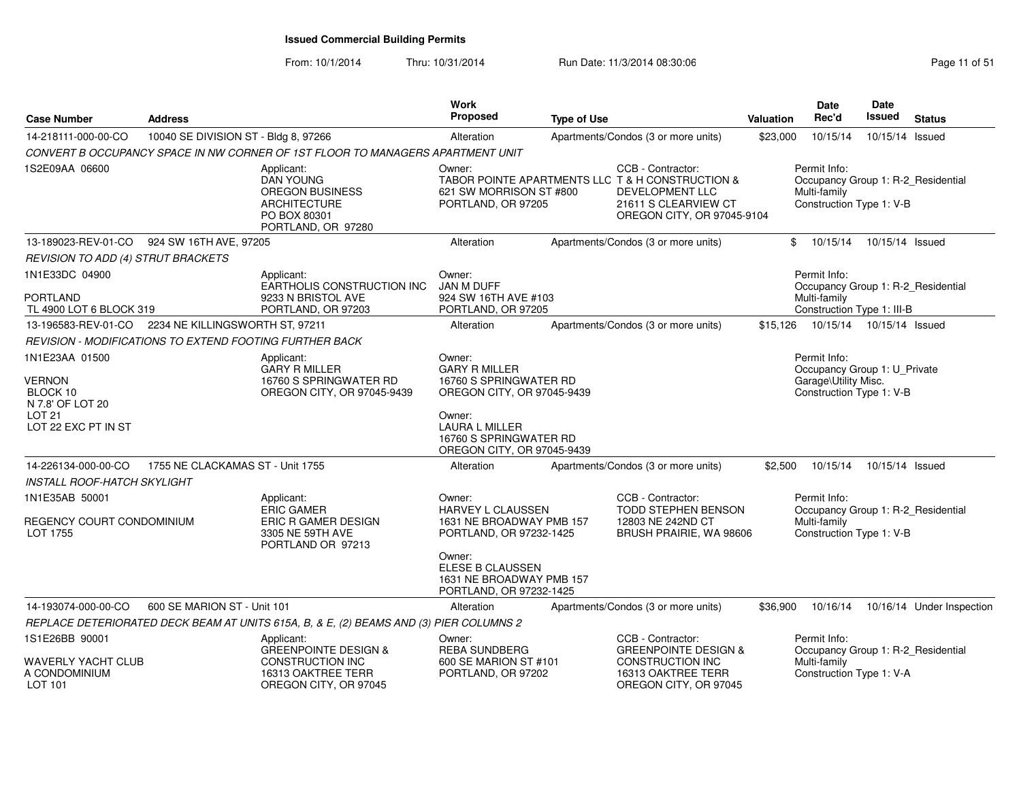From: 10/1/2014Thru: 10/31/2014 Run Date: 11/3/2014 08:30:06 Research 2010 11:05 Page 11 of 51

| <b>Address</b>                     |                                                                                                                | Work<br>Proposed                                                                                                                                                                                                                                                               | <b>Type of Use</b>                                                                                                                                                                     |                                                                                                                                                                                                                                                                                                                                                                                                                   |                                                                                                                                                                                                                                                                              | Date<br>Rec'd                                                                  | Date<br><b>Issued</b>                                                                                                                              | <b>Status</b>                                                                                                                                                                                                                                                                                                                                                                                                                                      |
|------------------------------------|----------------------------------------------------------------------------------------------------------------|--------------------------------------------------------------------------------------------------------------------------------------------------------------------------------------------------------------------------------------------------------------------------------|----------------------------------------------------------------------------------------------------------------------------------------------------------------------------------------|-------------------------------------------------------------------------------------------------------------------------------------------------------------------------------------------------------------------------------------------------------------------------------------------------------------------------------------------------------------------------------------------------------------------|------------------------------------------------------------------------------------------------------------------------------------------------------------------------------------------------------------------------------------------------------------------------------|--------------------------------------------------------------------------------|----------------------------------------------------------------------------------------------------------------------------------------------------|----------------------------------------------------------------------------------------------------------------------------------------------------------------------------------------------------------------------------------------------------------------------------------------------------------------------------------------------------------------------------------------------------------------------------------------------------|
|                                    |                                                                                                                | Alteration                                                                                                                                                                                                                                                                     |                                                                                                                                                                                        |                                                                                                                                                                                                                                                                                                                                                                                                                   | \$23,000                                                                                                                                                                                                                                                                     | 10/15/14                                                                       |                                                                                                                                                    |                                                                                                                                                                                                                                                                                                                                                                                                                                                    |
|                                    |                                                                                                                |                                                                                                                                                                                                                                                                                |                                                                                                                                                                                        |                                                                                                                                                                                                                                                                                                                                                                                                                   |                                                                                                                                                                                                                                                                              |                                                                                |                                                                                                                                                    |                                                                                                                                                                                                                                                                                                                                                                                                                                                    |
|                                    | Applicant:<br><b>DAN YOUNG</b><br>OREGON BUSINESS<br><b>ARCHITECTURE</b><br>PO BOX 80301<br>PORTLAND, OR 97280 | Owner:                                                                                                                                                                                                                                                                         |                                                                                                                                                                                        | CCB - Contractor:<br><b>DEVELOPMENT LLC</b><br>21611 S CLEARVIEW CT                                                                                                                                                                                                                                                                                                                                               |                                                                                                                                                                                                                                                                              |                                                                                |                                                                                                                                                    |                                                                                                                                                                                                                                                                                                                                                                                                                                                    |
|                                    |                                                                                                                | Alteration                                                                                                                                                                                                                                                                     |                                                                                                                                                                                        |                                                                                                                                                                                                                                                                                                                                                                                                                   |                                                                                                                                                                                                                                                                              | 10/15/14                                                                       |                                                                                                                                                    |                                                                                                                                                                                                                                                                                                                                                                                                                                                    |
| REVISION TO ADD (4) STRUT BRACKETS |                                                                                                                |                                                                                                                                                                                                                                                                                |                                                                                                                                                                                        |                                                                                                                                                                                                                                                                                                                                                                                                                   |                                                                                                                                                                                                                                                                              |                                                                                |                                                                                                                                                    |                                                                                                                                                                                                                                                                                                                                                                                                                                                    |
|                                    | Applicant:<br>EARTHOLIS CONSTRUCTION INC<br>9233 N BRISTOL AVE                                                 | Owner:<br>JAN M DUFF                                                                                                                                                                                                                                                           |                                                                                                                                                                                        |                                                                                                                                                                                                                                                                                                                                                                                                                   |                                                                                                                                                                                                                                                                              |                                                                                |                                                                                                                                                    |                                                                                                                                                                                                                                                                                                                                                                                                                                                    |
|                                    |                                                                                                                |                                                                                                                                                                                                                                                                                |                                                                                                                                                                                        |                                                                                                                                                                                                                                                                                                                                                                                                                   |                                                                                                                                                                                                                                                                              |                                                                                |                                                                                                                                                    |                                                                                                                                                                                                                                                                                                                                                                                                                                                    |
|                                    |                                                                                                                |                                                                                                                                                                                                                                                                                |                                                                                                                                                                                        |                                                                                                                                                                                                                                                                                                                                                                                                                   |                                                                                                                                                                                                                                                                              |                                                                                |                                                                                                                                                    |                                                                                                                                                                                                                                                                                                                                                                                                                                                    |
|                                    | Applicant:<br><b>GARY R MILLER</b><br>16760 S SPRINGWATER RD<br>OREGON CITY, OR 97045-9439                     | Owner:<br><b>GARY R MILLER</b><br>Owner:<br><b>LAURA L MILLER</b>                                                                                                                                                                                                              |                                                                                                                                                                                        |                                                                                                                                                                                                                                                                                                                                                                                                                   |                                                                                                                                                                                                                                                                              |                                                                                |                                                                                                                                                    |                                                                                                                                                                                                                                                                                                                                                                                                                                                    |
|                                    |                                                                                                                | Alteration                                                                                                                                                                                                                                                                     |                                                                                                                                                                                        |                                                                                                                                                                                                                                                                                                                                                                                                                   | \$2,500                                                                                                                                                                                                                                                                      | 10/15/14                                                                       |                                                                                                                                                    |                                                                                                                                                                                                                                                                                                                                                                                                                                                    |
| INSTALL ROOF-HATCH SKYLIGHT        |                                                                                                                |                                                                                                                                                                                                                                                                                |                                                                                                                                                                                        |                                                                                                                                                                                                                                                                                                                                                                                                                   |                                                                                                                                                                                                                                                                              |                                                                                |                                                                                                                                                    |                                                                                                                                                                                                                                                                                                                                                                                                                                                    |
| REGENCY COURT CONDOMINIUM          | Applicant:<br><b>ERIC GAMER</b><br>ERIC R GAMER DESIGN<br>3305 NE 59TH AVE<br>PORTLAND OR 97213                | Owner:<br>Owner:                                                                                                                                                                                                                                                               |                                                                                                                                                                                        | CCB - Contractor:<br>TODD STEPHEN BENSON<br>12803 NE 242ND CT                                                                                                                                                                                                                                                                                                                                                     |                                                                                                                                                                                                                                                                              |                                                                                |                                                                                                                                                    |                                                                                                                                                                                                                                                                                                                                                                                                                                                    |
|                                    |                                                                                                                | Alteration                                                                                                                                                                                                                                                                     |                                                                                                                                                                                        |                                                                                                                                                                                                                                                                                                                                                                                                                   | \$36,900                                                                                                                                                                                                                                                                     | 10/16/14                                                                       |                                                                                                                                                    | 10/16/14 Under Inspection                                                                                                                                                                                                                                                                                                                                                                                                                          |
|                                    |                                                                                                                |                                                                                                                                                                                                                                                                                |                                                                                                                                                                                        |                                                                                                                                                                                                                                                                                                                                                                                                                   |                                                                                                                                                                                                                                                                              |                                                                                |                                                                                                                                                    |                                                                                                                                                                                                                                                                                                                                                                                                                                                    |
| WAVERLY YACHT CLUB                 | Applicant:<br><b>GREENPOINTE DESIGN &amp;</b><br><b>CONSTRUCTION INC</b><br>16313 OAKTREE TERR                 | Owner:<br><b>REBA SUNDBERG</b>                                                                                                                                                                                                                                                 |                                                                                                                                                                                        | CCB - Contractor:<br><b>GREENPOINTE DESIGN &amp;</b><br><b>CONSTRUCTION INC</b><br>16313 OAKTREE TERR                                                                                                                                                                                                                                                                                                             |                                                                                                                                                                                                                                                                              |                                                                                |                                                                                                                                                    |                                                                                                                                                                                                                                                                                                                                                                                                                                                    |
|                                    | TL 4900 LOT 6 BLOCK 319                                                                                        | 10040 SE DIVISION ST - Bldg 8, 97266<br>924 SW 16TH AVE, 97205<br>PORTLAND, OR 97203<br>2234 NE KILLINGSWORTH ST, 97211<br>REVISION - MODIFICATIONS TO EXTEND FOOTING FURTHER BACK<br>1755 NE CLACKAMAS ST - Unit 1755<br>600 SE MARION ST - Unit 101<br>OREGON CITY, OR 97045 | CONVERT B OCCUPANCY SPACE IN NW CORNER OF 1ST FLOOR TO MANAGERS APARTMENT UNIT<br>Alteration<br>REPLACE DETERIORATED DECK BEAM AT UNITS 615A, B, & E, (2) BEAMS AND (3) PIER COLUMNS 2 | 621 SW MORRISON ST #800<br>PORTLAND, OR 97205<br>924 SW 16TH AVE #103<br>PORTLAND, OR 97205<br>16760 S SPRINGWATER RD<br>OREGON CITY, OR 97045-9439<br>16760 S SPRINGWATER RD<br>OREGON CITY, OR 97045-9439<br>HARVEY L CLAUSSEN<br>1631 NE BROADWAY PMB 157<br>PORTLAND, OR 97232-1425<br>ELESE B CLAUSSEN<br>1631 NE BROADWAY PMB 157<br>PORTLAND, OR 97232-1425<br>600 SE MARION ST #101<br>PORTLAND, OR 97202 | Apartments/Condos (3 or more units)<br>TABOR POINTE APARTMENTS LLC T & H CONSTRUCTION &<br>Apartments/Condos (3 or more units)<br>Apartments/Condos (3 or more units)<br>Apartments/Condos (3 or more units)<br>Apartments/Condos (3 or more units)<br>OREGON CITY, OR 97045 | Valuation<br>OREGON CITY, OR 97045-9104<br>\$15,126<br>BRUSH PRAIRIE, WA 98606 | Permit Info:<br>Multi-family<br>\$<br>Permit Info:<br>Multi-family<br>Permit Info:<br>Permit Info:<br>Multi-family<br>Permit Info:<br>Multi-family | 10/15/14 Issued<br>Occupancy Group 1: R-2_Residential<br>Construction Type 1: V-B<br>10/15/14 Issued<br>Occupancy Group 1: R-2_Residential<br>Construction Type 1: III-B<br>10/15/14<br>10/15/14 Issued<br>Occupancy Group 1: U_Private<br>Garage\Utility Misc.<br>Construction Type 1: V-B<br>10/15/14 Issued<br>Occupancy Group 1: R-2_Residential<br>Construction Type 1: V-B<br>Occupancy Group 1: R-2_Residential<br>Construction Type 1: V-A |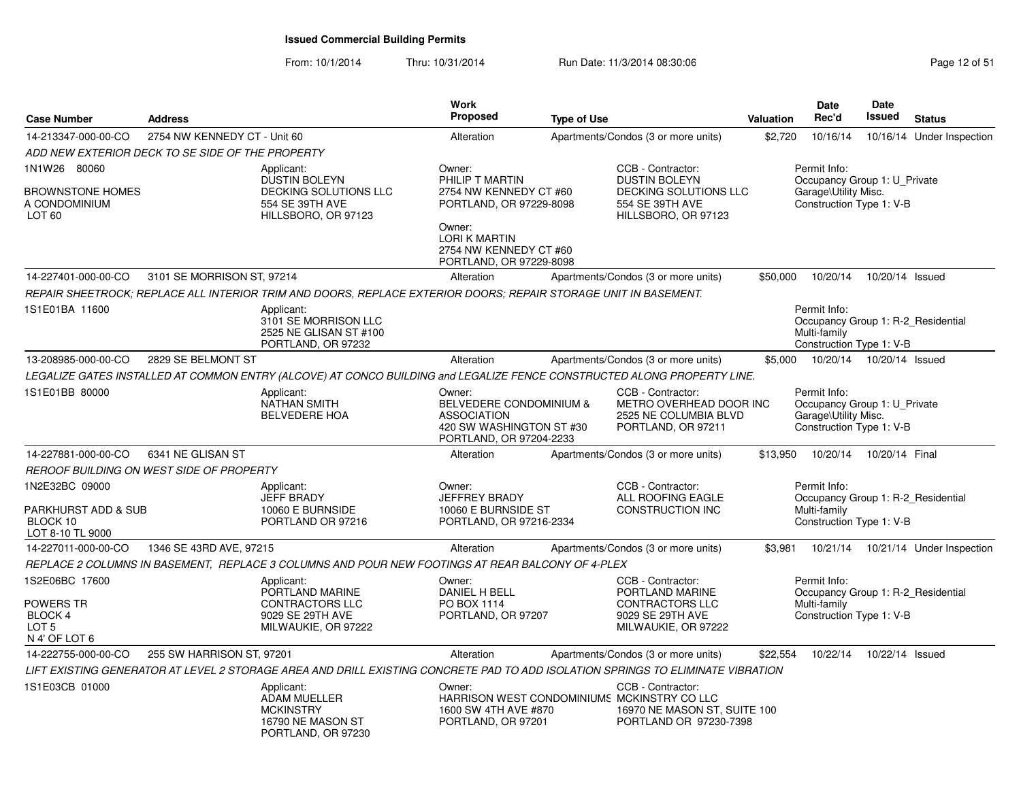| <b>Case Number</b>                                                                | <b>Address</b>               |                                                                                                                                 | <b>Work</b><br>Proposed                                                                                                                                               | <b>Type of Use</b> |                                                                                                                            | <b>Valuation</b> | Date<br>Rec'd                                                                                    | Date<br><b>Issued</b> | <b>Status</b>             |
|-----------------------------------------------------------------------------------|------------------------------|---------------------------------------------------------------------------------------------------------------------------------|-----------------------------------------------------------------------------------------------------------------------------------------------------------------------|--------------------|----------------------------------------------------------------------------------------------------------------------------|------------------|--------------------------------------------------------------------------------------------------|-----------------------|---------------------------|
| 14-213347-000-00-CO                                                               | 2754 NW KENNEDY CT - Unit 60 |                                                                                                                                 | Alteration                                                                                                                                                            |                    | Apartments/Condos (3 or more units)                                                                                        | \$2,720          | 10/16/14                                                                                         |                       | 10/16/14 Under Inspection |
| ADD NEW EXTERIOR DECK TO SE SIDE OF THE PROPERTY                                  |                              |                                                                                                                                 |                                                                                                                                                                       |                    |                                                                                                                            |                  |                                                                                                  |                       |                           |
| 1N1W26 80060<br>BROWNSTONE HOMES<br>A CONDOMINIUM<br>LOT <sub>60</sub>            |                              | Applicant:<br>DUSTIN BOLEYN<br>DECKING SOLUTIONS LLC<br>554 SE 39TH AVE<br>HILLSBORO, OR 97123                                  | Owner:<br>PHILIP T MARTIN<br>2754 NW KENNEDY CT #60<br>PORTLAND, OR 97229-8098<br>Owner:<br><b>LORI K MARTIN</b><br>2754 NW KENNEDY CT #60<br>PORTLAND, OR 97229-8098 |                    | CCB - Contractor:<br><b>DUSTIN BOLEYN</b><br>DECKING SOLUTIONS LLC<br>554 SE 39TH AVE<br>HILLSBORO, OR 97123               |                  | Permit Info:<br>Occupancy Group 1: U Private<br>Garage\Utility Misc.<br>Construction Type 1: V-B |                       |                           |
| 14-227401-000-00-CO                                                               | 3101 SE MORRISON ST. 97214   |                                                                                                                                 | Alteration                                                                                                                                                            |                    | Apartments/Condos (3 or more units)                                                                                        | \$50,000         | 10/20/14                                                                                         | 10/20/14 Issued       |                           |
|                                                                                   |                              | REPAIR SHEETROCK: REPLACE ALL INTERIOR TRIM AND DOORS, REPLACE EXTERIOR DOORS; REPAIR STORAGE UNIT IN BASEMENT.                 |                                                                                                                                                                       |                    |                                                                                                                            |                  |                                                                                                  |                       |                           |
| 1S1E01BA 11600                                                                    |                              | Applicant:<br>3101 SE MORRISON LLC<br>2525 NE GLISAN ST #100<br>PORTLAND, OR 97232                                              |                                                                                                                                                                       |                    |                                                                                                                            |                  | Permit Info:<br>Occupancy Group 1: R-2 Residential<br>Multi-family<br>Construction Type 1: V-B   |                       |                           |
| 13-208985-000-00-CO                                                               | 2829 SE BELMONT ST           |                                                                                                                                 | Alteration                                                                                                                                                            |                    | Apartments/Condos (3 or more units)                                                                                        | \$5,000          | 10/20/14                                                                                         | 10/20/14 Issued       |                           |
|                                                                                   |                              | LEGALIZE GATES INSTALLED AT COMMON ENTRY (ALCOVE) AT CONCO BUILDING and LEGALIZE FENCE CONSTRUCTED ALONG PROPERTY LINE.         |                                                                                                                                                                       |                    |                                                                                                                            |                  |                                                                                                  |                       |                           |
| 1S1E01BB 80000                                                                    |                              | Applicant:<br><b>NATHAN SMITH</b><br><b>BELVEDERE HOA</b>                                                                       | Owner:<br>BELVEDERE CONDOMINIUM &<br><b>ASSOCIATION</b><br>420 SW WASHINGTON ST #30<br>PORTLAND, OR 97204-2233                                                        |                    | CCB - Contractor:<br>METRO OVERHEAD DOOR INC<br>2525 NE COLUMBIA BLVD<br>PORTLAND, OR 97211                                |                  | Permit Info:<br>Occupancy Group 1: U Private<br>Garage\Utility Misc.<br>Construction Type 1: V-B |                       |                           |
| 14-227881-000-00-CO                                                               | 6341 NE GLISAN ST            |                                                                                                                                 | Alteration                                                                                                                                                            |                    | Apartments/Condos (3 or more units)                                                                                        | \$13,950         | 10/20/14                                                                                         | 10/20/14 Final        |                           |
| REROOF BUILDING ON WEST SIDE OF PROPERTY                                          |                              |                                                                                                                                 |                                                                                                                                                                       |                    |                                                                                                                            |                  |                                                                                                  |                       |                           |
| 1N2E32BC 09000<br>PARKHURST ADD & SUB<br>BLOCK 10<br>LOT 8-10 TL 9000             |                              | Applicant:<br><b>JEFF BRADY</b><br>10060 E BURNSIDE<br>PORTLAND OR 97216                                                        | Owner:<br><b>JEFFREY BRADY</b><br>10060 E BURNSIDE ST<br>PORTLAND, OR 97216-2334                                                                                      |                    | CCB - Contractor:<br>ALL ROOFING EAGLE<br><b>CONSTRUCTION INC</b>                                                          |                  | Permit Info:<br>Occupancy Group 1: R-2 Residential<br>Multi-family<br>Construction Type 1: V-B   |                       |                           |
| 14-227011-000-00-CO                                                               | 1346 SE 43RD AVE, 97215      |                                                                                                                                 | Alteration                                                                                                                                                            |                    | Apartments/Condos (3 or more units)                                                                                        | \$3,981          | 10/21/14                                                                                         |                       | 10/21/14 Under Inspection |
|                                                                                   |                              | REPLACE 2 COLUMNS IN BASEMENT, REPLACE 3 COLUMNS AND POUR NEW FOOTINGS AT REAR BALCONY OF 4-PLEX                                |                                                                                                                                                                       |                    |                                                                                                                            |                  |                                                                                                  |                       |                           |
| 1S2E06BC 17600<br>POWERS TR<br><b>BLOCK4</b><br>LOT <sub>5</sub><br>N 4' OF LOT 6 |                              | Applicant:<br>PORTLAND MARINE<br><b>CONTRACTORS LLC</b><br>9029 SE 29TH AVE<br>MILWAUKIE, OR 97222                              | Owner:<br><b>DANIEL H BELL</b><br>PO BOX 1114<br>PORTLAND, OR 97207                                                                                                   |                    | CCB - Contractor:<br>PORTLAND MARINE<br>CONTRACTORS LLC<br>9029 SE 29TH AVE<br>MILWAUKIE, OR 97222                         |                  | Permit Info:<br>Occupancy Group 1: R-2_Residential<br>Multi-family<br>Construction Type 1: V-B   |                       |                           |
| 14-222755-000-00-CO                                                               | 255 SW HARRISON ST, 97201    |                                                                                                                                 | Alteration                                                                                                                                                            |                    | Apartments/Condos (3 or more units)                                                                                        | \$22,554         | 10/22/14                                                                                         | 10/22/14 Issued       |                           |
|                                                                                   |                              | LIFT EXISTING GENERATOR AT LEVEL 2 STORAGE AREA AND DRILL EXISTING CONCRETE PAD TO ADD ISOLATION SPRINGS TO ELIMINATE VIBRATION |                                                                                                                                                                       |                    |                                                                                                                            |                  |                                                                                                  |                       |                           |
| 1S1E03CB 01000                                                                    |                              | Applicant:<br><b>ADAM MUELLER</b><br><b>MCKINSTRY</b><br>16790 NE MASON ST<br>PORTLAND, OR 97230                                | Owner:<br>1600 SW 4TH AVE #870<br>PORTLAND, OR 97201                                                                                                                  |                    | CCB - Contractor:<br>HARRISON WEST CONDOMINIUMS MCKINSTRY CO LLC<br>16970 NE MASON ST, SUITE 100<br>PORTLAND OR 97230-7398 |                  |                                                                                                  |                       |                           |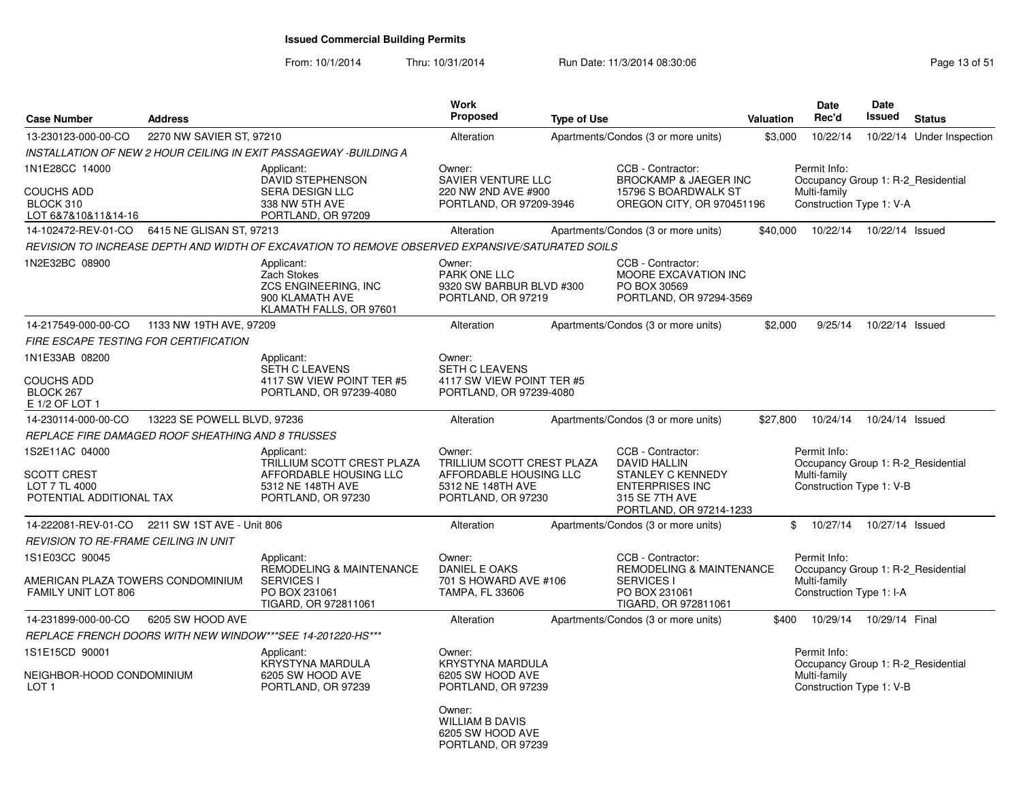| <b>Case Number</b>                                                                | <b>Address</b>              |                                                                                                                 | Work<br><b>Proposed</b>                                                                                   | <b>Type of Use</b> |                                                                                                                                      | Valuation | <b>Date</b><br>Rec'd                                                                           | Date<br>Issued  | <b>Status</b>             |
|-----------------------------------------------------------------------------------|-----------------------------|-----------------------------------------------------------------------------------------------------------------|-----------------------------------------------------------------------------------------------------------|--------------------|--------------------------------------------------------------------------------------------------------------------------------------|-----------|------------------------------------------------------------------------------------------------|-----------------|---------------------------|
| 13-230123-000-00-CO                                                               | 2270 NW SAVIER ST, 97210    |                                                                                                                 | Alteration                                                                                                |                    | Apartments/Condos (3 or more units)                                                                                                  | \$3,000   | 10/22/14                                                                                       |                 | 10/22/14 Under Inspection |
|                                                                                   |                             | INSTALLATION OF NEW 2 HOUR CEILING IN EXIT PASSAGEWAY -BUILDING A                                               |                                                                                                           |                    |                                                                                                                                      |           |                                                                                                |                 |                           |
| 1N1E28CC 14000<br><b>COUCHS ADD</b><br>BLOCK 310<br>LOT 6&7&10&11&14-16           |                             | Applicant:<br>DAVID STEPHENSON<br>SERA DESIGN LLC<br>338 NW 5TH AVE<br>PORTLAND, OR 97209                       | Owner:<br>SAVIER VENTURE LLC<br>220 NW 2ND AVE #900<br>PORTLAND, OR 97209-3946                            |                    | CCB - Contractor:<br><b>BROCKAMP &amp; JAEGER INC</b><br>15796 S BOARDWALK ST<br>OREGON CITY, OR 970451196                           |           | Permit Info:<br>Occupancy Group 1: R-2 Residential<br>Multi-family<br>Construction Type 1: V-A |                 |                           |
| 14-102472-REV-01-CO   6415 NE GLISAN ST, 97213                                    |                             |                                                                                                                 | Alteration                                                                                                |                    | Apartments/Condos (3 or more units)                                                                                                  | \$40,000  | 10/22/14                                                                                       | 10/22/14 Issued |                           |
|                                                                                   |                             | REVISION TO INCREASE DEPTH AND WIDTH OF EXCAVATION TO REMOVE OBSERVED EXPANSIVE/SATURATED SOILS                 |                                                                                                           |                    |                                                                                                                                      |           |                                                                                                |                 |                           |
| 1N2E32BC 08900                                                                    |                             | Applicant:<br>Zach Stokes<br>ZCS ENGINEERING, INC<br>900 KLAMATH AVE<br>KLAMATH FALLS, OR 97601                 | Owner:<br><b>PARK ONE LLC</b><br>9320 SW BARBUR BLVD #300<br>PORTLAND, OR 97219                           |                    | CCB - Contractor:<br>MOORE EXCAVATION INC<br>PO BOX 30569<br>PORTLAND, OR 97294-3569                                                 |           |                                                                                                |                 |                           |
| 14-217549-000-00-CO                                                               | 1133 NW 19TH AVE, 97209     |                                                                                                                 | Alteration                                                                                                |                    | Apartments/Condos (3 or more units)                                                                                                  | \$2,000   | 9/25/14                                                                                        | 10/22/14 Issued |                           |
| <b>FIRE ESCAPE TESTING FOR CERTIFICATION</b>                                      |                             |                                                                                                                 |                                                                                                           |                    |                                                                                                                                      |           |                                                                                                |                 |                           |
| 1N1E33AB 08200                                                                    |                             | Applicant:                                                                                                      | Owner:                                                                                                    |                    |                                                                                                                                      |           |                                                                                                |                 |                           |
| <b>COUCHS ADD</b><br>BLOCK 267<br>E 1/2 OF LOT 1                                  |                             | <b>SETH C LEAVENS</b><br>4117 SW VIEW POINT TER #5<br>PORTLAND, OR 97239-4080                                   | <b>SETH C LEAVENS</b><br>4117 SW VIEW POINT TER #5<br>PORTLAND, OR 97239-4080                             |                    |                                                                                                                                      |           |                                                                                                |                 |                           |
| 14-230114-000-00-CO                                                               | 13223 SE POWELL BLVD, 97236 |                                                                                                                 | Alteration                                                                                                |                    | Apartments/Condos (3 or more units)                                                                                                  | \$27,800  | 10/24/14                                                                                       | 10/24/14 Issued |                           |
| REPLACE FIRE DAMAGED ROOF SHEATHING AND 8 TRUSSES                                 |                             |                                                                                                                 |                                                                                                           |                    |                                                                                                                                      |           |                                                                                                |                 |                           |
| 1S2E11AC 04000<br><b>SCOTT CREST</b><br>LOT 7 TL 4000<br>POTENTIAL ADDITIONAL TAX |                             | Applicant:<br>TRILLIUM SCOTT CREST PLAZA<br>AFFORDABLE HOUSING LLC<br>5312 NE 148TH AVE<br>PORTLAND, OR 97230   | Owner:<br>TRILLIUM SCOTT CREST PLAZA<br>AFFORDABLE HOUSING LLC<br>5312 NE 148TH AVE<br>PORTLAND, OR 97230 |                    | CCB - Contractor:<br><b>DAVID HALLIN</b><br>STANLEY C KENNEDY<br><b>ENTERPRISES INC</b><br>315 SE 7TH AVE<br>PORTLAND, OR 97214-1233 |           | Permit Info:<br>Occupancy Group 1: R-2 Residential<br>Multi-family<br>Construction Type 1: V-B |                 |                           |
| 14-222081-REV-01-CO 2211 SW 1ST AVE - Unit 806                                    |                             |                                                                                                                 | Alteration                                                                                                |                    | Apartments/Condos (3 or more units)                                                                                                  | \$        | 10/27/14                                                                                       | 10/27/14 Issued |                           |
| <b>REVISION TO RE-FRAME CEILING IN UNIT</b>                                       |                             |                                                                                                                 |                                                                                                           |                    |                                                                                                                                      |           |                                                                                                |                 |                           |
| 1S1E03CC 90045<br>AMERICAN PLAZA TOWERS CONDOMINIUM<br>FAMILY UNIT LOT 806        |                             | Applicant:<br><b>REMODELING &amp; MAINTENANCE</b><br><b>SERVICES I</b><br>PO BOX 231061<br>TIGARD, OR 972811061 | Owner:<br>DANIEL E OAKS<br>701 S HOWARD AVE #106<br><b>TAMPA, FL 33606</b>                                |                    | CCB - Contractor:<br>REMODELING & MAINTENANCE<br><b>SERVICES I</b><br>PO BOX 231061<br>TIGARD, OR 972811061                          |           | Permit Info:<br>Occupancy Group 1: R-2_Residential<br>Multi-family<br>Construction Type 1: I-A |                 |                           |
| 14-231899-000-00-CO                                                               | 6205 SW HOOD AVE            |                                                                                                                 | Alteration                                                                                                |                    | Apartments/Condos (3 or more units)                                                                                                  | \$400     | 10/29/14                                                                                       | 10/29/14 Final  |                           |
|                                                                                   |                             | REPLACE FRENCH DOORS WITH NEW WINDOW***SEE 14-201220-HS***                                                      |                                                                                                           |                    |                                                                                                                                      |           |                                                                                                |                 |                           |
| 1S1E15CD 90001                                                                    |                             | Applicant:                                                                                                      | Owner:                                                                                                    |                    |                                                                                                                                      |           | Permit Info:                                                                                   |                 |                           |
| NEIGHBOR-HOOD CONDOMINIUM<br>LOT <sub>1</sub>                                     |                             | <b>KRYSTYNA MARDULA</b><br>6205 SW HOOD AVE<br>PORTLAND, OR 97239                                               | <b>KRYSTYNA MARDULA</b><br>6205 SW HOOD AVE<br>PORTLAND, OR 97239                                         |                    |                                                                                                                                      |           | Occupancy Group 1: R-2 Residential<br>Multi-family<br>Construction Type 1: V-B                 |                 |                           |
|                                                                                   |                             |                                                                                                                 | Owner:<br><b>WILLIAM B DAVIS</b><br>6205 SW HOOD AVE<br>PORTLAND, OR 97239                                |                    |                                                                                                                                      |           |                                                                                                |                 |                           |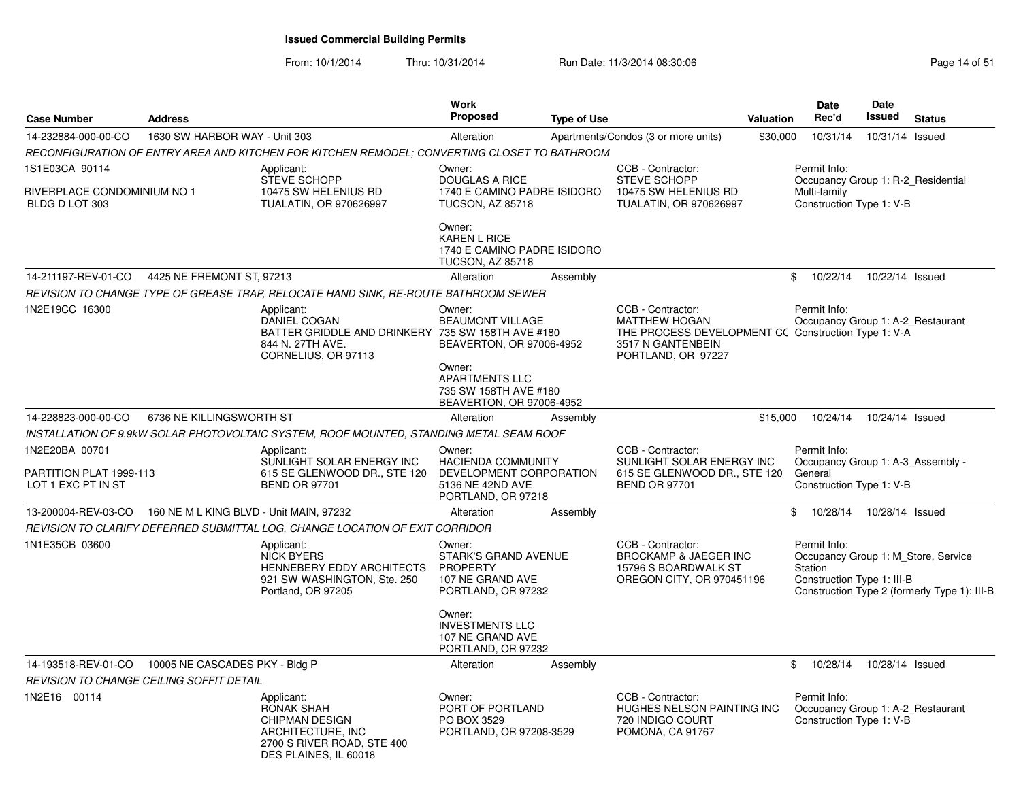| <b>Case Number</b>                                              | <b>Address</b>                                              |                                                                                                                                      | <b>Work</b><br><b>Proposed</b>                                                                                            | <b>Type of Use</b> |                                                                                                                                             | Valuation | Date<br>Rec'd                                                                                  | Date<br><b>Issued</b> | <b>Status</b>                                                                       |
|-----------------------------------------------------------------|-------------------------------------------------------------|--------------------------------------------------------------------------------------------------------------------------------------|---------------------------------------------------------------------------------------------------------------------------|--------------------|---------------------------------------------------------------------------------------------------------------------------------------------|-----------|------------------------------------------------------------------------------------------------|-----------------------|-------------------------------------------------------------------------------------|
| 14-232884-000-00-CO                                             | 1630 SW HARBOR WAY - Unit 303                               |                                                                                                                                      | Alteration                                                                                                                |                    | Apartments/Condos (3 or more units)                                                                                                         | \$30,000  | 10/31/14                                                                                       | 10/31/14 Issued       |                                                                                     |
|                                                                 |                                                             | RECONFIGURATION OF ENTRY AREA AND KITCHEN FOR KITCHEN REMODEL; CONVERTING CLOSET TO BATHROOM                                         |                                                                                                                           |                    |                                                                                                                                             |           |                                                                                                |                       |                                                                                     |
| 1S1E03CA 90114<br>RIVERPLACE CONDOMINIUM NO 1<br>BLDG D LOT 303 |                                                             | Applicant:<br><b>STEVE SCHOPP</b><br>10475 SW HELENIUS RD<br><b>TUALATIN, OR 970626997</b>                                           | Owner:<br><b>DOUGLAS A RICE</b><br>1740 E CAMINO PADRE ISIDORO<br><b>TUCSON, AZ 85718</b>                                 |                    | CCB - Contractor:<br><b>STEVE SCHOPP</b><br>10475 SW HELENIUS RD<br><b>TUALATIN, OR 970626997</b>                                           |           | Permit Info:<br>Occupancy Group 1: R-2 Residential<br>Multi-family<br>Construction Type 1: V-B |                       |                                                                                     |
|                                                                 |                                                             |                                                                                                                                      | Owner:<br><b>KAREN L RICE</b><br>1740 E CAMINO PADRE ISIDORO<br>TUCSON, AZ 85718                                          |                    |                                                                                                                                             |           |                                                                                                |                       |                                                                                     |
| 14-211197-REV-01-CO                                             | 4425 NE FREMONT ST, 97213                                   |                                                                                                                                      | Alteration                                                                                                                | Assembly           |                                                                                                                                             |           | $\mathbb{S}$<br>10/22/14                                                                       | 10/22/14 Issued       |                                                                                     |
|                                                                 |                                                             | REVISION TO CHANGE TYPE OF GREASE TRAP, RELOCATE HAND SINK, RE-ROUTE BATHROOM SEWER                                                  |                                                                                                                           |                    |                                                                                                                                             |           |                                                                                                |                       |                                                                                     |
| 1N2E19CC 16300                                                  |                                                             | Applicant:<br>DANIEL COGAN<br>BATTER GRIDDLE AND DRINKERY 735 SW 158TH AVE #180<br>844 N. 27TH AVE.<br>CORNELIUS, OR 97113           | Owner:<br><b>BEAUMONT VILLAGE</b><br>BEAVERTON, OR 97006-4952<br>Owner:<br><b>APARTMENTS LLC</b><br>735 SW 158TH AVE #180 |                    | CCB - Contractor:<br><b>MATTHEW HOGAN</b><br>THE PROCESS DEVELOPMENT CC Construction Type 1: V-A<br>3517 N GANTENBEIN<br>PORTLAND, OR 97227 |           | Permit Info:<br>Occupancy Group 1: A-2_Restaurant                                              |                       |                                                                                     |
|                                                                 |                                                             |                                                                                                                                      | BEAVERTON, OR 97006-4952                                                                                                  |                    |                                                                                                                                             |           |                                                                                                |                       |                                                                                     |
| 14-228823-000-00-CO                                             | 6736 NE KILLINGSWORTH ST                                    |                                                                                                                                      | Alteration                                                                                                                | Assembly           |                                                                                                                                             | \$15,000  | 10/24/14                                                                                       | 10/24/14 Issued       |                                                                                     |
|                                                                 |                                                             | INSTALLATION OF 9.9kW SOLAR PHOTOVOLTAIC SYSTEM, ROOF MOUNTED, STANDING METAL SEAM ROOF                                              |                                                                                                                           |                    |                                                                                                                                             |           |                                                                                                |                       |                                                                                     |
| 1N2E20BA 00701<br>PARTITION PLAT 1999-113<br>LOT 1 EXC PT IN ST |                                                             | Applicant:<br>SUNLIGHT SOLAR ENERGY INC<br>615 SE GLENWOOD DR., STE 120<br><b>BEND OR 97701</b>                                      | Owner:<br><b>HACIENDA COMMUNITY</b><br>DEVELOPMENT CORPORATION<br>5136 NE 42ND AVE<br>PORTLAND, OR 97218                  |                    | CCB - Contractor:<br>SUNLIGHT SOLAR ENERGY INC<br>615 SE GLENWOOD DR., STE 120<br><b>BEND OR 97701</b>                                      |           | Permit Info:<br>Occupancy Group 1: A-3 Assembly -<br>General<br>Construction Type 1: V-B       |                       |                                                                                     |
|                                                                 | 13-200004-REV-03-CO 160 NE M L KING BLVD - Unit MAIN, 97232 |                                                                                                                                      | Alteration                                                                                                                | Assembly           |                                                                                                                                             |           | \$<br>10/28/14                                                                                 | 10/28/14 Issued       |                                                                                     |
|                                                                 |                                                             | REVISION TO CLARIFY DEFERRED SUBMITTAL LOG. CHANGE LOCATION OF EXIT CORRIDOR                                                         |                                                                                                                           |                    |                                                                                                                                             |           |                                                                                                |                       |                                                                                     |
| 1N1E35CB 03600                                                  |                                                             | Applicant:<br><b>NICK BYERS</b><br>HENNEBERY EDDY ARCHITECTS<br>921 SW WASHINGTON, Ste. 250<br>Portland, OR 97205                    | Owner:<br><b>STARK'S GRAND AVENUE</b><br><b>PROPERTY</b><br>107 NE GRAND AVE<br>PORTLAND, OR 97232                        |                    | CCB - Contractor:<br>BROCKAMP & JAEGER INC<br>15796 S BOARDWALK ST<br>OREGON CITY, OR 970451196                                             |           | Permit Info:<br>Station<br>Construction Type 1: III-B                                          |                       | Occupancy Group 1: M_Store, Service<br>Construction Type 2 (formerly Type 1): III-B |
|                                                                 |                                                             |                                                                                                                                      | Owner:<br><b>INVESTMENTS LLC</b><br>107 NE GRAND AVE<br>PORTLAND, OR 97232                                                |                    |                                                                                                                                             |           |                                                                                                |                       |                                                                                     |
| 14-193518-REV-01-CO                                             | 10005 NE CASCADES PKY - Bldg P                              |                                                                                                                                      | Alteration                                                                                                                | Assembly           |                                                                                                                                             |           | \$<br>10/28/14                                                                                 | 10/28/14 Issued       |                                                                                     |
|                                                                 | REVISION TO CHANGE CEILING SOFFIT DETAIL                    |                                                                                                                                      |                                                                                                                           |                    |                                                                                                                                             |           |                                                                                                |                       |                                                                                     |
| 1N2E16 00114                                                    |                                                             | Applicant:<br><b>RONAK SHAH</b><br><b>CHIPMAN DESIGN</b><br>ARCHITECTURE, INC<br>2700 S RIVER ROAD, STE 400<br>DES PLAINES, IL 60018 | Owner:<br>PORT OF PORTLAND<br>PO BOX 3529<br>PORTLAND, OR 97208-3529                                                      |                    | CCB - Contractor:<br>HUGHES NELSON PAINTING INC<br>720 INDIGO COURT<br>POMONA, CA 91767                                                     |           | Permit Info:<br>Occupancy Group 1: A-2 Restaurant<br>Construction Type 1: V-B                  |                       |                                                                                     |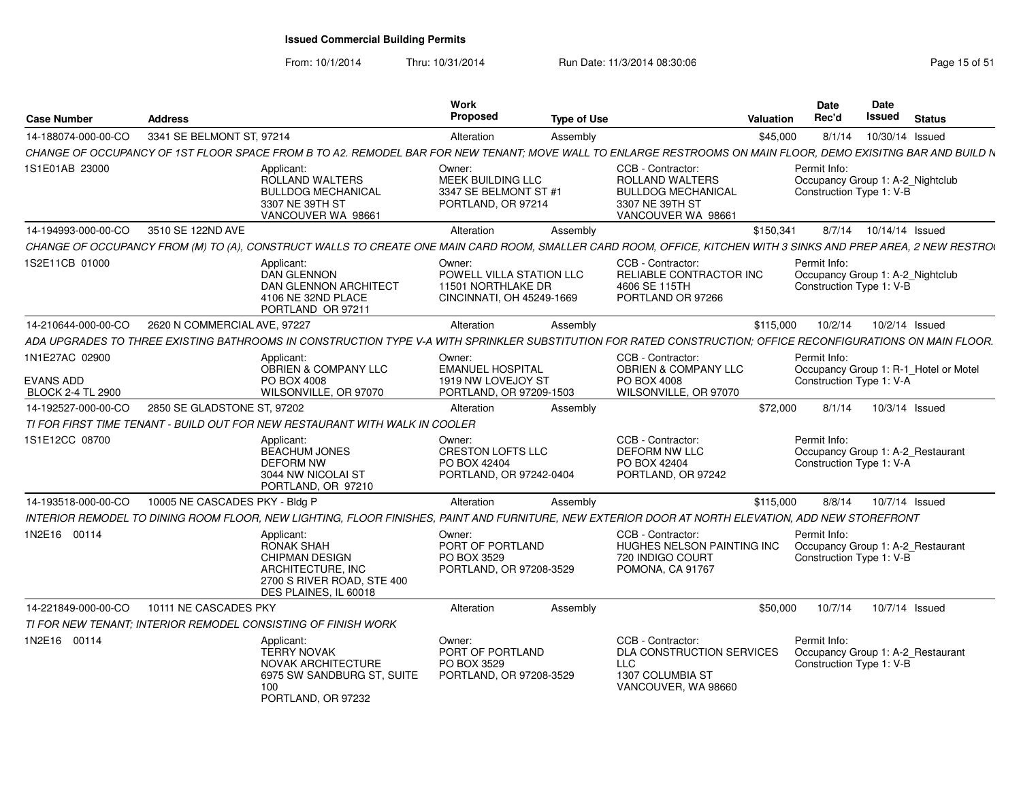From: 10/1/2014

| <b>Case Number</b>                                             | <b>Address</b>                 |                                                                                                                                                                | Work<br>Proposed                                                                      | <b>Type of Use</b> |                                                                                                            | <b>Date</b><br>Rec'd<br>Valuation                                             | Date<br>Issued           | <b>Status</b>                         |
|----------------------------------------------------------------|--------------------------------|----------------------------------------------------------------------------------------------------------------------------------------------------------------|---------------------------------------------------------------------------------------|--------------------|------------------------------------------------------------------------------------------------------------|-------------------------------------------------------------------------------|--------------------------|---------------------------------------|
| 14-188074-000-00-CO                                            | 3341 SE BELMONT ST, 97214      |                                                                                                                                                                | Alteration                                                                            | Assembly           |                                                                                                            | \$45,000<br>8/1/14                                                            | 10/30/14 Issued          |                                       |
|                                                                |                                | CHANGE OF OCCUPANCY OF 1ST FLOOR SPACE FROM B TO A2. REMODEL BAR FOR NEW TENANT; MOVE WALL TO ENLARGE RESTROOMS ON MAIN FLOOR, DEMO EXISITNG BAR AND BUILD N   |                                                                                       |                    |                                                                                                            |                                                                               |                          |                                       |
| 1S1E01AB 23000                                                 |                                | Applicant:<br>ROLLAND WALTERS<br><b>BULLDOG MECHANICAL</b><br>3307 NE 39TH ST<br>VANCOUVER WA 98661                                                            | Owner:<br>MEEK BUILDING LLC<br>3347 SE BELMONT ST #1<br>PORTLAND, OR 97214            |                    | CCB - Contractor:<br>ROLLAND WALTERS<br><b>BULLDOG MECHANICAL</b><br>3307 NE 39TH ST<br>VANCOUVER WA 98661 | Permit Info:<br>Occupancy Group 1: A-2_Nightclub<br>Construction Type 1: V-B  |                          |                                       |
| 14-194993-000-00-CO 3510 SE 122ND AVE                          |                                |                                                                                                                                                                | Alteration                                                                            | Assembly           |                                                                                                            | \$150,341                                                                     | 8/7/14  10/14/14  Issued |                                       |
|                                                                |                                | CHANGE OF OCCUPANCY FROM (M) TO (A), CONSTRUCT WALLS TO CREATE ONE MAIN CARD ROOM, SMALLER CARD ROOM, OFFICE, KITCHEN WITH 3 SINKS AND PREP AREA, 2 NEW RESTRO |                                                                                       |                    |                                                                                                            |                                                                               |                          |                                       |
| 1S2E11CB 01000                                                 |                                | Applicant:<br><b>DAN GLENNON</b><br>DAN GLENNON ARCHITECT<br>4106 NE 32ND PLACE<br>PORTLAND OR 97211                                                           | Owner:<br>POWELL VILLA STATION LLC<br>11501 NORTHLAKE DR<br>CINCINNATI, OH 45249-1669 |                    | CCB - Contractor:<br>RELIABLE CONTRACTOR INC<br>4606 SE 115TH<br>PORTLAND OR 97266                         | Permit Info:<br>Occupancy Group 1: A-2_Nightclub<br>Construction Type 1: V-B  |                          |                                       |
| 14-210644-000-00-CO                                            | 2620 N COMMERCIAL AVE, 97227   |                                                                                                                                                                | Alteration                                                                            | Assembly           |                                                                                                            | \$115,000<br>10/2/14                                                          | 10/2/14 Issued           |                                       |
|                                                                |                                | ADA UPGRADES TO THREE EXISTING BATHROOMS IN CONSTRUCTION TYPE V-A                                                                                              |                                                                                       |                    | WITH SPRINKLER SUBSTITUTION FOR RATED CONSTRUCTION; OFFICE RECONFIGURATIONS ON MAIN FLOOR.                 |                                                                               |                          |                                       |
| 1N1E27AC 02900<br><b>EVANS ADD</b><br><b>BLOCK 2-4 TL 2900</b> |                                | Applicant:<br>OBRIEN & COMPANY LLC<br>PO BOX 4008<br>WILSONVILLE, OR 97070                                                                                     | Owner:<br><b>EMANUEL HOSPITAL</b><br>1919 NW LOVEJOY ST<br>PORTLAND, OR 97209-1503    |                    | CCB - Contractor:<br><b>OBRIEN &amp; COMPANY LLC</b><br>PO BOX 4008<br>WILSONVILLE, OR 97070               | Permit Info:<br>Construction Type 1: V-A                                      |                          | Occupancy Group 1: R-1_Hotel or Motel |
| 14-192527-000-00-CO                                            | 2850 SE GLADSTONE ST, 97202    |                                                                                                                                                                | Alteration                                                                            | Assembly           |                                                                                                            | \$72,000<br>8/1/14                                                            | 10/3/14 Issued           |                                       |
|                                                                |                                | TI FOR FIRST TIME TENANT - BUILD OUT FOR NEW RESTAURANT WITH WALK IN COOLER                                                                                    |                                                                                       |                    |                                                                                                            |                                                                               |                          |                                       |
| 1S1E12CC 08700                                                 |                                | Applicant:<br><b>BEACHUM JONES</b><br><b>DEFORM NW</b><br>3044 NW NICOLAI ST<br>PORTLAND, OR 97210                                                             | Owner:<br><b>CRESTON LOFTS LLC</b><br>PO BOX 42404<br>PORTLAND, OR 97242-0404         |                    | CCB - Contractor:<br><b>DEFORM NW LLC</b><br>PO BOX 42404<br>PORTLAND, OR 97242                            | Permit Info:<br>Occupancy Group 1: A-2 Restaurant<br>Construction Type 1: V-A |                          |                                       |
| 14-193518-000-00-CO                                            | 10005 NE CASCADES PKY - Bldg P |                                                                                                                                                                | Alteration                                                                            | Assembly           |                                                                                                            | \$115,000<br>8/8/14                                                           | 10/7/14 Issued           |                                       |
|                                                                |                                | INTERIOR REMODEL TO DINING ROOM FLOOR, NEW LIGHTING, FLOOR FINISHES, PAINT AND FURNITURE, NEW EXTERIOR DOOR AT NORTH ELEVATION, ADD NEW STOREFRONT             |                                                                                       |                    |                                                                                                            |                                                                               |                          |                                       |
| 1N2E16 00114                                                   |                                | Applicant:<br>RONAK SHAH<br><b>CHIPMAN DESIGN</b><br>ARCHITECTURE, INC<br>2700 S RIVER ROAD, STE 400<br>DES PLAINES. IL 60018                                  | Owner:<br>PORT OF PORTLAND<br>PO BOX 3529<br>PORTLAND, OR 97208-3529                  |                    | CCB - Contractor:<br><b>HUGHES NELSON PAINTING INC</b><br>720 INDIGO COURT<br>POMONA, CA 91767             | Permit Info:<br>Occupancy Group 1: A-2_Restaurant<br>Construction Type 1: V-B |                          |                                       |
| 14-221849-000-00-CO                                            | 10111 NE CASCADES PKY          |                                                                                                                                                                | Alteration                                                                            | Assembly           |                                                                                                            | 10/7/14<br>\$50,000                                                           | 10/7/14 Issued           |                                       |
|                                                                |                                | TI FOR NEW TENANT: INTERIOR REMODEL CONSISTING OF FINISH WORK                                                                                                  |                                                                                       |                    |                                                                                                            |                                                                               |                          |                                       |
| 1N2E16 00114                                                   |                                | Applicant:<br><b>TERRY NOVAK</b><br>NOVAK ARCHITECTURE<br>6975 SW SANDBURG ST, SUITE<br>100<br>PORTLAND, OR 97232                                              | Owner:<br>PORT OF PORTLAND<br>PO BOX 3529<br>PORTLAND, OR 97208-3529                  |                    | CCB - Contractor:<br><b>DLA CONSTRUCTION SERVICES</b><br>LLC<br>1307 COLUMBIA ST<br>VANCOUVER, WA 98660    | Permit Info:<br>Occupancy Group 1: A-2 Restaurant<br>Construction Type 1: V-B |                          |                                       |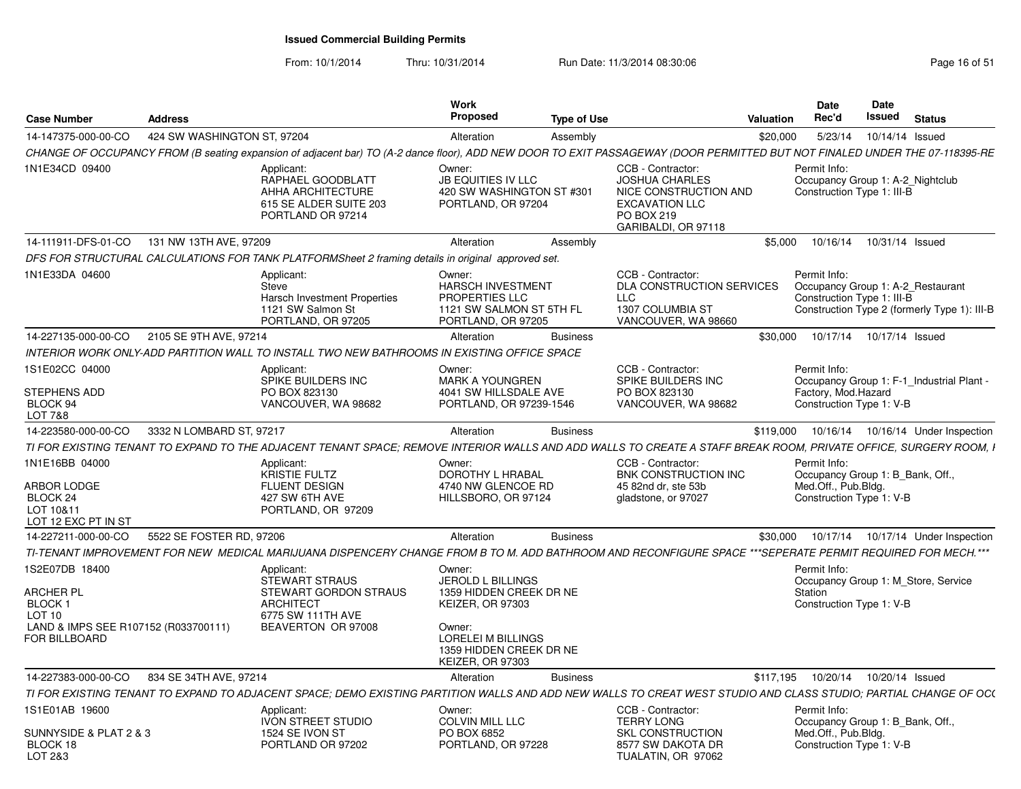| <b>Case Number</b>                                                                                                         | <b>Address</b>              |                                                                                                                                                                             | <b>Work</b><br><b>Proposed</b>                                                                                | <b>Type of Use</b> |                                                                                                                                   | Valuation | <b>Date</b><br>Rec'd                                                                                | Date<br>Issued  | <b>Status</b>                                |
|----------------------------------------------------------------------------------------------------------------------------|-----------------------------|-----------------------------------------------------------------------------------------------------------------------------------------------------------------------------|---------------------------------------------------------------------------------------------------------------|--------------------|-----------------------------------------------------------------------------------------------------------------------------------|-----------|-----------------------------------------------------------------------------------------------------|-----------------|----------------------------------------------|
| 14-147375-000-00-CO                                                                                                        | 424 SW WASHINGTON ST, 97204 |                                                                                                                                                                             | Alteration                                                                                                    | Assembly           |                                                                                                                                   | \$20,000  | 5/23/14                                                                                             | 10/14/14 Issued |                                              |
|                                                                                                                            |                             | CHANGE OF OCCUPANCY FROM (B seating expansion of adjacent bar) TO (A-2 dance floor), ADD NEW DOOR TO EXIT PASSAGEWAY (DOOR PERMITTED BUT NOT FINALED UNDER THE 07-118395-RE |                                                                                                               |                    |                                                                                                                                   |           |                                                                                                     |                 |                                              |
| 1N1E34CD 09400                                                                                                             |                             | Applicant:<br>RAPHAEL GOODBLATT<br>AHHA ARCHITECTURE<br>615 SE ALDER SUITE 203<br>PORTLAND OR 97214                                                                         | Owner:<br><b>JB EQUITIES IV LLC</b><br>420 SW WASHINGTON ST #301<br>PORTLAND, OR 97204                        |                    | CCB - Contractor:<br><b>JOSHUA CHARLES</b><br>NICE CONSTRUCTION AND<br><b>EXCAVATION LLC</b><br>PO BOX 219<br>GARIBALDI, OR 97118 |           | Permit Info:<br>Occupancy Group 1: A-2 Nightclub<br>Construction Type 1: III-B                      |                 |                                              |
| 14-111911-DFS-01-CO                                                                                                        | 131 NW 13TH AVE, 97209      |                                                                                                                                                                             | Alteration                                                                                                    | Assembly           |                                                                                                                                   | \$5.000   | 10/16/14                                                                                            | 10/31/14 Issued |                                              |
|                                                                                                                            |                             | DFS FOR STRUCTURAL CALCULATIONS FOR TANK PLATFORMSheet 2 framing details in original approved set.                                                                          |                                                                                                               |                    |                                                                                                                                   |           |                                                                                                     |                 |                                              |
| 1N1E33DA 04600                                                                                                             |                             | Applicant:<br>Steve<br>Harsch Investment Properties<br>1121 SW Salmon St<br>PORTLAND, OR 97205                                                                              | Owner:<br><b>HARSCH INVESTMENT</b><br><b>PROPERTIES LLC</b><br>1121 SW SALMON ST 5TH FL<br>PORTLAND, OR 97205 |                    | CCB - Contractor:<br>DLA CONSTRUCTION SERVICES<br>LLC<br>1307 COLUMBIA ST<br>VANCOUVER, WA 98660                                  |           | Permit Info:<br>Occupancy Group 1: A-2 Restaurant<br>Construction Type 1: III-B                     |                 | Construction Type 2 (formerly Type 1): III-B |
| 14-227135-000-00-CO                                                                                                        | 2105 SE 9TH AVE, 97214      |                                                                                                                                                                             | Alteration                                                                                                    | <b>Business</b>    |                                                                                                                                   | \$30.000  | 10/17/14  10/17/14  Issued                                                                          |                 |                                              |
|                                                                                                                            |                             | INTERIOR WORK ONLY-ADD PARTITION WALL TO INSTALL TWO NEW BATHROOMS IN EXISTING OFFICE SPACE                                                                                 |                                                                                                               |                    |                                                                                                                                   |           |                                                                                                     |                 |                                              |
| 1S1E02CC 04000                                                                                                             |                             | Applicant:<br>SPIKE BUILDERS INC                                                                                                                                            | Owner:<br>MARK A YOUNGREN                                                                                     |                    | CCB - Contractor:<br>SPIKE BUILDERS INC                                                                                           |           | Permit Info:                                                                                        |                 | Occupancy Group 1: F-1 Industrial Plant -    |
| STEPHENS ADD<br>BLOCK 94<br>LOT 7&8                                                                                        |                             | PO BOX 823130<br>VANCOUVER, WA 98682                                                                                                                                        | 4041 SW HILLSDALE AVE<br>PORTLAND, OR 97239-1546                                                              |                    | PO BOX 823130<br>VANCOUVER, WA 98682                                                                                              |           | Factory, Mod.Hazard<br>Construction Type 1: V-B                                                     |                 |                                              |
| 14-223580-000-00-CO                                                                                                        | 3332 N LOMBARD ST, 97217    |                                                                                                                                                                             | Alteration                                                                                                    | <b>Business</b>    |                                                                                                                                   | \$119.000 |                                                                                                     |                 | 10/16/14  10/16/14  Under Inspection         |
|                                                                                                                            |                             | TI FOR EXISTING TENANT TO EXPAND TO THE ADJACENT TENANT SPACE; REMOVE INTERIOR WALLS AND ADD WALLS TO CREATE A STAFF BREAK ROOM, PRIVATE OFFICE, SURGERY ROOM, I            |                                                                                                               |                    |                                                                                                                                   |           |                                                                                                     |                 |                                              |
| 1N1E16BB 04000<br>ARBOR LODGE<br>BLOCK 24<br>LOT 10&11                                                                     |                             | Applicant:<br><b>KRISTIE FULTZ</b><br><b>FLUENT DESIGN</b><br>427 SW 6TH AVE<br>PORTLAND, OR 97209                                                                          | Owner:<br>DOROTHY L HRABAL<br>4740 NW GLENCOE RD<br>HILLSBORO, OR 97124                                       |                    | CCB - Contractor:<br>BNK CONSTRUCTION INC<br>45 82nd dr. ste 53b<br>gladstone, or 97027                                           |           | Permit Info:<br>Occupancy Group 1: B_Bank, Off.,<br>Med.Off., Pub.Bldg.<br>Construction Type 1: V-B |                 |                                              |
| LOT 12 EXC PT IN ST                                                                                                        |                             |                                                                                                                                                                             |                                                                                                               |                    |                                                                                                                                   |           |                                                                                                     |                 |                                              |
| 14-227211-000-00-CO                                                                                                        | 5522 SE FOSTER RD, 97206    |                                                                                                                                                                             | Alteration                                                                                                    | <b>Business</b>    |                                                                                                                                   | \$30,000  |                                                                                                     |                 | 10/17/14  10/17/14  Under Inspection         |
|                                                                                                                            |                             | TI-TENANT IMPROVEMENT FOR NEW MEDICAL MARIJUANA DISPENCERY CHANGE FROM B TO M. ADD BATHROOM AND RECONFIGURE SPACE ***SEPERATE PERMIT REQUIRED FOR MECH.***                  |                                                                                                               |                    |                                                                                                                                   |           |                                                                                                     |                 |                                              |
| 1S2E07DB 18400<br>ARCHER PL<br><b>BLOCK1</b><br>LOT <sub>10</sub><br>LAND & IMPS SEE R107152 (R033700111)<br>FOR BILLBOARD |                             | Applicant:<br><b>STEWART STRAUS</b><br>STEWART GORDON STRAUS<br>ARCHITECT<br>6775 SW 111TH AVE<br>BEAVERTON OR 97008                                                        | Owner:<br>JEROLD L BILLINGS<br>1359 HIDDEN CREEK DR NE<br>KEIZER, OR 97303<br>Owner:<br>LORELEI M BILLINGS    |                    |                                                                                                                                   |           | Permit Info:<br>Station<br>Construction Type 1: V-B                                                 |                 | Occupancy Group 1: M_Store, Service          |
|                                                                                                                            |                             |                                                                                                                                                                             | 1359 HIDDEN CREEK DR NE<br><b>KEIZER, OR 97303</b>                                                            |                    |                                                                                                                                   |           |                                                                                                     |                 |                                              |
| 14-227383-000-00-CO                                                                                                        | 834 SE 34TH AVE, 97214      |                                                                                                                                                                             | Alteration                                                                                                    | <b>Business</b>    |                                                                                                                                   |           | \$117.195  10/20/14                                                                                 | 10/20/14 Issued |                                              |
|                                                                                                                            |                             | TI FOR EXISTING TENANT TO EXPAND TO ADJACENT SPACE; DEMO EXISTING PARTITION WALLS AND ADD NEW WALLS TO CREAT WEST STUDIO AND CLASS STUDIO; PARTIAL CHANGE OF OC(            |                                                                                                               |                    |                                                                                                                                   |           |                                                                                                     |                 |                                              |
| 1S1E01AB 19600                                                                                                             |                             | Applicant:<br><b>IVON STREET STUDIO</b>                                                                                                                                     | Owner:<br>COLVIN MILL LLC                                                                                     |                    | CCB - Contractor:<br><b>TERRY LONG</b>                                                                                            |           | Permit Info:<br>Occupancy Group 1: B Bank, Off.,                                                    |                 |                                              |
| SUNNYSIDE & PLAT 2 & 3<br>BLOCK 18<br>LOT 2&3                                                                              |                             | 1524 SE IVON ST<br>PORTLAND OR 97202                                                                                                                                        | PO BOX 6852<br>PORTLAND, OR 97228                                                                             |                    | <b>SKL CONSTRUCTION</b><br>8577 SW DAKOTA DR<br>TUALATIN, OR 97062                                                                |           | Med.Off., Pub.Bldg.<br>Construction Type 1: V-B                                                     |                 |                                              |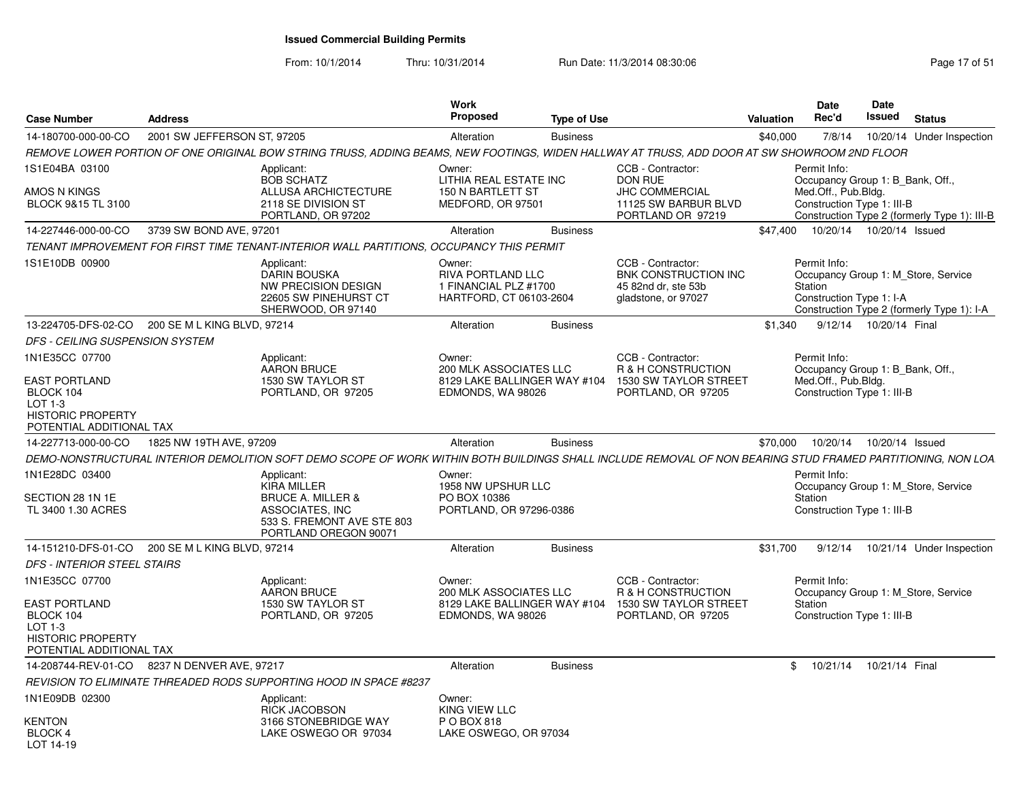From: 10/1/2014

| <b>Case Number</b>                                                                                     | <b>Address</b>                                    |                                                                                                                                                             | Work<br><b>Proposed</b>                                                         | <b>Type of Use</b> |                                                                                                           | <b>Valuation</b> | <b>Date</b><br>Rec'd                                | Date<br>Issued                                                 | <b>Status</b>                                                                     |
|--------------------------------------------------------------------------------------------------------|---------------------------------------------------|-------------------------------------------------------------------------------------------------------------------------------------------------------------|---------------------------------------------------------------------------------|--------------------|-----------------------------------------------------------------------------------------------------------|------------------|-----------------------------------------------------|----------------------------------------------------------------|-----------------------------------------------------------------------------------|
| 14-180700-000-00-CO                                                                                    | 2001 SW JEFFERSON ST, 97205                       |                                                                                                                                                             | Alteration                                                                      | <b>Business</b>    |                                                                                                           | \$40,000         | 7/8/14                                              |                                                                | 10/20/14 Under Inspection                                                         |
|                                                                                                        |                                                   | REMOVE LOWER PORTION OF ONE ORIGINAL BOW STRING TRUSS, ADDING BEAMS, NEW FOOTINGS, WIDEN HALLWAY AT TRUSS, ADD DOOR AT SW SHOWROOM 2ND FLOOR                |                                                                                 |                    |                                                                                                           |                  |                                                     |                                                                |                                                                                   |
| 1S1E04BA 03100<br>AMOS N KINGS<br>BLOCK 9&15 TL 3100                                                   |                                                   | Applicant:<br><b>BOB SCHATZ</b><br>ALLUSA ARCHICTECTURE<br>2118 SE DIVISION ST<br>PORTLAND, OR 97202                                                        | Owner:<br>LITHIA REAL ESTATE INC<br>150 N BARTLETT ST<br>MEDFORD, OR 97501      |                    | CCB - Contractor:<br><b>DON RUE</b><br><b>JHC COMMERCIAL</b><br>11125 SW BARBUR BLVD<br>PORTLAND OR 97219 |                  | Permit Info:<br>Med.Off., Pub.Bldg.                 | Occupancy Group 1: B_Bank, Off.,<br>Construction Type 1: III-B | Construction Type 2 (formerly Type 1): III-B                                      |
| 14-227446-000-00-CO                                                                                    | 3739 SW BOND AVE, 97201                           |                                                                                                                                                             | Alteration                                                                      | <b>Business</b>    |                                                                                                           | \$47.400         |                                                     | 10/20/14  10/20/14  Issued                                     |                                                                                   |
|                                                                                                        |                                                   | TENANT IMPROVEMENT FOR FIRST TIME TENANT-INTERIOR WALL PARTITIONS. OCCUPANCY THIS PERMIT                                                                    |                                                                                 |                    |                                                                                                           |                  |                                                     |                                                                |                                                                                   |
| 1S1E10DB 00900                                                                                         |                                                   | Applicant:<br><b>DARIN BOUSKA</b><br><b>NW PRECISION DESIGN</b><br>22605 SW PINEHURST CT<br>SHERWOOD, OR 97140                                              | Owner:<br>RIVA PORTLAND LLC<br>1 FINANCIAL PLZ #1700<br>HARTFORD, CT 06103-2604 |                    | CCB - Contractor:<br><b>BNK CONSTRUCTION INC</b><br>45 82nd dr. ste 53b<br>gladstone, or 97027            |                  | Permit Info:<br>Station<br>Construction Type 1: I-A |                                                                | Occupancy Group 1: M Store, Service<br>Construction Type 2 (formerly Type 1): I-A |
|                                                                                                        | 13-224705-DFS-02-CO 200 SE M L KING BLVD, 97214   |                                                                                                                                                             | Alteration                                                                      | <b>Business</b>    |                                                                                                           | \$1.340          |                                                     | 9/12/14 10/20/14 Final                                         |                                                                                   |
| DFS - CEILING SUSPENSION SYSTEM                                                                        |                                                   |                                                                                                                                                             |                                                                                 |                    |                                                                                                           |                  |                                                     |                                                                |                                                                                   |
| 1N1E35CC 07700                                                                                         |                                                   | Applicant:<br><b>AARON BRUCE</b>                                                                                                                            | Owner:<br>200 MLK ASSOCIATES LLC                                                |                    | CCB - Contractor:<br>R & H CONSTRUCTION                                                                   |                  | Permit Info:                                        | Occupancy Group 1: B Bank, Off.                                |                                                                                   |
| <b>EAST PORTLAND</b><br>BLOCK 104<br>$LOT 1-3$<br><b>HISTORIC PROPERTY</b><br>POTENTIAL ADDITIONAL TAX |                                                   | 1530 SW TAYLOR ST<br>PORTLAND, OR 97205                                                                                                                     | 8129 LAKE BALLINGER WAY #104<br>EDMONDS, WA 98026                               |                    | 1530 SW TAYLOR STREET<br>PORTLAND, OR 97205                                                               |                  | Med.Off., Pub.Bldg.                                 | Construction Type 1: III-B                                     |                                                                                   |
| 14-227713-000-00-CO                                                                                    | 1825 NW 19TH AVE, 97209                           |                                                                                                                                                             | Alteration                                                                      | <b>Business</b>    |                                                                                                           | \$70,000         |                                                     | 10/20/14  10/20/14  Issued                                     |                                                                                   |
|                                                                                                        |                                                   | DEMO-NONSTRUCTURAL INTERIOR DEMOLITION SOFT DEMO SCOPE OF WORK WITHIN BOTH BUILDINGS SHALL INCLUDE REMOVAL OF NON BEARING STUD FRAMED PARTITIONING, NON LOA |                                                                                 |                    |                                                                                                           |                  |                                                     |                                                                |                                                                                   |
| 1N1E28DC 03400<br>SECTION 28 1N 1E                                                                     |                                                   | Applicant:<br><b>KIRA MILLER</b><br><b>BRUCE A. MILLER &amp;</b>                                                                                            | Owner:<br>1958 NW UPSHUR LLC<br>PO BOX 10386                                    |                    |                                                                                                           |                  | Permit Info:<br>Station                             |                                                                | Occupancy Group 1: M_Store, Service                                               |
| TL 3400 1.30 ACRES                                                                                     |                                                   | ASSOCIATES, INC<br>533 S. FREMONT AVE STE 803<br>PORTLAND OREGON 90071                                                                                      | PORTLAND, OR 97296-0386                                                         |                    |                                                                                                           |                  |                                                     | Construction Type 1: III-B                                     |                                                                                   |
|                                                                                                        | 14-151210-DFS-01-CO   200 SE M L KING BLVD, 97214 |                                                                                                                                                             | Alteration                                                                      | <b>Business</b>    |                                                                                                           | \$31,700         |                                                     |                                                                | 9/12/14  10/21/14  Under Inspection                                               |
| <b>DFS - INTERIOR STEEL STAIRS</b>                                                                     |                                                   |                                                                                                                                                             |                                                                                 |                    |                                                                                                           |                  |                                                     |                                                                |                                                                                   |
| 1N1E35CC 07700                                                                                         |                                                   | Applicant:<br><b>AARON BRUCE</b>                                                                                                                            | Owner:<br>200 MLK ASSOCIATES LLC                                                |                    | CCB - Contractor:<br>R & H CONSTRUCTION                                                                   |                  | Permit Info:                                        |                                                                | Occupancy Group 1: M_Store, Service                                               |
| <b>EAST PORTLAND</b><br>BLOCK 104<br>$LOT 1-3$<br><b>HISTORIC PROPERTY</b><br>POTENTIAL ADDITIONAL TAX |                                                   | 1530 SW TAYLOR ST<br>PORTLAND, OR 97205                                                                                                                     | 8129 LAKE BALLINGER WAY #104<br>EDMONDS, WA 98026                               |                    | 1530 SW TAYLOR STREET<br>PORTLAND, OR 97205                                                               |                  | Station                                             | Construction Type 1: III-B                                     |                                                                                   |
|                                                                                                        | 14-208744-REV-01-CO 8237 N DENVER AVE, 97217      |                                                                                                                                                             | Alteration                                                                      | <b>Business</b>    |                                                                                                           |                  |                                                     | \$ 10/21/14 10/21/14 Final                                     |                                                                                   |
|                                                                                                        |                                                   | REVISION TO ELIMINATE THREADED RODS SUPPORTING HOOD IN SPACE #8237                                                                                          |                                                                                 |                    |                                                                                                           |                  |                                                     |                                                                |                                                                                   |
| 1N1E09DB 02300                                                                                         |                                                   | Applicant:<br>RICK JACOBSON                                                                                                                                 | Owner:<br>KING VIEW LLC                                                         |                    |                                                                                                           |                  |                                                     |                                                                |                                                                                   |
| <b>KENTON</b><br><b>BLOCK 4</b><br>LOT 14-19                                                           |                                                   | 3166 STONEBRIDGE WAY<br>LAKE OSWEGO OR 97034                                                                                                                | P O BOX 818<br>LAKE OSWEGO, OR 97034                                            |                    |                                                                                                           |                  |                                                     |                                                                |                                                                                   |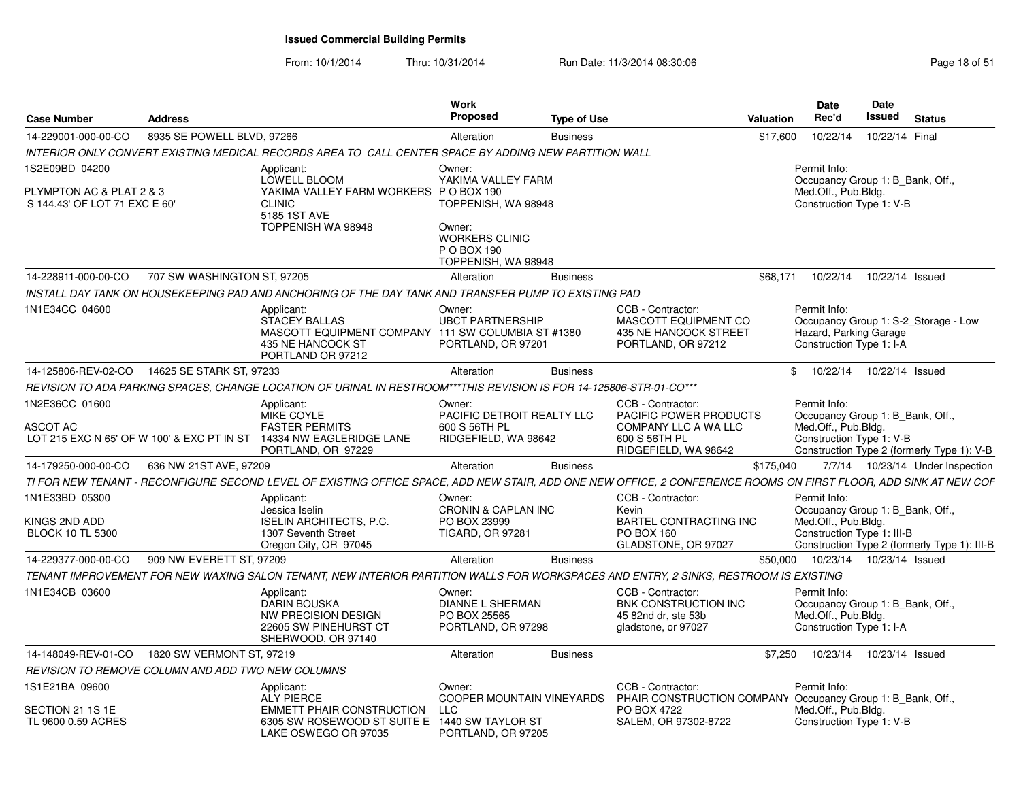| <b>Case Number</b>                                                          | <b>Address</b>              |                                                                                                                                                                  | Work<br>Proposed                                                                                      | <b>Type of Use</b> |                                                                                          | <b>Valuation</b> | Date<br>Rec'd                                                                                       | Date<br><b>Issued</b> | <b>Status</b>                                |
|-----------------------------------------------------------------------------|-----------------------------|------------------------------------------------------------------------------------------------------------------------------------------------------------------|-------------------------------------------------------------------------------------------------------|--------------------|------------------------------------------------------------------------------------------|------------------|-----------------------------------------------------------------------------------------------------|-----------------------|----------------------------------------------|
| 14-229001-000-00-CO                                                         | 8935 SE POWELL BLVD, 97266  |                                                                                                                                                                  | Alteration                                                                                            | <b>Business</b>    |                                                                                          | \$17,600         | 10/22/14                                                                                            | 10/22/14 Final        |                                              |
|                                                                             |                             | INTERIOR ONLY CONVERT EXISTING MEDICAL RECORDS AREA TO CALL CENTER SPACE BY ADDING NEW PARTITION WALL                                                            |                                                                                                       |                    |                                                                                          |                  |                                                                                                     |                       |                                              |
| 1S2E09BD 04200<br>PLYMPTON AC & PLAT 2 & 3<br>S 144.43' OF LOT 71 EXC E 60' |                             | Applicant:<br><b>LOWELL BLOOM</b><br>YAKIMA VALLEY FARM WORKERS P O BOX 190<br><b>CLINIC</b><br>5185 1ST AVE<br>TOPPENISH WA 98948                               | Owner:<br>YAKIMA VALLEY FARM<br>TOPPENISH, WA 98948<br>Owner:<br><b>WORKERS CLINIC</b><br>P O BOX 190 |                    |                                                                                          |                  | Permit Info:<br>Occupancy Group 1: B Bank, Off.,<br>Med.Off., Pub.Bldg.<br>Construction Type 1: V-B |                       |                                              |
|                                                                             |                             |                                                                                                                                                                  | TOPPENISH, WA 98948                                                                                   |                    |                                                                                          |                  |                                                                                                     |                       |                                              |
| 14-228911-000-00-CO                                                         | 707 SW WASHINGTON ST, 97205 |                                                                                                                                                                  | Alteration                                                                                            | <b>Business</b>    |                                                                                          | \$68.171         | 10/22/14                                                                                            | 10/22/14 Issued       |                                              |
|                                                                             |                             | INSTALL DAY TANK ON HOUSEKEEPING PAD AND ANCHORING OF THE DAY TANK AND TRANSFER PUMP TO EXISTING PAD                                                             |                                                                                                       |                    |                                                                                          |                  |                                                                                                     |                       |                                              |
| 1N1E34CC 04600                                                              |                             | Applicant:<br>STACEY BALLAS<br>MASCOTT EQUIPMENT COMPANY 111 SW COLUMBIA ST #1380<br>435 NE HANCOCK ST<br>PORTLAND OR 97212                                      | Owner:<br><b>UBCT PARTNERSHIP</b><br>PORTLAND, OR 97201                                               |                    | CCB - Contractor:<br>MASCOTT EQUIPMENT CO<br>435 NE HANCOCK STREET<br>PORTLAND, OR 97212 |                  | Permit Info:<br>Hazard, Parking Garage<br>Construction Type 1: I-A                                  |                       | Occupancy Group 1: S-2_Storage - Low         |
| 14-125806-REV-02-CO                                                         | 14625 SE STARK ST, 97233    |                                                                                                                                                                  | Alteration                                                                                            | <b>Business</b>    |                                                                                          | \$               | 10/22/14                                                                                            | 10/22/14 Issued       |                                              |
|                                                                             |                             | REVISION TO ADA PARKING SPACES, CHANGE LOCATION OF URINAL IN RESTROOM***THIS REVISION IS FOR 14-125806-STR-01-CO***                                              |                                                                                                       |                    |                                                                                          |                  |                                                                                                     |                       |                                              |
| 1N2E36CC 01600<br><b>ASCOT AC</b>                                           |                             | Applicant:<br><b>MIKE COYLE</b><br><b>FASTER PERMITS</b>                                                                                                         | Owner:<br>PACIFIC DETROIT REALTY LLC<br>600 S 56TH PL                                                 |                    | CCB - Contractor:<br><b>PACIFIC POWER PRODUCTS</b><br>COMPANY LLC A WA LLC               |                  | Permit Info:<br>Occupancy Group 1: B Bank, Off.,<br>Med.Off., Pub.Bldg.                             |                       |                                              |
|                                                                             |                             | LOT 215 EXC N 65' OF W 100' & EXC PT IN ST 14334 NW EAGLERIDGE LANE<br>PORTLAND, OR 97229                                                                        | RIDGEFIELD, WA 98642                                                                                  |                    | 600 S 56TH PL<br>RIDGEFIELD, WA 98642                                                    |                  | Construction Type 1: V-B                                                                            |                       | Construction Type 2 (formerly Type 1): V-B   |
| 14-179250-000-00-CO                                                         | 636 NW 21ST AVE, 97209      |                                                                                                                                                                  | Alteration                                                                                            | <b>Business</b>    |                                                                                          | \$175.040        |                                                                                                     |                       | 7/7/14  10/23/14  Under Inspection           |
|                                                                             |                             | TI FOR NEW TENANT - RECONFIGURE SECOND LEVEL OF EXISTING OFFICE SPACE, ADD NEW STAIR, ADD ONE NEW OFFICE, 2 CONFERENCE ROOMS ON FIRST FLOOR, ADD SINK AT NEW COF |                                                                                                       |                    |                                                                                          |                  |                                                                                                     |                       |                                              |
| 1N1E33BD 05300                                                              |                             | Applicant:<br>Jessica Iselin                                                                                                                                     | Owner:<br><b>CRONIN &amp; CAPLAN INC</b>                                                              |                    | CCB - Contractor:<br>Kevin                                                               |                  | Permit Info:<br>Occupancy Group 1: B_Bank, Off.,                                                    |                       |                                              |
| KINGS 2ND ADD<br><b>BLOCK 10 TL 5300</b>                                    |                             | <b>ISELIN ARCHITECTS, P.C.</b><br>1307 Seventh Street<br>Oregon City, OR 97045                                                                                   | PO BOX 23999<br><b>TIGARD, OR 97281</b>                                                               |                    | <b>BARTEL CONTRACTING INC</b><br>PO BOX 160<br>GLADSTONE, OR 97027                       |                  | Med.Off., Pub.Bldg.<br>Construction Type 1: III-B                                                   |                       | Construction Type 2 (formerly Type 1): III-B |
| 14-229377-000-00-CO                                                         | 909 NW EVERETT ST, 97209    |                                                                                                                                                                  | Alteration                                                                                            | <b>Business</b>    |                                                                                          | \$50,000         | 10/23/14                                                                                            | 10/23/14 Issued       |                                              |
|                                                                             |                             | TENANT IMPROVEMENT FOR NEW WAXING SALON TENANT, NEW INTERIOR PARTITION WALLS FOR WORKSPACES AND ENTRY, 2 SINKS, RESTROOM IS EXISTING                             |                                                                                                       |                    |                                                                                          |                  |                                                                                                     |                       |                                              |
| 1N1E34CB 03600                                                              |                             | Applicant:<br><b>DARIN BOUSKA</b><br><b>NW PRECISION DESIGN</b><br>22605 SW PINEHURST CT<br>SHERWOOD, OR 97140                                                   | Owner:<br><b>DIANNE L SHERMAN</b><br>PO BOX 25565<br>PORTLAND, OR 97298                               |                    | CCB - Contractor:<br>BNK CONSTRUCTION INC<br>45 82nd dr. ste 53b<br>gladstone, or 97027  |                  | Permit Info:<br>Occupancy Group 1: B_Bank, Off.,<br>Med.Off., Pub.Bldg.<br>Construction Type 1: I-A |                       |                                              |
| 14-148049-REV-01-CO                                                         | 1820 SW VERMONT ST, 97219   |                                                                                                                                                                  | Alteration                                                                                            | <b>Business</b>    |                                                                                          | \$7,250          | 10/23/14                                                                                            | 10/23/14 Issued       |                                              |
| <b>REVISION TO REMOVE COLUMN AND ADD TWO NEW COLUMNS</b>                    |                             |                                                                                                                                                                  |                                                                                                       |                    |                                                                                          |                  |                                                                                                     |                       |                                              |
| 1S1E21BA 09600                                                              |                             | Applicant:<br><b>ALY PIERCE</b>                                                                                                                                  | Owner:<br><b>COOPER MOUNTAIN VINEYARDS</b>                                                            |                    | CCB - Contractor:<br>PHAIR CONSTRUCTION COMPANY Occupancy Group 1: B Bank, Off.,         |                  | Permit Info:                                                                                        |                       |                                              |
| SECTION 21 1S 1E<br>TL 9600 0.59 ACRES                                      |                             | <b>EMMETT PHAIR CONSTRUCTION</b><br>6305 SW ROSEWOOD ST SUITE E 1440 SW TAYLOR ST<br>LAKE OSWEGO OR 97035                                                        | <b>LLC</b><br>PORTLAND, OR 97205                                                                      |                    | PO BOX 4722<br>SALEM, OR 97302-8722                                                      |                  | Med.Off., Pub.Bldg.<br>Construction Type 1: V-B                                                     |                       |                                              |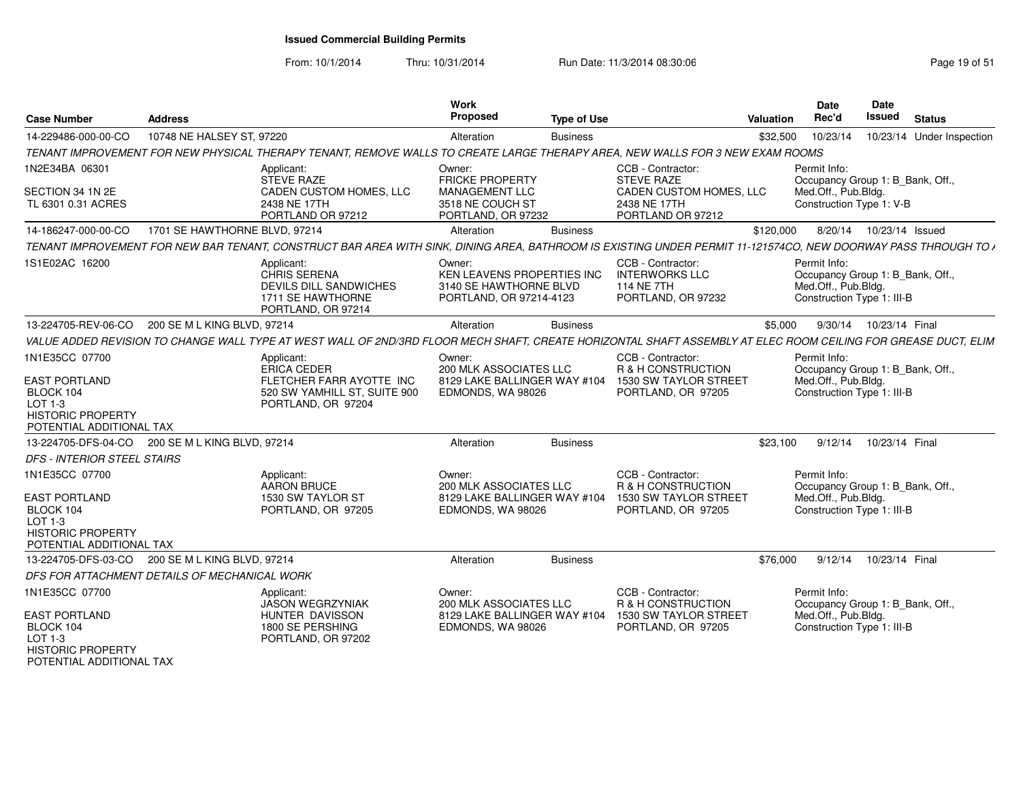From: 10/1/2014

Thru: 10/31/2014 Run Date: 11/3/2014 08:30:06 Run Date: 11/3/2014 08:30:06

| <b>Case Number</b>                                                                                     | <b>Address</b>                                  |                                                                                                                                                                | Work<br>Proposed                                                                                    | <b>Type of Use</b> |                                                                                                        | Valuation | Date<br>Rec'd                                                                                         | <b>Date</b><br>Issued     | <b>Status</b>             |
|--------------------------------------------------------------------------------------------------------|-------------------------------------------------|----------------------------------------------------------------------------------------------------------------------------------------------------------------|-----------------------------------------------------------------------------------------------------|--------------------|--------------------------------------------------------------------------------------------------------|-----------|-------------------------------------------------------------------------------------------------------|---------------------------|---------------------------|
| 14-229486-000-00-CO                                                                                    | 10748 NE HALSEY ST, 97220                       |                                                                                                                                                                | Alteration                                                                                          | <b>Business</b>    |                                                                                                        | \$32,500  | 10/23/14                                                                                              |                           | 10/23/14 Under Inspection |
|                                                                                                        |                                                 | TENANT IMPROVEMENT FOR NEW PHYSICAL THERAPY TENANT, REMOVE WALLS TO CREATE LARGE THERAPY AREA, NEW WALLS FOR 3 NEW EXAM ROOMS                                  |                                                                                                     |                    |                                                                                                        |           |                                                                                                       |                           |                           |
| 1N2E34BA 06301<br>SECTION 34 1N 2E<br>TL 6301 0.31 ACRES                                               |                                                 | Applicant:<br><b>STEVE RAZE</b><br><b>CADEN CUSTOM HOMES, LLC</b><br>2438 NE 17TH<br>PORTLAND OR 97212                                                         | Owner:<br><b>FRICKE PROPERTY</b><br><b>MANAGEMENT LLC</b><br>3518 NE COUCH ST<br>PORTLAND, OR 97232 |                    | CCB - Contractor:<br><b>STEVE RAZE</b><br>CADEN CUSTOM HOMES, LLC<br>2438 NE 17TH<br>PORTLAND OR 97212 |           | Permit Info:<br>Occupancy Group 1: B Bank, Off<br>Med.Off., Pub.Bldg.<br>Construction Type 1: V-B     |                           |                           |
| 14-186247-000-00-CO                                                                                    | 1701 SE HAWTHORNE BLVD, 97214                   |                                                                                                                                                                | Alteration                                                                                          | <b>Business</b>    |                                                                                                        | \$120,000 |                                                                                                       | 8/20/14  10/23/14  Issued |                           |
|                                                                                                        |                                                 | TENANT IMPROVEMENT FOR NEW BAR TENANT, CONSTRUCT BAR AREA WITH SINK, DINING AREA, BATHROOM IS EXISTING UNDER PERMIT 11-121574CO, NEW DOORWAY PASS THROUGH TO A |                                                                                                     |                    |                                                                                                        |           |                                                                                                       |                           |                           |
| 1S1E02AC 16200                                                                                         |                                                 | Applicant:<br><b>CHRIS SERENA</b><br>DEVILS DILL SANDWICHES<br>1711 SE HAWTHORNE<br>PORTLAND, OR 97214                                                         | Owner:<br>KEN LEAVENS PROPERTIES INC<br>3140 SE HAWTHORNE BLVD<br>PORTLAND, OR 97214-4123           |                    | CCB - Contractor:<br><b>INTERWORKS LLC</b><br><b>114 NE 7TH</b><br>PORTLAND, OR 97232                  |           | Permit Info:<br>Occupancy Group 1: B_Bank, Off.,<br>Med.Off., Pub.Bldg.<br>Construction Type 1: III-B |                           |                           |
| 13-224705-REV-06-CO                                                                                    | 200 SE M L KING BLVD, 97214                     |                                                                                                                                                                | Alteration                                                                                          | <b>Business</b>    |                                                                                                        | \$5,000   |                                                                                                       | 9/30/14 10/23/14 Final    |                           |
|                                                                                                        |                                                 | VALUE ADDED REVISION TO CHANGE WALL TYPE AT WEST WALL OF 2ND/3RD FLOOR MECH SHAFT. CREATE HORIZONTAL SHAFT ASSEMBLY AT ELEC ROOM CEILING FOR GREASE DUCT. ELIM |                                                                                                     |                    |                                                                                                        |           |                                                                                                       |                           |                           |
| 1N1E35CC 07700<br><b>EAST PORTLAND</b>                                                                 |                                                 | Applicant:<br>ERICA CEDER<br>FLETCHER FARR AYOTTE INC                                                                                                          | Owner:<br>200 MLK ASSOCIATES LLC<br>8129 LAKE BALLINGER WAY #104                                    |                    | CCB - Contractor:<br>R & H CONSTRUCTION<br>1530 SW TAYLOR STREET                                       |           | Permit Info:<br>Occupancy Group 1: B Bank, Off.,<br>Med.Off., Pub.Bldg.                               |                           |                           |
| BLOCK 104<br>$LOT 1-3$<br><b>HISTORIC PROPERTY</b><br>POTENTIAL ADDITIONAL TAX                         |                                                 | 520 SW YAMHILL ST, SUITE 900<br>PORTLAND, OR 97204                                                                                                             | EDMONDS, WA 98026                                                                                   |                    | PORTLAND, OR 97205                                                                                     |           | Construction Type 1: III-B                                                                            |                           |                           |
|                                                                                                        | 13-224705-DFS-04-CO 200 SE M L KING BLVD, 97214 |                                                                                                                                                                | Alteration                                                                                          | <b>Business</b>    |                                                                                                        | \$23,100  |                                                                                                       | 9/12/14  10/23/14  Final  |                           |
| DFS - INTERIOR STEEL STAIRS                                                                            |                                                 |                                                                                                                                                                |                                                                                                     |                    |                                                                                                        |           |                                                                                                       |                           |                           |
| 1N1E35CC 07700                                                                                         |                                                 | Applicant:<br>AARON BRUCE                                                                                                                                      | Owner:<br>200 MLK ASSOCIATES LLC                                                                    |                    | CCB - Contractor:<br>R & H CONSTRUCTION                                                                |           | Permit Info:<br>Occupancy Group 1: B_Bank, Off.,                                                      |                           |                           |
| <b>EAST PORTLAND</b><br>BLOCK 104<br>$LOT 1-3$<br><b>HISTORIC PROPERTY</b><br>POTENTIAL ADDITIONAL TAX |                                                 | 1530 SW TAYLOR ST<br>PORTLAND, OR 97205                                                                                                                        | 8129 LAKE BALLINGER WAY #104<br>EDMONDS, WA 98026                                                   |                    | 1530 SW TAYLOR STREET<br>PORTLAND, OR 97205                                                            |           | Med.Off., Pub.Bldg.<br>Construction Type 1: III-B                                                     |                           |                           |
| 13-224705-DFS-03-CO                                                                                    | 200 SE M L KING BLVD, 97214                     |                                                                                                                                                                | Alteration                                                                                          | <b>Business</b>    |                                                                                                        | \$76,000  | 9/12/14                                                                                               | 10/23/14 Final            |                           |
|                                                                                                        | DFS FOR ATTACHMENT DETAILS OF MECHANICAL WORK   |                                                                                                                                                                |                                                                                                     |                    |                                                                                                        |           |                                                                                                       |                           |                           |
| 1N1E35CC 07700                                                                                         |                                                 | Applicant:<br><b>JASON WEGRZYNIAK</b>                                                                                                                          | Owner:<br><b>200 MLK ASSOCIATES LLC</b>                                                             |                    | CCB - Contractor:<br><b>R &amp; H CONSTRUCTION</b>                                                     |           | Permit Info:<br>Occupancy Group 1: B Bank, Off.,                                                      |                           |                           |
| <b>EAST PORTLAND</b><br>BLOCK 104<br>LOT 1-3<br><b>HISTORIC PROPERTY</b>                               |                                                 | HUNTER DAVISSON<br>1800 SE PERSHING<br>PORTLAND, OR 97202                                                                                                      | 8129 LAKE BALLINGER WAY #104<br>EDMONDS, WA 98026                                                   |                    | 1530 SW TAYLOR STREET<br>PORTLAND, OR 97205                                                            |           | Med.Off., Pub.Bldg.<br>Construction Type 1: III-B                                                     |                           |                           |

HISTORIC PROPERTY POTENTIAL ADDITIONAL TAX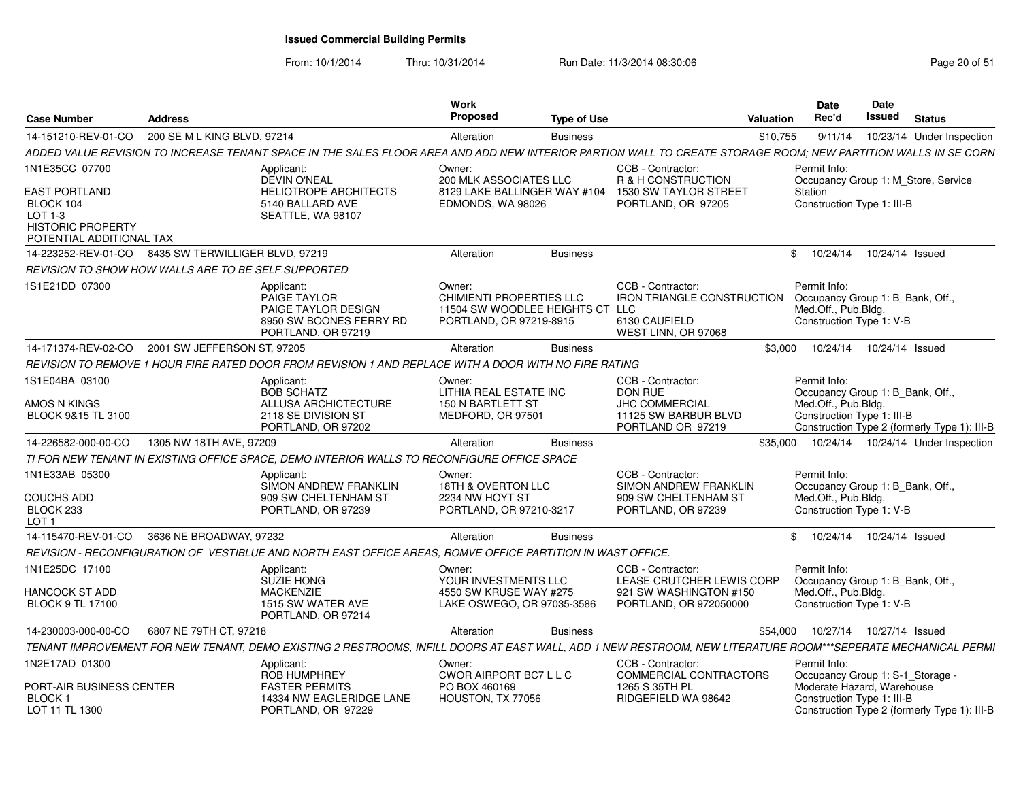From: 10/1/2014

| <b>Case Number</b>                                                                                                     | <b>Address</b>                                    |                                                                                                                                                                | Work<br><b>Proposed</b>                                                                         | <b>Type of Use</b> |                                                                                                           | Valuation | Date<br>Rec'd                       | <b>Date</b><br>Issued                                                                        | <b>Status</b> |                                              |
|------------------------------------------------------------------------------------------------------------------------|---------------------------------------------------|----------------------------------------------------------------------------------------------------------------------------------------------------------------|-------------------------------------------------------------------------------------------------|--------------------|-----------------------------------------------------------------------------------------------------------|-----------|-------------------------------------|----------------------------------------------------------------------------------------------|---------------|----------------------------------------------|
| 14-151210-REV-01-CO                                                                                                    | 200 SE M L KING BLVD, 97214                       |                                                                                                                                                                | Alteration                                                                                      | <b>Business</b>    |                                                                                                           | \$10,755  | 9/11/14                             |                                                                                              |               | 10/23/14 Under Inspection                    |
|                                                                                                                        |                                                   | ADDED VALUE REVISION TO INCREASE TENANT SPACE IN THE SALES FLOOR AREA AND ADD NEW INTERIOR PARTION WALL TO CREATE STORAGE ROOM: NEW PARTITION WALLS IN SE CORN |                                                                                                 |                    |                                                                                                           |           |                                     |                                                                                              |               |                                              |
| 1N1E35CC 07700<br><b>EAST PORTLAND</b><br>BLOCK 104<br>LOT 1-3<br><b>HISTORIC PROPERTY</b><br>POTENTIAL ADDITIONAL TAX |                                                   | Applicant:<br><b>DEVIN O'NEAL</b><br><b>HELIOTROPE ARCHITECTS</b><br>5140 BALLARD AVE<br>SEATTLE, WA 98107                                                     | Owner:<br>200 MLK ASSOCIATES LLC<br>8129 LAKE BALLINGER WAY #104<br>EDMONDS, WA 98026           |                    | CCB - Contractor:<br><b>R &amp; H CONSTRUCTION</b><br>1530 SW TAYLOR STREET<br>PORTLAND, OR 97205         |           | Permit Info:<br>Station             | Occupancy Group 1: M Store, Service<br>Construction Type 1: III-B                            |               |                                              |
| 14-223252-REV-01-CO 8435 SW TERWILLIGER BLVD, 97219                                                                    |                                                   |                                                                                                                                                                | Alteration                                                                                      | <b>Business</b>    |                                                                                                           |           | \$10/24/14                          | 10/24/14 Issued                                                                              |               |                                              |
| REVISION TO SHOW HOW WALLS ARE TO BE SELF SUPPORTED                                                                    |                                                   |                                                                                                                                                                |                                                                                                 |                    |                                                                                                           |           |                                     |                                                                                              |               |                                              |
| 1S1E21DD 07300                                                                                                         |                                                   | Applicant:<br><b>PAIGE TAYLOR</b><br>PAIGE TAYLOR DESIGN<br>8950 SW BOONES FERRY RD<br>PORTLAND, OR 97219                                                      | Owner<br>CHIMIENTI PROPERTIES LLC<br>11504 SW WOODLEE HEIGHTS CT LLC<br>PORTLAND, OR 97219-8915 |                    | CCB - Contractor<br><b>IRON TRIANGLE CONSTRUCTION</b><br>6130 CAUFIELD<br>WEST LINN, OR 97068             |           | Permit Info:<br>Med.Off., Pub.Bldg. | Occupancy Group 1: B Bank, Off.<br>Construction Type 1: V-B                                  |               |                                              |
|                                                                                                                        | 14-171374-REV-02-CO   2001 SW JEFFERSON ST. 97205 |                                                                                                                                                                | Alteration                                                                                      | <b>Business</b>    |                                                                                                           | \$3,000   |                                     | 10/24/14  10/24/14  Issued                                                                   |               |                                              |
|                                                                                                                        |                                                   | REVISION TO REMOVE 1 HOUR FIRE RATED DOOR FROM REVISION 1 AND REPLACE WITH A DOOR WITH NO FIRE RATING                                                          |                                                                                                 |                    |                                                                                                           |           |                                     |                                                                                              |               |                                              |
| 1S1E04BA 03100<br>AMOS N KINGS<br>BLOCK 9&15 TL 3100                                                                   |                                                   | Applicant:<br><b>BOB SCHATZ</b><br>ALLUSA ARCHICTECTURE<br>2118 SE DIVISION ST<br>PORTLAND, OR 97202                                                           | Owner:<br>LITHIA REAL ESTATE INC<br>150 N BARTLETT ST<br>MEDFORD, OR 97501                      |                    | CCB - Contractor:<br><b>DON RUE</b><br><b>JHC COMMERCIAL</b><br>11125 SW BARBUR BLVD<br>PORTLAND OR 97219 |           | Permit Info:<br>Med.Off., Pub.Bldg. | Occupancy Group 1: B_Bank, Off.<br>Construction Type 1: III-B                                |               | Construction Type 2 (formerly Type 1): III-B |
| 14-226582-000-00-CO                                                                                                    | 1305 NW 18TH AVE, 97209                           |                                                                                                                                                                | Alteration                                                                                      | <b>Business</b>    |                                                                                                           | \$35,000  | 10/24/14                            |                                                                                              |               | 10/24/14 Under Inspection                    |
|                                                                                                                        |                                                   | TI FOR NEW TENANT IN EXISTING OFFICE SPACE. DEMO INTERIOR WALLS TO RECONFIGURE OFFICE SPACE                                                                    |                                                                                                 |                    |                                                                                                           |           |                                     |                                                                                              |               |                                              |
| 1N1E33AB 05300<br><b>COUCHS ADD</b><br>BLOCK 233<br>LOT <sub>1</sub>                                                   |                                                   | Applicant:<br>SIMON ANDREW FRANKLIN<br>909 SW CHELTENHAM ST<br>PORTLAND, OR 97239                                                                              | Owner:<br>18TH & OVERTON LLC<br>2234 NW HOYT ST<br>PORTLAND, OR 97210-3217                      |                    | CCB - Contractor:<br><b>SIMON ANDREW FRANKLIN</b><br>909 SW CHELTENHAM ST<br>PORTLAND, OR 97239           |           | Permit Info:<br>Med.Off., Pub.Bldg. | Occupancy Group 1: B_Bank, Off.,<br>Construction Type 1: V-B                                 |               |                                              |
| 14-115470-REV-01-CO                                                                                                    | 3636 NE BROADWAY, 97232                           |                                                                                                                                                                | Alteration                                                                                      | <b>Business</b>    |                                                                                                           |           | \$10/24/14                          | 10/24/14 Issued                                                                              |               |                                              |
|                                                                                                                        |                                                   | REVISION - RECONFIGURATION OF VESTIBLUE AND NORTH EAST OFFICE AREAS, ROMVE OFFICE PARTITION IN WAST OFFICE.                                                    |                                                                                                 |                    |                                                                                                           |           |                                     |                                                                                              |               |                                              |
| 1N1E25DC 17100<br>HANCOCK ST ADD<br><b>BLOCK 9 TL 17100</b>                                                            |                                                   | Applicant:<br><b>SUZIE HONG</b><br><b>MACKENZIE</b><br>1515 SW WATER AVE<br>PORTLAND, OR 97214                                                                 | Owner:<br>YOUR INVESTMENTS LLC<br>4550 SW KRUSE WAY #275<br>LAKE OSWEGO, OR 97035-3586          |                    | CCB - Contractor:<br>LEASE CRUTCHER LEWIS CORP<br>921 SW WASHINGTON #150<br>PORTLAND, OR 972050000        |           | Permit Info:<br>Med.Off., Pub.Blda. | Occupancy Group 1: B Bank, Off.<br>Construction Type 1: V-B                                  |               |                                              |
| 14-230003-000-00-CO                                                                                                    | 6807 NE 79TH CT, 97218                            |                                                                                                                                                                | Alteration                                                                                      | <b>Business</b>    |                                                                                                           | \$54,000  |                                     | 10/27/14  10/27/14  Issued                                                                   |               |                                              |
|                                                                                                                        |                                                   | TENANT IMPROVEMENT FOR NEW TENANT, DEMO EXISTING 2 RESTROOMS, INFILL DOORS AT EAST WALL, ADD 1 NEW RESTROOM, NEW LITERATURE ROOM***SEPERATE MECHANICAL PERMI   |                                                                                                 |                    |                                                                                                           |           |                                     |                                                                                              |               |                                              |
| 1N2E17AD 01300<br>PORT-AIR BUSINESS CENTER<br>BLOCK 1<br>LOT 11 TL 1300                                                |                                                   | Applicant:<br>ROB HUMPHREY<br><b>FASTER PERMITS</b><br>14334 NW EAGLERIDGE LANE<br>PORTLAND, OR 97229                                                          | Owner:<br>CWOR AIRPORT BC7 L L C<br>PO BOX 460169<br>HOUSTON, TX 77056                          |                    | CCB - Contractor:<br>COMMERCIAL CONTRACTORS<br>1265 S 35TH PL<br>RIDGEFIELD WA 98642                      |           | Permit Info:                        | Occupancy Group 1: S-1 Storage -<br>Moderate Hazard, Warehouse<br>Construction Type 1: III-B |               | Construction Type 2 (formerly Type 1): III-B |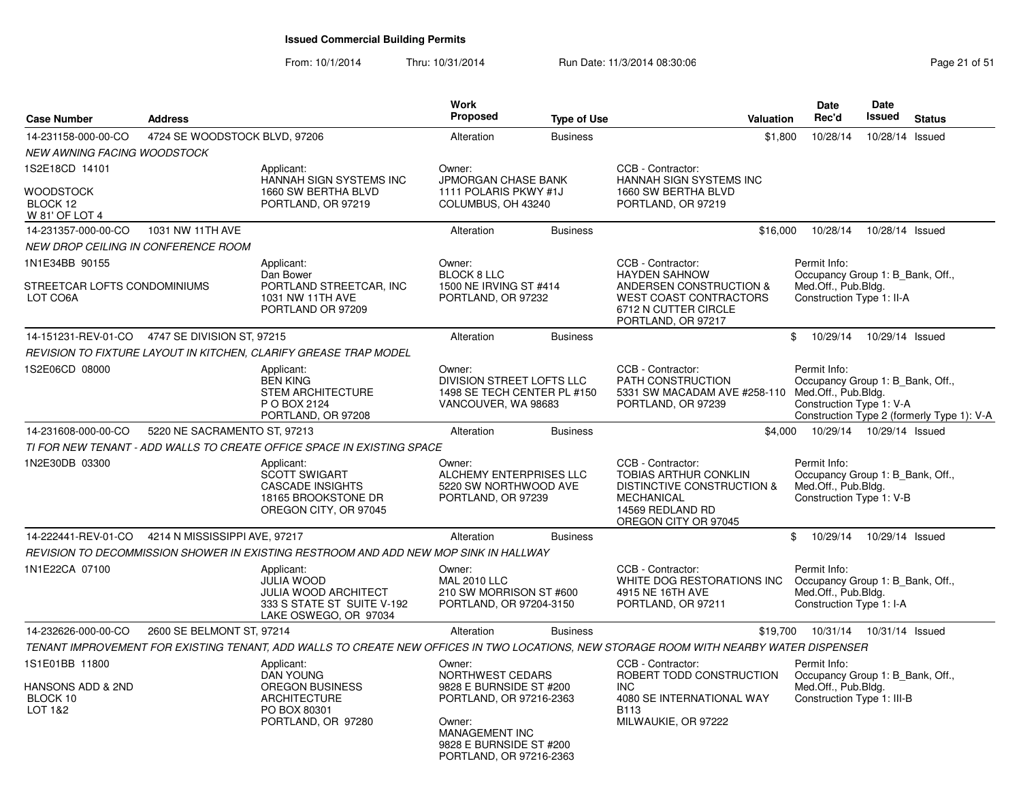From: 10/1/2014

Thru: 10/31/2014 Run Date: 11/3/2014 08:30:06 Research 20 and 21 of 51

| <b>Case Number</b>                                               | <b>Address</b>                                    |                                                                                                                                        | <b>Work</b><br><b>Proposed</b>                                                                                                                                     | <b>Type of Use</b> | Valuation                                                                                                                                            | <b>Date</b><br>Rec'd                                                                                  | Date<br><b>Issued</b> | <b>Status</b>                              |
|------------------------------------------------------------------|---------------------------------------------------|----------------------------------------------------------------------------------------------------------------------------------------|--------------------------------------------------------------------------------------------------------------------------------------------------------------------|--------------------|------------------------------------------------------------------------------------------------------------------------------------------------------|-------------------------------------------------------------------------------------------------------|-----------------------|--------------------------------------------|
| 14-231158-000-00-CO                                              | 4724 SE WOODSTOCK BLVD, 97206                     |                                                                                                                                        | Alteration                                                                                                                                                         | <b>Business</b>    | \$1,800                                                                                                                                              | 10/28/14                                                                                              | 10/28/14              | Issued                                     |
| <b>NEW AWNING FACING WOODSTOCK</b>                               |                                                   |                                                                                                                                        |                                                                                                                                                                    |                    |                                                                                                                                                      |                                                                                                       |                       |                                            |
| 1S2E18CD 14101<br><b>WOODSTOCK</b><br>BLOCK 12<br>W 81' OF LOT 4 |                                                   | Applicant:<br>HANNAH SIGN SYSTEMS INC<br>1660 SW BERTHA BLVD<br>PORTLAND, OR 97219                                                     | Owner:<br>JPMORGAN CHASE BANK<br>1111 POLARIS PKWY #1J<br>COLUMBUS, OH 43240                                                                                       |                    | CCB - Contractor:<br>HANNAH SIGN SYSTEMS INC<br>1660 SW BERTHA BLVD<br>PORTLAND, OR 97219                                                            |                                                                                                       |                       |                                            |
| 14-231357-000-00-CO                                              | 1031 NW 11TH AVE                                  |                                                                                                                                        | Alteration                                                                                                                                                         | <b>Business</b>    | \$16,000                                                                                                                                             | 10/28/14                                                                                              | 10/28/14 Issued       |                                            |
| <b>NEW DROP CEILING IN CONFERENCE ROOM</b>                       |                                                   |                                                                                                                                        |                                                                                                                                                                    |                    |                                                                                                                                                      |                                                                                                       |                       |                                            |
| 1N1E34BB 90155<br>STREETCAR LOFTS CONDOMINIUMS<br>LOT CO6A       |                                                   | Applicant:<br>Dan Bower<br>PORTLAND STREETCAR, INC<br>1031 NW 11TH AVE<br>PORTLAND OR 97209                                            | Owner:<br><b>BLOCK 8 LLC</b><br>1500 NE IRVING ST #414<br>PORTLAND, OR 97232                                                                                       |                    | CCB - Contractor:<br><b>HAYDEN SAHNOW</b><br>ANDERSEN CONSTRUCTION &<br><b>WEST COAST CONTRACTORS</b><br>6712 N CUTTER CIRCLE<br>PORTLAND, OR 97217  | Permit Info:<br>Occupancy Group 1: B Bank, Off.,<br>Med.Off., Pub.Bldg.<br>Construction Type 1: II-A  |                       |                                            |
|                                                                  | 14-151231-REV-01-CO 4747 SE DIVISION ST, 97215    |                                                                                                                                        | Alteration                                                                                                                                                         | <b>Business</b>    |                                                                                                                                                      | 10/29/14<br>\$                                                                                        | 10/29/14 Issued       |                                            |
|                                                                  |                                                   | REVISION TO FIXTURE LAYOUT IN KITCHEN, CLARIFY GREASE TRAP MODEL                                                                       |                                                                                                                                                                    |                    |                                                                                                                                                      |                                                                                                       |                       |                                            |
| 1S2E06CD 08000                                                   |                                                   | Applicant:<br><b>BEN KING</b><br><b>STEM ARCHITECTURE</b><br>P O BOX 2124<br>PORTLAND, OR 97208                                        | Owner:<br>DIVISION STREET LOFTS LLC<br>1498 SE TECH CENTER PL #150<br>VANCOUVER, WA 98683                                                                          |                    | CCB - Contractor:<br>PATH CONSTRUCTION<br>5331 SW MACADAM AVE #258-110<br>PORTLAND, OR 97239                                                         | Permit Info:<br>Occupancy Group 1: B Bank, Off.,<br>Med.Off., Pub.Bldg.<br>Construction Type 1: V-A   |                       | Construction Type 2 (formerly Type 1): V-A |
| 14-231608-000-00-CO                                              | 5220 NE SACRAMENTO ST, 97213                      |                                                                                                                                        | Alteration                                                                                                                                                         | <b>Business</b>    |                                                                                                                                                      | \$4,000  10/29/14  10/29/14  Issued                                                                   |                       |                                            |
|                                                                  |                                                   | TI FOR NEW TENANT - ADD WALLS TO CREATE OFFICE SPACE IN EXISTING SPACE                                                                 |                                                                                                                                                                    |                    |                                                                                                                                                      |                                                                                                       |                       |                                            |
| 1N2E30DB 03300                                                   |                                                   | Applicant:<br>SCOTT SWIGART<br><b>CASCADE INSIGHTS</b><br>18165 BROOKSTONE DR<br>OREGON CITY, OR 97045                                 | Owner:<br>ALCHEMY ENTERPRISES LLC<br>5220 SW NORTHWOOD AVE<br>PORTLAND, OR 97239                                                                                   |                    | CCB - Contractor:<br>TOBIAS ARTHUR CONKLIN<br><b>DISTINCTIVE CONSTRUCTION &amp;</b><br><b>MECHANICAL</b><br>14569 REDLAND RD<br>OREGON CITY OR 97045 | Permit Info:<br>Occupancy Group 1: B_Bank, Off.,<br>Med.Off., Pub.Bldg.<br>Construction Type 1: V-B   |                       |                                            |
|                                                                  | 14-222441-REV-01-CO 4214 N MISSISSIPPI AVE, 97217 |                                                                                                                                        | Alteration                                                                                                                                                         | <b>Business</b>    |                                                                                                                                                      | 10/29/14<br>\$                                                                                        | 10/29/14 Issued       |                                            |
|                                                                  |                                                   | REVISION TO DECOMMISSION SHOWER IN EXISTING RESTROOM AND ADD NEW MOP SINK IN HALLWAY                                                   |                                                                                                                                                                    |                    |                                                                                                                                                      |                                                                                                       |                       |                                            |
| 1N1E22CA 07100                                                   |                                                   | Applicant:<br><b>JULIA WOOD</b><br><b>JULIA WOOD ARCHITECT</b><br>333 S STATE ST SUITE V-192<br>LAKE OSWEGO, OR 97034                  | Owner:<br><b>MAL 2010 LLC</b><br>210 SW MORRISON ST #600<br>PORTLAND, OR 97204-3150                                                                                |                    | CCB - Contractor:<br>WHITE DOG RESTORATIONS INC<br>4915 NE 16TH AVE<br>PORTLAND, OR 97211                                                            | Permit Info:<br>Occupancy Group 1: B Bank, Off.,<br>Med.Off., Pub.Bldg.<br>Construction Type 1: I-A   |                       |                                            |
| 14-232626-000-00-CO                                              | 2600 SE BELMONT ST, 97214                         |                                                                                                                                        | Alteration                                                                                                                                                         | <b>Business</b>    | \$19,700                                                                                                                                             | 10/31/14  10/31/14  Issued                                                                            |                       |                                            |
|                                                                  |                                                   | TENANT IMPROVEMENT FOR EXISTING TENANT, ADD WALLS TO CREATE NEW OFFICES IN TWO LOCATIONS, NEW STORAGE ROOM WITH NEARBY WATER DISPENSER |                                                                                                                                                                    |                    |                                                                                                                                                      |                                                                                                       |                       |                                            |
| 1S1E01BB 11800<br>HANSONS ADD & 2ND<br>BLOCK 10<br>LOT 1&2       |                                                   | Applicant:<br><b>DAN YOUNG</b><br><b>OREGON BUSINESS</b><br><b>ARCHITECTURE</b><br>PO BOX 80301<br>PORTLAND, OR 97280                  | Owner:<br>NORTHWEST CEDARS<br>9828 E BURNSIDE ST #200<br>PORTLAND, OR 97216-2363<br>Owner:<br>MANAGEMENT INC<br>9828 E BURNSIDE ST #200<br>PORTLAND, OR 97216-2363 |                    | CCB - Contractor:<br>ROBERT TODD CONSTRUCTION<br>INC<br>4080 SE INTERNATIONAL WAY<br>B <sub>113</sub><br>MILWAUKIE, OR 97222                         | Permit Info:<br>Occupancy Group 1: B_Bank, Off.,<br>Med.Off., Pub.Bldg.<br>Construction Type 1: III-B |                       |                                            |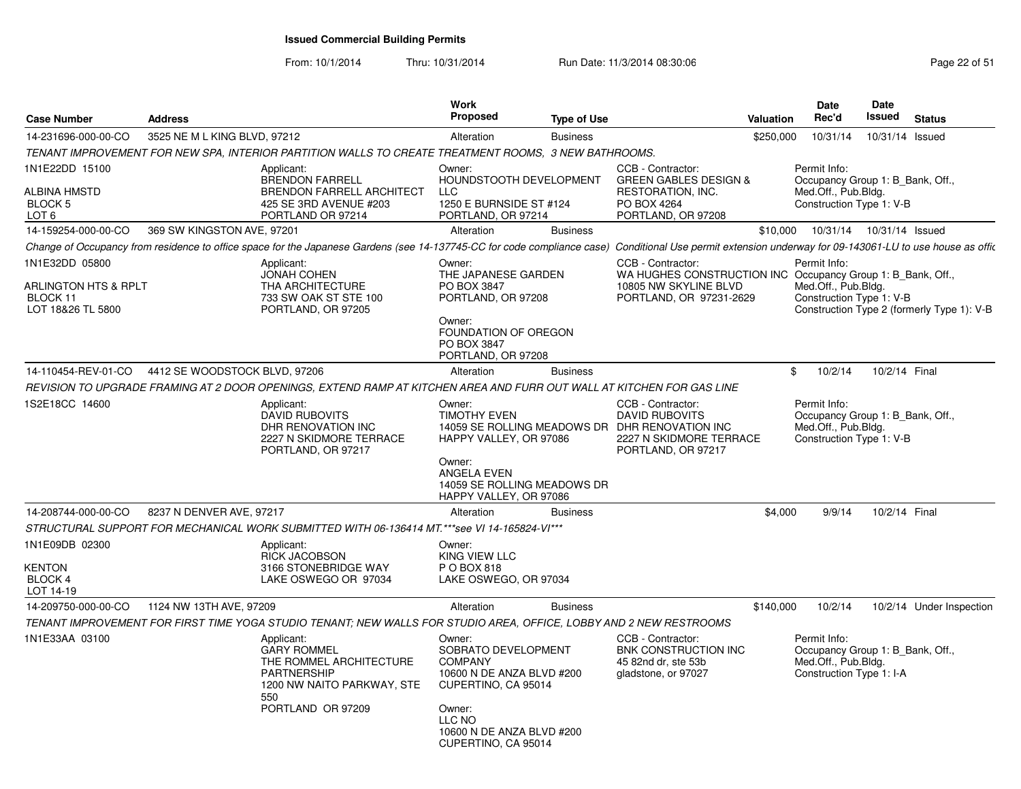From: 10/1/2014

| <b>Case Number</b>                                                      | <b>Address</b>                |                                                                                                                                                                                                          | Work<br><b>Proposed</b>                                                                                                                   | <b>Type of Use</b> |                                                                                                                                               | <b>Valuation</b> | Date<br>Rec'd                                                                                       | Date<br>Issued | <b>Status</b>                              |
|-------------------------------------------------------------------------|-------------------------------|----------------------------------------------------------------------------------------------------------------------------------------------------------------------------------------------------------|-------------------------------------------------------------------------------------------------------------------------------------------|--------------------|-----------------------------------------------------------------------------------------------------------------------------------------------|------------------|-----------------------------------------------------------------------------------------------------|----------------|--------------------------------------------|
| 14-231696-000-00-CO                                                     | 3525 NE M L KING BLVD, 97212  |                                                                                                                                                                                                          | Alteration                                                                                                                                | <b>Business</b>    |                                                                                                                                               | \$250,000        | 10/31/14                                                                                            | 10/31/14       | Issued                                     |
|                                                                         |                               | TENANT IMPROVEMENT FOR NEW SPA, INTERIOR PARTITION WALLS TO CREATE TREATMENT ROOMS, 3 NEW BATHROOMS.                                                                                                     |                                                                                                                                           |                    |                                                                                                                                               |                  |                                                                                                     |                |                                            |
| 1N1E22DD 15100<br>ALBINA HMSTD<br>BLOCK 5<br>LOT 6                      |                               | Applicant:<br><b>BRENDON FARRELL</b><br><b>BRENDON FARRELL ARCHITECT</b><br>425 SE 3RD AVENUE #203<br>PORTLAND OR 97214                                                                                  | Owner:<br>HOUNDSTOOTH DEVELOPMENT<br><b>LLC</b><br>1250 E BURNSIDE ST #124<br>PORTLAND, OR 97214                                          |                    | CCB - Contractor:<br><b>GREEN GABLES DESIGN &amp;</b><br>RESTORATION, INC.<br>PO BOX 4264<br>PORTLAND, OR 97208                               |                  | Permit Info:<br>Occupancy Group 1: B_Bank, Off.,<br>Med.Off., Pub.Bldg.<br>Construction Type 1: V-B |                |                                            |
| 14-159254-000-00-CO                                                     | 369 SW KINGSTON AVE, 97201    |                                                                                                                                                                                                          | Alteration                                                                                                                                | <b>Business</b>    |                                                                                                                                               | \$10,000         | 10/31/14  10/31/14  Issued                                                                          |                |                                            |
|                                                                         |                               | Change of Occupancy from residence to office space for the Japanese Gardens (see 14-137745-CC for code compliance case) Conditional Use permit extension underway for 09-143061-LU to use house as offic |                                                                                                                                           |                    |                                                                                                                                               |                  |                                                                                                     |                |                                            |
| 1N1E32DD 05800<br>ARLINGTON HTS & RPLT<br>BLOCK 11<br>LOT 18&26 TL 5800 |                               | Applicant:<br><b>JONAH COHEN</b><br>THA ARCHITECTURE<br>733 SW OAK ST STE 100<br>PORTLAND, OR 97205                                                                                                      | Owner:<br>THE JAPANESE GARDEN<br>PO BOX 3847<br>PORTLAND, OR 97208<br>Owner:<br>FOUNDATION OF OREGON<br>PO BOX 3847<br>PORTLAND, OR 97208 |                    | CCB - Contractor:<br>WA HUGHES CONSTRUCTION INC Occupancy Group 1: B_Bank, Off.,<br>10805 NW SKYLINE BLVD<br>PORTLAND, OR 97231-2629          |                  | Permit Info:<br>Med.Off., Pub.Bldg.<br>Construction Type 1: V-B                                     |                | Construction Type 2 (formerly Type 1): V-B |
| 14-110454-REV-01-CO                                                     | 4412 SE WOODSTOCK BLVD, 97206 |                                                                                                                                                                                                          | Alteration                                                                                                                                | <b>Business</b>    |                                                                                                                                               | \$               | 10/2/14                                                                                             | 10/2/14 Final  |                                            |
|                                                                         |                               | REVISION TO UPGRADE FRAMING AT 2 DOOR OPENINGS. EXTEND RAMP AT KITCHEN AREA AND FURR OUT WALL AT KITCHEN FOR GAS LINE                                                                                    |                                                                                                                                           |                    |                                                                                                                                               |                  |                                                                                                     |                |                                            |
| 1S2E18CC 14600                                                          |                               | Applicant:<br><b>DAVID RUBOVITS</b><br>DHR RENOVATION INC<br>2227 N SKIDMORE TERRACE<br>PORTLAND, OR 97217                                                                                               | Owner:<br><b>TIMOTHY EVEN</b><br>HAPPY VALLEY, OR 97086<br>Owner:                                                                         |                    | CCB - Contractor:<br><b>DAVID RUBOVITS</b><br>14059 SE ROLLING MEADOWS DR DHR RENOVATION INC<br>2227 N SKIDMORE TERRACE<br>PORTLAND, OR 97217 |                  | Permit Info:<br>Occupancy Group 1: B Bank, Off.,<br>Med.Off., Pub.Bldg.<br>Construction Type 1: V-B |                |                                            |
|                                                                         |                               |                                                                                                                                                                                                          | ANGELA EVEN<br>14059 SE ROLLING MEADOWS DR<br>HAPPY VALLEY, OR 97086                                                                      |                    |                                                                                                                                               |                  |                                                                                                     |                |                                            |
| 14-208744-000-00-CO                                                     | 8237 N DENVER AVE, 97217      |                                                                                                                                                                                                          | Alteration                                                                                                                                | <b>Business</b>    |                                                                                                                                               | \$4,000          | 9/9/14                                                                                              | 10/2/14 Final  |                                            |
|                                                                         |                               | STRUCTURAL SUPPORT FOR MECHANICAL WORK SUBMITTED WITH 06-136414 MT.***see VI 14-165824-VI***                                                                                                             |                                                                                                                                           |                    |                                                                                                                                               |                  |                                                                                                     |                |                                            |
| 1N1E09DB 02300<br><b>KENTON</b><br>BLOCK 4<br>LOT 14-19                 |                               | Applicant:<br><b>RICK JACOBSON</b><br>3166 STONEBRIDGE WAY<br>LAKE OSWEGO OR 97034                                                                                                                       | Owner:<br>KING VIEW LLC<br>P O BOX 818<br>LAKE OSWEGO, OR 97034                                                                           |                    |                                                                                                                                               |                  |                                                                                                     |                |                                            |
| 14-209750-000-00-CO                                                     | 1124 NW 13TH AVE, 97209       |                                                                                                                                                                                                          | Alteration                                                                                                                                | <b>Business</b>    |                                                                                                                                               | \$140,000        | 10/2/14                                                                                             |                | 10/2/14 Under Inspection                   |
|                                                                         |                               | TENANT IMPROVEMENT FOR FIRST TIME YOGA STUDIO TENANT; NEW WALLS FOR STUDIO AREA, OFFICE, LOBBY AND 2 NEW RESTROOMS                                                                                       |                                                                                                                                           |                    |                                                                                                                                               |                  |                                                                                                     |                |                                            |
| 1N1E33AA 03100                                                          |                               | Applicant:<br><b>GARY ROMMEL</b><br>THE ROMMEL ARCHITECTURE<br><b>PARTNERSHIP</b><br>1200 NW NAITO PARKWAY, STE<br>550<br>PORTLAND OR 97209                                                              | Owner:<br>SOBRATO DEVELOPMENT<br><b>COMPANY</b><br>10600 N DE ANZA BLVD #200<br>CUPERTINO, CA 95014<br>Owner:                             |                    | CCB - Contractor:<br>BNK CONSTRUCTION INC<br>45 82nd dr. ste 53b<br>gladstone, or 97027                                                       |                  | Permit Info:<br>Occupancy Group 1: B_Bank, Off.,<br>Med.Off., Pub.Bldg.<br>Construction Type 1: I-A |                |                                            |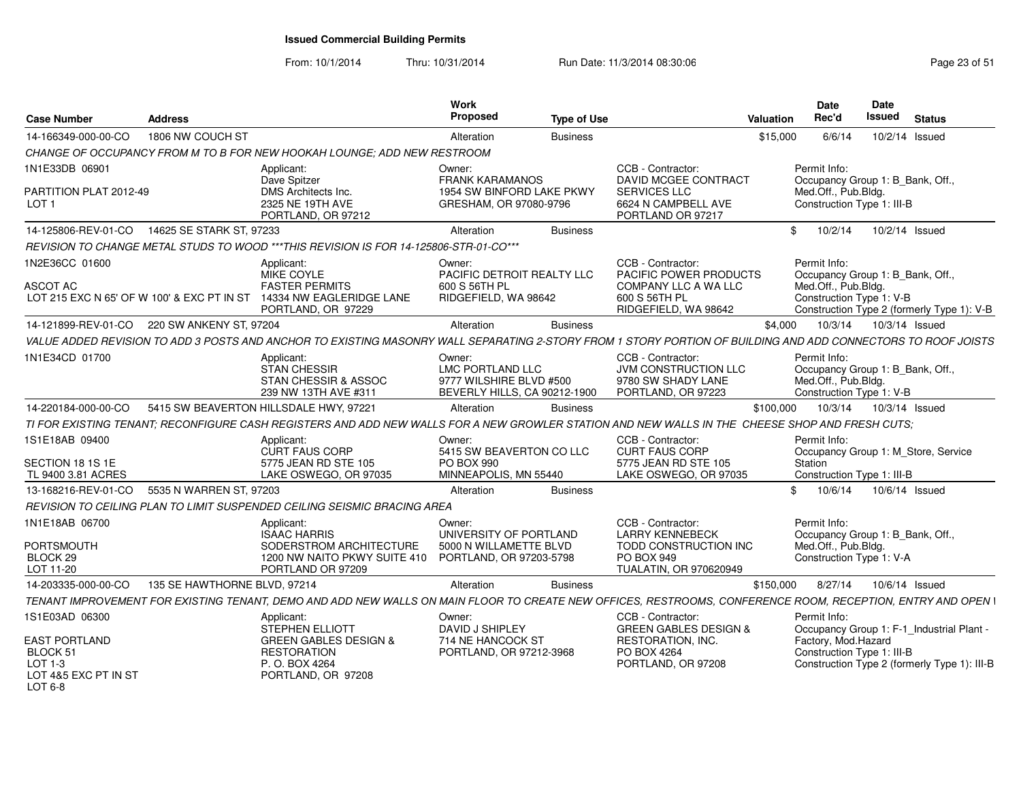From: 10/1/2014

| <b>Case Number</b>                                                                                 | <b>Address</b>               |                                                                                                                                                               | <b>Work</b><br><b>Proposed</b>                                                               | <b>Type of Use</b> |                                                                                                                            | Valuation | Date<br>Rec'd                                                                                         | Date<br>Issued | <b>Status</b>                                                                             |
|----------------------------------------------------------------------------------------------------|------------------------------|---------------------------------------------------------------------------------------------------------------------------------------------------------------|----------------------------------------------------------------------------------------------|--------------------|----------------------------------------------------------------------------------------------------------------------------|-----------|-------------------------------------------------------------------------------------------------------|----------------|-------------------------------------------------------------------------------------------|
| 14-166349-000-00-CO                                                                                | 1806 NW COUCH ST             |                                                                                                                                                               | Alteration                                                                                   | <b>Business</b>    |                                                                                                                            | \$15,000  | 6/6/14                                                                                                | 10/2/14 Issued |                                                                                           |
|                                                                                                    |                              | CHANGE OF OCCUPANCY FROM M TO B FOR NEW HOOKAH LOUNGE; ADD NEW RESTROOM                                                                                       |                                                                                              |                    |                                                                                                                            |           |                                                                                                       |                |                                                                                           |
| 1N1E33DB 06901<br>PARTITION PLAT 2012-49<br>LOT <sub>1</sub>                                       |                              | Applicant:<br>Dave Spitzer<br>DMS Architects Inc.<br>2325 NE 19TH AVE                                                                                         | Owner:<br><b>FRANK KARAMANOS</b><br>1954 SW BINFORD LAKE PKWY<br>GRESHAM, OR 97080-9796      |                    | CCB - Contractor:<br><b>DAVID MCGEE CONTRACT</b><br><b>SERVICES LLC</b><br>6624 N CAMPBELL AVE                             |           | Permit Info:<br>Occupancy Group 1: B Bank, Off.,<br>Med.Off., Pub.Bldg.<br>Construction Type 1: III-B |                |                                                                                           |
|                                                                                                    |                              | PORTLAND, OR 97212                                                                                                                                            |                                                                                              |                    | PORTLAND OR 97217                                                                                                          |           |                                                                                                       |                |                                                                                           |
| 14-125806-REV-01-CO                                                                                | 14625 SE STARK ST, 97233     |                                                                                                                                                               | Alteration                                                                                   | <b>Business</b>    |                                                                                                                            | \$        | 10/2/14                                                                                               | 10/2/14 Issued |                                                                                           |
|                                                                                                    |                              | REVISION TO CHANGE METAL STUDS TO WOOD ***THIS REVISION IS FOR 14-125806-STR-01-CO***                                                                         |                                                                                              |                    |                                                                                                                            |           |                                                                                                       |                |                                                                                           |
| 1N2E36CC 01600<br><b>ASCOT AC</b><br>LOT 215 EXC N 65' OF W 100' & EXC PT IN ST                    |                              | Applicant:<br>MIKE COYLE<br><b>FASTER PERMITS</b><br>14334 NW EAGLERIDGE LANE<br>PORTLAND, OR 97229                                                           | Owner:<br>PACIFIC DETROIT REALTY LLC<br>600 S 56TH PL<br>RIDGEFIELD, WA 98642                |                    | CCB - Contractor:<br>PACIFIC POWER PRODUCTS<br>COMPANY LLC A WA LLC<br>600 S 56TH PL<br>RIDGEFIELD, WA 98642               |           | Permit Info:<br>Occupancy Group 1: B_Bank, Off.,<br>Med.Off., Pub.Bldg.<br>Construction Type 1: V-B   |                | Construction Type 2 (formerly Type 1): V-B                                                |
| 14-121899-REV-01-CO 220 SW ANKENY ST. 97204                                                        |                              |                                                                                                                                                               | Alteration                                                                                   | <b>Business</b>    |                                                                                                                            | \$4.000   | 10/3/14                                                                                               | 10/3/14 Issued |                                                                                           |
|                                                                                                    |                              | VALUE ADDED REVISION TO ADD 3 POSTS AND ANCHOR TO EXISTING MASONRY WALL SEPARATING 2-STORY FROM 1 STORY PORTION OF BUILDING AND ADD CONNECTORS TO ROOF JOISTS |                                                                                              |                    |                                                                                                                            |           |                                                                                                       |                |                                                                                           |
| 1N1E34CD 01700                                                                                     |                              | Applicant:<br><b>STAN CHESSIR</b><br><b>STAN CHESSIR &amp; ASSOC</b><br>239 NW 13TH AVE #311                                                                  | Owner:<br><b>LMC PORTLAND LLC</b><br>9777 WILSHIRE BLVD #500<br>BEVERLY HILLS, CA 90212-1900 |                    | CCB - Contractor:<br><b>JVM CONSTRUCTION LLC</b><br>9780 SW SHADY LANE<br>PORTLAND, OR 97223                               |           | Permit Info:<br>Occupancy Group 1: B_Bank, Off.,<br>Med.Off., Pub.Bldg.<br>Construction Type 1: V-B   |                |                                                                                           |
| 14-220184-000-00-CO                                                                                |                              | 5415 SW BEAVERTON HILLSDALE HWY, 97221                                                                                                                        | Alteration                                                                                   | <b>Business</b>    |                                                                                                                            | \$100,000 | 10/3/14                                                                                               | 10/3/14 Issued |                                                                                           |
|                                                                                                    |                              | TI FOR EXISTING TENANT; RECONFIGURE CASH REGISTERS AND ADD NEW WALLS FOR A NEW GROWLER STATION AND NEW WALLS IN THE CHEESE SHOP AND FRESH CUTS;               |                                                                                              |                    |                                                                                                                            |           |                                                                                                       |                |                                                                                           |
| 1S1E18AB 09400<br>SECTION 18 1S 1E<br>TL 9400 3.81 ACRES                                           |                              | Applicant:<br>CURT FAUS CORP<br>5775 JEAN RD STE 105<br>LAKE OSWEGO, OR 97035                                                                                 | Owner:<br>5415 SW BEAVERTON CO LLC<br><b>PO BOX 990</b><br>MINNEAPOLIS, MN 55440             |                    | CCB - Contractor:<br><b>CURT FAUS CORP</b><br>5775 JEAN RD STE 105<br>LAKE OSWEGO, OR 97035                                |           | Permit Info:<br>Station<br>Construction Type 1: III-B                                                 |                | Occupancy Group 1: M_Store, Service                                                       |
| 13-168216-REV-01-CO                                                                                | 5535 N WARREN ST, 97203      |                                                                                                                                                               | Alteration                                                                                   | <b>Business</b>    |                                                                                                                            | \$.       | 10/6/14                                                                                               | 10/6/14 Issued |                                                                                           |
|                                                                                                    |                              | REVISION TO CEILING PLAN TO LIMIT SUSPENDED CEILING SEISMIC BRACING AREA                                                                                      |                                                                                              |                    |                                                                                                                            |           |                                                                                                       |                |                                                                                           |
| 1N1E18AB 06700<br><b>PORTSMOUTH</b><br>BLOCK 29<br>LOT 11-20                                       |                              | Applicant:<br><b>ISAAC HARRIS</b><br>SODERSTROM ARCHITECTURE<br>1200 NW NAITO PKWY SUITE 410<br>PORTLAND OR 97209                                             | Owner:<br>UNIVERSITY OF PORTLAND<br>5000 N WILLAMETTE BLVD<br>PORTLAND, OR 97203-5798        |                    | CCB - Contractor:<br><b>LARRY KENNEBECK</b><br>TODD CONSTRUCTION INC<br><b>PO BOX 949</b><br><b>TUALATIN, OR 970620949</b> |           | Permit Info:<br>Occupancy Group 1: B Bank, Off.,<br>Med.Off., Pub.Bldg.<br>Construction Type 1: V-A   |                |                                                                                           |
| 14-203335-000-00-CO                                                                                | 135 SE HAWTHORNE BLVD, 97214 |                                                                                                                                                               | Alteration                                                                                   | <b>Business</b>    |                                                                                                                            | \$150,000 | 8/27/14                                                                                               | 10/6/14 Issued |                                                                                           |
|                                                                                                    |                              | TENANT IMPROVEMENT FOR EXISTING TENANT. DEMO AND ADD NEW WALLS ON MAIN FLOOR TO CREATE NEW OFFICES. RESTROOMS, CONFERENCE ROOM, RECEPTION, ENTRY AND OPEN I   |                                                                                              |                    |                                                                                                                            |           |                                                                                                       |                |                                                                                           |
| 1S1E03AD 06300<br><b>EAST PORTLAND</b><br>BLOCK 51<br>$LOT 1-3$<br>LOT 4&5 EXC PT IN ST<br>LOT 6-8 |                              | Applicant:<br><b>STEPHEN ELLIOTT</b><br><b>GREEN GABLES DESIGN &amp;</b><br><b>RESTORATION</b><br>P. O. BOX 4264<br>PORTLAND, OR 97208                        | Owner:<br><b>DAVID J SHIPLEY</b><br>714 NE HANCOCK ST<br>PORTLAND, OR 97212-3968             |                    | CCB - Contractor:<br><b>GREEN GABLES DESIGN &amp;</b><br>RESTORATION, INC.<br>PO BOX 4264<br>PORTLAND, OR 97208            |           | Permit Info:<br>Factory, Mod.Hazard<br>Construction Type 1: III-B                                     |                | Occupancy Group 1: F-1 Industrial Plant -<br>Construction Type 2 (formerly Type 1): III-B |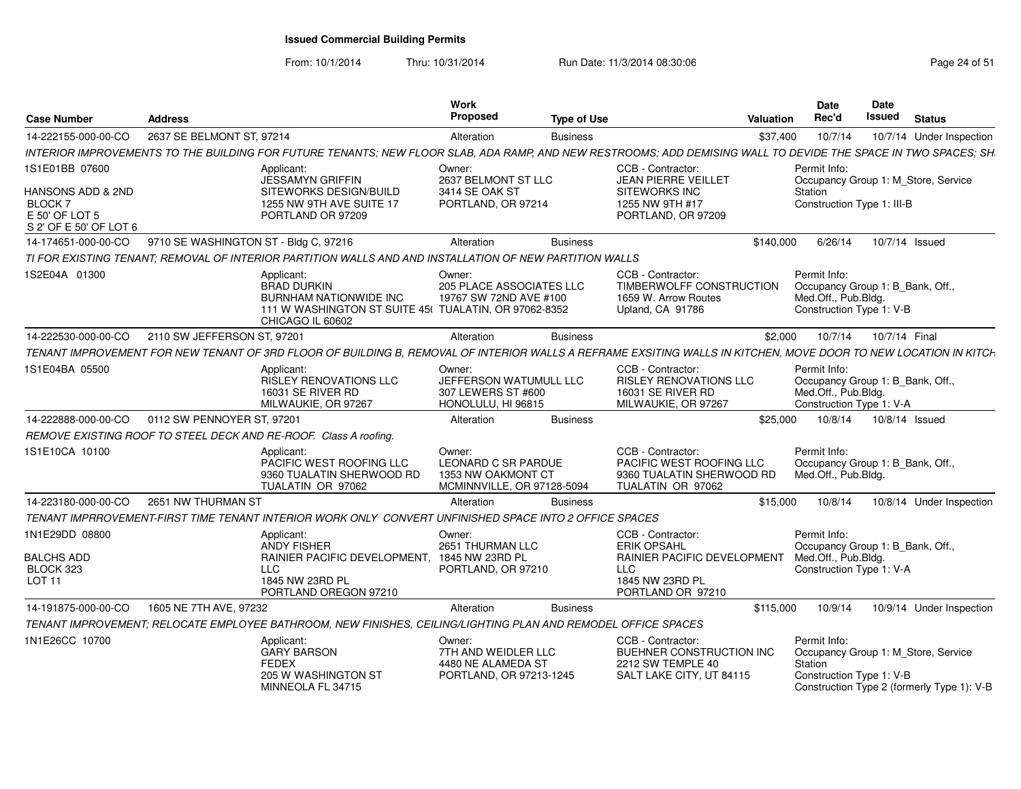| <b>Case Number</b>                                                             | <b>Address</b>                        |                                                                                                                                                                 | Work<br>Proposed                                                                  | <b>Type of Use</b> |                                                                                                                              | Valuation | Date<br>Rec'd                                                                                       | Date<br>Issued | <b>Status</b>                                                                     |
|--------------------------------------------------------------------------------|---------------------------------------|-----------------------------------------------------------------------------------------------------------------------------------------------------------------|-----------------------------------------------------------------------------------|--------------------|------------------------------------------------------------------------------------------------------------------------------|-----------|-----------------------------------------------------------------------------------------------------|----------------|-----------------------------------------------------------------------------------|
| 14-222155-000-00-CO                                                            | 2637 SE BELMONT ST, 97214             |                                                                                                                                                                 | Alteration                                                                        | <b>Business</b>    |                                                                                                                              | \$37,400  | 10/7/14                                                                                             |                | 10/7/14 Under Inspection                                                          |
|                                                                                |                                       | INTERIOR IMPROVEMENTS TO THE BUILDING FOR FUTURE TENANTS; NEW FLOOR SLAB, ADA RAMP, AND NEW RESTROOMS; ADD DEMISING WALL TO DEVIDE THE SPACE IN TWO SPACES; SH. |                                                                                   |                    |                                                                                                                              |           |                                                                                                     |                |                                                                                   |
| 1S1E01BB 07600                                                                 |                                       | Applicant:<br><b>JESSAMYN GRIFFIN</b>                                                                                                                           | Owner:<br>2637 BELMONT ST LLC                                                     |                    | CCB - Contractor:<br><b>JEAN PIERRE VEILLET</b>                                                                              |           | Permit Info:                                                                                        |                | Occupancy Group 1: M_Store, Service                                               |
| HANSONS ADD & 2ND<br><b>BLOCK7</b><br>E 50' OF LOT 5<br>S 2' OF E 50' OF LOT 6 |                                       | SITEWORKS DESIGN/BUILD<br>1255 NW 9TH AVE SUITE 17<br>PORTLAND OR 97209                                                                                         | 3414 SE OAK ST<br>PORTLAND, OR 97214                                              |                    | <b>SITEWORKS INC</b><br>1255 NW 9TH #17<br>PORTLAND, OR 97209                                                                |           | Station<br>Construction Type 1: III-B                                                               |                |                                                                                   |
| 14-174651-000-00-CO                                                            | 9710 SE WASHINGTON ST - Bldg C, 97216 |                                                                                                                                                                 | Alteration                                                                        | <b>Business</b>    |                                                                                                                              | \$140,000 | 6/26/14                                                                                             |                | 10/7/14 Issued                                                                    |
|                                                                                |                                       | TI FOR EXISTING TENANT: REMOVAL OF INTERIOR PARTITION WALLS AND AND INSTALLATION OF NEW PARTITION WALLS                                                         |                                                                                   |                    |                                                                                                                              |           |                                                                                                     |                |                                                                                   |
| 1S2E04A 01300                                                                  |                                       | Applicant:<br><b>BRAD DURKIN</b><br>BURNHAM NATIONWIDE INC<br>111 W WASHINGTON ST SUITE 45( TUALATIN, OR 97062-8352<br>CHICAGO IL 60602                         | Owner:<br><b>205 PLACE ASSOCIATES LLC</b><br>19767 SW 72ND AVE #100               |                    | CCB - Contractor:<br>TIMBERWOLFF CONSTRUCTION<br>1659 W. Arrow Routes<br>Upland, CA 91786                                    |           | Permit Info:<br>Occupancy Group 1: B_Bank, Off.,<br>Med.Off., Pub.Bldg.<br>Construction Type 1: V-B |                |                                                                                   |
| 14-222530-000-00-CO                                                            | 2110 SW JEFFERSON ST, 97201           |                                                                                                                                                                 | Alteration                                                                        | <b>Business</b>    |                                                                                                                              | \$2,000   | 10/7/14                                                                                             | 10/7/14 Final  |                                                                                   |
|                                                                                |                                       | TENANT IMPROVEMENT FOR NEW TENANT OF 3RD FLOOR OF BUILDING B, REMOVAL OF INTERIOR WALLS A REFRAME EXSITING WALLS IN KITCHEN, MOVE DOOR TO NEW LOCATION IN KITCH |                                                                                   |                    |                                                                                                                              |           |                                                                                                     |                |                                                                                   |
| 1S1E04BA 05500                                                                 |                                       | Applicant:<br><b>RISLEY RENOVATIONS LLC</b><br><b>16031 SE RIVER RD</b><br>MILWAUKIE, OR 97267                                                                  | Owner:<br>JEFFERSON WATUMULL LLC<br>307 LEWERS ST #600<br>HONOLULU, HI 96815      |                    | CCB - Contractor:<br><b>RISLEY RENOVATIONS LLC</b><br>16031 SE RIVER RD<br>MILWAUKIE, OR 97267                               |           | Permit Info:<br>Occupancy Group 1: B_Bank, Off.,<br>Med.Off., Pub.Bldg.<br>Construction Type 1: V-A |                |                                                                                   |
| 14-222888-000-00-CO                                                            | 0112 SW PENNOYER ST, 97201            |                                                                                                                                                                 | Alteration                                                                        | <b>Business</b>    |                                                                                                                              | \$25,000  | 10/8/14                                                                                             |                | 10/8/14 Issued                                                                    |
|                                                                                |                                       | REMOVE EXISTING ROOF TO STEEL DECK AND RE-ROOF. Class A roofing.                                                                                                |                                                                                   |                    |                                                                                                                              |           |                                                                                                     |                |                                                                                   |
| 1S1E10CA 10100                                                                 |                                       | Applicant:<br>PACIFIC WEST ROOFING LLC<br>9360 TUALATIN SHERWOOD RD<br>TUALATIN OR 97062                                                                        | Owner:<br>LEONARD C SR PARDUE<br>1353 NW OAKMONT CT<br>MCMINNVILLE, OR 97128-5094 |                    | CCB - Contractor:<br>PACIFIC WEST ROOFING LLC<br>9360 TUALATIN SHERWOOD RD<br>TUALATIN OR 97062                              |           | Permit Info:<br>Occupancy Group 1: B_Bank, Off.,<br>Med.Off., Pub.Bldg.                             |                |                                                                                   |
| 14-223180-000-00-CO                                                            | 2651 NW THURMAN ST                    |                                                                                                                                                                 | Alteration                                                                        | <b>Business</b>    |                                                                                                                              | \$15,000  | 10/8/14                                                                                             |                | 10/8/14 Under Inspection                                                          |
|                                                                                |                                       | TENANT IMPRROVEMENT-FIRST TIME TENANT INTERIOR WORK ONLY CONVERT UNFINISHED SPACE INTO 2 OFFICE SPACES                                                          |                                                                                   |                    |                                                                                                                              |           |                                                                                                     |                |                                                                                   |
| 1N1E29DD 08800<br><b>BALCHS ADD</b><br>BLOCK 323<br><b>LOT 11</b>              |                                       | Applicant:<br><b>ANDY FISHER</b><br>RAINIER PACIFIC DEVELOPMENT,<br><b>LLC</b><br>1845 NW 23RD PL<br>PORTLAND OREGON 97210                                      | Owner:<br>2651 THURMAN LLC<br>1845 NW 23RD PL<br>PORTLAND, OR 97210               |                    | CCB - Contractor:<br><b>ERIK OPSAHL</b><br>RAINIER PACIFIC DEVELOPMENT<br><b>LLC</b><br>1845 NW 23RD PL<br>PORTLAND OR 97210 |           | Permit Info:<br>Occupancy Group 1: B Bank, Off.,<br>Med.Off., Pub.Bldg.<br>Construction Type 1: V-A |                |                                                                                   |
| 14-191875-000-00-CO                                                            | 1605 NE 7TH AVE, 97232                |                                                                                                                                                                 | Alteration                                                                        | <b>Business</b>    |                                                                                                                              | \$115,000 | 10/9/14                                                                                             |                | 10/9/14 Under Inspection                                                          |
|                                                                                |                                       | TENANT IMPROVEMENT; RELOCATE EMPLOYEE BATHROOM, NEW FINISHES, CEILING/LIGHTING PLAN AND REMODEL OFFICE SPACES                                                   |                                                                                   |                    |                                                                                                                              |           |                                                                                                     |                |                                                                                   |
| 1N1E26CC 10700                                                                 |                                       | Applicant:<br><b>GARY BARSON</b><br><b>FEDEX</b><br>205 W WASHINGTON ST<br>MINNEOLA FL 34715                                                                    | Owner:<br>7TH AND WEIDLER LLC<br>4480 NE ALAMEDA ST<br>PORTLAND, OR 97213-1245    |                    | CCB - Contractor:<br>BUEHNER CONSTRUCTION INC<br>2212 SW TEMPLE 40<br>SALT LAKE CITY, UT 84115                               |           | Permit Info:<br>Station<br>Construction Type 1: V-B                                                 |                | Occupancy Group 1: M_Store, Service<br>Construction Type 2 (formerly Type 1): V-B |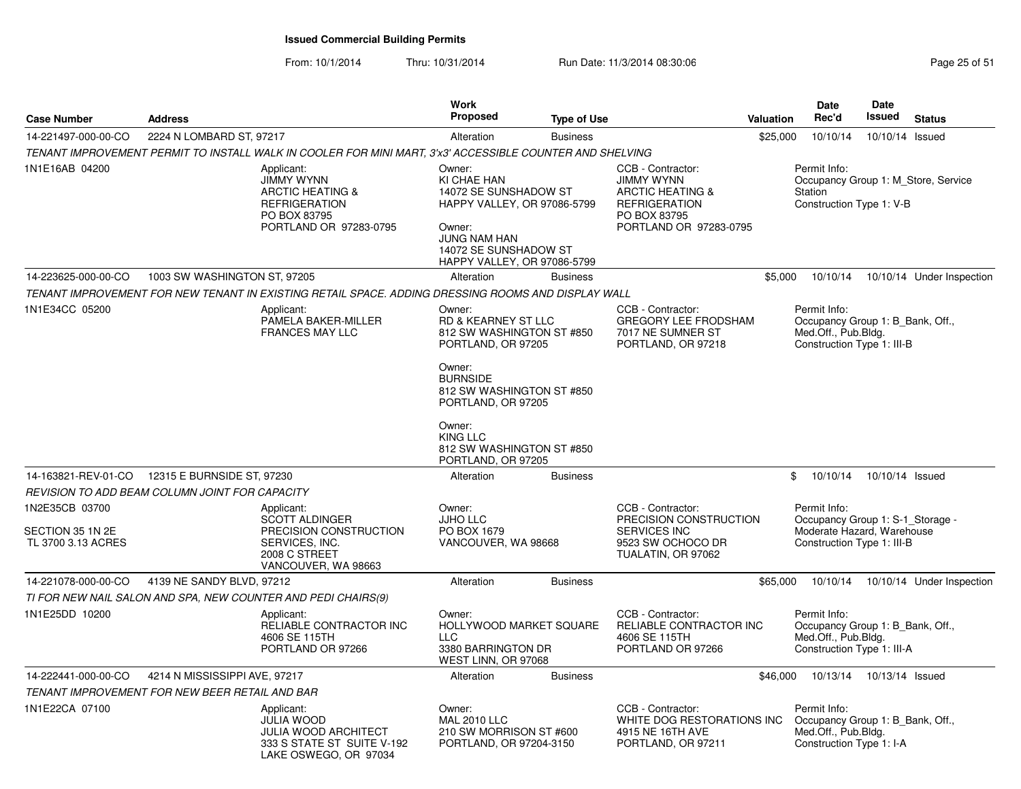From: 10/1/2014

| <b>Case Number</b>                                       | <b>Address</b>                                                                                                                   | Work<br><b>Proposed</b>                                                                                                                                                | <b>Type of Use</b> |                                                                                                                                         | <b>Valuation</b> | <b>Date</b><br>Rec'd                                                                                         | Date<br>Issued             | <b>Status</b>                       |
|----------------------------------------------------------|----------------------------------------------------------------------------------------------------------------------------------|------------------------------------------------------------------------------------------------------------------------------------------------------------------------|--------------------|-----------------------------------------------------------------------------------------------------------------------------------------|------------------|--------------------------------------------------------------------------------------------------------------|----------------------------|-------------------------------------|
| 14-221497-000-00-CO                                      | 2224 N LOMBARD ST, 97217                                                                                                         | Alteration                                                                                                                                                             | <b>Business</b>    |                                                                                                                                         | \$25,000         | 10/10/14                                                                                                     | 10/10/14                   | Issued                              |
|                                                          | TENANT IMPROVEMENT PERMIT TO INSTALL WALK IN COOLER FOR MINI MART, 3'x3' ACCESSIBLE COUNTER AND SHELVING                         |                                                                                                                                                                        |                    |                                                                                                                                         |                  |                                                                                                              |                            |                                     |
| 1N1E16AB 04200                                           | Applicant:<br><b>JIMMY WYNN</b><br><b>ARCTIC HEATING &amp;</b><br><b>REFRIGERATION</b><br>PO BOX 83795<br>PORTLAND OR 97283-0795 | Owner:<br>KI CHAE HAN<br>14072 SE SUNSHADOW ST<br>HAPPY VALLEY, OR 97086-5799<br>Owner:<br><b>JUNG NAM HAN</b><br>14072 SE SUNSHADOW ST<br>HAPPY VALLEY, OR 97086-5799 |                    | CCB - Contractor:<br><b>JIMMY WYNN</b><br><b>ARCTIC HEATING &amp;</b><br><b>REFRIGERATION</b><br>PO BOX 83795<br>PORTLAND OR 97283-0795 |                  | Permit Info:<br><b>Station</b><br>Construction Type 1: V-B                                                   |                            | Occupancy Group 1: M Store, Service |
| 14-223625-000-00-CO                                      | 1003 SW WASHINGTON ST, 97205                                                                                                     | Alteration                                                                                                                                                             | <b>Business</b>    |                                                                                                                                         | \$5,000          | 10/10/14                                                                                                     |                            | 10/10/14 Under Inspection           |
|                                                          | TENANT IMPROVEMENT FOR NEW TENANT IN EXISTING RETAIL SPACE. ADDING DRESSING ROOMS AND DISPLAY WALL                               |                                                                                                                                                                        |                    |                                                                                                                                         |                  |                                                                                                              |                            |                                     |
| 1N1E34CC 05200                                           | Applicant:<br>PAMELA BAKER-MILLER<br><b>FRANCES MAY LLC</b>                                                                      | Owner:<br>RD & KEARNEY ST LLC<br>812 SW WASHINGTON ST #850<br>PORTLAND, OR 97205                                                                                       |                    | CCB - Contractor:<br><b>GREGORY LEE FRODSHAM</b><br>7017 NE SUMNER ST<br>PORTLAND, OR 97218                                             |                  | Permit Info:<br>Occupancy Group 1: B_Bank, Off.,<br>Med.Off., Pub.Bldg.<br>Construction Type 1: III-B        |                            |                                     |
|                                                          |                                                                                                                                  | Owner:<br><b>BURNSIDE</b><br>812 SW WASHINGTON ST #850<br>PORTLAND, OR 97205                                                                                           |                    |                                                                                                                                         |                  |                                                                                                              |                            |                                     |
|                                                          |                                                                                                                                  | Owner:<br><b>KING LLC</b><br>812 SW WASHINGTON ST #850<br>PORTLAND, OR 97205                                                                                           |                    |                                                                                                                                         |                  |                                                                                                              |                            |                                     |
| 14-163821-REV-01-CO                                      | 12315 E BURNSIDE ST, 97230                                                                                                       | Alteration                                                                                                                                                             | <b>Business</b>    |                                                                                                                                         | \$               | 10/10/14                                                                                                     | 10/10/14 Issued            |                                     |
|                                                          | REVISION TO ADD BEAM COLUMN JOINT FOR CAPACITY                                                                                   |                                                                                                                                                                        |                    |                                                                                                                                         |                  |                                                                                                              |                            |                                     |
| 1N2E35CB 03700<br>SECTION 35 1N 2E<br>TL 3700 3.13 ACRES | Applicant:<br><b>SCOTT ALDINGER</b><br>PRECISION CONSTRUCTION<br>SERVICES, INC.<br>2008 C STREET<br>VANCOUVER, WA 98663          | Owner:<br><b>JJHO LLC</b><br>PO BOX 1679<br>VANCOUVER, WA 98668                                                                                                        |                    | CCB - Contractor:<br>PRECISION CONSTRUCTION<br>SERVICES INC<br>9523 SW OCHOCO DR<br>TUALATIN, OR 97062                                  |                  | Permit Info:<br>Occupancy Group 1: S-1_Storage -<br>Moderate Hazard, Warehouse<br>Construction Type 1: III-B |                            |                                     |
| 14-221078-000-00-CO                                      | 4139 NE SANDY BLVD, 97212                                                                                                        | Alteration                                                                                                                                                             | <b>Business</b>    |                                                                                                                                         | \$65,000         | 10/10/14                                                                                                     |                            | 10/10/14 Under Inspection           |
|                                                          | TI FOR NEW NAIL SALON AND SPA, NEW COUNTER AND PEDI CHAIRS(9)                                                                    |                                                                                                                                                                        |                    |                                                                                                                                         |                  |                                                                                                              |                            |                                     |
| 1N1E25DD 10200                                           | Applicant:<br>RELIABLE CONTRACTOR INC<br>4606 SE 115TH<br>PORTLAND OR 97266                                                      | Owner:<br>HOLLYWOOD MARKET SQUARE<br><b>LLC</b><br>3380 BARRINGTON DR<br>WEST LINN, OR 97068                                                                           |                    | CCB - Contractor:<br>RELIABLE CONTRACTOR INC<br>4606 SE 115TH<br>PORTLAND OR 97266                                                      |                  | Permit Info:<br>Occupancy Group 1: B_Bank, Off.,<br>Med.Off., Pub.Bldg.<br>Construction Type 1: III-A        |                            |                                     |
| 14-222441-000-00-CO                                      | 4214 N MISSISSIPPI AVE, 97217                                                                                                    | Alteration                                                                                                                                                             | <b>Business</b>    |                                                                                                                                         | \$46,000         |                                                                                                              | 10/13/14  10/13/14  Issued |                                     |
|                                                          | TENANT IMPROVEMENT FOR NEW BEER RETAIL AND BAR                                                                                   |                                                                                                                                                                        |                    |                                                                                                                                         |                  |                                                                                                              |                            |                                     |
| 1N1E22CA 07100                                           | Applicant:<br><b>JULIA WOOD</b><br><b>JULIA WOOD ARCHITECT</b><br>333 S STATE ST SUITE V-192<br>LAKE OSWEGO, OR 97034            | Owner:<br><b>MAL 2010 LLC</b><br>210 SW MORRISON ST #600<br>PORTLAND, OR 97204-3150                                                                                    |                    | CCB - Contractor:<br>WHITE DOG RESTORATIONS INC<br>4915 NE 16TH AVE<br>PORTLAND, OR 97211                                               |                  | Permit Info:<br>Occupancy Group 1: B_Bank, Off.,<br>Med.Off., Pub.Bldg.<br>Construction Type 1: I-A          |                            |                                     |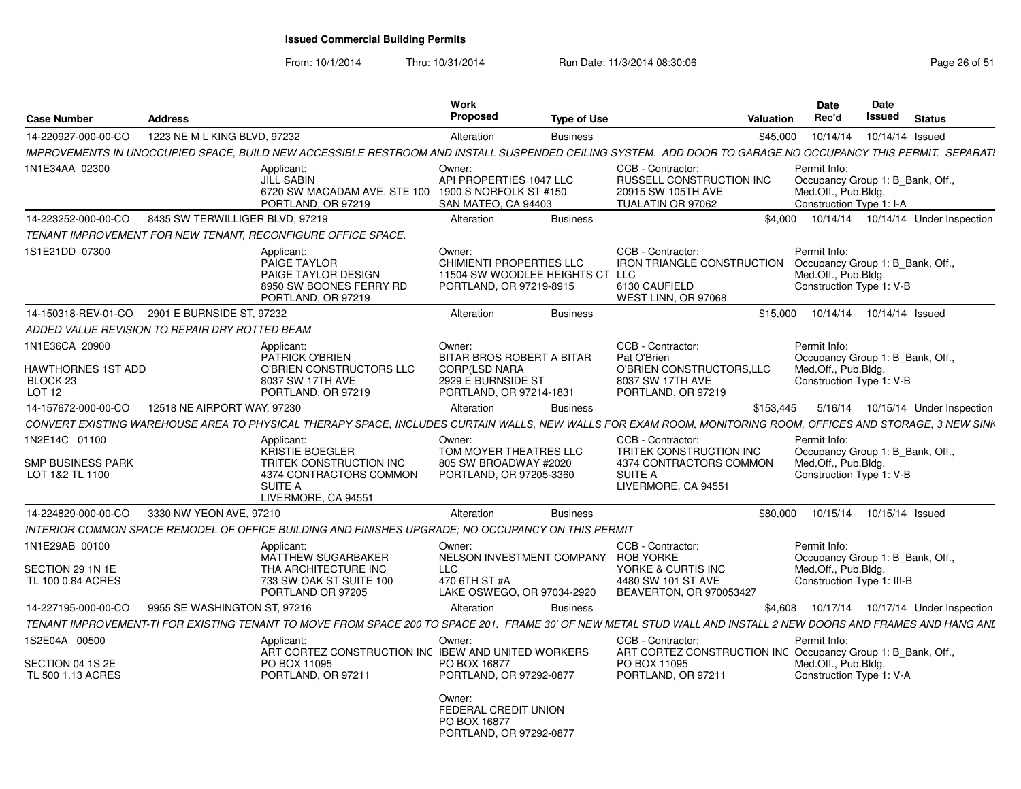From: 10/1/2014

| <b>Case Number</b>                                                               | <b>Address</b>                                 |                                                                                                                                                                 | Work<br><b>Proposed</b>                                                                                      | <b>Type of Use</b> |                                                                                                                  | <b>Valuation</b> | <b>Date</b><br>Rec'd                                                                                  | <b>Date</b><br>Issued | <b>Status</b> |                                      |
|----------------------------------------------------------------------------------|------------------------------------------------|-----------------------------------------------------------------------------------------------------------------------------------------------------------------|--------------------------------------------------------------------------------------------------------------|--------------------|------------------------------------------------------------------------------------------------------------------|------------------|-------------------------------------------------------------------------------------------------------|-----------------------|---------------|--------------------------------------|
| 14-220927-000-00-CO                                                              | 1223 NE M L KING BLVD, 97232                   |                                                                                                                                                                 | Alteration                                                                                                   | <b>Business</b>    |                                                                                                                  | \$45,000         | 10/14/14                                                                                              | 10/14/14 Issued       |               |                                      |
|                                                                                  |                                                | IMPROVEMENTS IN UNOCCUPIED SPACE, BUILD NEW ACCESSIBLE RESTROOM AND INSTALL SUSPENDED CEILING SYSTEM. ADD DOOR TO GARAGE.NO OCCUPANCY THIS PERMIT. SEPARATI     |                                                                                                              |                    |                                                                                                                  |                  |                                                                                                       |                       |               |                                      |
| 1N1E34AA 02300                                                                   |                                                | Applicant:<br><b>JILL SABIN</b><br>6720 SW MACADAM AVE. STE 100<br>PORTLAND, OR 97219                                                                           | Owner:<br>API PROPERTIES 1047 LLC<br>1900 S NORFOLK ST #150<br>SAN MATEO, CA 94403                           |                    | CCB - Contractor:<br>RUSSELL CONSTRUCTION INC<br>20915 SW 105TH AVE<br>TUALATIN OR 97062                         |                  | Permit Info:<br>Occupancy Group 1: B_Bank, Off.,<br>Med.Off., Pub.Bldg.<br>Construction Type 1: I-A   |                       |               |                                      |
| 14-223252-000-00-CO                                                              | 8435 SW TERWILLIGER BLVD, 97219                |                                                                                                                                                                 | Alteration                                                                                                   | <b>Business</b>    |                                                                                                                  | \$4.000          |                                                                                                       |                       |               | 10/14/14  10/14/14  Under Inspection |
|                                                                                  |                                                | TENANT IMPROVEMENT FOR NEW TENANT, RECONFIGURE OFFICE SPACE.                                                                                                    |                                                                                                              |                    |                                                                                                                  |                  |                                                                                                       |                       |               |                                      |
| 1S1E21DD 07300                                                                   |                                                | Applicant:<br>PAIGE TAYLOR<br>PAIGE TAYLOR DESIGN<br>8950 SW BOONES FERRY RD<br>PORTLAND, OR 97219                                                              | Owner:<br>CHIMIENTI PROPERTIES LLC<br>11504 SW WOODLEE HEIGHTS CT LLC<br>PORTLAND, OR 97219-8915             |                    | CCB - Contractor:<br><b>IRON TRIANGLE CONSTRUCTION</b><br>6130 CAUFIELD<br>WEST LINN, OR 97068                   |                  | Permit Info:<br>Occupancy Group 1: B_Bank, Off.,<br>Med.Off., Pub.Bldg.<br>Construction Type 1: V-B   |                       |               |                                      |
|                                                                                  | 14-150318-REV-01-CO 2901 E BURNSIDE ST. 97232  |                                                                                                                                                                 | Alteration                                                                                                   | <b>Business</b>    |                                                                                                                  | \$15.000         | 10/14/14  10/14/14  Issued                                                                            |                       |               |                                      |
|                                                                                  | ADDED VALUE REVISION TO REPAIR DRY ROTTED BEAM |                                                                                                                                                                 |                                                                                                              |                    |                                                                                                                  |                  |                                                                                                       |                       |               |                                      |
| 1N1E36CA 20900<br>HAWTHORNES 1ST ADD<br>BLOCK <sub>23</sub><br>LOT <sub>12</sub> |                                                | Applicant:<br>PATRICK O'BRIEN<br>O'BRIEN CONSTRUCTORS LLC<br>8037 SW 17TH AVE<br>PORTLAND, OR 97219                                                             | Owner:<br>BITAR BROS ROBERT A BITAR<br><b>CORP(LSD NARA</b><br>2929 E BURNSIDE ST<br>PORTLAND, OR 97214-1831 |                    | CCB - Contractor:<br>Pat O'Brien<br>O'BRIEN CONSTRUCTORS, LLC<br>8037 SW 17TH AVE<br>PORTLAND, OR 97219          |                  | Permit Info:<br>Occupancy Group 1: B Bank, Off.,<br>Med.Off., Pub.Bldg.<br>Construction Type 1: V-B   |                       |               |                                      |
| 14-157672-000-00-CO                                                              | 12518 NE AIRPORT WAY, 97230                    |                                                                                                                                                                 | Alteration                                                                                                   | <b>Business</b>    |                                                                                                                  | \$153.445        |                                                                                                       |                       |               | 5/16/14  10/15/14  Under Inspection  |
|                                                                                  |                                                | CONVERT EXISTING WAREHOUSE AREA TO PHYSICAL THERAPY SPACE. INCLUDES CURTAIN WALLS. NEW WALLS FOR EXAM ROOM. MONITORING ROOM. OFFICES AND STORAGE. 3 NEW SINK    |                                                                                                              |                    |                                                                                                                  |                  |                                                                                                       |                       |               |                                      |
| 1N2E14C 01100<br><b>SMP BUSINESS PARK</b><br>LOT 1&2 TL 1100                     |                                                | Applicant:<br>KRISTIE BOEGLER<br>TRITEK CONSTRUCTION INC<br>4374 CONTRACTORS COMMON<br><b>SUITE A</b><br>LIVERMORE, CA 94551                                    | Owner:<br>TOM MOYER THEATRES LLC<br>805 SW BROADWAY #2020<br>PORTLAND, OR 97205-3360                         |                    | CCB - Contractor:<br>TRITEK CONSTRUCTION INC<br>4374 CONTRACTORS COMMON<br><b>SUITE A</b><br>LIVERMORE, CA 94551 |                  | Permit Info:<br>Occupancy Group 1: B_Bank, Off.,<br>Med.Off., Pub.Bldg.<br>Construction Type 1: V-B   |                       |               |                                      |
| 14-224829-000-00-CO                                                              | 3330 NW YEON AVE, 97210                        |                                                                                                                                                                 | Alteration                                                                                                   | <b>Business</b>    |                                                                                                                  | \$80,000         | 10/15/14                                                                                              | 10/15/14 Issued       |               |                                      |
|                                                                                  |                                                | INTERIOR COMMON SPACE REMODEL OF OFFICE BUILDING AND FINISHES UPGRADE: NO OCCUPANCY ON THIS PERMIT                                                              |                                                                                                              |                    |                                                                                                                  |                  |                                                                                                       |                       |               |                                      |
| 1N1E29AB 00100<br>SECTION 29 1N 1E<br>TL 100 0.84 ACRES                          |                                                | Applicant:<br><b>MATTHEW SUGARBAKER</b><br>THA ARCHITECTURE INC<br>733 SW OAK ST SUITE 100<br>PORTLAND OR 97205                                                 | Owner:<br>NELSON INVESTMENT COMPANY<br><b>LLC</b><br>470 6TH ST #A<br>LAKE OSWEGO, OR 97034-2920             |                    | CCB - Contractor:<br>ROB YORKE<br>YORKE & CURTIS INC<br>4480 SW 101 ST AVE<br>BEAVERTON, OR 970053427            |                  | Permit Info:<br>Occupancy Group 1: B Bank, Off.,<br>Med.Off., Pub.Bldg.<br>Construction Type 1: III-B |                       |               |                                      |
| 14-227195-000-00-CO                                                              | 9955 SE WASHINGTON ST, 97216                   |                                                                                                                                                                 | Alteration                                                                                                   | <b>Business</b>    |                                                                                                                  | \$4,608          |                                                                                                       |                       |               | 10/17/14  10/17/14  Under Inspection |
|                                                                                  |                                                | TENANT IMPROVEMENT TI FOR EXISTING TENANT TO MOVE FROM SPACE 200 TO SPACE 201. FRAME 30' OF NEW METAL STUD WALL AND INSTALL 2 NEW DOORS AND FRAMES AND HANG ANL |                                                                                                              |                    |                                                                                                                  |                  |                                                                                                       |                       |               |                                      |
| 1S2E04A 00500<br>SECTION 04 1S 2E                                                |                                                | Applicant:<br>ART CORTEZ CONSTRUCTION INC IBEW AND UNITED WORKERS<br>PO BOX 11095                                                                               | Owner:<br>PO BOX 16877                                                                                       |                    | CCB - Contractor:<br>ART CORTEZ CONSTRUCTION INC Occupancy Group 1: B Bank, Off.,<br>PO BOX 11095                |                  | Permit Info:<br>Med.Off., Pub.Bldg.                                                                   |                       |               |                                      |
| TL 500 1.13 ACRES                                                                |                                                | PORTLAND, OR 97211                                                                                                                                              | PORTLAND, OR 97292-0877<br>Owner:<br>FEDERAL CREDIT UNION<br>PO BOX 16877<br>PORTLAND, OR 97292-0877         |                    | PORTLAND, OR 97211                                                                                               |                  | Construction Type 1: V-A                                                                              |                       |               |                                      |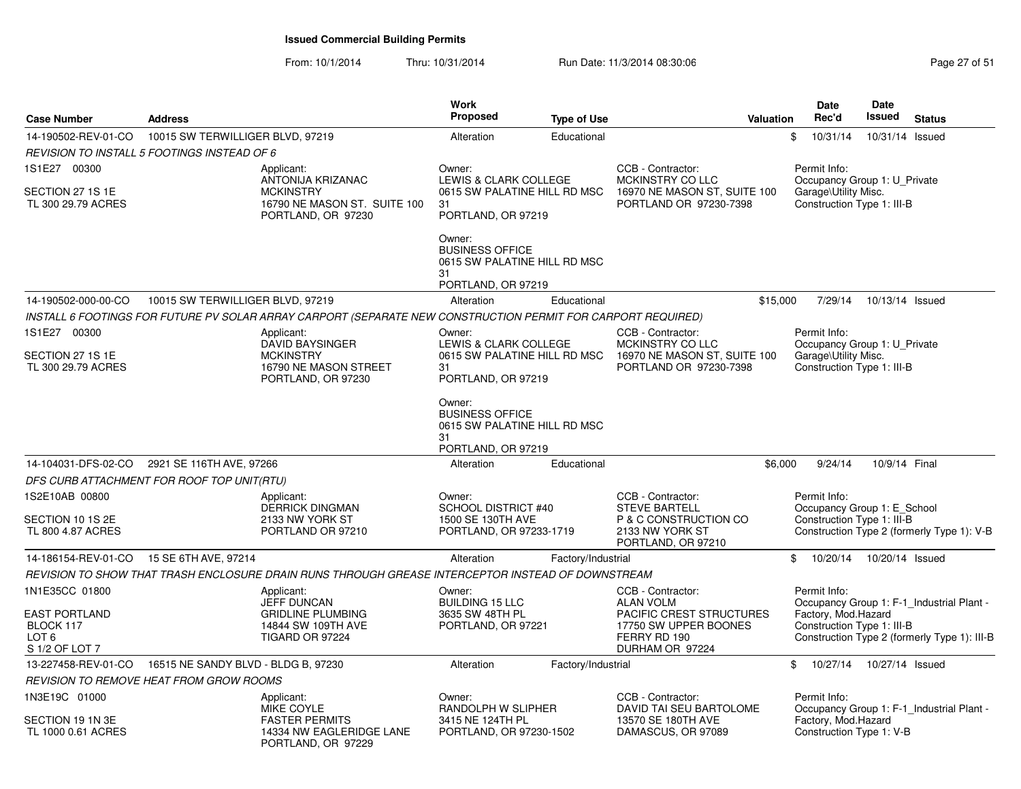| <b>Case Number</b>                                                                 | <b>Address</b>                                                                                               | <b>Work</b><br>Proposed                                                                      | <b>Type of Use</b> | <b>Valuation</b>                                                                                                              | Date<br>Rec'd                                                                                      | Date<br>Issued  | <b>Status</b>                                                                             |
|------------------------------------------------------------------------------------|--------------------------------------------------------------------------------------------------------------|----------------------------------------------------------------------------------------------|--------------------|-------------------------------------------------------------------------------------------------------------------------------|----------------------------------------------------------------------------------------------------|-----------------|-------------------------------------------------------------------------------------------|
| 14-190502-REV-01-CO                                                                | 10015 SW TERWILLIGER BLVD, 97219                                                                             | Alteration                                                                                   | Educational        |                                                                                                                               | 10/31/14<br>\$                                                                                     | 10/31/14 Issued |                                                                                           |
|                                                                                    | REVISION TO INSTALL 5 FOOTINGS INSTEAD OF 6                                                                  |                                                                                              |                    |                                                                                                                               |                                                                                                    |                 |                                                                                           |
| 1S1E27 00300<br>SECTION 27 1S 1E<br>TL 300 29.79 ACRES                             | Applicant:<br>ANTONIJA KRIZANAC<br><b>MCKINSTRY</b><br>16790 NE MASON ST. SUITE 100<br>PORTLAND, OR 97230    | Owner:<br>LEWIS & CLARK COLLEGE<br>0615 SW PALATINE HILL RD MSC<br>31<br>PORTLAND, OR 97219  |                    | CCB - Contractor:<br>MCKINSTRY CO LLC<br>16970 NE MASON ST, SUITE 100<br>PORTLAND OR 97230-7398                               | Permit Info:<br>Occupancy Group 1: U_Private<br>Garage\Utility Misc.<br>Construction Type 1: III-B |                 |                                                                                           |
|                                                                                    |                                                                                                              | Owner:<br><b>BUSINESS OFFICE</b><br>0615 SW PALATINE HILL RD MSC<br>31<br>PORTLAND, OR 97219 |                    |                                                                                                                               |                                                                                                    |                 |                                                                                           |
| 14-190502-000-00-CO                                                                | 10015 SW TERWILLIGER BLVD, 97219                                                                             | Alteration                                                                                   | Educational        | \$15,000                                                                                                                      | 7/29/14                                                                                            | 10/13/14 Issued |                                                                                           |
|                                                                                    | INSTALL 6 FOOTINGS FOR FUTURE PV SOLAR ARRAY CARPORT (SEPARATE NEW CONSTRUCTION PERMIT FOR CARPORT REQUIRED) |                                                                                              |                    |                                                                                                                               |                                                                                                    |                 |                                                                                           |
| 1S1E27 00300                                                                       | Applicant:                                                                                                   | Owner:                                                                                       |                    | CCB - Contractor:                                                                                                             | Permit Info:                                                                                       |                 |                                                                                           |
| SECTION 27 1S 1E<br>TL 300 29.79 ACRES                                             | <b>DAVID BAYSINGER</b><br><b>MCKINSTRY</b><br>16790 NE MASON STREET<br>PORTLAND, OR 97230                    | LEWIS & CLARK COLLEGE<br>0615 SW PALATINE HILL RD MSC<br>31<br>PORTLAND, OR 97219            |                    | MCKINSTRY CO LLC<br>16970 NE MASON ST, SUITE 100<br>PORTLAND OR 97230-7398                                                    | Occupancy Group 1: U_Private<br>Garage\Utility Misc.<br>Construction Type 1: III-B                 |                 |                                                                                           |
|                                                                                    |                                                                                                              | Owner:<br><b>BUSINESS OFFICE</b><br>0615 SW PALATINE HILL RD MSC<br>31<br>PORTLAND, OR 97219 |                    |                                                                                                                               |                                                                                                    |                 |                                                                                           |
| 14-104031-DFS-02-CO                                                                | 2921 SE 116TH AVE, 97266                                                                                     | Alteration                                                                                   | Educational        | \$6,000                                                                                                                       | 9/24/14                                                                                            | 10/9/14 Final   |                                                                                           |
|                                                                                    | DFS CURB ATTACHMENT FOR ROOF TOP UNIT(RTU)                                                                   |                                                                                              |                    |                                                                                                                               |                                                                                                    |                 |                                                                                           |
| 1S2E10AB 00800<br>SECTION 10 1S 2E<br>TL 800 4.87 ACRES                            | Applicant:<br><b>DERRICK DINGMAN</b><br>2133 NW YORK ST<br>PORTLAND OR 97210                                 | Owner:<br><b>SCHOOL DISTRICT #40</b><br>1500 SE 130TH AVE<br>PORTLAND, OR 97233-1719         |                    | CCB - Contractor:<br><b>STEVE BARTELL</b><br>P & C CONSTRUCTION CO<br>2133 NW YORK ST<br>PORTLAND, OR 97210                   | Permit Info:<br>Occupancy Group 1: E_School<br>Construction Type 1: III-B                          |                 | Construction Type 2 (formerly Type 1): V-B                                                |
| 14-186154-REV-01-CO 15 SE 6TH AVE, 97214                                           |                                                                                                              | Alteration                                                                                   | Factory/Industrial |                                                                                                                               | \$<br>10/20/14                                                                                     | 10/20/14 Issued |                                                                                           |
|                                                                                    | REVISION TO SHOW THAT TRASH ENCLOSURE DRAIN RUNS THROUGH GREASE INTERCEPTOR INSTEAD OF DOWNSTREAM            |                                                                                              |                    |                                                                                                                               |                                                                                                    |                 |                                                                                           |
| 1N1E35CC 01800<br>EAST PORTLAND<br>BLOCK 117<br>LOT <sub>6</sub><br>S 1/2 OF LOT 7 | Applicant:<br><b>JEFF DUNCAN</b><br><b>GRIDLINE PLUMBING</b><br>14844 SW 109TH AVE<br><b>TIGARD OR 97224</b> | Owner:<br><b>BUILDING 15 LLC</b><br>3635 SW 48TH PL<br>PORTLAND, OR 97221                    |                    | CCB - Contractor:<br><b>ALAN VOLM</b><br>PACIFIC CREST STRUCTURES<br>17750 SW UPPER BOONES<br>FERRY RD 190<br>DURHAM OR 97224 | Permit Info:<br>Factory, Mod.Hazard<br>Construction Type 1: III-B                                  |                 | Occupancy Group 1: F-1_Industrial Plant -<br>Construction Type 2 (formerly Type 1): III-B |
| 13-227458-REV-01-CO                                                                | 16515 NE SANDY BLVD - BLDG B, 97230                                                                          | Alteration                                                                                   | Factory/Industrial |                                                                                                                               | \$<br>10/27/14                                                                                     | 10/27/14 Issued |                                                                                           |
|                                                                                    | <b>REVISION TO REMOVE HEAT FROM GROW ROOMS</b>                                                               |                                                                                              |                    |                                                                                                                               |                                                                                                    |                 |                                                                                           |
| 1N3E19C 01000<br>SECTION 19 1N 3E                                                  | Applicant:<br><b>MIKE COYLE</b><br><b>FASTER PERMITS</b>                                                     | Owner:<br>RANDOLPH W SLIPHER<br>3415 NE 124TH PL                                             |                    | CCB - Contractor:<br>DAVID TAI SEU BARTOLOME<br>13570 SE 180TH AVE                                                            | Permit Info:<br>Factory, Mod.Hazard                                                                |                 | Occupancy Group 1: F-1 Industrial Plant -                                                 |
| TL 1000 0.61 ACRES                                                                 | 14334 NW EAGLERIDGE LANE<br>PORTLAND, OR 97229                                                               | PORTLAND, OR 97230-1502                                                                      |                    | DAMASCUS, OR 97089                                                                                                            | Construction Type 1: V-B                                                                           |                 |                                                                                           |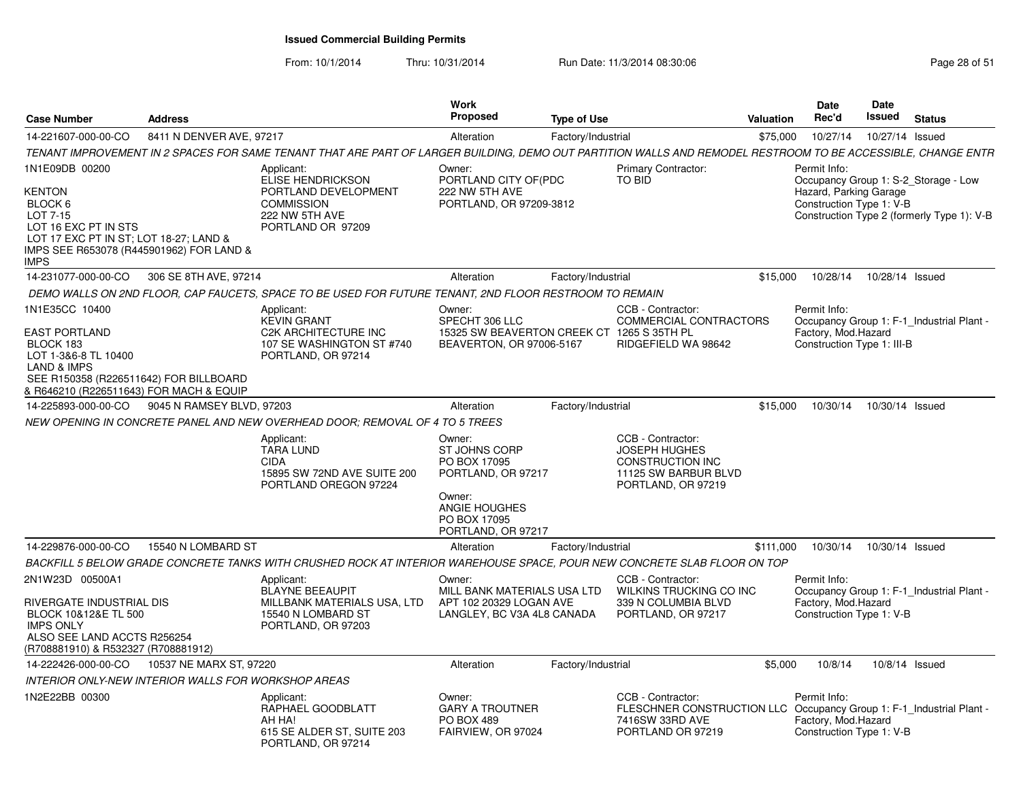| Case Number                                                                                                                                                                                | <b>Address</b>            |                                                                                                                                                              | <b>Work</b><br>Proposed                                                                                                        | <b>Type of Use</b> |                                                                                                                                 | Valuation | <b>Date</b><br>Rec'd                                               | <b>Date</b><br>Issued | <b>Status</b>                                                                      |
|--------------------------------------------------------------------------------------------------------------------------------------------------------------------------------------------|---------------------------|--------------------------------------------------------------------------------------------------------------------------------------------------------------|--------------------------------------------------------------------------------------------------------------------------------|--------------------|---------------------------------------------------------------------------------------------------------------------------------|-----------|--------------------------------------------------------------------|-----------------------|------------------------------------------------------------------------------------|
| 14-221607-000-00-CO                                                                                                                                                                        | 8411 N DENVER AVE, 97217  |                                                                                                                                                              | Alteration                                                                                                                     | Factory/Industrial |                                                                                                                                 | \$75,000  | 10/27/14                                                           |                       | 10/27/14 Issued                                                                    |
|                                                                                                                                                                                            |                           | TENANT IMPROVEMENT IN 2 SPACES FOR SAME TENANT THAT ARE PART OF LARGER BUILDING, DEMO OUT PARTITION WALLS AND REMODEL RESTROOM TO BE ACCESSIBLE, CHANGE ENTR |                                                                                                                                |                    |                                                                                                                                 |           |                                                                    |                       |                                                                                    |
| 1N1E09DB 00200<br>KENTON<br>BLOCK 6<br>LOT 7-15<br>LOT 16 EXC PT IN STS<br>LOT 17 EXC PT IN ST; LOT 18-27; LAND &<br>IMPS SEE R653078 (R445901962) FOR LAND &<br><b>IMPS</b>               |                           | Applicant:<br><b>ELISE HENDRICKSON</b><br>PORTLAND DEVELOPMENT<br><b>COMMISSION</b><br>222 NW 5TH AVE<br>PORTLAND OR 97209                                   | Owner:<br>PORTLAND CITY OF(PDC<br>222 NW 5TH AVE<br>PORTLAND, OR 97209-3812                                                    |                    | <b>Primary Contractor:</b><br>TO BID                                                                                            |           | Permit Info:<br>Hazard, Parking Garage<br>Construction Type 1: V-B |                       | Occupancy Group 1: S-2_Storage - Low<br>Construction Type 2 (formerly Type 1): V-B |
| 14-231077-000-00-CO                                                                                                                                                                        | 306 SE 8TH AVE, 97214     |                                                                                                                                                              | Alteration                                                                                                                     | Factory/Industrial |                                                                                                                                 | \$15,000  | 10/28/14                                                           |                       | 10/28/14 Issued                                                                    |
|                                                                                                                                                                                            |                           | DEMO WALLS ON 2ND FLOOR. CAP FAUCETS. SPACE TO BE USED FOR FUTURE TENANT. 2ND FLOOR RESTROOM TO REMAIN                                                       |                                                                                                                                |                    |                                                                                                                                 |           |                                                                    |                       |                                                                                    |
| 1N1E35CC 10400<br><b>EAST PORTLAND</b><br>BLOCK 183<br>LOT 1-3&6-8 TL 10400<br><b>LAND &amp; IMPS</b><br>SEE R150358 (R226511642) FOR BILLBOARD<br>& R646210 (R226511643) FOR MACH & EQUIP |                           | Applicant:<br><b>KEVIN GRANT</b><br><b>C2K ARCHITECTURE INC</b><br>107 SE WASHINGTON ST #740<br>PORTLAND, OR 97214                                           | Owner:<br>SPECHT 306 LLC<br>15325 SW BEAVERTON CREEK CT 1265 S 35TH PL<br>BEAVERTON, OR 97006-5167                             |                    | CCB - Contractor:<br><b>COMMERCIAL CONTRACTORS</b><br>RIDGEFIELD WA 98642                                                       |           | Permit Info:<br>Factory, Mod.Hazard<br>Construction Type 1: III-B  |                       | Occupancy Group 1: F-1_Industrial Plant -                                          |
| 14-225893-000-00-CO                                                                                                                                                                        | 9045 N RAMSEY BLVD, 97203 |                                                                                                                                                              | Alteration                                                                                                                     | Factory/Industrial |                                                                                                                                 | \$15,000  | 10/30/14  10/30/14  Issued                                         |                       |                                                                                    |
|                                                                                                                                                                                            |                           | NEW OPENING IN CONCRETE PANEL AND NEW OVERHEAD DOOR: REMOVAL OF 4 TO 5 TREES                                                                                 |                                                                                                                                |                    |                                                                                                                                 |           |                                                                    |                       |                                                                                    |
|                                                                                                                                                                                            |                           | Applicant:<br><b>TARA LUND</b><br><b>CIDA</b><br>15895 SW 72ND AVE SUITE 200<br>PORTLAND OREGON 97224                                                        | Owner:<br>ST JOHNS CORP<br>PO BOX 17095<br>PORTLAND, OR 97217<br>Owner:<br>ANGIE HOUGHES<br>PO BOX 17095<br>PORTLAND, OR 97217 |                    | CCB - Contractor:<br><b>JOSEPH HUGHES</b><br>CONSTRUCTION INC<br>11125 SW BARBUR BLVD<br>PORTLAND, OR 97219                     |           |                                                                    |                       |                                                                                    |
| 14-229876-000-00-CO                                                                                                                                                                        | 15540 N LOMBARD ST        |                                                                                                                                                              | Alteration                                                                                                                     | Factory/Industrial |                                                                                                                                 | \$111,000 | 10/30/14  10/30/14  Issued                                         |                       |                                                                                    |
|                                                                                                                                                                                            |                           | BACKFILL 5 BELOW GRADE CONCRETE TANKS WITH CRUSHED ROCK AT INTERIOR WAREHOUSE SPACE, POUR NEW CONCRETE SLAB FLOOR ON TOP                                     |                                                                                                                                |                    |                                                                                                                                 |           |                                                                    |                       |                                                                                    |
| 2N1W23D 00500A1<br>RIVERGATE INDUSTRIAL DIS<br>BLOCK 10&12&E TL 500<br><b>IMPS ONLY</b><br>ALSO SEE LAND ACCTS R256254<br>(R708881910) & R532327 (R708881912)                              |                           | Applicant:<br><b>BLAYNE BEEAUPIT</b><br>MILLBANK MATERIALS USA, LTD<br>15540 N LOMBARD ST<br>PORTLAND, OR 97203                                              | Owner:<br>MILL BANK MATERIALS USA LTD<br>APT 102 20329 LOGAN AVE<br>LANGLEY, BC V3A 4L8 CANADA                                 |                    | CCB - Contractor:<br>WILKINS TRUCKING CO INC<br>339 N COLUMBIA BLVD<br>PORTLAND, OR 97217                                       |           | Permit Info:<br>Factory, Mod.Hazard<br>Construction Type 1: V-B    |                       | Occupancy Group 1: F-1_Industrial Plant -                                          |
| 14-222426-000-00-CO                                                                                                                                                                        | 10537 NE MARX ST, 97220   |                                                                                                                                                              | Alteration                                                                                                                     | Factory/Industrial |                                                                                                                                 | \$5,000   | 10/8/14                                                            |                       | 10/8/14 Issued                                                                     |
| INTERIOR ONLY-NEW INTERIOR WALLS FOR WORKSHOP AREAS                                                                                                                                        |                           |                                                                                                                                                              |                                                                                                                                |                    |                                                                                                                                 |           |                                                                    |                       |                                                                                    |
| IN2E22BB 00300                                                                                                                                                                             |                           | Applicant:<br>RAPHAEL GOODBLATT<br>AH HA!<br>615 SE ALDER ST, SUITE 203<br>PORTLAND, OR 97214                                                                | Owner:<br><b>GARY A TROUTNER</b><br><b>PO BOX 489</b><br>FAIRVIEW, OR 97024                                                    |                    | CCB - Contractor:<br>FLESCHNER CONSTRUCTION LLC Occupancy Group 1: F-1 Industrial Plant<br>7416SW 33RD AVE<br>PORTLAND OR 97219 |           | Permit Info:<br>Factory, Mod.Hazard<br>Construction Type 1: V-B    |                       |                                                                                    |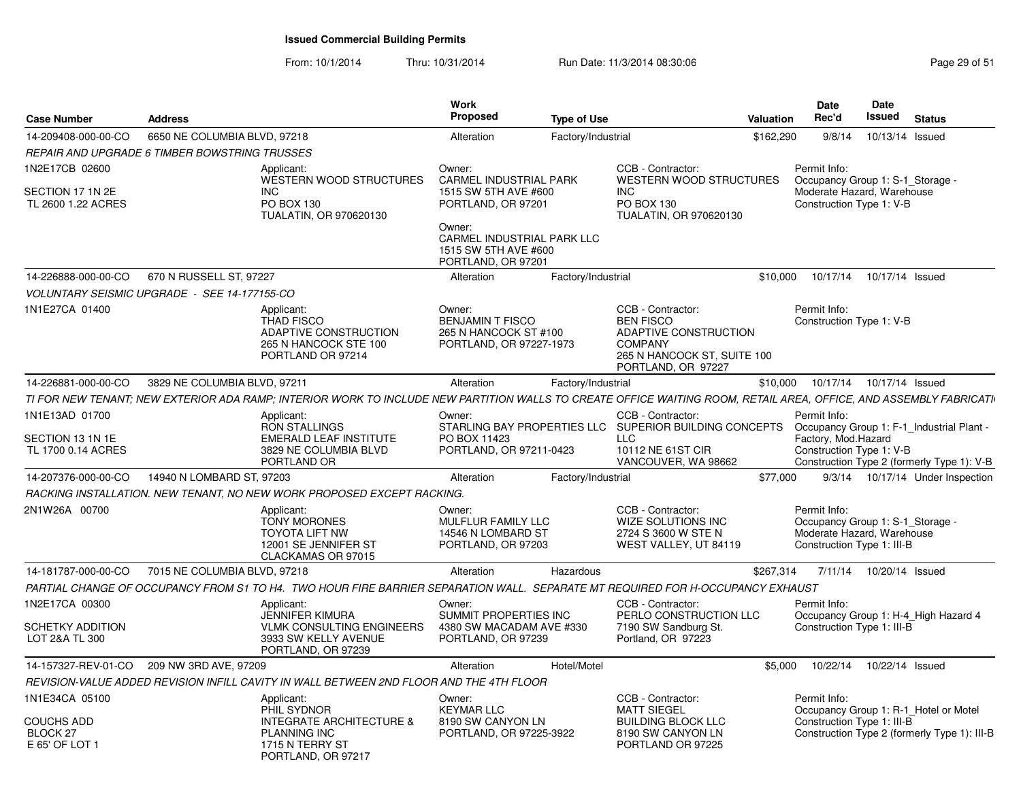| <b>Case Number</b>                                                    | <b>Address</b>                                |                                                                                                                                                                   | <b>Work</b><br><b>Proposed</b>                                                                                                                                              | <b>Type of Use</b> |                                                                                                                                       | <b>Valuation</b> | <b>Date</b><br>Rec'd                                                                                         | <b>Date</b><br>Issued | <b>Status</b>                                                                           |
|-----------------------------------------------------------------------|-----------------------------------------------|-------------------------------------------------------------------------------------------------------------------------------------------------------------------|-----------------------------------------------------------------------------------------------------------------------------------------------------------------------------|--------------------|---------------------------------------------------------------------------------------------------------------------------------------|------------------|--------------------------------------------------------------------------------------------------------------|-----------------------|-----------------------------------------------------------------------------------------|
| 14-209408-000-00-CO                                                   | 6650 NE COLUMBIA BLVD, 97218                  |                                                                                                                                                                   | Alteration                                                                                                                                                                  | Factory/Industrial |                                                                                                                                       | \$162,290        | 9/8/14                                                                                                       | 10/13/14 Issued       |                                                                                         |
|                                                                       | REPAIR AND UPGRADE 6 TIMBER BOWSTRING TRUSSES |                                                                                                                                                                   |                                                                                                                                                                             |                    |                                                                                                                                       |                  |                                                                                                              |                       |                                                                                         |
| 1N2E17CB 02600<br>SECTION 17 1N 2E<br>TL 2600 1.22 ACRES              |                                               | Applicant:<br><b>WESTERN WOOD STRUCTURES</b><br><b>INC</b><br>PO BOX 130<br>TUALATIN, OR 970620130                                                                | Owner:<br><b>CARMEL INDUSTRIAL PARK</b><br>1515 SW 5TH AVE #600<br>PORTLAND, OR 97201<br>Owner:<br>CARMEL INDUSTRIAL PARK LLC<br>1515 SW 5TH AVE #600<br>PORTLAND, OR 97201 |                    | CCB - Contractor:<br><b>WESTERN WOOD STRUCTURES</b><br><b>INC</b><br>PO BOX 130<br>TUALATIN, OR 970620130                             |                  | Permit Info:<br>Occupancy Group 1: S-1 Storage -<br>Moderate Hazard, Warehouse<br>Construction Type 1: V-B   |                       |                                                                                         |
| 14-226888-000-00-CO                                                   | 670 N RUSSELL ST, 97227                       |                                                                                                                                                                   | Alteration                                                                                                                                                                  | Factory/Industrial |                                                                                                                                       | \$10,000         | 10/17/14                                                                                                     | 10/17/14 Issued       |                                                                                         |
|                                                                       | VOLUNTARY SEISMIC UPGRADE - SEE 14-177155-CO  |                                                                                                                                                                   |                                                                                                                                                                             |                    |                                                                                                                                       |                  |                                                                                                              |                       |                                                                                         |
| 1N1E27CA 01400                                                        |                                               | Applicant:<br><b>THAD FISCO</b><br>ADAPTIVE CONSTRUCTION<br>265 N HANCOCK STE 100<br>PORTLAND OR 97214                                                            | Owner:<br><b>BENJAMIN T FISCO</b><br>265 N HANCOCK ST #100<br>PORTLAND, OR 97227-1973                                                                                       |                    | CCB - Contractor:<br><b>BEN FISCO</b><br>ADAPTIVE CONSTRUCTION<br><b>COMPANY</b><br>265 N HANCOCK ST, SUITE 100<br>PORTLAND, OR 97227 |                  | Permit Info:<br>Construction Type 1: V-B                                                                     |                       |                                                                                         |
| 14-226881-000-00-CO                                                   | 3829 NE COLUMBIA BLVD, 97211                  |                                                                                                                                                                   | Alteration                                                                                                                                                                  | Factory/Industrial |                                                                                                                                       | \$10,000         | 10/17/14                                                                                                     | 10/17/14 Issued       |                                                                                         |
|                                                                       |                                               | TI FOR NEW TENANT; NEW EXTERIOR ADA RAMP; INTERIOR WORK TO INCLUDE NEW PARTITION WALLS TO CREATE OFFICE WAITING ROOM, RETAIL AREA, OFFICE, AND ASSEMBLY FABRICATI |                                                                                                                                                                             |                    |                                                                                                                                       |                  |                                                                                                              |                       |                                                                                         |
| 1N1E13AD 01700<br>SECTION 13 1N 1E<br>TL 1700 0.14 ACRES              |                                               | Applicant:<br><b>RON STALLINGS</b><br><b>EMERALD LEAF INSTITUTE</b><br>3829 NE COLUMBIA BLVD<br>PORTLAND OR                                                       | Owner:<br>PO BOX 11423<br>PORTLAND, OR 97211-0423                                                                                                                           |                    | CCB - Contractor:<br>STARLING BAY PROPERTIES LLC SUPERIOR BUILDING CONCEPTS<br><b>LLC</b><br>10112 NE 61ST CIR<br>VANCOUVER, WA 98662 |                  | Permit Info:<br>Factory, Mod.Hazard<br>Construction Type 1: V-B                                              |                       | Occupancy Group 1: F-1_Industrial Plant -<br>Construction Type 2 (formerly Type 1): V-B |
| 14-207376-000-00-CO                                                   | 14940 N LOMBARD ST, 97203                     |                                                                                                                                                                   | Alteration                                                                                                                                                                  | Factory/Industrial |                                                                                                                                       | \$77,000         |                                                                                                              |                       | 9/3/14  10/17/14  Under Inspection                                                      |
|                                                                       |                                               | RACKING INSTALLATION. NEW TENANT, NO NEW WORK PROPOSED EXCEPT RACKING.                                                                                            |                                                                                                                                                                             |                    |                                                                                                                                       |                  |                                                                                                              |                       |                                                                                         |
| 2N1W26A 00700                                                         |                                               | Applicant:<br><b>TONY MORONES</b><br><b>TOYOTA LIFT NW</b><br>12001 SE JENNIFER ST<br>CLACKAMAS OR 97015                                                          | Owner:<br>MULFLUR FAMILY LLC<br>14546 N LOMBARD ST<br>PORTLAND, OR 97203                                                                                                    |                    | CCB - Contractor:<br><b>WIZE SOLUTIONS INC</b><br>2724 S 3600 W STE N<br>WEST VALLEY, UT 84119                                        |                  | Permit Info:<br>Occupancy Group 1: S-1 Storage -<br>Moderate Hazard, Warehouse<br>Construction Type 1: III-B |                       |                                                                                         |
| 14-181787-000-00-CO                                                   | 7015 NE COLUMBIA BLVD, 97218                  |                                                                                                                                                                   | Alteration                                                                                                                                                                  | Hazardous          |                                                                                                                                       | \$267,314        | 7/11/14                                                                                                      | 10/20/14 Issued       |                                                                                         |
|                                                                       |                                               | PARTIAL CHANGE OF OCCUPANCY FROM S1 TO H4. TWO HOUR FIRE BARRIER SEPARATION WALL. SEPARATE MT REQUIRED FOR H-OCCUPANCY EXHAUST                                    |                                                                                                                                                                             |                    |                                                                                                                                       |                  |                                                                                                              |                       |                                                                                         |
| 1N2E17CA 00300                                                        |                                               | Applicant:<br><b>JENNIFER KIMURA</b>                                                                                                                              | Owner:<br>SUMMIT PROPERTIES INC                                                                                                                                             |                    | CCB - Contractor:<br>PERLO CONSTRUCTION LLC                                                                                           |                  | Permit Info:                                                                                                 |                       | Occupancy Group 1: H-4_High Hazard 4                                                    |
| SCHETKY ADDITION<br>LOT 2&A TL 300                                    |                                               | <b>VLMK CONSULTING ENGINEERS</b><br>3933 SW KELLY AVENUE<br>PORTLAND, OR 97239                                                                                    | 4380 SW MACADAM AVE #330<br>PORTLAND, OR 97239                                                                                                                              |                    | 7190 SW Sandburg St.<br>Portland, OR 97223                                                                                            |                  | Construction Type 1: III-B                                                                                   |                       |                                                                                         |
| 14-157327-REV-01-CO                                                   | 209 NW 3RD AVE, 97209                         |                                                                                                                                                                   | Alteration                                                                                                                                                                  | Hotel/Motel        |                                                                                                                                       | \$5,000          | 10/22/14                                                                                                     | 10/22/14 Issued       |                                                                                         |
|                                                                       |                                               | REVISION-VALUE ADDED REVISION INFILL CAVITY IN WALL BETWEEN 2ND FLOOR AND THE 4TH FLOOR                                                                           |                                                                                                                                                                             |                    |                                                                                                                                       |                  |                                                                                                              |                       |                                                                                         |
| 1N1E34CA 05100<br>COUCHS ADD<br>BLOCK <sub>27</sub><br>E 65' OF LOT 1 |                                               | Applicant:<br>PHIL SYDNOR<br><b>INTEGRATE ARCHITECTURE &amp;</b><br><b>PLANNING INC</b><br>1715 N TERRY ST<br>PORTLAND, OR 97217                                  | Owner:<br><b>KEYMAR LLC</b><br>8190 SW CANYON LN<br>PORTLAND, OR 97225-3922                                                                                                 |                    | CCB - Contractor:<br><b>MATT SIEGEL</b><br><b>BUILDING BLOCK LLC</b><br>8190 SW CANYON LN<br>PORTLAND OR 97225                        |                  | Permit Info:<br>Construction Type 1: III-B                                                                   |                       | Occupancy Group 1: R-1_Hotel or Motel<br>Construction Type 2 (formerly Type 1): III-B   |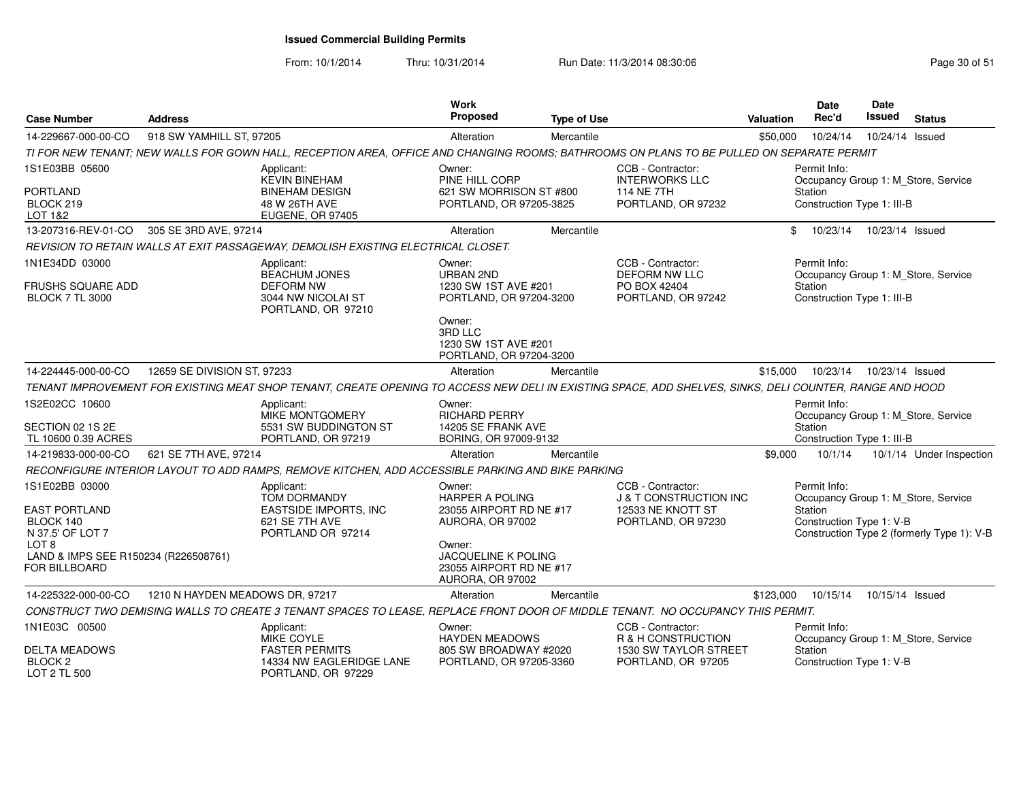From: 10/1/2014

| <b>Case Number</b>                                                               | <b>Address</b>                  |                                                                                                                                                         | <b>Work</b><br><b>Proposed</b>                                                      | <b>Type of Use</b> |                                                                                        | Valuation | <b>Date</b><br>Rec'd                                  | <b>Date</b><br>Issued | <b>Status</b>                                                                     |
|----------------------------------------------------------------------------------|---------------------------------|---------------------------------------------------------------------------------------------------------------------------------------------------------|-------------------------------------------------------------------------------------|--------------------|----------------------------------------------------------------------------------------|-----------|-------------------------------------------------------|-----------------------|-----------------------------------------------------------------------------------|
| 14-229667-000-00-CO                                                              | 918 SW YAMHILL ST, 97205        |                                                                                                                                                         | Alteration                                                                          | Mercantile         |                                                                                        | \$50,000  | 10/24/14                                              | 10/24/14 Issued       |                                                                                   |
|                                                                                  |                                 | TI FOR NEW TENANT; NEW WALLS FOR GOWN HALL, RECEPTION AREA, OFFICE AND CHANGING ROOMS; BATHROOMS ON PLANS TO BE PULLED ON SEPARATE PERMIT               |                                                                                     |                    |                                                                                        |           |                                                       |                       |                                                                                   |
| 1S1E03BB 05600<br>PORTLAND<br>BLOCK 219<br>LOT 1&2                               |                                 | Applicant:<br><b>KEVIN BINEHAM</b><br><b>BINEHAM DESIGN</b><br>48 W 26TH AVE<br>EUGENE, OR 97405                                                        | Owner:<br>PINE HILL CORP<br>621 SW MORRISON ST #800<br>PORTLAND, OR 97205-3825      |                    | CCB - Contractor:<br><b>INTERWORKS LLC</b><br><b>114 NE 7TH</b><br>PORTLAND, OR 97232  |           | Permit Info:<br>Station<br>Construction Type 1: III-B |                       | Occupancy Group 1: M Store, Service                                               |
| 13-207316-REV-01-CO                                                              | 305 SE 3RD AVE, 97214           |                                                                                                                                                         | Alteration                                                                          | Mercantile         |                                                                                        | \$        | 10/23/14                                              | 10/23/14 Issued       |                                                                                   |
|                                                                                  |                                 | REVISION TO RETAIN WALLS AT EXIT PASSAGEWAY, DEMOLISH EXISTING ELECTRICAL CLOSET.                                                                       |                                                                                     |                    |                                                                                        |           |                                                       |                       |                                                                                   |
| 1N1E34DD 03000<br>FRUSHS SQUARE ADD<br><b>BLOCK 7 TL 3000</b>                    |                                 | Applicant:<br><b>BEACHUM JONES</b><br><b>DEFORM NW</b><br>3044 NW NICOLAI ST<br>PORTLAND, OR 97210                                                      | Owner:<br><b>URBAN 2ND</b><br>1230 SW 1ST AVE #201<br>PORTLAND, OR 97204-3200       |                    | CCB - Contractor:<br><b>DEFORM NW LLC</b><br>PO BOX 42404<br>PORTLAND, OR 97242        |           | Permit Info:<br>Station<br>Construction Type 1: III-B |                       | Occupancy Group 1: M Store, Service                                               |
|                                                                                  |                                 |                                                                                                                                                         | Owner:<br>3RD LLC<br>1230 SW 1ST AVE #201<br>PORTLAND, OR 97204-3200                |                    |                                                                                        |           |                                                       |                       |                                                                                   |
| 14-224445-000-00-CO                                                              | 12659 SE DIVISION ST, 97233     |                                                                                                                                                         | Alteration                                                                          | Mercantile         |                                                                                        | \$15,000  | 10/23/14                                              | 10/23/14 Issued       |                                                                                   |
|                                                                                  |                                 | TENANT IMPROVEMENT FOR EXISTING MEAT SHOP TENANT, CREATE OPENING TO ACCESS NEW DELI IN EXISTING SPACE, ADD SHELVES, SINKS, DELI COUNTER, RANGE AND HOOD |                                                                                     |                    |                                                                                        |           |                                                       |                       |                                                                                   |
| 1S2E02CC 10600<br>SECTION 02 1S 2E<br>TL 10600 0.39 ACRES                        |                                 | Applicant:<br>MIKE MONTGOMERY<br>5531 SW BUDDINGTON ST<br>PORTLAND, OR 97219                                                                            | Owner:<br><b>RICHARD PERRY</b><br>14205 SE FRANK AVE<br>BORING, OR 97009-9132       |                    |                                                                                        |           | Permit Info:<br>Station<br>Construction Type 1: III-B |                       | Occupancy Group 1: M Store, Service                                               |
| 14-219833-000-00-CO                                                              | 621 SE 7TH AVE, 97214           |                                                                                                                                                         | Alteration                                                                          | Mercantile         |                                                                                        | \$9,000   | 10/1/14                                               |                       | 10/1/14 Under Inspection                                                          |
|                                                                                  |                                 | RECONFIGURE INTERIOR LAYOUT TO ADD RAMPS, REMOVE KITCHEN, ADD ACCESSIBLE PARKING AND BIKE PARKING                                                       |                                                                                     |                    |                                                                                        |           |                                                       |                       |                                                                                   |
| 1S1E02BB 03000<br><b>EAST PORTLAND</b><br>BLOCK 140<br>N 37.5' OF LOT 7<br>LOT 8 |                                 | Applicant:<br><b>TOM DORMANDY</b><br><b>EASTSIDE IMPORTS, INC</b><br>621 SE 7TH AVE<br>PORTLAND OR 97214                                                | Owner:<br>HARPER A POLING<br>23055 AIRPORT RD NE #17<br>AURORA, OR 97002<br>Owner:  |                    | CCB - Contractor:<br>J & T CONSTRUCTION INC<br>12533 NE KNOTT ST<br>PORTLAND, OR 97230 |           | Permit Info:<br>Station<br>Construction Type 1: V-B   |                       | Occupancy Group 1: M_Store, Service<br>Construction Type 2 (formerly Type 1): V-B |
| LAND & IMPS SEE R150234 (R226508761)<br>FOR BILLBOARD                            |                                 |                                                                                                                                                         | JACQUELINE K POLING<br>23055 AIRPORT RD NE #17<br>AURORA, OR 97002                  |                    |                                                                                        |           |                                                       |                       |                                                                                   |
| 14-225322-000-00-CO                                                              | 1210 N HAYDEN MEADOWS DR, 97217 |                                                                                                                                                         | Alteration                                                                          | Mercantile         |                                                                                        | \$123,000 | 10/15/14                                              | 10/15/14 Issued       |                                                                                   |
|                                                                                  |                                 | CONSTRUCT TWO DEMISING WALLS TO CREATE 3 TENANT SPACES TO LEASE, REPLACE FRONT DOOR OF MIDDLE TENANT. NO OCCUPANCY THIS PERMIT.                         |                                                                                     |                    |                                                                                        |           |                                                       |                       |                                                                                   |
| 1N1E03C 00500<br>DELTA MEADOWS<br>BLOCK 2<br>LOT 2 TL 500                        |                                 | Applicant:<br>MIKE COYLE<br><b>FASTER PERMITS</b><br>14334 NW EAGLERIDGE LANE<br>PORTLAND, OR 97229                                                     | Owner:<br><b>HAYDEN MEADOWS</b><br>805 SW BROADWAY #2020<br>PORTLAND, OR 97205-3360 |                    | CCB - Contractor:<br>R & H CONSTRUCTION<br>1530 SW TAYLOR STREET<br>PORTLAND, OR 97205 |           | Permit Info:<br>Station<br>Construction Type 1: V-B   |                       | Occupancy Group 1: M Store, Service                                               |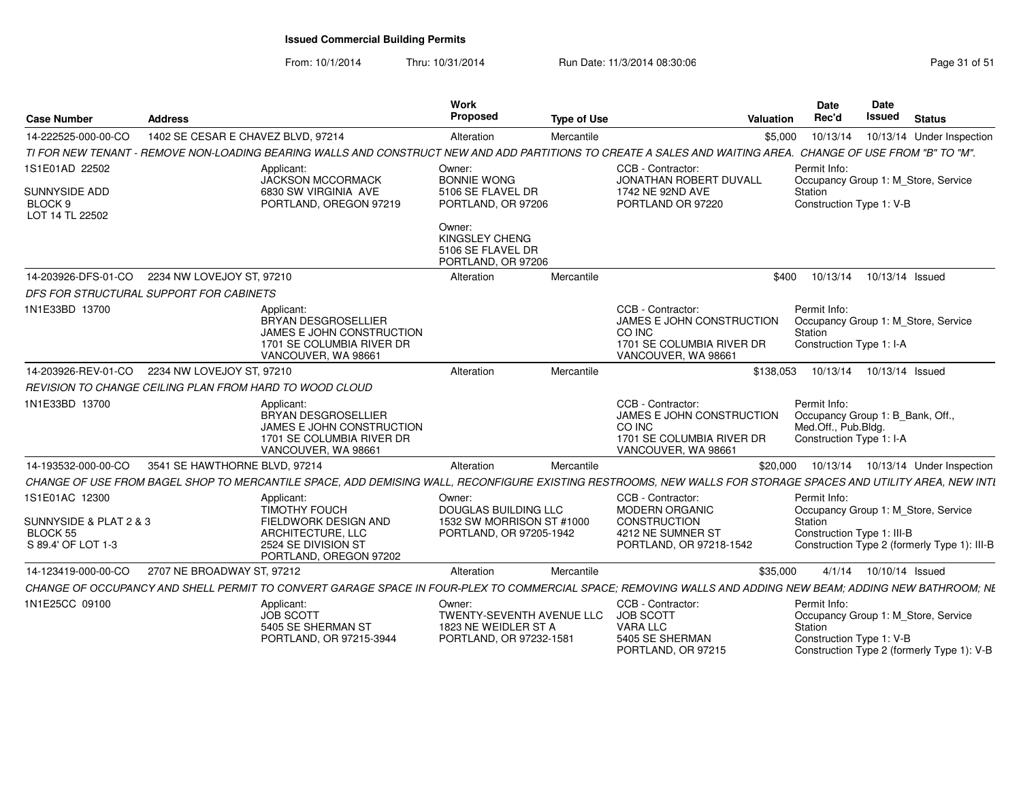From: 10/1/2014Thru: 10/31/2014 Run Date: 11/3/2014 08:30:06 Research 2010 12:00 Page 31 of 51

| <b>Case Number</b>                       | <b>Address</b>                                                                                                                                                | Work<br>Proposed                                                                              | <b>Type of Use</b> | Valuation                                                                                                    |         | <b>Date</b><br>Rec'd                                            | Date<br>Issued           | <b>Status</b>                                                                     |
|------------------------------------------|---------------------------------------------------------------------------------------------------------------------------------------------------------------|-----------------------------------------------------------------------------------------------|--------------------|--------------------------------------------------------------------------------------------------------------|---------|-----------------------------------------------------------------|--------------------------|-----------------------------------------------------------------------------------|
| 14-222525-000-00-CO                      | 1402 SE CESAR E CHAVEZ BLVD, 97214                                                                                                                            | Alteration                                                                                    | Mercantile         |                                                                                                              | \$5,000 | 10/13/14                                                        |                          | 10/13/14 Under Inspection                                                         |
|                                          | TI FOR NEW TENANT - REMOVE NON-LOADING BEARING WALLS AND CONSTRUCT NEW AND ADD PARTITIONS TO CREATE A SALES AND WAITING AREA. CHANGE OF USE FROM "B" TO "M".  |                                                                                               |                    |                                                                                                              |         |                                                                 |                          |                                                                                   |
| 1S1E01AD 22502<br>SUNNYSIDE ADD          | Applicant:<br><b>JACKSON MCCORMACK</b><br>6830 SW VIRGINIA AVE                                                                                                | Owner:<br><b>BONNIE WONG</b><br>5106 SE FLAVEL DR                                             |                    | CCB - Contractor:<br>JONATHAN ROBERT DUVALL<br>1742 NE 92ND AVE                                              | Station | Permit Info:                                                    |                          | Occupancy Group 1: M_Store, Service                                               |
| BLOCK 9<br>LOT 14 TL 22502               | PORTLAND, OREGON 97219                                                                                                                                        | PORTLAND, OR 97206                                                                            |                    | PORTLAND OR 97220                                                                                            |         | Construction Type 1: V-B                                        |                          |                                                                                   |
|                                          |                                                                                                                                                               | Owner:<br><b>KINGSLEY CHENG</b><br>5106 SE FLAVEL DR<br>PORTLAND, OR 97206                    |                    |                                                                                                              |         |                                                                 |                          |                                                                                   |
| 14-203926-DFS-01-CO                      | 2234 NW LOVEJOY ST. 97210                                                                                                                                     | Alteration                                                                                    | Mercantile         |                                                                                                              | \$400   | 10/13/14                                                        | 10/13/14 Issued          |                                                                                   |
|                                          | DFS FOR STRUCTURAL SUPPORT FOR CABINETS                                                                                                                       |                                                                                               |                    |                                                                                                              |         |                                                                 |                          |                                                                                   |
| 1N1E33BD 13700                           | Applicant:<br>BRYAN DESGROSELLIER<br>JAMES E JOHN CONSTRUCTION<br>1701 SE COLUMBIA RIVER DR<br>VANCOUVER, WA 98661                                            |                                                                                               |                    | CCB - Contractor:<br>JAMES E JOHN CONSTRUCTION<br>CO INC<br>1701 SE COLUMBIA RIVER DR<br>VANCOUVER, WA 98661 | Station | Permit Info:<br>Construction Type 1: I-A                        |                          | Occupancy Group 1: M_Store, Service                                               |
| 14-203926-REV-01-CO                      | 2234 NW LOVEJOY ST, 97210                                                                                                                                     | Alteration                                                                                    | Mercantile         | \$138,053                                                                                                    |         | 10/13/14  10/13/14  Issued                                      |                          |                                                                                   |
|                                          | REVISION TO CHANGE CEILING PLAN FROM HARD TO WOOD CLOUD                                                                                                       |                                                                                               |                    |                                                                                                              |         |                                                                 |                          |                                                                                   |
| 1N1E33BD 13700                           | Applicant:<br>BRYAN DESGROSELLIER<br>JAMES E JOHN CONSTRUCTION<br>1701 SE COLUMBIA RIVER DR<br>VANCOUVER, WA 98661                                            |                                                                                               |                    | CCB - Contractor:<br>JAMES E JOHN CONSTRUCTION<br>CO INC<br>1701 SE COLUMBIA RIVER DR<br>VANCOUVER, WA 98661 |         | Permit Info:<br>Med.Off., Pub.Bldg.<br>Construction Type 1: I-A |                          | Occupancy Group 1: B_Bank, Off.                                                   |
| 14-193532-000-00-CO                      | 3541 SE HAWTHORNE BLVD, 97214                                                                                                                                 | Alteration                                                                                    | Mercantile         | \$20,000                                                                                                     |         |                                                                 |                          | 10/13/14  10/13/14  Under Inspection                                              |
|                                          | CHANGE OF USE FROM BAGEL SHOP TO MERCANTILE SPACE, ADD DEMISING WALL, RECONFIGURE EXISTING RESTROOMS, NEW WALLS FOR STORAGE SPACES AND UTILITY AREA, NEW INTI |                                                                                               |                    |                                                                                                              |         |                                                                 |                          |                                                                                   |
| 1S1E01AC 12300<br>SUNNYSIDE & PLAT 2 & 3 | Applicant:<br><b>TIMOTHY FOUCH</b><br>FIELDWORK DESIGN AND                                                                                                    | Owner:<br>DOUGLAS BUILDING LLC<br>1532 SW MORRISON ST #1000                                   |                    | CCB - Contractor:<br><b>MODERN ORGANIC</b><br>CONSTRUCTION                                                   | Station | Permit Info:                                                    |                          | Occupancy Group 1: M Store, Service                                               |
| BLOCK 55<br>S 89.4' OF LOT 1-3           | ARCHITECTURE, LLC<br>2524 SE DIVISION ST<br>PORTLAND, OREGON 97202                                                                                            | PORTLAND, OR 97205-1942                                                                       |                    | 4212 NE SUMNER ST<br>PORTLAND, OR 97218-1542                                                                 |         | Construction Type 1: III-B                                      |                          | Construction Type 2 (formerly Type 1): III-B                                      |
| 14-123419-000-00-CO                      | 2707 NE BROADWAY ST, 97212                                                                                                                                    | Alteration                                                                                    | Mercantile         | \$35,000                                                                                                     |         |                                                                 | 4/1/14  10/10/14  Issued |                                                                                   |
|                                          | CHANGE OF OCCUPANCY AND SHELL PERMIT TO CONVERT GARAGE SPACE IN FOUR-PLEX TO COMMERCIAL SPACE: REMOVING WALLS AND ADDING NEW BEAM: ADDING NEW BATHROOM: NE    |                                                                                               |                    |                                                                                                              |         |                                                                 |                          |                                                                                   |
| 1N1E25CC 09100                           | Applicant:<br><b>JOB SCOTT</b><br>5405 SE SHERMAN ST<br>PORTLAND, OR 97215-3944                                                                               | Owner:<br><b>TWENTY-SEVENTH AVENUE LLC</b><br>1823 NE WEIDLER ST A<br>PORTLAND, OR 97232-1581 |                    | CCB - Contractor:<br><b>JOB SCOTT</b><br>VARA LLC<br>5405 SE SHERMAN<br>PORTLAND, OR 97215                   | Station | Permit Info:<br>Construction Type 1: V-B                        |                          | Occupancy Group 1: M Store, Service<br>Construction Type 2 (formerly Type 1): V-B |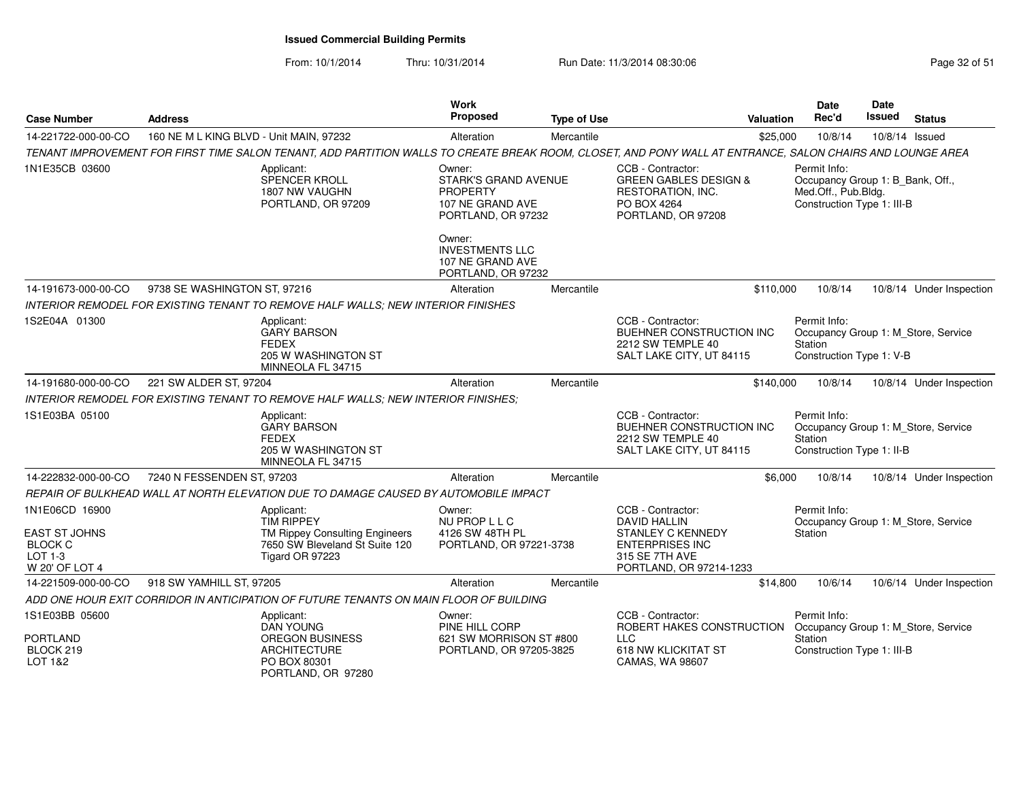From: 10/1/2014Thru: 10/31/2014 Run Date: 11/3/2014 08:30:06 Research 2010 Rage 32 of 51

| 160 NE M L KING BLVD - Unit MAIN, 97232<br>Mercantile<br>\$25,000<br>10/8/14<br>14-221722-000-00-CO<br>Alteration<br>TENANT IMPROVEMENT FOR FIRST TIME SALON TENANT, ADD PARTITION WALLS TO CREATE BREAK ROOM, CLOSET, AND PONY WALL AT ENTRANCE, SALON CHAIRS AND LOUNGE AREA<br>1N1E35CB 03600<br>CCB - Contractor:<br>Permit Info:<br>Applicant:<br>Owner:<br>SPENCER KROLL<br><b>STARK'S GRAND AVENUE</b><br><b>GREEN GABLES DESIGN &amp;</b><br>Med.Off., Pub.Bldg.<br>1807 NW VAUGHN<br><b>PROPERTY</b><br>RESTORATION, INC.<br>PO BOX 4264<br>Construction Type 1: III-B<br>PORTLAND, OR 97209<br>107 NE GRAND AVE<br>PORTLAND, OR 97232<br>PORTLAND, OR 97208<br>Owner:<br><b>INVESTMENTS LLC</b><br>107 NE GRAND AVE<br>PORTLAND, OR 97232<br>14-191673-000-00-CO<br>9738 SE WASHINGTON ST, 97216<br>\$110,000<br>10/8/14<br>Alteration<br>Mercantile<br><b>INTERIOR REMODEL FOR EXISTING TENANT TO REMOVE HALF WALLS: NEW INTERIOR FINISHES</b><br>1S2E04A 01300<br>CCB - Contractor:<br>Permit Info:<br>Applicant:<br><b>GARY BARSON</b><br>BUEHNER CONSTRUCTION INC<br><b>FEDEX</b><br>2212 SW TEMPLE 40<br>Station<br>205 W WASHINGTON ST<br>Construction Type 1: V-B<br>SALT LAKE CITY, UT 84115<br>MINNEOLA FL 34715<br>14-191680-000-00-CO<br>221 SW ALDER ST, 97204<br>Alteration<br>Mercantile<br>10/8/14<br>\$140,000<br>INTERIOR REMODEL FOR EXISTING TENANT TO REMOVE HALF WALLS: NEW INTERIOR FINISHES:<br>1S1E03BA 05100<br>CCB - Contractor:<br>Permit Info:<br>Applicant:<br><b>GARY BARSON</b><br><b>BUEHNER CONSTRUCTION INC.</b><br><b>FEDEX</b><br>2212 SW TEMPLE 40<br><b>Station</b><br>205 W WASHINGTON ST<br>SALT LAKE CITY, UT 84115<br>Construction Type 1: II-B<br>MINNEOLA FL 34715 | 10/8/14 Issued<br>Occupancy Group 1: B_Bank, Off.,<br>10/8/14 Under Inspection<br>Occupancy Group 1: M_Store, Service |
|--------------------------------------------------------------------------------------------------------------------------------------------------------------------------------------------------------------------------------------------------------------------------------------------------------------------------------------------------------------------------------------------------------------------------------------------------------------------------------------------------------------------------------------------------------------------------------------------------------------------------------------------------------------------------------------------------------------------------------------------------------------------------------------------------------------------------------------------------------------------------------------------------------------------------------------------------------------------------------------------------------------------------------------------------------------------------------------------------------------------------------------------------------------------------------------------------------------------------------------------------------------------------------------------------------------------------------------------------------------------------------------------------------------------------------------------------------------------------------------------------------------------------------------------------------------------------------------------------------------------------------------------------------------------------------------------------------------------------|-----------------------------------------------------------------------------------------------------------------------|
|                                                                                                                                                                                                                                                                                                                                                                                                                                                                                                                                                                                                                                                                                                                                                                                                                                                                                                                                                                                                                                                                                                                                                                                                                                                                                                                                                                                                                                                                                                                                                                                                                                                                                                                          |                                                                                                                       |
|                                                                                                                                                                                                                                                                                                                                                                                                                                                                                                                                                                                                                                                                                                                                                                                                                                                                                                                                                                                                                                                                                                                                                                                                                                                                                                                                                                                                                                                                                                                                                                                                                                                                                                                          |                                                                                                                       |
|                                                                                                                                                                                                                                                                                                                                                                                                                                                                                                                                                                                                                                                                                                                                                                                                                                                                                                                                                                                                                                                                                                                                                                                                                                                                                                                                                                                                                                                                                                                                                                                                                                                                                                                          |                                                                                                                       |
|                                                                                                                                                                                                                                                                                                                                                                                                                                                                                                                                                                                                                                                                                                                                                                                                                                                                                                                                                                                                                                                                                                                                                                                                                                                                                                                                                                                                                                                                                                                                                                                                                                                                                                                          |                                                                                                                       |
|                                                                                                                                                                                                                                                                                                                                                                                                                                                                                                                                                                                                                                                                                                                                                                                                                                                                                                                                                                                                                                                                                                                                                                                                                                                                                                                                                                                                                                                                                                                                                                                                                                                                                                                          |                                                                                                                       |
|                                                                                                                                                                                                                                                                                                                                                                                                                                                                                                                                                                                                                                                                                                                                                                                                                                                                                                                                                                                                                                                                                                                                                                                                                                                                                                                                                                                                                                                                                                                                                                                                                                                                                                                          |                                                                                                                       |
|                                                                                                                                                                                                                                                                                                                                                                                                                                                                                                                                                                                                                                                                                                                                                                                                                                                                                                                                                                                                                                                                                                                                                                                                                                                                                                                                                                                                                                                                                                                                                                                                                                                                                                                          |                                                                                                                       |
|                                                                                                                                                                                                                                                                                                                                                                                                                                                                                                                                                                                                                                                                                                                                                                                                                                                                                                                                                                                                                                                                                                                                                                                                                                                                                                                                                                                                                                                                                                                                                                                                                                                                                                                          | 10/8/14 Under Inspection                                                                                              |
|                                                                                                                                                                                                                                                                                                                                                                                                                                                                                                                                                                                                                                                                                                                                                                                                                                                                                                                                                                                                                                                                                                                                                                                                                                                                                                                                                                                                                                                                                                                                                                                                                                                                                                                          |                                                                                                                       |
|                                                                                                                                                                                                                                                                                                                                                                                                                                                                                                                                                                                                                                                                                                                                                                                                                                                                                                                                                                                                                                                                                                                                                                                                                                                                                                                                                                                                                                                                                                                                                                                                                                                                                                                          | Occupancy Group 1: M Store, Service                                                                                   |
| 14-222832-000-00-CO<br>7240 N FESSENDEN ST, 97203<br>Mercantile<br>\$6,000<br>10/8/14<br>Alteration                                                                                                                                                                                                                                                                                                                                                                                                                                                                                                                                                                                                                                                                                                                                                                                                                                                                                                                                                                                                                                                                                                                                                                                                                                                                                                                                                                                                                                                                                                                                                                                                                      | 10/8/14 Under Inspection                                                                                              |
| REPAIR OF BULKHEAD WALL AT NORTH ELEVATION DUE TO DAMAGE CAUSED BY AUTOMOBILE IMPACT                                                                                                                                                                                                                                                                                                                                                                                                                                                                                                                                                                                                                                                                                                                                                                                                                                                                                                                                                                                                                                                                                                                                                                                                                                                                                                                                                                                                                                                                                                                                                                                                                                     |                                                                                                                       |
| 1N1E06CD 16900<br>CCB - Contractor:<br>Permit Info:<br>Applicant:<br>Owner:<br><b>TIM RIPPEY</b><br>NU PROP L L C<br><b>DAVID HALLIN</b>                                                                                                                                                                                                                                                                                                                                                                                                                                                                                                                                                                                                                                                                                                                                                                                                                                                                                                                                                                                                                                                                                                                                                                                                                                                                                                                                                                                                                                                                                                                                                                                 | Occupancy Group 1: M_Store, Service                                                                                   |
| <b>EAST ST JOHNS</b><br>4126 SW 48TH PL<br><b>STANLEY C KENNEDY</b><br><b>Station</b><br><b>TM Rippey Consulting Engineers</b><br><b>BLOCK C</b><br>7650 SW Bleveland St Suite 120<br>PORTLAND, OR 97221-3738<br><b>ENTERPRISES INC</b><br>$LOT 1-3$<br>Tigard OR 97223<br>315 SE 7TH AVE<br>W 20' OF LOT 4<br>PORTLAND, OR 97214-1233                                                                                                                                                                                                                                                                                                                                                                                                                                                                                                                                                                                                                                                                                                                                                                                                                                                                                                                                                                                                                                                                                                                                                                                                                                                                                                                                                                                   |                                                                                                                       |
| 918 SW YAMHILL ST, 97205<br>14-221509-000-00-CO<br>Alteration<br>Mercantile<br>\$14,800<br>10/6/14                                                                                                                                                                                                                                                                                                                                                                                                                                                                                                                                                                                                                                                                                                                                                                                                                                                                                                                                                                                                                                                                                                                                                                                                                                                                                                                                                                                                                                                                                                                                                                                                                       | 10/6/14 Under Inspection                                                                                              |
| ADD ONE HOUR EXIT CORRIDOR IN ANTICIPATION OF FUTURE TENANTS ON MAIN FLOOR OF BUILDING                                                                                                                                                                                                                                                                                                                                                                                                                                                                                                                                                                                                                                                                                                                                                                                                                                                                                                                                                                                                                                                                                                                                                                                                                                                                                                                                                                                                                                                                                                                                                                                                                                   |                                                                                                                       |
| 1S1E03BB 05600<br>CCB - Contractor:<br>Permit Info:<br>Applicant:<br>Owner:<br>ROBERT HAKES CONSTRUCTION<br><b>DAN YOUNG</b><br>PINE HILL CORP<br><b>PORTLAND</b><br><b>OREGON BUSINESS</b><br>621 SW MORRISON ST #800<br><b>LLC</b><br><b>Station</b><br>BLOCK 219<br><b>ARCHITECTURE</b><br>618 NW KLICKITAT ST<br>Construction Type 1: III-B<br>PORTLAND, OR 97205-3825<br>LOT 1&2<br>PO BOX 80301<br>CAMAS, WA 98607<br>PORTLAND, OR 97280                                                                                                                                                                                                                                                                                                                                                                                                                                                                                                                                                                                                                                                                                                                                                                                                                                                                                                                                                                                                                                                                                                                                                                                                                                                                           | Occupancy Group 1: M Store, Service                                                                                   |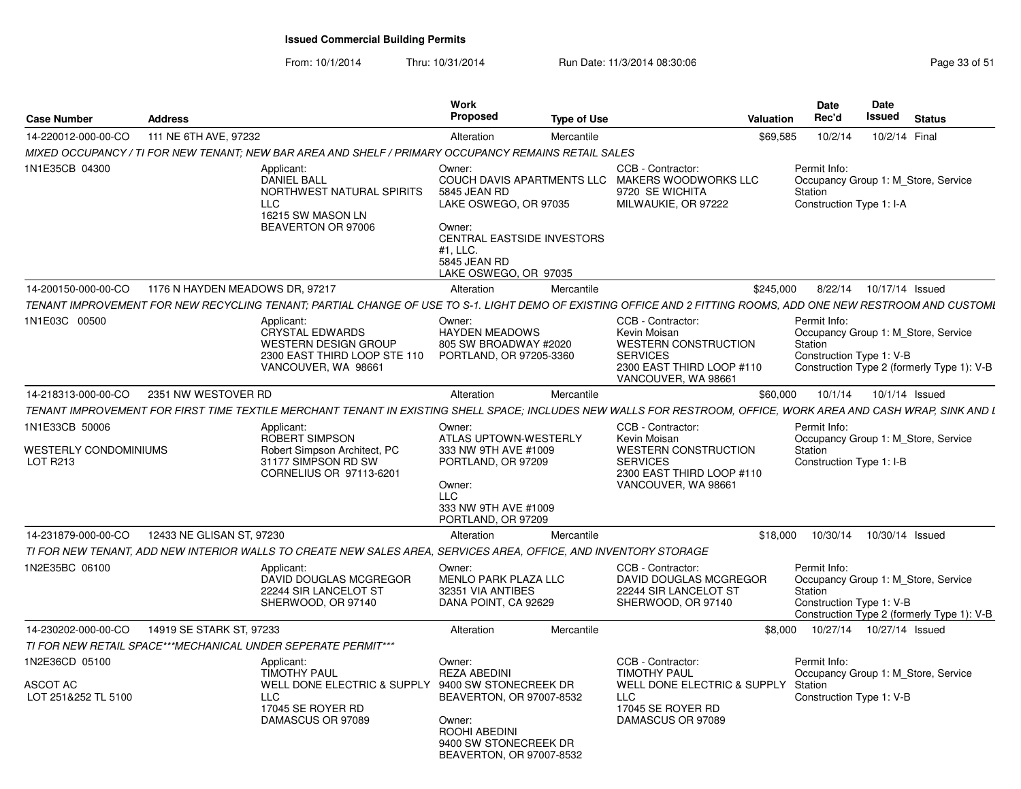| <b>Case Number</b>                                         | <b>Address</b>                                                                                                                                                  | Work<br>Proposed                                                                                                                                    | <b>Type of Use</b>                                                                                                                      | <b>Date</b><br>Rec'd<br>Valuation                   | Date<br>Issued<br><b>Status</b>                                                                               |
|------------------------------------------------------------|-----------------------------------------------------------------------------------------------------------------------------------------------------------------|-----------------------------------------------------------------------------------------------------------------------------------------------------|-----------------------------------------------------------------------------------------------------------------------------------------|-----------------------------------------------------|---------------------------------------------------------------------------------------------------------------|
| 14-220012-000-00-CO 111 NE 6TH AVE, 97232                  |                                                                                                                                                                 | Alteration                                                                                                                                          | Mercantile                                                                                                                              | \$69,585<br>10/2/14                                 | 10/2/14 Final                                                                                                 |
|                                                            | MIXED OCCUPANCY / TI FOR NEW TENANT; NEW BAR AREA AND SHELF / PRIMARY OCCUPANCY REMAINS RETAIL SALES                                                            |                                                                                                                                                     |                                                                                                                                         |                                                     |                                                                                                               |
| 1N1E35CB 04300                                             | Applicant:<br>DANIEL BALL<br>NORTHWEST NATURAL SPIRITS<br>LLC<br>16215 SW MASON LN<br>BEAVERTON OR 97006                                                        | Owner:<br>5845 JEAN RD<br>LAKE OSWEGO, OR 97035<br>Owner:<br>CENTRAL EASTSIDE INVESTORS<br>#1, LLC.<br>5845 JEAN RD<br>LAKE OSWEGO, OR 97035        | CCB - Contractor:<br>COUCH DAVIS APARTMENTS LLC MAKERS WOODWORKS LLC<br>9720 SE WICHITA<br>MILWAUKIE, OR 97222                          | Permit Info:<br>Station<br>Construction Type 1: I-A | Occupancy Group 1: M_Store, Service                                                                           |
|                                                            | 14-200150-000-00-CO 1176 N HAYDEN MEADOWS DR, 97217                                                                                                             | Alteration                                                                                                                                          | Mercantile                                                                                                                              | \$245.000                                           | 8/22/14  10/17/14  Issued                                                                                     |
|                                                            | TENANT IMPROVEMENT FOR NEW RECYCLING TENANT; PARTIAL CHANGE OF USE TO S-1. LIGHT DEMO OF EXISTING OFFICE AND 2 FITTING ROOMS, ADD ONE NEW RESTROOM AND CUSTOMI  |                                                                                                                                                     |                                                                                                                                         |                                                     |                                                                                                               |
| 1N1E03C 00500                                              | Applicant:<br>CRYSTAL EDWARDS<br>WESTERN DESIGN GROUP<br>2300 EAST THIRD LOOP STE 110<br>VANCOUVER, WA 98661                                                    | Owner:<br><b>HAYDEN MEADOWS</b><br>805 SW BROADWAY #2020<br>PORTLAND, OR 97205-3360                                                                 | CCB - Contractor:<br>Kevin Moisan<br>WESTERN CONSTRUCTION<br><b>SERVICES</b><br>2300 EAST THIRD LOOP #110<br>VANCOUVER, WA 98661        | Permit Info:<br>Station                             | Occupancy Group 1: M_Store, Service<br>Construction Type 1: V-B<br>Construction Type 2 (formerly Type 1): V-B |
| 14-218313-000-00-CO 2351 NW WESTOVER RD                    |                                                                                                                                                                 | Alteration                                                                                                                                          | Mercantile                                                                                                                              | \$60,000                                            | 10/1/14  10/1/14  Issued                                                                                      |
|                                                            | TENANT IMPROVEMENT FOR FIRST TIME TEXTILE MERCHANT TENANT IN EXISTING SHELL SPACE: INCLUDES NEW WALLS FOR RESTROOM. OFFICE. WORK AREA AND CASH WRAP. SINK AND L |                                                                                                                                                     |                                                                                                                                         |                                                     |                                                                                                               |
| 1N1E33CB 50006<br>WESTERLY CONDOMINIUMS<br><b>LOT R213</b> | Applicant:<br>ROBERT SIMPSON<br>Robert Simpson Architect, PC<br>31177 SIMPSON RD SW<br>CORNELIUS OR 97113-6201                                                  | Owner:<br>ATLAS UPTOWN-WESTERLY<br>333 NW 9TH AVE #1009<br>PORTLAND, OR 97209<br>Owner:<br><b>LLC</b><br>333 NW 9TH AVE #1009<br>PORTLAND, OR 97209 | CCB - Contractor:<br>Kevin Moisan<br><b>WESTERN CONSTRUCTION</b><br><b>SERVICES</b><br>2300 EAST THIRD LOOP #110<br>VANCOUVER, WA 98661 | Permit Info:<br>Station<br>Construction Type 1: I-B | Occupancy Group 1: M_Store, Service                                                                           |
| 14-231879-000-00-CO                                        | 12433 NE GLISAN ST, 97230                                                                                                                                       | Alteration                                                                                                                                          | Mercantile                                                                                                                              | \$18.000                                            | 10/30/14  10/30/14  Issued                                                                                    |
|                                                            | TI FOR NEW TENANT, ADD NEW INTERIOR WALLS TO CREATE NEW SALES AREA, SERVICES AREA, OFFICE, AND INVENTORY STORAGE                                                |                                                                                                                                                     |                                                                                                                                         |                                                     |                                                                                                               |
| 1N2E35BC 06100                                             | Applicant:<br>DAVID DOUGLAS MCGREGOR<br>22244 SIR LANCELOT ST<br>SHERWOOD, OR 97140                                                                             | Owner:<br>MENLO PARK PLAZA LLC<br>32351 VIA ANTIBES<br>DANA POINT, CA 92629                                                                         | CCB - Contractor:<br>DAVID DOUGLAS MCGREGOR<br>22244 SIR LANCELOT ST<br>SHERWOOD, OR 97140                                              | Permit Info:<br>Station                             | Occupancy Group 1: M_Store, Service<br>Construction Type 1: V-B<br>Construction Type 2 (formerly Type 1): V-B |
| 14-230202-000-00-CO                                        | 14919 SE STARK ST. 97233                                                                                                                                        | Alteration                                                                                                                                          | Mercantile                                                                                                                              |                                                     | \$8,000  10/27/14  10/27/14  Issued                                                                           |
|                                                            | TI FOR NEW RETAIL SPACE***MECHANICAL UNDER SEPERATE PERMIT***                                                                                                   |                                                                                                                                                     |                                                                                                                                         |                                                     |                                                                                                               |
| 1N2E36CD 05100<br>ASCOT AC<br>LOT 251&252 TL 5100          | Applicant:<br><b>TIMOTHY PAUL</b><br>WELL DONE ELECTRIC & SUPPLY 9400 SW STONECREEK DR<br>LLC<br>17045 SE ROYER RD<br>DAMASCUS OR 97089                         | Owner:<br><b>REZA ABEDINI</b><br>BEAVERTON, OR 97007-8532<br>Owner:<br>ROOHI ABEDINI<br>9400 SW STONECREEK DR<br>BEAVERTON, OR 97007-8532           | CCB - Contractor:<br><b>TIMOTHY PAUL</b><br>WELL DONE ELECTRIC & SUPPLY Station<br><b>LLC</b><br>17045 SE ROYER RD<br>DAMASCUS OR 97089 | Permit Info:<br>Construction Type 1: V-B            | Occupancy Group 1: M_Store, Service                                                                           |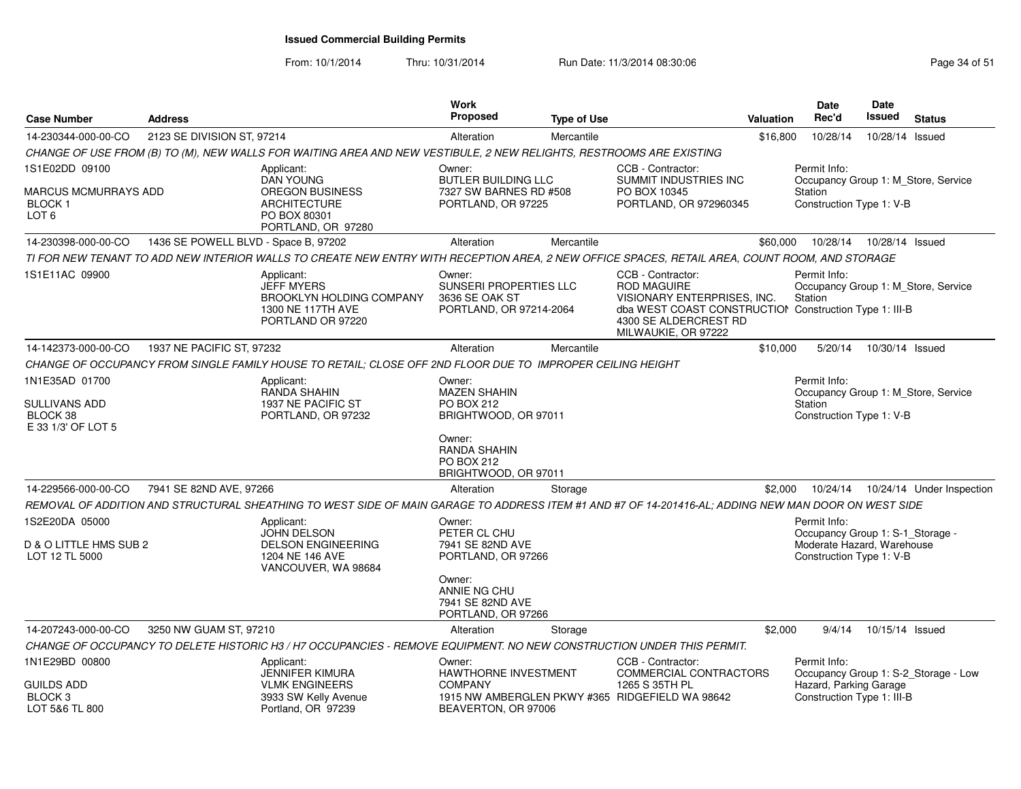From: 10/1/2014

| <b>Case Number</b>                                         | <b>Address</b>                       |                                                                                                                                                      | <b>Work</b><br>Proposed                                                              | <b>Type of Use</b> |                                                                                                                                                                                  | Valuation | <b>Date</b><br>Rec'd                                                                                       | <b>Date</b><br><b>Issued</b> | <b>Status</b>                        |
|------------------------------------------------------------|--------------------------------------|------------------------------------------------------------------------------------------------------------------------------------------------------|--------------------------------------------------------------------------------------|--------------------|----------------------------------------------------------------------------------------------------------------------------------------------------------------------------------|-----------|------------------------------------------------------------------------------------------------------------|------------------------------|--------------------------------------|
| 14-230344-000-00-CO                                        | 2123 SE DIVISION ST, 97214           |                                                                                                                                                      | Alteration                                                                           | Mercantile         |                                                                                                                                                                                  | \$16,800  | 10/28/14                                                                                                   | 10/28/14 Issued              |                                      |
|                                                            |                                      | CHANGE OF USE FROM (B) TO (M), NEW WALLS FOR WAITING AREA AND NEW VESTIBULE, 2 NEW RELIGHTS, RESTROOMS ARE EXISTING                                  |                                                                                      |                    |                                                                                                                                                                                  |           |                                                                                                            |                              |                                      |
| 1S1E02DD 09100                                             |                                      | Applicant:                                                                                                                                           | Owner:                                                                               |                    | CCB - Contractor:                                                                                                                                                                |           | Permit Info:                                                                                               |                              |                                      |
| MARCUS MCMURRAYS ADD<br>BLOCK 1<br>LOT <sub>6</sub>        |                                      | <b>DAN YOUNG</b><br><b>OREGON BUSINESS</b><br><b>ARCHITECTURE</b><br>PO BOX 80301<br>PORTLAND, OR 97280                                              | <b>BUTLER BUILDING LLC</b><br>7327 SW BARNES RD #508<br>PORTLAND, OR 97225           |                    | SUMMIT INDUSTRIES INC<br>PO BOX 10345<br>PORTLAND, OR 972960345                                                                                                                  |           | <b>Station</b><br>Construction Type 1: V-B                                                                 |                              | Occupancy Group 1: M_Store, Service  |
| 14-230398-000-00-CO                                        | 1436 SE POWELL BLVD - Space B, 97202 |                                                                                                                                                      | Alteration                                                                           | Mercantile         |                                                                                                                                                                                  | \$60,000  | 10/28/14                                                                                                   | 10/28/14 Issued              |                                      |
|                                                            |                                      | TI FOR NEW TENANT TO ADD NEW INTERIOR WALLS TO CREATE NEW ENTRY WITH RECEPTION AREA, 2 NEW OFFICE SPACES, RETAIL AREA, COUNT ROOM, AND STORAGE       |                                                                                      |                    |                                                                                                                                                                                  |           |                                                                                                            |                              |                                      |
| 1S1E11AC 09900                                             |                                      | Applicant:<br><b>JEFF MYERS</b><br>BROOKLYN HOLDING COMPANY<br>1300 NE 117TH AVE<br>PORTLAND OR 97220                                                | Owner:<br><b>SUNSERI PROPERTIES LLC</b><br>3636 SE OAK ST<br>PORTLAND, OR 97214-2064 |                    | CCB - Contractor:<br><b>ROD MAGUIRE</b><br>VISIONARY ENTERPRISES, INC.<br>dba WEST COAST CONSTRUCTION Construction Type 1: III-B<br>4300 SE ALDERCREST RD<br>MILWAUKIE, OR 97222 |           | Permit Info:<br>Station                                                                                    |                              | Occupancy Group 1: M_Store, Service  |
| 14-142373-000-00-CO                                        | 1937 NE PACIFIC ST, 97232            |                                                                                                                                                      | Alteration                                                                           | Mercantile         |                                                                                                                                                                                  | \$10,000  | 5/20/14                                                                                                    | 10/30/14 Issued              |                                      |
|                                                            |                                      | CHANGE OF OCCUPANCY FROM SINGLE FAMILY HOUSE TO RETAIL; CLOSE OFF 2ND FLOOR DUE TO IMPROPER CEILING HEIGHT                                           |                                                                                      |                    |                                                                                                                                                                                  |           |                                                                                                            |                              |                                      |
| 1N1E35AD 01700                                             |                                      | Applicant:                                                                                                                                           | Owner:                                                                               |                    |                                                                                                                                                                                  |           | Permit Info:                                                                                               |                              |                                      |
| <b>SULLIVANS ADD</b><br>BLOCK 38<br>E 33 1/3' OF LOT 5     |                                      | RANDA SHAHIN<br>1937 NE PACIFIC ST<br>PORTLAND, OR 97232                                                                                             | <b>MAZEN SHAHIN</b><br><b>PO BOX 212</b><br>BRIGHTWOOD, OR 97011                     |                    |                                                                                                                                                                                  |           | Occupancy Group 1: M Store, Service<br><b>Station</b><br>Construction Type 1: V-B                          |                              |                                      |
|                                                            |                                      |                                                                                                                                                      | Owner:<br><b>RANDA SHAHIN</b><br>PO BOX 212<br>BRIGHTWOOD, OR 97011                  |                    |                                                                                                                                                                                  |           |                                                                                                            |                              |                                      |
| 14-229566-000-00-CO                                        | 7941 SE 82ND AVE, 97266              |                                                                                                                                                      | Alteration                                                                           | Storage            |                                                                                                                                                                                  | \$2,000   | 10/24/14                                                                                                   |                              | 10/24/14 Under Inspection            |
|                                                            |                                      | REMOVAL OF ADDITION AND STRUCTURAL SHEATHING TO WEST SIDE OF MAIN GARAGE TO ADDRESS ITEM #1 AND #7 OF 14-201416-AL; ADDING NEW MAN DOOR ON WEST SIDE |                                                                                      |                    |                                                                                                                                                                                  |           |                                                                                                            |                              |                                      |
| 1S2E20DA 05000<br>D & O LITTLE HMS SUB 2<br>LOT 12 TL 5000 |                                      | Applicant:<br><b>JOHN DELSON</b><br><b>DELSON ENGINEERING</b><br>1204 NE 146 AVE<br>VANCOUVER, WA 98684                                              | Owner:<br>PETER CL CHU<br>7941 SE 82ND AVE<br>PORTLAND, OR 97266                     |                    |                                                                                                                                                                                  |           | Permit Info:<br>Occupancy Group 1: S-1 Storage -<br>Moderate Hazard, Warehouse<br>Construction Type 1: V-B |                              |                                      |
|                                                            |                                      |                                                                                                                                                      | Owner:<br>ANNIE NG CHU<br>7941 SE 82ND AVE<br>PORTLAND, OR 97266                     |                    |                                                                                                                                                                                  |           |                                                                                                            |                              |                                      |
| 14-207243-000-00-CO                                        | 3250 NW GUAM ST, 97210               |                                                                                                                                                      | Alteration                                                                           | Storage            |                                                                                                                                                                                  | \$2,000   | 9/4/14                                                                                                     | 10/15/14 Issued              |                                      |
|                                                            |                                      | CHANGE OF OCCUPANCY TO DELETE HISTORIC H3 / H7 OCCUPANCIES - REMOVE EQUIPMENT. NO NEW CONSTRUCTION UNDER THIS PERMIT.                                |                                                                                      |                    |                                                                                                                                                                                  |           |                                                                                                            |                              |                                      |
| 1N1E29BD 00800                                             |                                      | Applicant:                                                                                                                                           | Owner:                                                                               |                    | CCB - Contractor:                                                                                                                                                                |           | Permit Info:                                                                                               |                              |                                      |
| GUILDS ADD<br>BLOCK <sub>3</sub><br>LOT 5&6 TL 800         |                                      | <b>JENNIFER KIMURA</b><br><b>VLMK ENGINEERS</b><br>3933 SW Kelly Avenue<br>Portland, OR 97239                                                        | <b>HAWTHORNE INVESTMENT</b><br><b>COMPANY</b><br>BEAVERTON, OR 97006                 |                    | COMMERCIAL CONTRACTORS<br>1265 S 35TH PL<br>1915 NW AMBERGLEN PKWY #365 RIDGEFIELD WA 98642                                                                                      |           | Hazard, Parking Garage<br>Construction Type 1: III-B                                                       |                              | Occupancy Group 1: S-2_Storage - Low |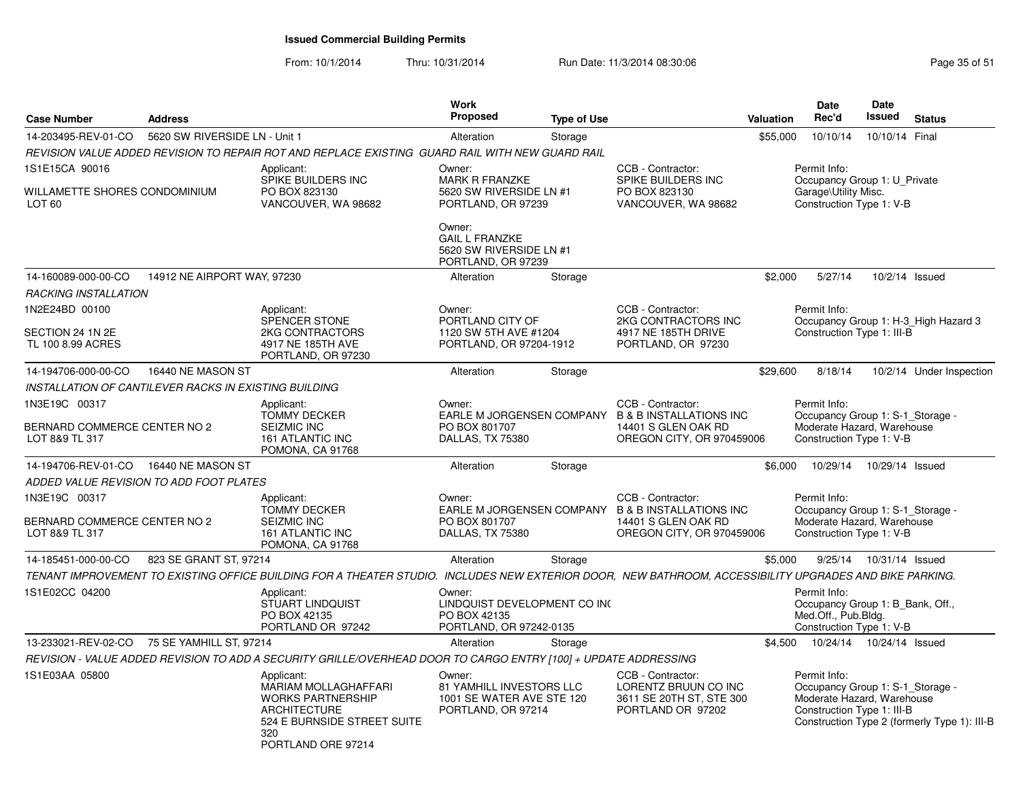| <b>Case Number</b>                                                   | <b>Address</b>                |                                                                                                                                                         | Work<br><b>Proposed</b>                                                               | <b>Type of Use</b> |                                                                                                                            | <b>Valuation</b> | Date<br>Rec'd                                                                                                | <b>Date</b><br>Issued     | <b>Status</b>                                |
|----------------------------------------------------------------------|-------------------------------|---------------------------------------------------------------------------------------------------------------------------------------------------------|---------------------------------------------------------------------------------------|--------------------|----------------------------------------------------------------------------------------------------------------------------|------------------|--------------------------------------------------------------------------------------------------------------|---------------------------|----------------------------------------------|
| 14-203495-REV-01-CO                                                  | 5620 SW RIVERSIDE LN - Unit 1 |                                                                                                                                                         | Alteration                                                                            | Storage            |                                                                                                                            | \$55,000         | 10/10/14                                                                                                     | 10/10/14 Final            |                                              |
|                                                                      |                               | REVISION VALUE ADDED REVISION TO REPAIR ROT AND REPLACE EXISTING GUARD RAIL WITH NEW GUARD RAIL                                                         |                                                                                       |                    |                                                                                                                            |                  |                                                                                                              |                           |                                              |
| 1S1E15CA 90016<br>WILLAMETTE SHORES CONDOMINIUM<br>LOT <sub>60</sub> |                               | Applicant:<br>SPIKE BUILDERS INC<br>PO BOX 823130<br>VANCOUVER, WA 98682                                                                                | Owner:<br><b>MARK R FRANZKE</b><br>5620 SW RIVERSIDE LN #1<br>PORTLAND, OR 97239      |                    | CCB - Contractor:<br>SPIKE BUILDERS INC<br>PO BOX 823130<br>VANCOUVER, WA 98682                                            |                  | Permit Info:<br>Occupancy Group 1: U_Private<br>Garage\Utility Misc.<br>Construction Type 1: V-B             |                           |                                              |
|                                                                      |                               |                                                                                                                                                         | Owner:<br><b>GAIL L FRANZKE</b><br>5620 SW RIVERSIDE LN #1<br>PORTLAND, OR 97239      |                    |                                                                                                                            |                  |                                                                                                              |                           |                                              |
| 14-160089-000-00-CO                                                  | 14912 NE AIRPORT WAY, 97230   |                                                                                                                                                         | Alteration                                                                            | Storage            |                                                                                                                            | \$2.000          | 5/27/14                                                                                                      | 10/2/14 Issued            |                                              |
| <b>RACKING INSTALLATION</b>                                          |                               |                                                                                                                                                         |                                                                                       |                    |                                                                                                                            |                  |                                                                                                              |                           |                                              |
| 1N2E24BD 00100                                                       |                               | Applicant:                                                                                                                                              | Owner:                                                                                |                    | CCB - Contractor:                                                                                                          |                  | Permit Info:                                                                                                 |                           |                                              |
| SECTION 24 1N 2E<br>TL 100 8.99 ACRES                                |                               | <b>SPENCER STONE</b><br>2KG CONTRACTORS<br>4917 NE 185TH AVE<br>PORTLAND, OR 97230                                                                      | PORTLAND CITY OF<br>1120 SW 5TH AVE #1204<br>PORTLAND, OR 97204-1912                  |                    | 2KG CONTRACTORS INC<br>4917 NE 185TH DRIVE<br>PORTLAND, OR 97230                                                           |                  | Construction Type 1: III-B                                                                                   |                           | Occupancy Group 1: H-3_High Hazard 3         |
| 14-194706-000-00-CO                                                  | 16440 NE MASON ST             |                                                                                                                                                         | Alteration                                                                            | Storage            |                                                                                                                            | \$29,600         | 8/18/14                                                                                                      |                           | 10/2/14 Under Inspection                     |
| INSTALLATION OF CANTILEVER RACKS IN EXISTING BUILDING                |                               |                                                                                                                                                         |                                                                                       |                    |                                                                                                                            |                  |                                                                                                              |                           |                                              |
| 1N3E19C 00317                                                        |                               | Applicant:                                                                                                                                              | Owner:                                                                                |                    | CCB - Contractor:                                                                                                          |                  | Permit Info:                                                                                                 |                           |                                              |
| BERNARD COMMERCE CENTER NO 2<br>LOT 8&9 TL 317                       |                               | <b>TOMMY DECKER</b><br><b>SEIZMIC INC</b><br><b>161 ATLANTIC INC</b><br>POMONA, CA 91768                                                                | PO BOX 801707<br>DALLAS, TX 75380                                                     |                    | EARLE M JORGENSEN COMPANY B & B INSTALLATIONS INC<br>14401 S GLEN OAK RD<br>OREGON CITY, OR 970459006                      |                  | Occupancy Group 1: S-1_Storage -<br>Moderate Hazard, Warehouse<br>Construction Type 1: V-B                   |                           |                                              |
| 14-194706-REV-01-CO                                                  | 16440 NE MASON ST             |                                                                                                                                                         | Alteration                                                                            | Storage            |                                                                                                                            | \$6,000          | 10/29/14                                                                                                     | 10/29/14 Issued           |                                              |
| ADDED VALUE REVISION TO ADD FOOT PLATES                              |                               |                                                                                                                                                         |                                                                                       |                    |                                                                                                                            |                  |                                                                                                              |                           |                                              |
| 1N3E19C 00317<br>BERNARD COMMERCE CENTER NO 2<br>LOT 8&9 TL 317      |                               | Applicant:<br><b>TOMMY DECKER</b><br><b>SEIZMIC INC</b><br>161 ATLANTIC INC<br>POMONA, CA 91768                                                         | Owner:<br>PO BOX 801707<br>DALLAS, TX 75380                                           |                    | CCB - Contractor:<br>EARLE M JORGENSEN COMPANY B & B INSTALLATIONS INC<br>14401 S GLEN OAK RD<br>OREGON CITY, OR 970459006 |                  | Permit Info:<br>Occupancy Group 1: S-1_Storage -<br>Moderate Hazard, Warehouse<br>Construction Type 1: V-B   |                           |                                              |
| 14-185451-000-00-CO                                                  | 823 SE GRANT ST, 97214        |                                                                                                                                                         | Alteration                                                                            | Storage            |                                                                                                                            | \$5,000          |                                                                                                              | 9/25/14  10/31/14  Issued |                                              |
|                                                                      |                               | TENANT IMPROVEMENT TO EXISTING OFFICE BUILDING FOR A THEATER STUDIO. INCLUDES NEW EXTERIOR DOOR, NEW BATHROOM, ACCESSIBILITY UPGRADES AND BIKE PARKING. |                                                                                       |                    |                                                                                                                            |                  |                                                                                                              |                           |                                              |
| 1S1E02CC 04200                                                       |                               | Applicant:<br><b>STUART LINDQUIST</b><br>PO BOX 42135<br>PORTLAND OR 97242                                                                              | Owner:<br>LINDQUIST DEVELOPMENT CO INC<br>PO BOX 42135<br>PORTLAND, OR 97242-0135     |                    |                                                                                                                            |                  | Permit Info:<br>Occupancy Group 1: B Bank, Off.,<br>Med.Off., Pub.Bldg.<br>Construction Type 1: V-B          |                           |                                              |
| 13-233021-REV-02-CO                                                  | 75 SE YAMHILL ST, 97214       |                                                                                                                                                         | Alteration                                                                            | Storage            |                                                                                                                            |                  | \$4,500  10/24/14  10/24/14  Issued                                                                          |                           |                                              |
|                                                                      |                               | REVISION - VALUE ADDED REVISION TO ADD A SECURITY GRILLE/OVERHEAD DOOR TO CARGO ENTRY [100] + UPDATE ADDRESSING                                         |                                                                                       |                    |                                                                                                                            |                  |                                                                                                              |                           |                                              |
| 1S1E03AA 05800                                                       |                               | Applicant:<br>MARIAM MOLLAGHAFFARI<br><b>WORKS PARTNERSHIP</b><br>ARCHITECTURE<br>524 E BURNSIDE STREET SUITE<br>320<br>PORTLAND ORE 97214              | Owner:<br>81 YAMHILL INVESTORS LLC<br>1001 SE WATER AVE STE 120<br>PORTLAND, OR 97214 |                    | CCB - Contractor:<br>LORENTZ BRUUN CO INC<br>3611 SE 20TH ST, STE 300<br>PORTLAND OR 97202                                 |                  | Permit Info:<br>Occupancy Group 1: S-1_Storage -<br>Moderate Hazard, Warehouse<br>Construction Type 1: III-B |                           | Construction Type 2 (formerly Type 1): III-B |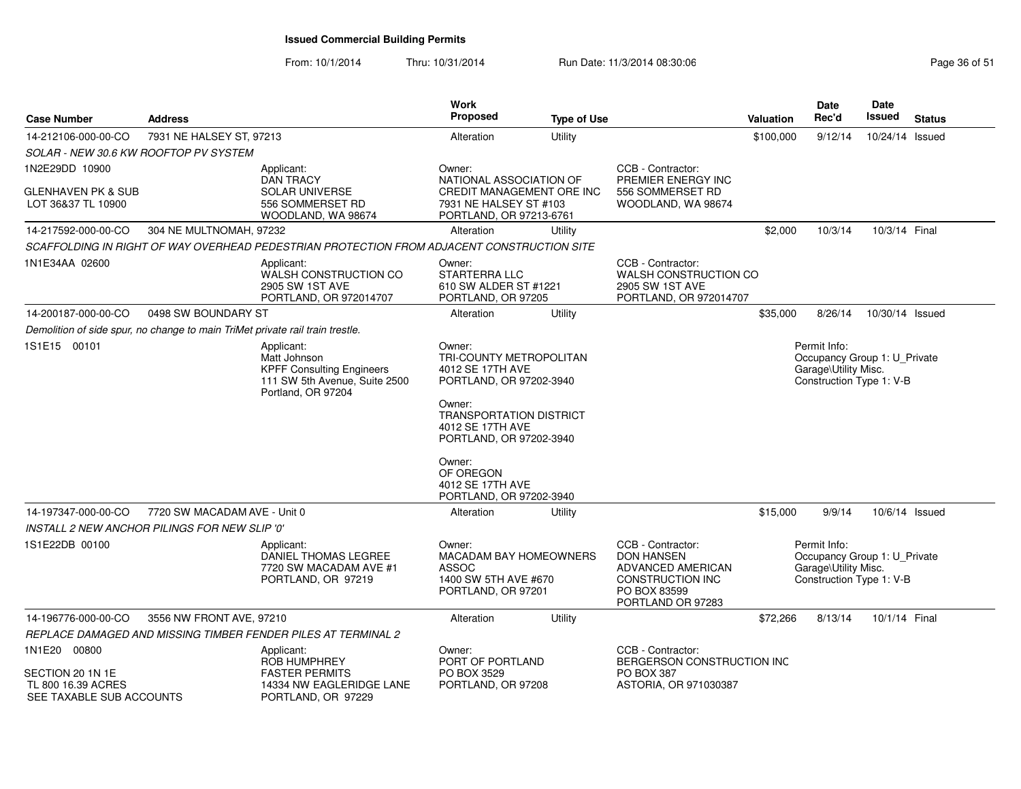| <b>Case Number</b>                                                            | <b>Address</b>                                |                                                                                                                       | Work<br><b>Proposed</b>                                                                               | <b>Type of Use</b> |                                                                                                                      | <b>Valuation</b> | Date<br>Rec'd                                                                                    | Date<br>Issued  | <b>Status</b> |
|-------------------------------------------------------------------------------|-----------------------------------------------|-----------------------------------------------------------------------------------------------------------------------|-------------------------------------------------------------------------------------------------------|--------------------|----------------------------------------------------------------------------------------------------------------------|------------------|--------------------------------------------------------------------------------------------------|-----------------|---------------|
| 14-212106-000-00-CO                                                           | 7931 NE HALSEY ST, 97213                      |                                                                                                                       | Alteration                                                                                            | Utility            |                                                                                                                      | \$100,000        | 9/12/14                                                                                          | 10/24/14 Issued |               |
| SOLAR - NEW 30.6 KW ROOFTOP PV SYSTEM                                         |                                               |                                                                                                                       |                                                                                                       |                    |                                                                                                                      |                  |                                                                                                  |                 |               |
| 1N2E29DD 10900                                                                |                                               | Applicant:<br><b>DAN TRACY</b>                                                                                        | Owner:<br>NATIONAL ASSOCIATION OF                                                                     |                    | CCB - Contractor:<br>PREMIER ENERGY INC                                                                              |                  |                                                                                                  |                 |               |
| <b>GLENHAVEN PK &amp; SUB</b><br>LOT 36&37 TL 10900                           |                                               | <b>SOLAR UNIVERSE</b><br>556 SOMMERSET RD<br>WOODLAND, WA 98674                                                       | CREDIT MANAGEMENT ORE INC<br>7931 NE HALSEY ST #103<br>PORTLAND, OR 97213-6761                        |                    | 556 SOMMERSET RD<br>WOODLAND, WA 98674                                                                               |                  |                                                                                                  |                 |               |
| 14-217592-000-00-CO                                                           | 304 NE MULTNOMAH, 97232                       |                                                                                                                       | Alteration                                                                                            | Utility            |                                                                                                                      | \$2,000          | 10/3/14                                                                                          | 10/3/14 Final   |               |
|                                                                               |                                               | SCAFFOLDING IN RIGHT OF WAY OVERHEAD PEDESTRIAN PROTECTION FROM ADJACENT CONSTRUCTION SITE                            |                                                                                                       |                    |                                                                                                                      |                  |                                                                                                  |                 |               |
| 1N1E34AA 02600                                                                |                                               | Applicant:<br>WALSH CONSTRUCTION CO<br>2905 SW 1ST AVE<br>PORTLAND, OR 972014707                                      | Owner:<br><b>STARTERRA LLC</b><br>610 SW ALDER ST #1221<br>PORTLAND, OR 97205                         |                    | CCB - Contractor:<br>WALSH CONSTRUCTION CO<br>2905 SW 1ST AVE<br>PORTLAND, OR 972014707                              |                  |                                                                                                  |                 |               |
| 14-200187-000-00-CO                                                           | 0498 SW BOUNDARY ST                           |                                                                                                                       | Alteration                                                                                            | Utility            |                                                                                                                      | \$35,000         | 8/26/14                                                                                          | 10/30/14 Issued |               |
| Demolition of side spur, no change to main TriMet private rail train trestle. |                                               |                                                                                                                       |                                                                                                       |                    |                                                                                                                      |                  |                                                                                                  |                 |               |
| 1S1E15 00101                                                                  |                                               | Applicant:<br>Matt Johnson<br><b>KPFF Consulting Engineers</b><br>111 SW 5th Avenue, Suite 2500<br>Portland, OR 97204 | Owner:<br>TRI-COUNTY METROPOLITAN<br>4012 SE 17TH AVE<br>PORTLAND, OR 97202-3940                      |                    |                                                                                                                      |                  | Permit Info:<br>Occupancy Group 1: U_Private<br>Garage\Utility Misc.<br>Construction Type 1: V-B |                 |               |
|                                                                               |                                               |                                                                                                                       | Owner:<br><b>TRANSPORTATION DISTRICT</b><br>4012 SE 17TH AVE<br>PORTLAND, OR 97202-3940               |                    |                                                                                                                      |                  |                                                                                                  |                 |               |
|                                                                               |                                               |                                                                                                                       | Owner:<br>OF OREGON<br>4012 SE 17TH AVE<br>PORTLAND, OR 97202-3940                                    |                    |                                                                                                                      |                  |                                                                                                  |                 |               |
| 14-197347-000-00-CO                                                           | 7720 SW MACADAM AVE - Unit 0                  |                                                                                                                       | Alteration                                                                                            | Utility            |                                                                                                                      | \$15,000         | 9/9/14                                                                                           | 10/6/14 Issued  |               |
|                                                                               | INSTALL 2 NEW ANCHOR PILINGS FOR NEW SLIP '0' |                                                                                                                       |                                                                                                       |                    |                                                                                                                      |                  |                                                                                                  |                 |               |
| 1S1E22DB 00100                                                                |                                               | Applicant:<br>DANIEL THOMAS LEGREE<br>7720 SW MACADAM AVE #1<br>PORTLAND, OR 97219                                    | Owner:<br><b>MACADAM BAY HOMEOWNERS</b><br><b>ASSOC</b><br>1400 SW 5TH AVE #670<br>PORTLAND, OR 97201 |                    | CCB - Contractor:<br><b>DON HANSEN</b><br>ADVANCED AMERICAN<br>CONSTRUCTION INC<br>PO BOX 83599<br>PORTLAND OR 97283 |                  | Permit Info:<br>Occupancy Group 1: U_Private<br>Garage\Utility Misc.<br>Construction Type 1: V-B |                 |               |
| 14-196776-000-00-CO                                                           | 3556 NW FRONT AVE, 97210                      |                                                                                                                       | Alteration                                                                                            | Utility            |                                                                                                                      | \$72,266         | 8/13/14                                                                                          | 10/1/14 Final   |               |
|                                                                               |                                               | REPLACE DAMAGED AND MISSING TIMBER FENDER PILES AT TERMINAL 2                                                         |                                                                                                       |                    |                                                                                                                      |                  |                                                                                                  |                 |               |
| 1N1E20 00800                                                                  |                                               | Applicant:<br>ROB HUMPHREY                                                                                            | Owner:<br>PORT OF PORTLAND                                                                            |                    | CCB - Contractor:<br>BERGERSON CONSTRUCTION INC                                                                      |                  |                                                                                                  |                 |               |
| SECTION 20 1N 1E<br>TL 800 16.39 ACRES<br>SEE TAXABLE SUB ACCOUNTS            |                                               | <b>FASTER PERMITS</b><br>14334 NW EAGLERIDGE LANE<br>PORTLAND, OR 97229                                               | PO BOX 3529<br>PORTLAND, OR 97208                                                                     |                    | PO BOX 387<br>ASTORIA, OR 971030387                                                                                  |                  |                                                                                                  |                 |               |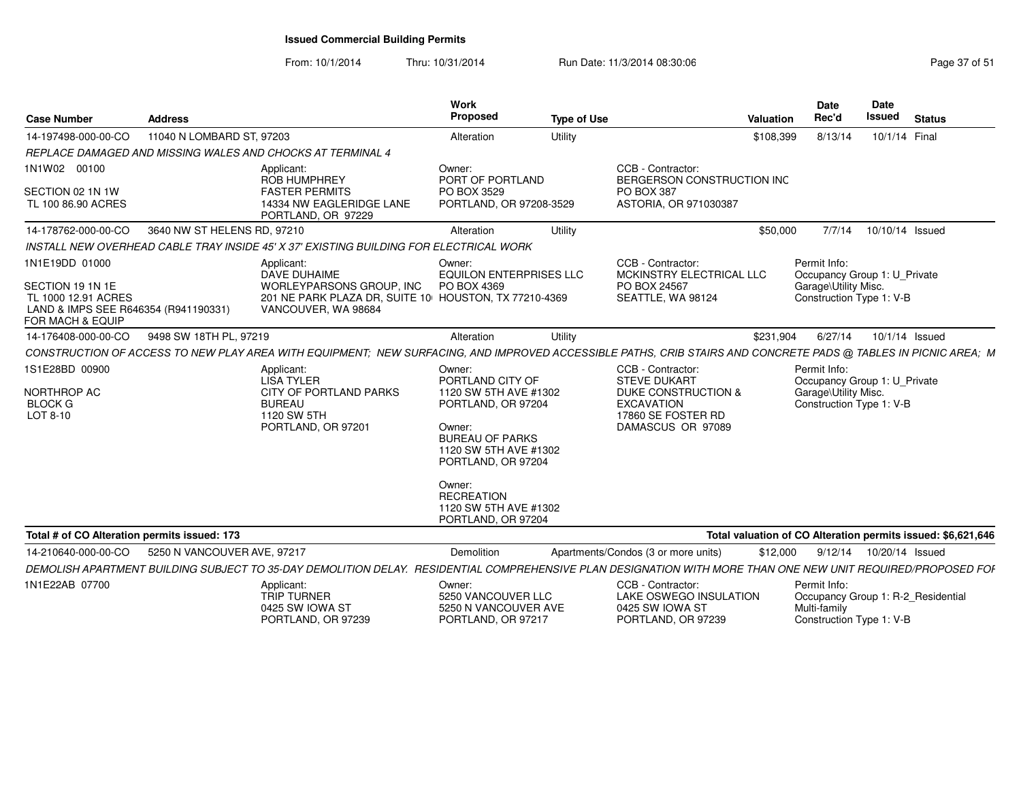| <b>Case Number</b>                                                                                                    | <b>Address</b>              |                                                                                                                                                                | <b>Work</b><br><b>Proposed</b>                                                                                                                                                                                                             | <b>Type of Use</b> |                                                                                                                                 | <b>Valuation</b> | <b>Date</b><br>Rec'd                                                                             | <b>Date</b><br><b>Issued</b> | <b>Status</b>                                                |
|-----------------------------------------------------------------------------------------------------------------------|-----------------------------|----------------------------------------------------------------------------------------------------------------------------------------------------------------|--------------------------------------------------------------------------------------------------------------------------------------------------------------------------------------------------------------------------------------------|--------------------|---------------------------------------------------------------------------------------------------------------------------------|------------------|--------------------------------------------------------------------------------------------------|------------------------------|--------------------------------------------------------------|
| 14-197498-000-00-CO                                                                                                   | 11040 N LOMBARD ST, 97203   |                                                                                                                                                                | Alteration                                                                                                                                                                                                                                 | Utility            |                                                                                                                                 | \$108,399        | 8/13/14                                                                                          | 10/1/14 Final                |                                                              |
|                                                                                                                       |                             | REPLACE DAMAGED AND MISSING WALES AND CHOCKS AT TERMINAL 4                                                                                                     |                                                                                                                                                                                                                                            |                    |                                                                                                                                 |                  |                                                                                                  |                              |                                                              |
| 1N1W02 00100<br>SECTION 02 1N 1W<br>TL 100 86.90 ACRES                                                                |                             | Applicant:<br><b>ROB HUMPHREY</b><br><b>FASTER PERMITS</b><br>14334 NW EAGLERIDGE LANE<br>PORTLAND, OR 97229                                                   | Owner:<br>PORT OF PORTLAND<br>PO BOX 3529<br>PORTLAND, OR 97208-3529                                                                                                                                                                       |                    | CCB - Contractor:<br>BERGERSON CONSTRUCTION INC<br><b>PO BOX 387</b><br>ASTORIA, OR 971030387                                   |                  |                                                                                                  |                              |                                                              |
| 14-178762-000-00-CO                                                                                                   | 3640 NW ST HELENS RD, 97210 |                                                                                                                                                                | Alteration                                                                                                                                                                                                                                 | Utility            |                                                                                                                                 | \$50,000         | 7/7/14                                                                                           | 10/10/14 Issued              |                                                              |
|                                                                                                                       |                             | INSTALL NEW OVERHEAD CABLE TRAY INSIDE 45' X 37' EXISTING BUILDING FOR ELECTRICAL WORK                                                                         |                                                                                                                                                                                                                                            |                    |                                                                                                                                 |                  |                                                                                                  |                              |                                                              |
| 1N1E19DD 01000<br>SECTION 19 1N 1E<br>TL 1000 12.91 ACRES<br>LAND & IMPS SEE R646354 (R941190331)<br>FOR MACH & EQUIP |                             | Applicant:<br>DAVE DUHAIME<br>WORLEYPARSONS GROUP, INC<br>201 NE PARK PLAZA DR, SUITE 10 HOUSTON, TX 77210-4369<br>VANCOUVER, WA 98684                         | Owner:<br><b>EQUILON ENTERPRISES LLC</b><br>PO BOX 4369                                                                                                                                                                                    |                    | CCB - Contractor:<br>MCKINSTRY ELECTRICAL LLC<br>PO BOX 24567<br>SEATTLE, WA 98124                                              |                  | Permit Info:<br>Occupancy Group 1: U_Private<br>Garage\Utility Misc.<br>Construction Type 1: V-B |                              |                                                              |
| 14-176408-000-00-CO                                                                                                   | 9498 SW 18TH PL, 97219      |                                                                                                                                                                | Alteration                                                                                                                                                                                                                                 | Utility            |                                                                                                                                 | \$231.904        | 6/27/14                                                                                          |                              | 10/1/14 Issued                                               |
|                                                                                                                       |                             | CONSTRUCTION OF ACCESS TO NEW PLAY AREA WITH EQUIPMENT; NEW SURFACING, AND IMPROVED ACCESSIBLE PATHS, CRIB STAIRS AND CONCRETE PADS @ TABLES IN PICNIC AREA; M |                                                                                                                                                                                                                                            |                    |                                                                                                                                 |                  |                                                                                                  |                              |                                                              |
| 1S1E28BD 00900<br>NORTHROP AC<br><b>BLOCK G</b><br>LOT 8-10                                                           |                             | Applicant:<br><b>LISA TYLER</b><br>CITY OF PORTLAND PARKS<br><b>BUREAU</b><br>1120 SW 5TH<br>PORTLAND, OR 97201                                                | Owner:<br>PORTLAND CITY OF<br>1120 SW 5TH AVE #1302<br>PORTLAND, OR 97204<br>Owner:<br><b>BUREAU OF PARKS</b><br>1120 SW 5TH AVE #1302<br>PORTLAND, OR 97204<br>Owner:<br><b>RECREATION</b><br>1120 SW 5TH AVE #1302<br>PORTLAND, OR 97204 |                    | CCB - Contractor:<br><b>STEVE DUKART</b><br>DUKE CONSTRUCTION &<br><b>EXCAVATION</b><br>17860 SE FOSTER RD<br>DAMASCUS OR 97089 |                  | Permit Info:<br>Occupancy Group 1: U_Private<br>Garage\Utility Misc.<br>Construction Type 1: V-B |                              |                                                              |
| Total # of CO Alteration permits issued: 173                                                                          |                             |                                                                                                                                                                |                                                                                                                                                                                                                                            |                    |                                                                                                                                 |                  |                                                                                                  |                              | Total valuation of CO Alteration permits issued: \$6,621,646 |
| 14-210640-000-00-CO                                                                                                   | 5250 N VANCOUVER AVE, 97217 |                                                                                                                                                                | Demolition                                                                                                                                                                                                                                 |                    | Apartments/Condos (3 or more units)                                                                                             | \$12,000         | 9/12/14  10/20/14  Issued                                                                        |                              |                                                              |
|                                                                                                                       |                             | DEMOLISH APARTMENT BUILDING SUBJECT TO 35-DAY DEMOLITION DELAY. RESIDENTIAL COMPREHENSIVE PLAN DESIGNATION WITH MORE THAN ONE NEW UNIT REQUIRED/PROPOSED FOI   |                                                                                                                                                                                                                                            |                    |                                                                                                                                 |                  |                                                                                                  |                              |                                                              |
| 1N1E22AB 07700                                                                                                        |                             | Applicant:<br><b>TRIP TURNER</b><br>0425 SW IOWA ST<br>PORTLAND, OR 97239                                                                                      | Owner:<br>5250 VANCOUVER LLC<br>5250 N VANCOUVER AVE<br>PORTLAND, OR 97217                                                                                                                                                                 |                    | CCB - Contractor:<br>LAKE OSWEGO INSULATION<br>0425 SW IOWA ST<br>PORTLAND, OR 97239                                            |                  | Permit Info:<br>Occupancy Group 1: R-2 Residential<br>Multi-family<br>Construction Type 1: V-B   |                              |                                                              |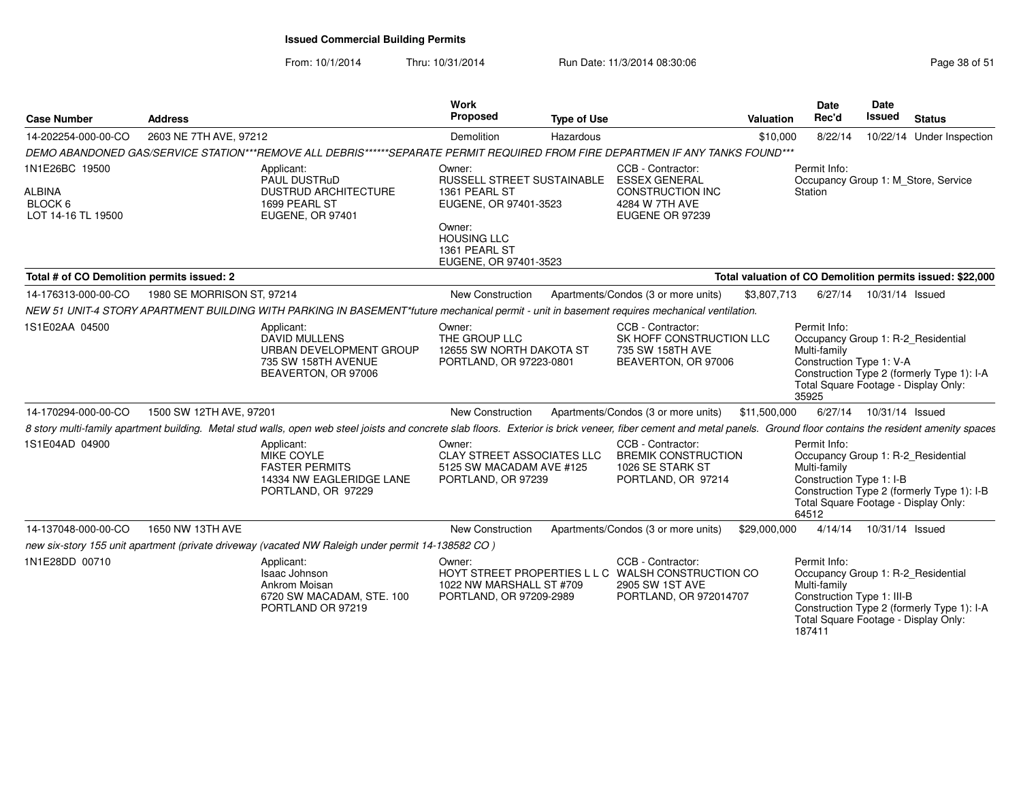| <b>Case Number</b>                                               | <b>Address</b>                                                                                                                                                                                                        |                                                                                               | <b>Work</b><br>Proposed                                                                                                                                  | <b>Type of Use</b> |                                                                                                                      | <b>Valuation</b> | <b>Date</b><br>Rec'd                                                                                                                               | Date<br>Issued  | <b>Status</b>                                             |
|------------------------------------------------------------------|-----------------------------------------------------------------------------------------------------------------------------------------------------------------------------------------------------------------------|-----------------------------------------------------------------------------------------------|----------------------------------------------------------------------------------------------------------------------------------------------------------|--------------------|----------------------------------------------------------------------------------------------------------------------|------------------|----------------------------------------------------------------------------------------------------------------------------------------------------|-----------------|-----------------------------------------------------------|
| 14-202254-000-00-CO                                              | 2603 NE 7TH AVE, 97212                                                                                                                                                                                                |                                                                                               | Demolition                                                                                                                                               | Hazardous          |                                                                                                                      | \$10,000         | 8/22/14                                                                                                                                            |                 | 10/22/14 Under Inspection                                 |
|                                                                  | DEMO ABANDONED GAS/SERVICE STATION***REMOVE ALL DEBRIS******SEPARATE PERMIT REQUIRED FROM FIRE DEPARTMEN IF ANY TANKS FOUND***                                                                                        |                                                                                               |                                                                                                                                                          |                    |                                                                                                                      |                  |                                                                                                                                                    |                 |                                                           |
| 1N1E26BC 19500<br><b>ALBINA</b><br>BLOCK 6<br>LOT 14-16 TL 19500 | Applicant:                                                                                                                                                                                                            | PAUL DUSTRuD<br><b>DUSTRUD ARCHITECTURE</b><br>1699 PEARL ST<br><b>EUGENE, OR 97401</b>       | Owner:<br>RUSSELL STREET SUSTAINABLE<br>1361 PEARL ST<br>EUGENE, OR 97401-3523<br>Owner:<br><b>HOUSING LLC</b><br>1361 PEARL ST<br>EUGENE, OR 97401-3523 |                    | CCB - Contractor:<br><b>ESSEX GENERAL</b><br><b>CONSTRUCTION INC</b><br>4284 W 7TH AVE<br>EUGENE OR 97239            |                  | Permit Info:<br>Occupancy Group 1: M Store, Service<br>Station                                                                                     |                 |                                                           |
| Total # of CO Demolition permits issued: 2                       |                                                                                                                                                                                                                       |                                                                                               |                                                                                                                                                          |                    |                                                                                                                      |                  |                                                                                                                                                    |                 | Total valuation of CO Demolition permits issued: \$22,000 |
| 14-176313-000-00-CO                                              | 1980 SE MORRISON ST, 97214                                                                                                                                                                                            |                                                                                               | <b>New Construction</b>                                                                                                                                  |                    | Apartments/Condos (3 or more units)                                                                                  | \$3,807,713      | 6/27/14                                                                                                                                            | 10/31/14 Issued |                                                           |
|                                                                  | NEW 51 UNIT-4 STORY APARTMENT BUILDING WITH PARKING IN BASEMENT*future mechanical permit - unit in basement requires mechanical ventilation.                                                                          |                                                                                               |                                                                                                                                                          |                    |                                                                                                                      |                  |                                                                                                                                                    |                 |                                                           |
| 1S1E02AA 04500                                                   | Applicant:                                                                                                                                                                                                            | <b>DAVID MULLENS</b><br>URBAN DEVELOPMENT GROUP<br>735 SW 158TH AVENUE<br>BEAVERTON, OR 97006 | Owner:<br>THE GROUP LLC<br>12655 SW NORTH DAKOTA ST<br>PORTLAND, OR 97223-0801                                                                           |                    | CCB - Contractor:<br>SK HOFF CONSTRUCTION LLC<br>735 SW 158TH AVE<br>BEAVERTON, OR 97006                             |                  | Permit Info:<br>Occupancy Group 1: R-2_Residential<br>Multi-family<br>Construction Type 1: V-A<br>Total Square Footage - Display Only:<br>35925    |                 | Construction Type 2 (formerly Type 1): I-A                |
| 14-170294-000-00-CO                                              | 1500 SW 12TH AVE, 97201                                                                                                                                                                                               |                                                                                               | New Construction                                                                                                                                         |                    | Apartments/Condos (3 or more units) \$11,500,000                                                                     |                  | 6/27/14                                                                                                                                            | 10/31/14 Issued |                                                           |
|                                                                  | 8 story multi-family apartment building. Metal stud walls, open web steel joists and concrete slab floors. Exterior is brick veneer, fiber cement and metal panels. Ground floor contains the resident amenity spaces |                                                                                               |                                                                                                                                                          |                    |                                                                                                                      |                  |                                                                                                                                                    |                 |                                                           |
| 1S1E04AD 04900                                                   | Applicant:<br>MIKE COYLE                                                                                                                                                                                              | <b>FASTER PERMITS</b><br>14334 NW EAGLERIDGE LANE<br>PORTLAND, OR 97229                       | Owner:<br><b>CLAY STREET ASSOCIATES LLC</b><br>5125 SW MACADAM AVE #125<br>PORTLAND, OR 97239                                                            |                    | CCB - Contractor:<br><b>BREMIK CONSTRUCTION</b><br>1026 SE STARK ST<br>PORTLAND, OR 97214                            |                  | Permit Info:<br>Occupancy Group 1: R-2_Residential<br>Multi-family<br>Construction Type 1: I-B<br>Total Square Footage - Display Only:<br>64512    |                 | Construction Type 2 (formerly Type 1): I-B                |
| 14-137048-000-00-CO                                              | 1650 NW 13TH AVE                                                                                                                                                                                                      |                                                                                               | <b>New Construction</b>                                                                                                                                  |                    | Apartments/Condos (3 or more units)                                                                                  | \$29,000,000     | 4/14/14                                                                                                                                            | 10/31/14 Issued |                                                           |
|                                                                  | new six-story 155 unit apartment (private driveway (vacated NW Raleigh under permit 14-138582 CO)                                                                                                                     |                                                                                               |                                                                                                                                                          |                    |                                                                                                                      |                  |                                                                                                                                                    |                 |                                                           |
| 1N1E28DD 00710                                                   | Applicant:<br>Isaac Johnson                                                                                                                                                                                           | Ankrom Moisan<br>6720 SW MACADAM, STE. 100<br>PORTLAND OR 97219                               | Owner:<br>1022 NW MARSHALL ST #709<br>PORTLAND, OR 97209-2989                                                                                            |                    | CCB - Contractor:<br>HOYT STREET PROPERTIES L L C WALSH CONSTRUCTION CO<br>2905 SW 1ST AVE<br>PORTLAND, OR 972014707 |                  | Permit Info:<br>Occupancy Group 1: R-2_Residential<br>Multi-family<br>Construction Type 1: III-B<br>Total Square Footage - Display Only:<br>187411 |                 | Construction Type 2 (formerly Type 1): I-A                |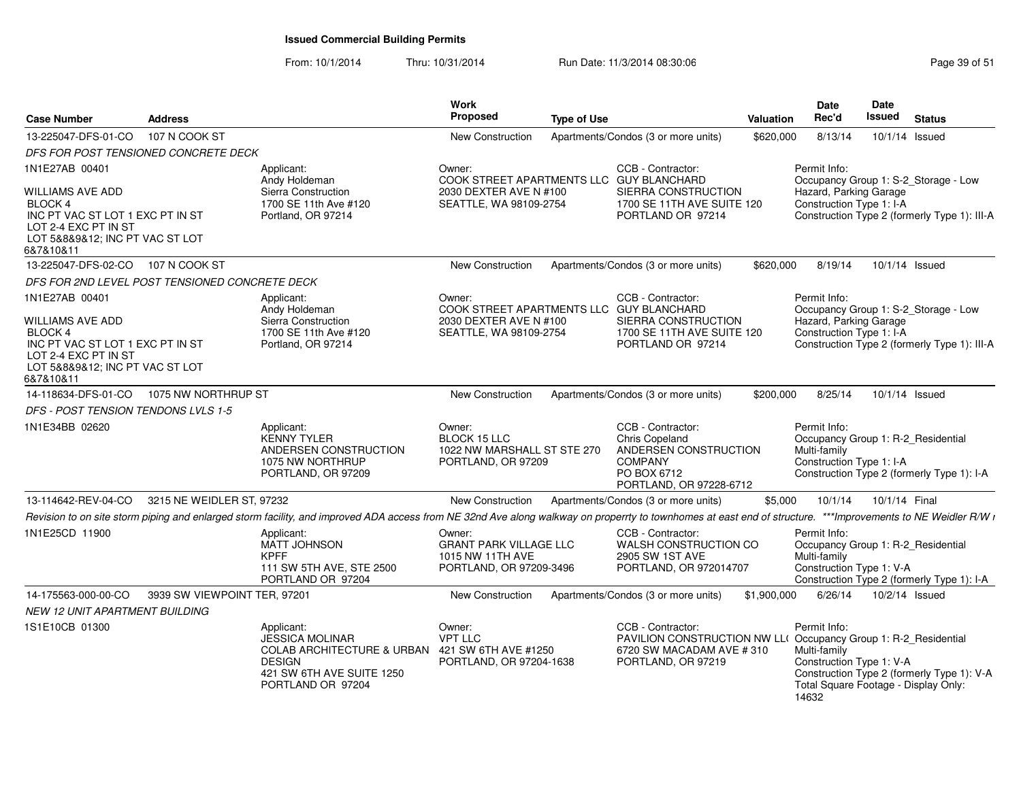| <b>Case Number</b>                                                                                                                             | <b>Address</b>               |                                                                                                                                                                                                              | Work<br><b>Proposed</b>                                                                | <b>Type of Use</b> |                                                                                                                                        | <b>Valuation</b> | <b>Date</b><br>Rec'd                                                                                      | Date<br><b>Issued</b> | <b>Status</b>                                |
|------------------------------------------------------------------------------------------------------------------------------------------------|------------------------------|--------------------------------------------------------------------------------------------------------------------------------------------------------------------------------------------------------------|----------------------------------------------------------------------------------------|--------------------|----------------------------------------------------------------------------------------------------------------------------------------|------------------|-----------------------------------------------------------------------------------------------------------|-----------------------|----------------------------------------------|
| 13-225047-DFS-01-CO                                                                                                                            | 107 N COOK ST                |                                                                                                                                                                                                              | New Construction                                                                       |                    | Apartments/Condos (3 or more units)                                                                                                    | \$620,000        | 8/13/14                                                                                                   |                       | 10/1/14 Issued                               |
| DFS FOR POST TENSIONED CONCRETE DECK                                                                                                           |                              |                                                                                                                                                                                                              |                                                                                        |                    |                                                                                                                                        |                  |                                                                                                           |                       |                                              |
| 1N1E27AB 00401<br>WILLIAMS AVE ADD                                                                                                             |                              | Applicant:<br>Andy Holdeman<br>Sierra Construction                                                                                                                                                           | Owner:<br>COOK STREET APARTMENTS LLC GUY BLANCHARD<br>2030 DEXTER AVE N #100           |                    | CCB - Contractor:<br>SIERRA CONSTRUCTION                                                                                               |                  | Permit Info:<br>Hazard, Parking Garage                                                                    |                       | Occupancy Group 1: S-2 Storage - Low         |
| <b>BLOCK 4</b><br>INC PT VAC ST LOT 1 EXC PT IN ST<br>LOT 2-4 EXC PT IN ST<br>LOT 5&8&9&12; INC PT VAC ST LOT<br>6&7&10&11                     |                              | 1700 SE 11th Ave #120<br>Portland, OR 97214                                                                                                                                                                  | SEATTLE, WA 98109-2754                                                                 |                    | 1700 SE 11TH AVE SUITE 120<br>PORTLAND OR 97214                                                                                        |                  | Construction Type 1: I-A                                                                                  |                       | Construction Type 2 (formerly Type 1): III-A |
| 13-225047-DFS-02-CO                                                                                                                            | 107 N COOK ST                |                                                                                                                                                                                                              | New Construction                                                                       |                    | Apartments/Condos (3 or more units)                                                                                                    | \$620,000        | 8/19/14                                                                                                   |                       | 10/1/14 Issued                               |
| DFS FOR 2ND LEVEL POST TENSIONED CONCRETE DECK                                                                                                 |                              |                                                                                                                                                                                                              |                                                                                        |                    |                                                                                                                                        |                  |                                                                                                           |                       |                                              |
| 1N1E27AB 00401                                                                                                                                 |                              | Applicant:<br>Andy Holdeman                                                                                                                                                                                  | Owner:<br>COOK STREET APARTMENTS LLC GUY BLANCHARD                                     |                    | CCB - Contractor:                                                                                                                      |                  | Permit Info:                                                                                              |                       | Occupancy Group 1: S-2_Storage - Low         |
| <b>WILLIAMS AVE ADD</b><br>BLOCK 4<br>INC PT VAC ST LOT 1 EXC PT IN ST<br>LOT 2-4 EXC PT IN ST<br>LOT 5&8&9&12; INC PT VAC ST LOT<br>6&7&10&11 |                              | Sierra Construction<br>1700 SE 11th Ave #120<br>Portland, OR 97214                                                                                                                                           | 2030 DEXTER AVE N #100<br>SEATTLE, WA 98109-2754                                       |                    | SIERRA CONSTRUCTION<br>1700 SE 11TH AVE SUITE 120<br>PORTLAND OR 97214                                                                 |                  | Hazard, Parking Garage<br>Construction Type 1: I-A                                                        |                       | Construction Type 2 (formerly Type 1): III-A |
| 14-118634-DFS-01-CO                                                                                                                            | 1075 NW NORTHRUP ST          |                                                                                                                                                                                                              | New Construction                                                                       |                    | Apartments/Condos (3 or more units)                                                                                                    | \$200,000        | 8/25/14                                                                                                   |                       | 10/1/14 Issued                               |
| DFS - POST TENSION TENDONS LVLS 1-5                                                                                                            |                              |                                                                                                                                                                                                              |                                                                                        |                    |                                                                                                                                        |                  |                                                                                                           |                       |                                              |
| 1N1E34BB 02620                                                                                                                                 |                              | Applicant:<br><b>KENNY TYLER</b><br>ANDERSEN CONSTRUCTION<br>1075 NW NORTHRUP<br>PORTLAND, OR 97209                                                                                                          | Owner:<br><b>BLOCK 15 LLC</b><br>1022 NW MARSHALL ST STE 270<br>PORTLAND, OR 97209     |                    | CCB - Contractor:<br><b>Chris Copeland</b><br>ANDERSEN CONSTRUCTION<br><b>COMPANY</b><br>PO BOX 6712<br>PORTLAND, OR 97228-6712        |                  | Permit Info:<br>Occupancy Group 1: R-2_Residential<br>Multi-family<br>Construction Type 1: I-A            |                       | Construction Type 2 (formerly Type 1): I-A   |
| 13-114642-REV-04-CO                                                                                                                            | 3215 NE WEIDLER ST, 97232    |                                                                                                                                                                                                              | New Construction                                                                       |                    | Apartments/Condos (3 or more units)                                                                                                    | \$5,000          | 10/1/14                                                                                                   | 10/1/14 Final         |                                              |
|                                                                                                                                                |                              | Revision to on site storm piping and enlarged storm facility, and improved ADA access from NE 32nd Ave along walkway on properrty to townhomes at east end of structure. ***Improvements to NE Weidler R/W i |                                                                                        |                    |                                                                                                                                        |                  |                                                                                                           |                       |                                              |
| 1N1E25CD 11900                                                                                                                                 |                              | Applicant:<br>MATT JOHNSON<br><b>KPFF</b><br>111 SW 5TH AVE, STE 2500<br>PORTLAND OR 97204                                                                                                                   | Owner:<br><b>GRANT PARK VILLAGE LLC</b><br>1015 NW 11TH AVE<br>PORTLAND, OR 97209-3496 |                    | CCB - Contractor:<br>WALSH CONSTRUCTION CO<br>2905 SW 1ST AVE<br>PORTLAND, OR 972014707                                                |                  | Permit Info:<br>Occupancy Group 1: R-2_Residential<br>Multi-family<br>Construction Type 1: V-A            |                       | Construction Type 2 (formerly Type 1): I-A   |
| 14-175563-000-00-CO                                                                                                                            | 3939 SW VIEWPOINT TER, 97201 |                                                                                                                                                                                                              | New Construction                                                                       |                    | Apartments/Condos (3 or more units)                                                                                                    | \$1,900,000      | 6/26/14                                                                                                   | 10/2/14 Issued        |                                              |
| <b>NEW 12 UNIT APARTMENT BUILDING</b>                                                                                                          |                              |                                                                                                                                                                                                              |                                                                                        |                    |                                                                                                                                        |                  |                                                                                                           |                       |                                              |
| 1S1E10CB 01300                                                                                                                                 |                              | Applicant:<br><b>JESSICA MOLINAR</b><br>COLAB ARCHITECTURE & URBAN 421 SW 6TH AVE #1250<br><b>DESIGN</b><br>421 SW 6TH AVE SUITE 1250<br>PORTLAND OR 97204                                                   | Owner:<br><b>VPT LLC</b><br>PORTLAND, OR 97204-1638                                    |                    | CCB - Contractor:<br>PAVILION CONSTRUCTION NW LL( Occupancy Group 1: R-2_Residential<br>6720 SW MACADAM AVE #310<br>PORTLAND, OR 97219 |                  | Permit Info:<br>Multi-family<br>Construction Type 1: V-A<br>Total Square Footage - Display Only:<br>14632 |                       | Construction Type 2 (formerly Type 1): V-A   |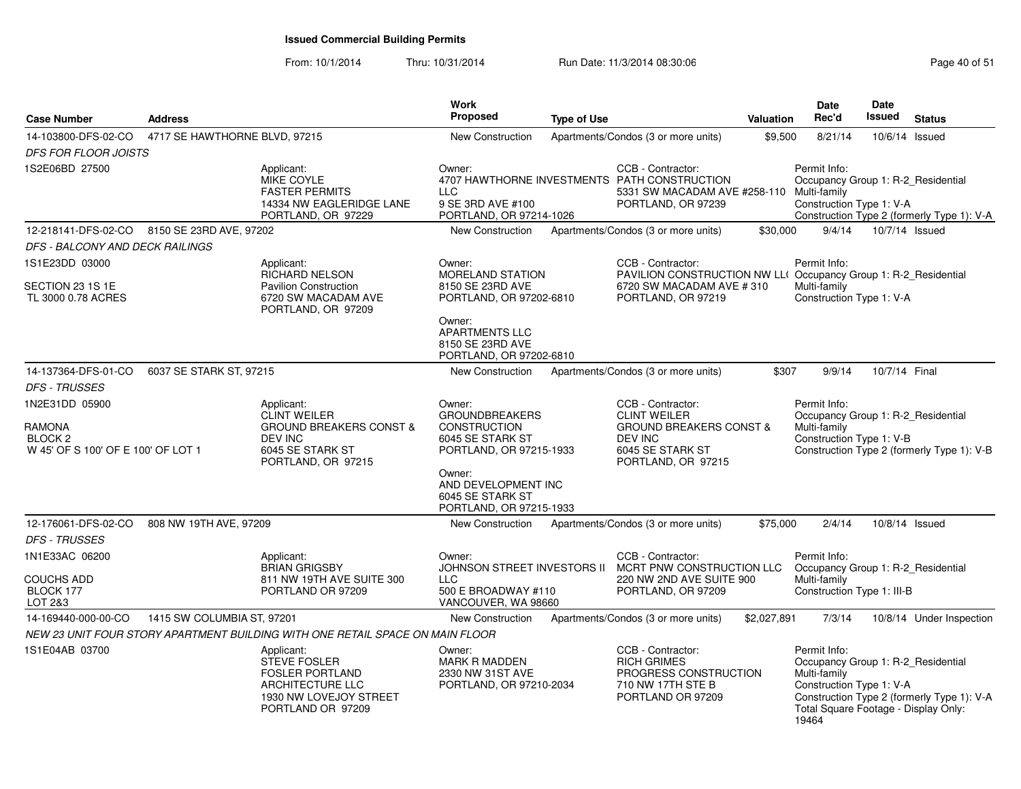From: 10/1/2014Thru: 10/31/2014 Run Date: 11/3/2014 08:30:06 Research 2010 12:00 Page 40 of 51

| <b>Case Number</b>                                                               | <b>Address</b>                |                                                                                                                                     | <b>Work</b><br>Proposed                                                                                                                                  | <b>Type of Use</b> |                                                                                                                                            | Valuation   | <b>Date</b><br>Rec'd                                                                                                                            | <b>Date</b><br><b>Issued</b> | <b>Status</b>                              |
|----------------------------------------------------------------------------------|-------------------------------|-------------------------------------------------------------------------------------------------------------------------------------|----------------------------------------------------------------------------------------------------------------------------------------------------------|--------------------|--------------------------------------------------------------------------------------------------------------------------------------------|-------------|-------------------------------------------------------------------------------------------------------------------------------------------------|------------------------------|--------------------------------------------|
| 14-103800-DFS-02-CO                                                              | 4717 SE HAWTHORNE BLVD, 97215 |                                                                                                                                     | <b>New Construction</b>                                                                                                                                  |                    | Apartments/Condos (3 or more units)                                                                                                        | \$9,500     | 8/21/14                                                                                                                                         |                              | 10/6/14 Issued                             |
| <b>DFS FOR FLOOR JOISTS</b>                                                      |                               |                                                                                                                                     |                                                                                                                                                          |                    |                                                                                                                                            |             |                                                                                                                                                 |                              |                                            |
| 1S2E06BD 27500                                                                   |                               | Applicant:<br>MIKE COYLE<br><b>FASTER PERMITS</b><br>14334 NW EAGLERIDGE LANE<br>PORTLAND, OR 97229                                 | Owner:<br><b>LLC</b><br>9 SE 3RD AVE #100<br>PORTLAND, OR 97214-1026                                                                                     |                    | CCB - Contractor:<br>4707 HAWTHORNE INVESTMENTS PATH CONSTRUCTION<br>5331 SW MACADAM AVE #258-110 Multi-family<br>PORTLAND, OR 97239       |             | Permit Info:<br>Occupancy Group 1: R-2_Residential<br>Construction Type 1: V-A                                                                  |                              | Construction Type 2 (formerly Type 1): V-A |
| 12-218141-DFS-02-CO 8150 SE 23RD AVE, 97202                                      |                               |                                                                                                                                     | New Construction                                                                                                                                         |                    | Apartments/Condos (3 or more units)                                                                                                        | \$30,000    | 9/4/14                                                                                                                                          |                              | 10/7/14 Issued                             |
| DFS - BALCONY AND DECK RAILINGS                                                  |                               |                                                                                                                                     |                                                                                                                                                          |                    |                                                                                                                                            |             |                                                                                                                                                 |                              |                                            |
| 1S1E23DD 03000                                                                   |                               | Applicant:                                                                                                                          | Owner:                                                                                                                                                   |                    | CCB - Contractor:                                                                                                                          |             | Permit Info:                                                                                                                                    |                              |                                            |
| SECTION 23 1S 1E<br>TL 3000 0.78 ACRES                                           |                               | RICHARD NELSON<br><b>Pavilion Construction</b><br>6720 SW MACADAM AVE<br>PORTLAND, OR 97209                                         | <b>MORELAND STATION</b><br>8150 SE 23RD AVE<br>PORTLAND, OR 97202-6810<br>Owner:<br><b>APARTMENTS LLC</b><br>8150 SE 23RD AVE<br>PORTLAND, OR 97202-6810 |                    | <b>PAVILION CONSTRUCTION NW LL( Occupancy Group 1: R-2 Residential</b><br>6720 SW MACADAM AVE #310<br>PORTLAND, OR 97219                   |             | Multi-family<br>Construction Type 1: V-A                                                                                                        |                              |                                            |
| 14-137364-DFS-01-CO                                                              | 6037 SE STARK ST, 97215       |                                                                                                                                     | New Construction                                                                                                                                         |                    | Apartments/Condos (3 or more units)                                                                                                        | \$307       | 9/9/14                                                                                                                                          | 10/7/14 Final                |                                            |
| <b>DFS - TRUSSES</b>                                                             |                               |                                                                                                                                     |                                                                                                                                                          |                    |                                                                                                                                            |             |                                                                                                                                                 |                              |                                            |
| 1N2E31DD 05900<br>RAMONA<br><b>BLOCK 2</b><br>W 45' OF S 100' OF E 100' OF LOT 1 |                               | Applicant:<br><b>CLINT WEILER</b><br><b>GROUND BREAKERS CONST &amp;</b><br><b>DEV INC</b><br>6045 SE STARK ST<br>PORTLAND, OR 97215 | Owner:<br><b>GROUNDBREAKERS</b><br><b>CONSTRUCTION</b><br>6045 SE STARK ST<br>PORTLAND, OR 97215-1933                                                    |                    | CCB - Contractor:<br><b>CLINT WEILER</b><br><b>GROUND BREAKERS CONST &amp;</b><br><b>DEV INC</b><br>6045 SE STARK ST<br>PORTLAND, OR 97215 |             | Permit Info:<br>Occupancy Group 1: R-2_Residential<br>Multi-family<br>Construction Type 1: V-B                                                  |                              | Construction Type 2 (formerly Type 1): V-B |
|                                                                                  |                               |                                                                                                                                     | Owner:<br>AND DEVELOPMENT INC<br>6045 SE STARK ST<br>PORTLAND, OR 97215-1933                                                                             |                    |                                                                                                                                            |             |                                                                                                                                                 |                              |                                            |
| 12-176061-DFS-02-CO                                                              | 808 NW 19TH AVE, 97209        |                                                                                                                                     | New Construction                                                                                                                                         |                    | Apartments/Condos (3 or more units)                                                                                                        | \$75,000    | 2/4/14                                                                                                                                          |                              | 10/8/14 Issued                             |
| <b>DFS - TRUSSES</b>                                                             |                               |                                                                                                                                     |                                                                                                                                                          |                    |                                                                                                                                            |             |                                                                                                                                                 |                              |                                            |
| 1N1E33AC 06200<br>COUCHS ADD<br>BLOCK 177<br>LOT 2&3                             |                               | Applicant:<br><b>BRIAN GRIGSBY</b><br>811 NW 19TH AVE SUITE 300<br>PORTLAND OR 97209                                                | Owner:<br>JOHNSON STREET INVESTORS II<br><b>LLC</b><br>500 E BROADWAY #110<br>VANCOUVER, WA 98660                                                        |                    | CCB - Contractor:<br>MCRT PNW CONSTRUCTION LLC<br>220 NW 2ND AVE SUITE 900<br>PORTLAND, OR 97209                                           |             | Permit Info:<br>Occupancy Group 1: R-2_Residential<br>Multi-family<br>Construction Type 1: III-B                                                |                              |                                            |
| 14-169440-000-00-CO                                                              | 1415 SW COLUMBIA ST, 97201    |                                                                                                                                     | <b>New Construction</b>                                                                                                                                  |                    | Apartments/Condos (3 or more units)                                                                                                        | \$2,027,891 | 7/3/14                                                                                                                                          |                              | 10/8/14 Under Inspection                   |
|                                                                                  |                               | NEW 23 UNIT FOUR STORY APARTMENT BUILDING WITH ONE RETAIL SPACE ON MAIN FLOOR                                                       |                                                                                                                                                          |                    |                                                                                                                                            |             |                                                                                                                                                 |                              |                                            |
| 1S1E04AB 03700                                                                   |                               | Applicant:<br><b>STEVE FOSLER</b><br><b>FOSLER PORTLAND</b><br>ARCHITECTURE LLC<br>1930 NW LOVEJOY STREET<br>PORTLAND OR 97209      | Owner:<br><b>MARK R MADDEN</b><br>2330 NW 31ST AVE<br>PORTLAND, OR 97210-2034                                                                            |                    | CCB - Contractor:<br><b>RICH GRIMES</b><br>PROGRESS CONSTRUCTION<br>710 NW 17TH STE B<br>PORTLAND OR 97209                                 |             | Permit Info:<br>Occupancy Group 1: R-2_Residential<br>Multi-family<br>Construction Type 1: V-A<br>Total Square Footage - Display Only:<br>19464 |                              | Construction Type 2 (formerly Type 1): V-A |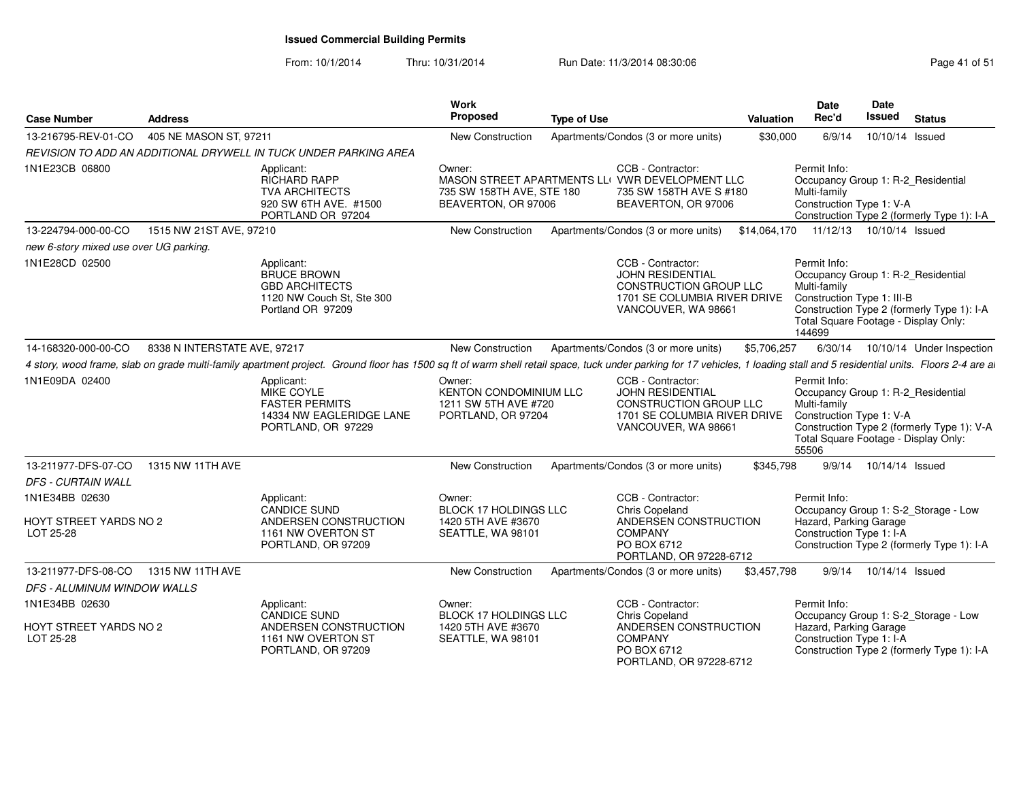From: 10/1/2014Thru: 10/31/2014 Run Date: 11/3/2014 08:30:06 Research 2010 12:00 Page 41 of 51

| <b>Case Number</b>                     | <b>Address</b>               |                                                                                                                                                                                                                          | <b>Work</b><br>Proposed                                                        | <b>Type of Use</b> |                                                                                                                                      | Valuation   | <b>Date</b><br>Rec'd                                                                                                                               | Date<br>Issued  | <b>Status</b>                              |
|----------------------------------------|------------------------------|--------------------------------------------------------------------------------------------------------------------------------------------------------------------------------------------------------------------------|--------------------------------------------------------------------------------|--------------------|--------------------------------------------------------------------------------------------------------------------------------------|-------------|----------------------------------------------------------------------------------------------------------------------------------------------------|-----------------|--------------------------------------------|
| 13-216795-REV-01-CO                    | 405 NE MASON ST, 97211       |                                                                                                                                                                                                                          | New Construction                                                               |                    | Apartments/Condos (3 or more units)                                                                                                  | \$30,000    | 6/9/14                                                                                                                                             | 10/10/14 Issued |                                            |
|                                        |                              | REVISION TO ADD AN ADDITIONAL DRYWELL IN TUCK UNDER PARKING AREA                                                                                                                                                         |                                                                                |                    |                                                                                                                                      |             |                                                                                                                                                    |                 |                                            |
| 1N1E23CB 06800                         |                              | Applicant:<br><b>RICHARD RAPP</b><br><b>TVA ARCHITECTS</b><br>920 SW 6TH AVE, #1500<br>PORTLAND OR 97204                                                                                                                 | Owner:<br>735 SW 158TH AVE, STE 180<br>BEAVERTON, OR 97006                     |                    | CCB - Contractor:<br>MASON STREET APARTMENTS LLI VWR DEVELOPMENT LLC<br>735 SW 158TH AVE S #180<br>BEAVERTON, OR 97006               |             | Permit Info:<br>Occupancy Group 1: R-2_Residential<br>Multi-family<br>Construction Type 1: V-A                                                     |                 | Construction Type 2 (formerly Type 1): I-A |
| 13-224794-000-00-CO                    | 1515 NW 21ST AVE, 97210      |                                                                                                                                                                                                                          | New Construction                                                               |                    | Apartments/Condos (3 or more units)                                                                                                  |             | \$14,064,170  11/12/13  10/10/14  Issued                                                                                                           |                 |                                            |
| new 6-story mixed use over UG parking. |                              |                                                                                                                                                                                                                          |                                                                                |                    |                                                                                                                                      |             |                                                                                                                                                    |                 |                                            |
| 1N1E28CD 02500                         |                              | Applicant:<br><b>BRUCE BROWN</b><br><b>GBD ARCHITECTS</b><br>1120 NW Couch St, Ste 300<br>Portland OR 97209                                                                                                              |                                                                                |                    | CCB - Contractor:<br><b>JOHN RESIDENTIAL</b><br><b>CONSTRUCTION GROUP LLC</b><br>1701 SE COLUMBIA RIVER DRIVE<br>VANCOUVER, WA 98661 |             | Permit Info:<br>Occupancy Group 1: R-2 Residential<br>Multi-family<br>Construction Type 1: III-B<br>Total Square Footage - Display Only:<br>144699 |                 | Construction Type 2 (formerly Type 1): I-A |
| 14-168320-000-00-CO                    | 8338 N INTERSTATE AVE, 97217 |                                                                                                                                                                                                                          | New Construction                                                               |                    | Apartments/Condos (3 or more units)                                                                                                  | \$5,706,257 |                                                                                                                                                    |                 | 6/30/14  10/10/14  Under Inspection        |
|                                        |                              | 4 story, wood frame, slab on grade multi-family apartment project. Ground floor has 1500 sq ft of warm shell retail space, tuck under parking for 17 vehicles, 1 loading stall and 5 residential units. Floors 2-4 are a |                                                                                |                    |                                                                                                                                      |             |                                                                                                                                                    |                 |                                            |
| 1N1E09DA 02400                         |                              | Applicant:<br>MIKE COYLE<br><b>FASTER PERMITS</b><br>14334 NW EAGLERIDGE LANE<br>PORTLAND, OR 97229                                                                                                                      | Owner:<br>KENTON CONDOMINIUM LLC<br>1211 SW 5TH AVE #720<br>PORTLAND, OR 97204 |                    | CCB - Contractor:<br><b>JOHN RESIDENTIAL</b><br>CONSTRUCTION GROUP LLC<br>1701 SE COLUMBIA RIVER DRIVE<br>VANCOUVER, WA 98661        |             | Permit Info:<br>Occupancy Group 1: R-2_Residential<br>Multi-family<br>Construction Type 1: V-A<br>Total Square Footage - Display Only:<br>55506    |                 | Construction Type 2 (formerly Type 1): V-A |
| 13-211977-DFS-07-CO                    | 1315 NW 11TH AVE             |                                                                                                                                                                                                                          | New Construction                                                               |                    | Apartments/Condos (3 or more units)                                                                                                  | \$345,798   | 9/9/14                                                                                                                                             | 10/14/14 Issued |                                            |
| DFS - CURTAIN WALL                     |                              |                                                                                                                                                                                                                          |                                                                                |                    |                                                                                                                                      |             |                                                                                                                                                    |                 |                                            |
| 1N1E34BB 02630                         |                              | Applicant:<br><b>CANDICE SUND</b>                                                                                                                                                                                        | Owner:<br><b>BLOCK 17 HOLDINGS LLC</b>                                         |                    | CCB - Contractor:<br><b>Chris Copeland</b>                                                                                           |             | Permit Info:                                                                                                                                       |                 | Occupancy Group 1: S-2 Storage - Low       |
| HOYT STREET YARDS NO 2<br>LOT 25-28    |                              | ANDERSEN CONSTRUCTION<br>1161 NW OVERTON ST<br>PORTLAND, OR 97209                                                                                                                                                        | 1420 5TH AVE #3670<br>SEATTLE, WA 98101                                        |                    | ANDERSEN CONSTRUCTION<br><b>COMPANY</b><br>PO BOX 6712<br>PORTLAND, OR 97228-6712                                                    |             | Hazard, Parking Garage<br>Construction Type 1: I-A                                                                                                 |                 | Construction Type 2 (formerly Type 1): I-A |
| 13-211977-DFS-08-CO                    | 1315 NW 11TH AVE             |                                                                                                                                                                                                                          | New Construction                                                               |                    | Apartments/Condos (3 or more units)                                                                                                  | \$3,457,798 | 9/9/14                                                                                                                                             | 10/14/14 Issued |                                            |
| <b>DFS - ALUMINUM WINDOW WALLS</b>     |                              |                                                                                                                                                                                                                          |                                                                                |                    |                                                                                                                                      |             |                                                                                                                                                    |                 |                                            |
| 1N1E34BB 02630                         |                              | Applicant:<br><b>CANDICE SUND</b>                                                                                                                                                                                        | Owner:<br><b>BLOCK 17 HOLDINGS LLC</b>                                         |                    | CCB - Contractor:<br><b>Chris Copeland</b>                                                                                           |             | Permit Info:                                                                                                                                       |                 | Occupancy Group 1: S-2_Storage - Low       |
| HOYT STREET YARDS NO 2<br>LOT 25-28    |                              | ANDERSEN CONSTRUCTION<br>1161 NW OVERTON ST<br>PORTLAND, OR 97209                                                                                                                                                        | 1420 5TH AVE #3670<br>SEATTLE, WA 98101                                        |                    | ANDERSEN CONSTRUCTION<br><b>COMPANY</b><br>PO BOX 6712<br>PORTLAND, OR 97228-6712                                                    |             | Hazard, Parking Garage<br>Construction Type 1: I-A                                                                                                 |                 | Construction Type 2 (formerly Type 1): I-A |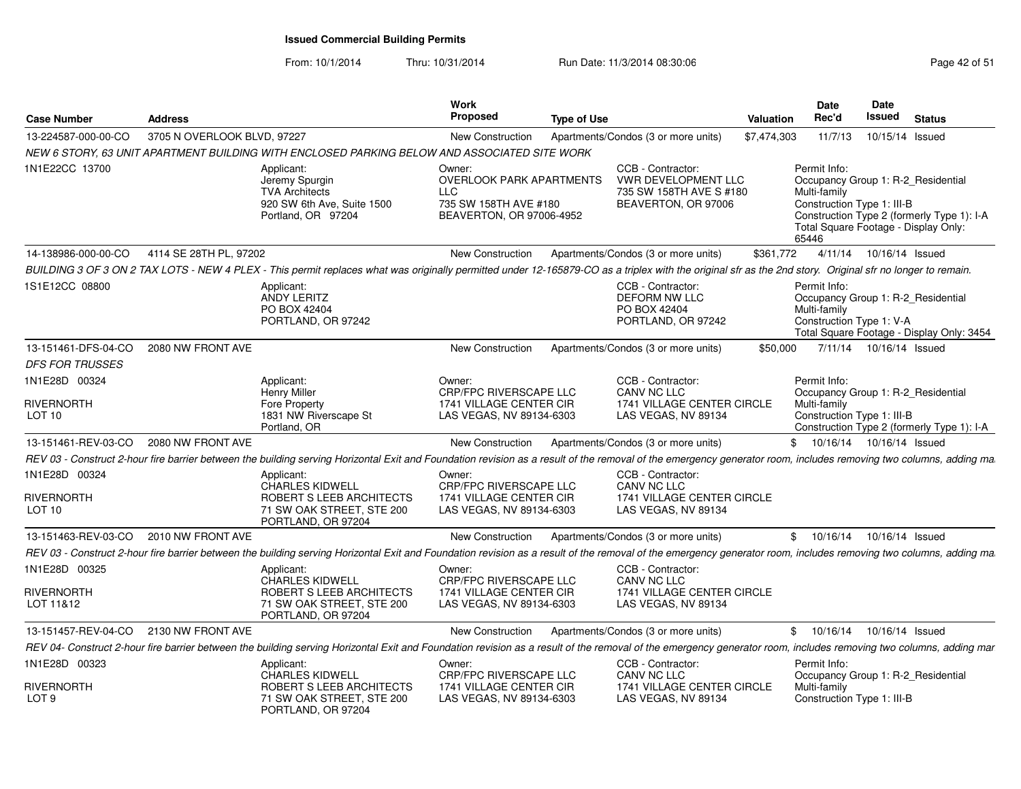| <b>Case Number</b>                                      | <b>Address</b>              |                                                                                                                                                                                                                   | Work<br><b>Proposed</b>                                                                                      | <b>Type of Use</b> |                                                                                            | Valuation   | <b>Date</b><br>Rec'd                                                | <b>Date</b><br>Issued     | <b>Status</b>                                                                                                            |
|---------------------------------------------------------|-----------------------------|-------------------------------------------------------------------------------------------------------------------------------------------------------------------------------------------------------------------|--------------------------------------------------------------------------------------------------------------|--------------------|--------------------------------------------------------------------------------------------|-------------|---------------------------------------------------------------------|---------------------------|--------------------------------------------------------------------------------------------------------------------------|
| 13-224587-000-00-CO                                     | 3705 N OVERLOOK BLVD, 97227 |                                                                                                                                                                                                                   | <b>New Construction</b>                                                                                      |                    | Apartments/Condos (3 or more units)                                                        | \$7,474,303 | 11/7/13                                                             | 10/15/14 Issued           |                                                                                                                          |
|                                                         |                             | NEW 6 STORY, 63 UNIT APARTMENT BUILDING WITH ENCLOSED PARKING BELOW AND ASSOCIATED SITE WORK                                                                                                                      |                                                                                                              |                    |                                                                                            |             |                                                                     |                           |                                                                                                                          |
| 1N1E22CC 13700                                          |                             | Applicant:<br>Jeremy Spurgin<br><b>TVA Architects</b><br>920 SW 6th Ave, Suite 1500<br>Portland, OR 97204                                                                                                         | Owner:<br><b>OVERLOOK PARK APARTMENTS</b><br><b>LLC</b><br>735 SW 158TH AVE #180<br>BEAVERTON, OR 97006-4952 |                    | CCB - Contractor:<br>VWR DEVELOPMENT LLC<br>735 SW 158TH AVE S #180<br>BEAVERTON, OR 97006 |             | Permit Info:<br>Multi-family<br>Construction Type 1: III-B<br>65446 |                           | Occupancy Group 1: R-2_Residential<br>Construction Type 2 (formerly Type 1): I-A<br>Total Square Footage - Display Only: |
| 14-138986-000-00-CO                                     | 4114 SE 28TH PL, 97202      |                                                                                                                                                                                                                   | <b>New Construction</b>                                                                                      |                    | Apartments/Condos (3 or more units)                                                        | \$361,772   |                                                                     | 4/11/14  10/16/14  Issued |                                                                                                                          |
|                                                         |                             | BUILDING 3 OF 3 ON 2 TAX LOTS - NEW 4 PLEX - This permit replaces what was originally permitted under 12-165879-CO as a triplex with the original sfr as the 2nd story. Original sfr no longer to remain.         |                                                                                                              |                    |                                                                                            |             |                                                                     |                           |                                                                                                                          |
| 1S1E12CC 08800                                          |                             | Applicant:<br><b>ANDY LERITZ</b><br>PO BOX 42404<br>PORTLAND, OR 97242                                                                                                                                            |                                                                                                              |                    | CCB - Contractor:<br><b>DEFORM NW LLC</b><br>PO BOX 42404<br>PORTLAND, OR 97242            |             | Permit Info:<br>Multi-family<br>Construction Type 1: V-A            |                           | Occupancy Group 1: R-2_Residential<br>Total Square Footage - Display Only: 3454                                          |
| 13-151461-DFS-04-CO                                     | 2080 NW FRONT AVE           |                                                                                                                                                                                                                   | <b>New Construction</b>                                                                                      |                    | Apartments/Condos (3 or more units)                                                        | \$50,000    |                                                                     | 7/11/14  10/16/14  Issued |                                                                                                                          |
| <b>DFS FOR TRUSSES</b>                                  |                             |                                                                                                                                                                                                                   |                                                                                                              |                    |                                                                                            |             |                                                                     |                           |                                                                                                                          |
| 1N1E28D 00324<br><b>RIVERNORTH</b><br>LOT <sub>10</sub> |                             | Applicant:<br><b>Henry Miller</b><br>Fore Property<br>1831 NW Riverscape St<br>Portland, OR                                                                                                                       | Owner:<br>CRP/FPC RIVERSCAPE LLC<br>1741 VILLAGE CENTER CIR<br>LAS VEGAS, NV 89134-6303                      |                    | CCB - Contractor:<br>CANV NC LLC<br>1741 VILLAGE CENTER CIRCLE<br>LAS VEGAS, NV 89134      |             | Permit Info:<br>Multi-family<br>Construction Type 1: III-B          |                           | Occupancy Group 1: R-2_Residential<br>Construction Type 2 (formerly Type 1): I-A                                         |
| 13-151461-REV-03-CO                                     | 2080 NW FRONT AVE           |                                                                                                                                                                                                                   | <b>New Construction</b>                                                                                      |                    | Apartments/Condos (3 or more units)                                                        |             | \$ 10/16/14 10/16/14 Issued                                         |                           |                                                                                                                          |
|                                                         |                             | REV 03 - Construct 2-hour fire barrier between the building serving Horizontal Exit and Foundation revision as a result of the removal of the emergency generator room, includes removing two columns, adding ma. |                                                                                                              |                    |                                                                                            |             |                                                                     |                           |                                                                                                                          |
| 1N1E28D 00324<br>RIVERNORTH<br>LOT 10                   |                             | Applicant:<br><b>CHARLES KIDWELL</b><br>ROBERT S LEEB ARCHITECTS<br>71 SW OAK STREET, STE 200<br>PORTLAND, OR 97204                                                                                               | Owner:<br><b>CRP/FPC RIVERSCAPE LLC</b><br>1741 VILLAGE CENTER CIR<br>LAS VEGAS, NV 89134-6303               |                    | CCB - Contractor:<br>CANV NC LLC<br>1741 VILLAGE CENTER CIRCLE<br>LAS VEGAS, NV 89134      |             |                                                                     |                           |                                                                                                                          |
| 13-151463-REV-03-CO                                     | 2010 NW FRONT AVE           |                                                                                                                                                                                                                   | New Construction                                                                                             |                    | Apartments/Condos (3 or more units)                                                        |             | \$10/16/14                                                          | 10/16/14 Issued           |                                                                                                                          |
|                                                         |                             | REV 03 - Construct 2-hour fire barrier between the building serving Horizontal Exit and Foundation revision as a result of the removal of the emergency generator room, includes removing two columns, adding ma. |                                                                                                              |                    |                                                                                            |             |                                                                     |                           |                                                                                                                          |
| 1N1E28D 00325<br>RIVERNORTH                             |                             | Applicant:<br><b>CHARLES KIDWELL</b><br>ROBERT S LEEB ARCHITECTS                                                                                                                                                  | Owner:<br>CRP/FPC RIVERSCAPE LLC<br>1741 VILLAGE CENTER CIR                                                  |                    | CCB - Contractor:<br>CANV NC LLC<br>1741 VILLAGE CENTER CIRCLE                             |             |                                                                     |                           |                                                                                                                          |
| LOT 11&12                                               |                             | 71 SW OAK STREET, STE 200<br>PORTLAND, OR 97204                                                                                                                                                                   | LAS VEGAS, NV 89134-6303                                                                                     |                    | LAS VEGAS, NV 89134                                                                        |             |                                                                     |                           |                                                                                                                          |
| 13-151457-REV-04-CO                                     | 2130 NW FRONT AVE           |                                                                                                                                                                                                                   | <b>New Construction</b>                                                                                      |                    | Apartments/Condos (3 or more units)                                                        |             | \$ 10/16/14 10/16/14 Issued                                         |                           |                                                                                                                          |
|                                                         |                             | REV 04- Construct 2-hour fire barrier between the building serving Horizontal Exit and Foundation revision as a result of the removal of the emergency generator room, includes removing two columns, adding mar  |                                                                                                              |                    |                                                                                            |             |                                                                     |                           |                                                                                                                          |
| 1N1E28D 00323                                           |                             | Applicant:<br><b>CHARLES KIDWELL</b>                                                                                                                                                                              | Owner:<br><b>CRP/FPC RIVERSCAPE LLC</b>                                                                      |                    | CCB - Contractor:<br>CANV NC LLC                                                           |             | Permit Info:                                                        |                           | Occupancy Group 1: R-2_Residential                                                                                       |
| RIVERNORTH<br>LOT 9                                     |                             | ROBERT S LEEB ARCHITECTS<br>71 SW OAK STREET, STE 200<br>PORTLAND, OR 97204                                                                                                                                       | 1741 VILLAGE CENTER CIR<br>LAS VEGAS, NV 89134-6303                                                          |                    | 1741 VILLAGE CENTER CIRCLE<br>LAS VEGAS, NV 89134                                          |             | Multi-family<br>Construction Type 1: III-B                          |                           |                                                                                                                          |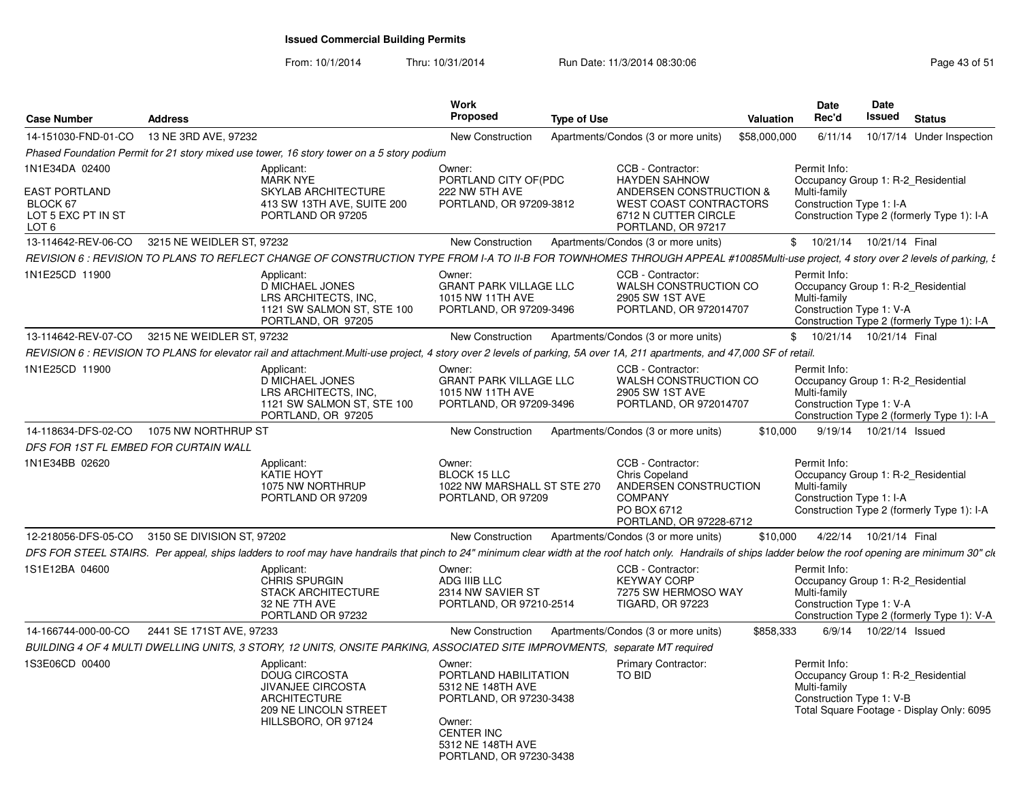| <b>Case Number</b>                                                                | <b>Address</b>                                                                                                                                                                                               | <b>Work</b><br><b>Proposed</b>                                                                                                                                 | <b>Type of Use</b>                                                                                                                                  | Valuation    | Date<br>Rec'd                                                                                  | Date<br>Issued            | <b>Status</b>                              |
|-----------------------------------------------------------------------------------|--------------------------------------------------------------------------------------------------------------------------------------------------------------------------------------------------------------|----------------------------------------------------------------------------------------------------------------------------------------------------------------|-----------------------------------------------------------------------------------------------------------------------------------------------------|--------------|------------------------------------------------------------------------------------------------|---------------------------|--------------------------------------------|
| 14-151030-FND-01-CO                                                               | 13 NE 3RD AVE, 97232                                                                                                                                                                                         | New Construction                                                                                                                                               | Apartments/Condos (3 or more units)                                                                                                                 | \$58,000,000 | 6/11/14                                                                                        |                           | 10/17/14 Under Inspection                  |
|                                                                                   | Phased Foundation Permit for 21 story mixed use tower, 16 story tower on a 5 story podium                                                                                                                    |                                                                                                                                                                |                                                                                                                                                     |              |                                                                                                |                           |                                            |
| 1N1E34DA 02400<br><b>EAST PORTLAND</b><br>BLOCK 67<br>LOT 5 EXC PT IN ST<br>LOT 6 | Applicant:<br><b>MARK NYE</b><br><b>SKYLAB ARCHITECTURE</b><br>413 SW 13TH AVE, SUITE 200<br>PORTLAND OR 97205                                                                                               | Owner:<br>PORTLAND CITY OF(PDC<br>222 NW 5TH AVE<br>PORTLAND, OR 97209-3812                                                                                    | CCB - Contractor:<br><b>HAYDEN SAHNOW</b><br>ANDERSEN CONSTRUCTION &<br><b>WEST COAST CONTRACTORS</b><br>6712 N CUTTER CIRCLE<br>PORTLAND, OR 97217 |              | Permit Info:<br>Occupancy Group 1: R-2 Residential<br>Multi-family<br>Construction Type 1: I-A |                           | Construction Type 2 (formerly Type 1): I-A |
| 13-114642-REV-06-CO                                                               | 3215 NE WEIDLER ST, 97232                                                                                                                                                                                    | New Construction                                                                                                                                               | Apartments/Condos (3 or more units)                                                                                                                 |              | \$ 10/21/14 10/21/14 Final                                                                     |                           |                                            |
|                                                                                   | REVISION 6 : REVISION TO PLANS TO REFLECT CHANGE OF CONSTRUCTION TYPE FROM I-A TO II-B FOR TOWNHOMES THROUGH APPEAL #10085Multi-use project, 4 story over 2 levels of parking, $\xi$                         |                                                                                                                                                                |                                                                                                                                                     |              |                                                                                                |                           |                                            |
| 1N1E25CD 11900                                                                    | Applicant:<br>D MICHAEL JONES<br>LRS ARCHITECTS. INC.<br>1121 SW SALMON ST, STE 100<br>PORTLAND, OR 97205                                                                                                    | Owner:<br><b>GRANT PARK VILLAGE LLC</b><br>1015 NW 11TH AVE<br>PORTLAND, OR 97209-3496                                                                         | CCB - Contractor:<br>WALSH CONSTRUCTION CO<br>2905 SW 1ST AVE<br>PORTLAND, OR 972014707                                                             |              | Permit Info:<br>Occupancy Group 1: R-2_Residential<br>Multi-family<br>Construction Type 1: V-A |                           | Construction Type 2 (formerly Type 1): I-A |
| 13-114642-REV-07-CO                                                               | 3215 NE WEIDLER ST, 97232                                                                                                                                                                                    | New Construction                                                                                                                                               | Apartments/Condos (3 or more units)                                                                                                                 |              | \$ 10/21/14 10/21/14 Final                                                                     |                           |                                            |
|                                                                                   | REVISION 6 : REVISION TO PLANS for elevator rail and attachment.Multi-use project, 4 story over 2 levels of parking, 5A over 1A, 211 apartments, and 47,000 SF of retail.                                    |                                                                                                                                                                |                                                                                                                                                     |              |                                                                                                |                           |                                            |
| 1N1E25CD 11900                                                                    | Applicant:<br>D MICHAEL JONES<br>LRS ARCHITECTS, INC.<br>1121 SW SALMON ST, STE 100<br>PORTLAND, OR 97205                                                                                                    | Owner:<br><b>GRANT PARK VILLAGE LLC</b><br>1015 NW 11TH AVE<br>PORTLAND, OR 97209-3496                                                                         | CCB - Contractor:<br>WALSH CONSTRUCTION CO<br>2905 SW 1ST AVE<br>PORTLAND, OR 972014707                                                             |              | Permit Info:<br>Occupancy Group 1: R-2_Residential<br>Multi-family<br>Construction Type 1: V-A |                           | Construction Type 2 (formerly Type 1): I-A |
| 14-118634-DFS-02-CO                                                               | 1075 NW NORTHRUP ST                                                                                                                                                                                          | New Construction                                                                                                                                               | Apartments/Condos (3 or more units)                                                                                                                 | \$10,000     |                                                                                                | 9/19/14  10/21/14  Issued |                                            |
| DFS FOR 1ST FL EMBED FOR CURTAIN WALL                                             |                                                                                                                                                                                                              |                                                                                                                                                                |                                                                                                                                                     |              |                                                                                                |                           |                                            |
| 1N1E34BB 02620                                                                    | Applicant:<br>KATIE HOYT<br>1075 NW NORTHRUP<br>PORTLAND OR 97209                                                                                                                                            | Owner:<br><b>BLOCK 15 LLC</b><br>1022 NW MARSHALL ST STE 270<br>PORTLAND, OR 97209                                                                             | CCB - Contractor:<br>Chris Copeland<br>ANDERSEN CONSTRUCTION<br><b>COMPANY</b><br>PO BOX 6712<br>PORTLAND, OR 97228-6712                            |              | Permit Info:<br>Occupancy Group 1: R-2_Residential<br>Multi-family<br>Construction Type 1: I-A |                           | Construction Type 2 (formerly Type 1): I-A |
|                                                                                   | 12-218056-DFS-05-CO 3150 SE DIVISION ST, 97202                                                                                                                                                               | New Construction                                                                                                                                               | Apartments/Condos (3 or more units)                                                                                                                 | \$10,000     |                                                                                                | 4/22/14 10/21/14 Final    |                                            |
|                                                                                   | DFS FOR STEEL STAIRS. Per appeal, ships ladders to roof may have handrails that pinch to 24" minimum clear width at the roof hatch only. Handrails of ships ladder below the roof opening are minimum 30" ck |                                                                                                                                                                |                                                                                                                                                     |              |                                                                                                |                           |                                            |
| 1S1E12BA 04600                                                                    | Applicant:<br>CHRIS SPURGIN<br><b>STACK ARCHITECTURE</b><br>32 NE 7TH AVE<br>PORTLAND OR 97232                                                                                                               | Owner:<br>ADG IIIB LLC<br>2314 NW SAVIER ST<br>PORTLAND, OR 97210-2514                                                                                         | CCB - Contractor:<br><b>KEYWAY CORP</b><br>7275 SW HERMOSO WAY<br><b>TIGARD, OR 97223</b>                                                           |              | Permit Info:<br>Occupancy Group 1: R-2 Residential<br>Multi-family<br>Construction Type 1: V-A |                           | Construction Type 2 (formerly Type 1): V-A |
| 14-166744-000-00-CO                                                               | 2441 SE 171ST AVE, 97233                                                                                                                                                                                     | New Construction                                                                                                                                               | Apartments/Condos (3 or more units)                                                                                                                 | \$858,333    |                                                                                                | 6/9/14  10/22/14  Issued  |                                            |
|                                                                                   | BUILDING 4 OF 4 MULTI DWELLING UNITS, 3 STORY, 12 UNITS, ONSITE PARKING, ASSOCIATED SITE IMPROVMENTS, separate MT required                                                                                   |                                                                                                                                                                |                                                                                                                                                     |              |                                                                                                |                           |                                            |
| 1S3E06CD 00400                                                                    | Applicant:<br><b>DOUG CIRCOSTA</b><br><b>JIVANJEE CIRCOSTA</b><br><b>ARCHITECTURE</b><br>209 NE LINCOLN STREET<br>HILLSBORO, OR 97124                                                                        | Owner:<br>PORTLAND HABILITATION<br>5312 NE 148TH AVE<br>PORTLAND, OR 97230-3438<br>Owner:<br><b>CENTER INC</b><br>5312 NE 148TH AVE<br>PORTLAND, OR 97230-3438 | <b>Primary Contractor:</b><br><b>TO BID</b>                                                                                                         |              | Permit Info:<br>Occupancy Group 1: R-2 Residential<br>Multi-family<br>Construction Type 1: V-B |                           | Total Square Footage - Display Only: 6095  |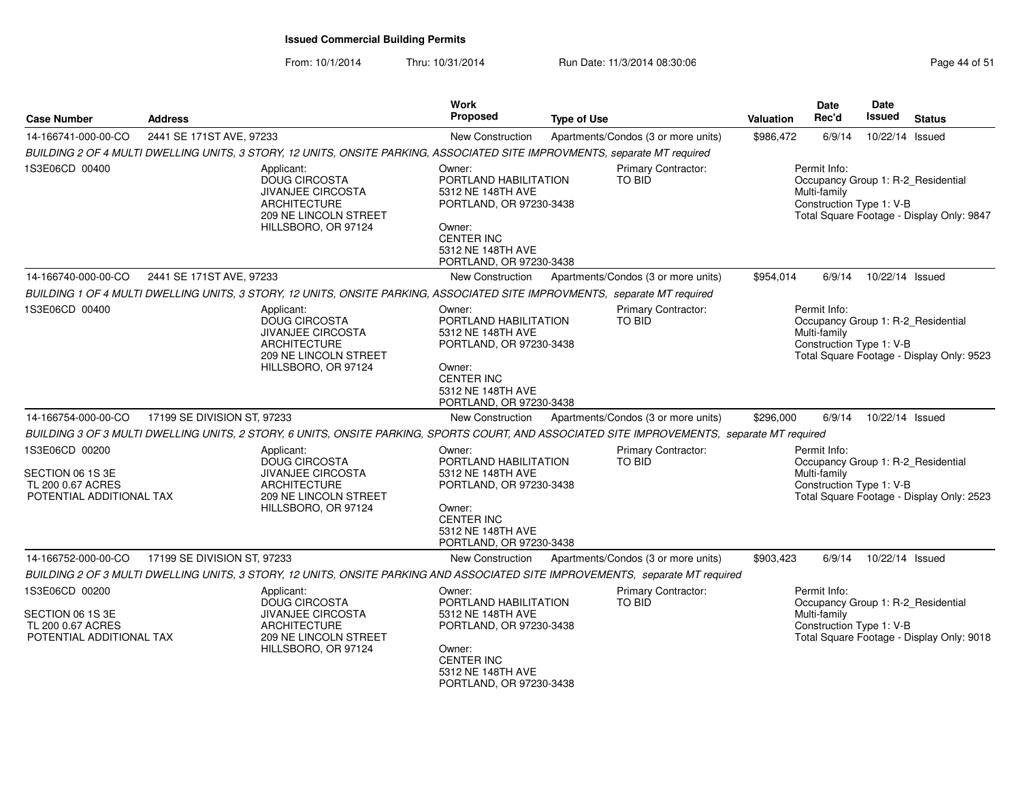| <b>Case Number</b>                                                                  | <b>Address</b>              |                                                                                                                                              | Work<br><b>Proposed</b>                                                                                                                                        | <b>Type of Use</b>                                                                                                                           | <b>Valuation</b> | <b>Date</b><br>Rec'd                                     | Date<br>Issued  | <b>Status</b>                                                                   |
|-------------------------------------------------------------------------------------|-----------------------------|----------------------------------------------------------------------------------------------------------------------------------------------|----------------------------------------------------------------------------------------------------------------------------------------------------------------|----------------------------------------------------------------------------------------------------------------------------------------------|------------------|----------------------------------------------------------|-----------------|---------------------------------------------------------------------------------|
| 14-166741-000-00-CO                                                                 | 2441 SE 171ST AVE, 97233    |                                                                                                                                              | New Construction                                                                                                                                               | Apartments/Condos (3 or more units)                                                                                                          | \$986,472        | 6/9/14                                                   | 10/22/14 Issued |                                                                                 |
|                                                                                     |                             |                                                                                                                                              |                                                                                                                                                                | BUILDING 2 OF 4 MULTI DWELLING UNITS, 3 STORY, 12 UNITS, ONSITE PARKING, ASSOCIATED SITE IMPROVMENTS, separate MT required                   |                  |                                                          |                 |                                                                                 |
| 1S3E06CD 00400                                                                      |                             | Applicant:<br><b>DOUG CIRCOSTA</b><br><b>JIVANJEE CIRCOSTA</b><br><b>ARCHITECTURE</b><br>209 NE LINCOLN STREET<br>HILLSBORO, OR 97124        | Owner:<br>PORTLAND HABILITATION<br>5312 NE 148TH AVE<br>PORTLAND, OR 97230-3438<br>Owner:<br><b>CENTER INC</b><br>5312 NE 148TH AVE<br>PORTLAND, OR 97230-3438 | Permit Info:<br>Occupancy Group 1: R-2_Residential<br>Multi-family<br>Construction Type 1: V-B<br>Total Square Footage - Display Only: 9847  |                  |                                                          |                 |                                                                                 |
| 14-166740-000-00-CO                                                                 | 2441 SE 171ST AVE, 97233    |                                                                                                                                              | New Construction                                                                                                                                               | Apartments/Condos (3 or more units)                                                                                                          | \$954,014        | 6/9/14                                                   | 10/22/14 Issued |                                                                                 |
|                                                                                     |                             |                                                                                                                                              |                                                                                                                                                                | BUILDING 1 OF 4 MULTI DWELLING UNITS, 3 STORY, 12 UNITS, ONSITE PARKING, ASSOCIATED SITE IMPROVMENTS, separate MT required                   |                  |                                                          |                 |                                                                                 |
| 1S3E06CD 00400                                                                      |                             | Applicant:<br><b>DOUG CIRCOSTA</b><br><b>JIVANJEE CIRCOSTA</b><br><b>ARCHITECTURE</b><br><b>209 NE LINCOLN STREET</b><br>HILLSBORO, OR 97124 | Owner:<br>PORTLAND HABILITATION<br>5312 NE 148TH AVE<br>PORTLAND, OR 97230-3438<br>Owner:<br><b>CENTER INC</b><br>5312 NE 148TH AVE<br>PORTLAND, OR 97230-3438 | Primary Contractor:<br>TO BID                                                                                                                |                  | Permit Info:<br>Multi-family<br>Construction Type 1: V-B |                 | Occupancy Group 1: R-2_Residential<br>Total Square Footage - Display Only: 9523 |
| 14-166754-000-00-CO                                                                 | 17199 SE DIVISION ST, 97233 |                                                                                                                                              | <b>New Construction</b>                                                                                                                                        | Apartments/Condos (3 or more units)                                                                                                          | \$296,000        | 6/9/14                                                   | 10/22/14 Issued |                                                                                 |
|                                                                                     |                             |                                                                                                                                              |                                                                                                                                                                | BUILDING 3 OF 3 MULTI DWELLING UNITS, 2 STORY, 6 UNITS, ONSITE PARKING, SPORTS COURT, AND ASSOCIATED SITE IMPROVEMENTS, separate MT required |                  |                                                          |                 |                                                                                 |
| 1S3E06CD 00200<br>SECTION 06 1S 3E<br>TL 200 0.67 ACRES<br>POTENTIAL ADDITIONAL TAX |                             | Applicant:<br>DOUG CIRCOSTA<br><b>JIVANJEE CIRCOSTA</b><br><b>ARCHITECTURE</b><br>209 NE LINCOLN STREET<br>HILLSBORO, OR 97124               | Owner:<br>PORTLAND HABILITATION<br>5312 NE 148TH AVE<br>PORTLAND, OR 97230-3438<br>Owner:<br><b>CENTER INC</b><br>5312 NE 148TH AVE<br>PORTLAND, OR 97230-3438 | Primary Contractor:<br>TO BID                                                                                                                |                  | Permit Info:<br>Multi-family<br>Construction Type 1: V-B |                 | Occupancy Group 1: R-2_Residential<br>Total Square Footage - Display Only: 2523 |
| 14-166752-000-00-CO                                                                 | 17199 SE DIVISION ST, 97233 |                                                                                                                                              | New Construction                                                                                                                                               | Apartments/Condos (3 or more units)                                                                                                          | \$903,423        | 6/9/14                                                   | 10/22/14 Issued |                                                                                 |
|                                                                                     |                             |                                                                                                                                              |                                                                                                                                                                | BUILDING 2 OF 3 MULTI DWELLING UNITS, 3 STORY, 12 UNITS, ONSITE PARKING AND ASSOCIATED SITE IMPROVEMENTS, separate MT required               |                  |                                                          |                 |                                                                                 |
| 1S3E06CD 00200<br>SECTION 06 1S 3E<br>TL 200 0.67 ACRES<br>POTENTIAL ADDITIONAL TAX |                             | Applicant:<br><b>DOUG CIRCOSTA</b><br>JIVANJEE CIRCOSTA<br><b>ARCHITECTURE</b><br>209 NE LINCOLN STREET<br>HILLSBORO, OR 97124               | Owner:<br>PORTLAND HABILITATION<br>5312 NE 148TH AVE<br>PORTLAND, OR 97230-3438<br>Owner:<br><b>CENTER INC</b><br>5312 NE 148TH AVE<br>PORTLAND, OR 97230-3438 | Primary Contractor:<br>TO BID                                                                                                                |                  | Permit Info:<br>Multi-family<br>Construction Type 1: V-B |                 | Occupancy Group 1: R-2_Residential<br>Total Square Footage - Display Only: 9018 |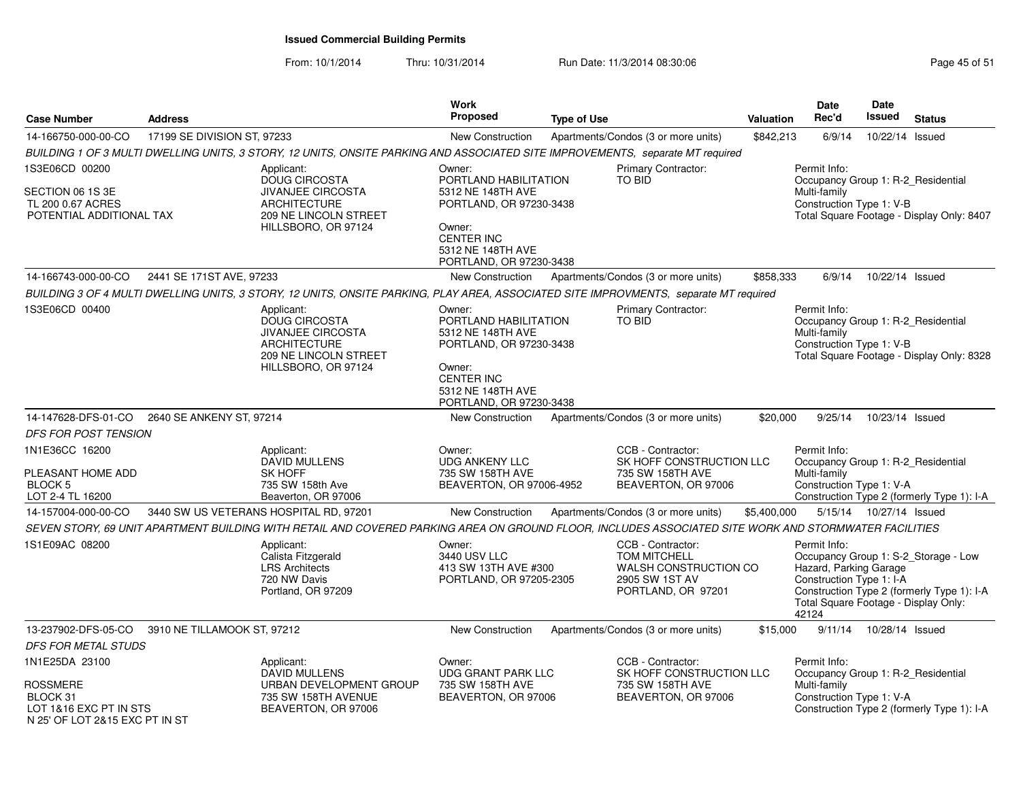| <b>Case Number</b>                                                                      | <b>Address</b>              |                                                                                                                                                       | <b>Work</b><br><b>Proposed</b>                                                                                                                                 | <b>Type of Use</b> |                                                                                                           | Valuation   | Date<br>Rec'd                                                                                                       | Date<br>Issued            | <b>Status</b>                                                                      |
|-----------------------------------------------------------------------------------------|-----------------------------|-------------------------------------------------------------------------------------------------------------------------------------------------------|----------------------------------------------------------------------------------------------------------------------------------------------------------------|--------------------|-----------------------------------------------------------------------------------------------------------|-------------|---------------------------------------------------------------------------------------------------------------------|---------------------------|------------------------------------------------------------------------------------|
| 14-166750-000-00-CO                                                                     | 17199 SE DIVISION ST, 97233 |                                                                                                                                                       | <b>New Construction</b>                                                                                                                                        |                    | Apartments/Condos (3 or more units)                                                                       | \$842,213   | 6/9/14                                                                                                              | 10/22/14 Issued           |                                                                                    |
|                                                                                         |                             | BUILDING 1 OF 3 MULTI DWELLING UNITS, 3 STORY, 12 UNITS, ONSITE PARKING AND ASSOCIATED SITE IMPROVEMENTS, separate MT required                        |                                                                                                                                                                |                    |                                                                                                           |             |                                                                                                                     |                           |                                                                                    |
| 1S3E06CD 00200<br>SECTION 06 1S 3E<br>TL 200 0.67 ACRES<br>POTENTIAL ADDITIONAL TAX     |                             | Applicant:<br><b>DOUG CIRCOSTA</b><br><b>JIVANJEE CIRCOSTA</b><br><b>ARCHITECTURE</b><br>209 NE LINCOLN STREET<br>HILLSBORO, OR 97124                 | Owner:<br>PORTLAND HABILITATION<br>5312 NE 148TH AVE<br>PORTLAND, OR 97230-3438<br>Owner:<br><b>CENTER INC</b><br>5312 NE 148TH AVE<br>PORTLAND, OR 97230-3438 |                    | <b>Primary Contractor:</b><br><b>TO BID</b>                                                               |             | Permit Info:<br>Occupancy Group 1: R-2_Residential<br>Multi-family<br>Construction Type 1: V-B                      |                           | Total Square Footage - Display Only: 8407                                          |
| 14-166743-000-00-CO                                                                     | 2441 SE 171ST AVE, 97233    |                                                                                                                                                       | <b>New Construction</b>                                                                                                                                        |                    | Apartments/Condos (3 or more units)                                                                       | \$858,333   | 6/9/14                                                                                                              | 10/22/14 Issued           |                                                                                    |
|                                                                                         |                             | BUILDING 3 OF 4 MULTI DWELLING UNITS, 3 STORY, 12 UNITS, ONSITE PARKING, PLAY AREA, ASSOCIATED SITE IMPROVMENTS, separate MT required                 |                                                                                                                                                                |                    |                                                                                                           |             |                                                                                                                     |                           |                                                                                    |
| 1S3E06CD 00400                                                                          |                             | Applicant:<br><b>DOUG CIRCOSTA</b><br><b>JIVANJEE CIRCOSTA</b><br><b>ARCHITECTURE</b><br>209 NE LINCOLN STREET<br>HILLSBORO, OR 97124                 | Owner:<br>PORTLAND HABILITATION<br>5312 NE 148TH AVE<br>PORTLAND, OR 97230-3438<br>Owner:<br><b>CENTER INC</b><br>5312 NE 148TH AVE<br>PORTLAND, OR 97230-3438 |                    | <b>Primary Contractor:</b><br><b>TO BID</b>                                                               |             | Permit Info:<br>Occupancy Group 1: R-2 Residential<br>Multi-family<br>Construction Type 1: V-B                      |                           | Total Square Footage - Display Only: 8328                                          |
| 14-147628-DFS-01-CO                                                                     | 2640 SE ANKENY ST, 97214    |                                                                                                                                                       | <b>New Construction</b>                                                                                                                                        |                    | Apartments/Condos (3 or more units)                                                                       | \$20,000    | 9/25/14                                                                                                             | 10/23/14 Issued           |                                                                                    |
| DFS FOR POST TENSION                                                                    |                             |                                                                                                                                                       |                                                                                                                                                                |                    |                                                                                                           |             |                                                                                                                     |                           |                                                                                    |
| 1N1E36CC 16200<br>PLEASANT HOME ADD<br><b>BLOCK 5</b><br>LOT 2-4 TL 16200               |                             | Applicant:<br><b>DAVID MULLENS</b><br><b>SK HOFF</b><br>735 SW 158th Ave<br>Beaverton, OR 97006                                                       | Owner:<br><b>UDG ANKENY LLC</b><br>735 SW 158TH AVE<br>BEAVERTON, OR 97006-4952                                                                                |                    | CCB - Contractor:<br>SK HOFF CONSTRUCTION LLC<br>735 SW 158TH AVE<br>BEAVERTON, OR 97006                  |             | Permit Info:<br>Occupancy Group 1: R-2_Residential<br>Multi-family<br>Construction Type 1: V-A                      |                           | Construction Type 2 (formerly Type 1): I-A                                         |
| 14-157004-000-00-CO                                                                     |                             | 3440 SW US VETERANS HOSPITAL RD, 97201                                                                                                                | <b>New Construction</b>                                                                                                                                        |                    | Apartments/Condos (3 or more units)                                                                       | \$5,400,000 |                                                                                                                     | 5/15/14  10/27/14  Issued |                                                                                    |
|                                                                                         |                             | SEVEN STORY, 69 UNIT APARTMENT BUILDING WITH RETAIL AND COVERED PARKING AREA ON GROUND FLOOR, INCLUDES ASSOCIATED SITE WORK AND STORMWATER FACILITIES |                                                                                                                                                                |                    |                                                                                                           |             |                                                                                                                     |                           |                                                                                    |
| 1S1E09AC 08200                                                                          |                             | Applicant:<br>Calista Fitzgerald<br><b>LRS Architects</b><br>720 NW Davis<br>Portland, OR 97209                                                       | Owner:<br>3440 USV LLC<br>413 SW 13TH AVE #300<br>PORTLAND, OR 97205-2305                                                                                      |                    | CCB - Contractor:<br><b>TOM MITCHELL</b><br>WALSH CONSTRUCTION CO<br>2905 SW 1ST AV<br>PORTLAND, OR 97201 |             | Permit Info:<br>Hazard, Parking Garage<br>Construction Type 1: I-A<br>Total Square Footage - Display Only:<br>42124 |                           | Occupancy Group 1: S-2_Storage - Low<br>Construction Type 2 (formerly Type 1): I-A |
| 13-237902-DFS-05-CO                                                                     | 3910 NE TILLAMOOK ST, 97212 |                                                                                                                                                       | <b>New Construction</b>                                                                                                                                        |                    | Apartments/Condos (3 or more units)                                                                       | \$15,000    | 9/11/14                                                                                                             | 10/28/14 Issued           |                                                                                    |
| <i>DFS FOR METAL STUDS</i>                                                              |                             |                                                                                                                                                       |                                                                                                                                                                |                    |                                                                                                           |             |                                                                                                                     |                           |                                                                                    |
| 1N1E25DA 23100                                                                          |                             | Applicant:                                                                                                                                            | Owner:                                                                                                                                                         |                    | CCB - Contractor:                                                                                         |             | Permit Info:                                                                                                        |                           |                                                                                    |
| <b>ROSSMERE</b><br>BLOCK 31<br>LOT 1&16 EXC PT IN STS<br>N 25' OF LOT 2&15 EXC PT IN ST |                             | <b>DAVID MULLENS</b><br>URBAN DEVELOPMENT GROUP<br>735 SW 158TH AVENUE<br>BEAVERTON, OR 97006                                                         | <b>UDG GRANT PARK LLC</b><br>735 SW 158TH AVE<br>BEAVERTON, OR 97006                                                                                           |                    | SK HOFF CONSTRUCTION LLC<br>735 SW 158TH AVE<br>BEAVERTON, OR 97006                                       |             | Occupancy Group 1: R-2_Residential<br>Multi-family<br>Construction Type 1: V-A                                      |                           | Construction Type 2 (formerly Type 1): I-A                                         |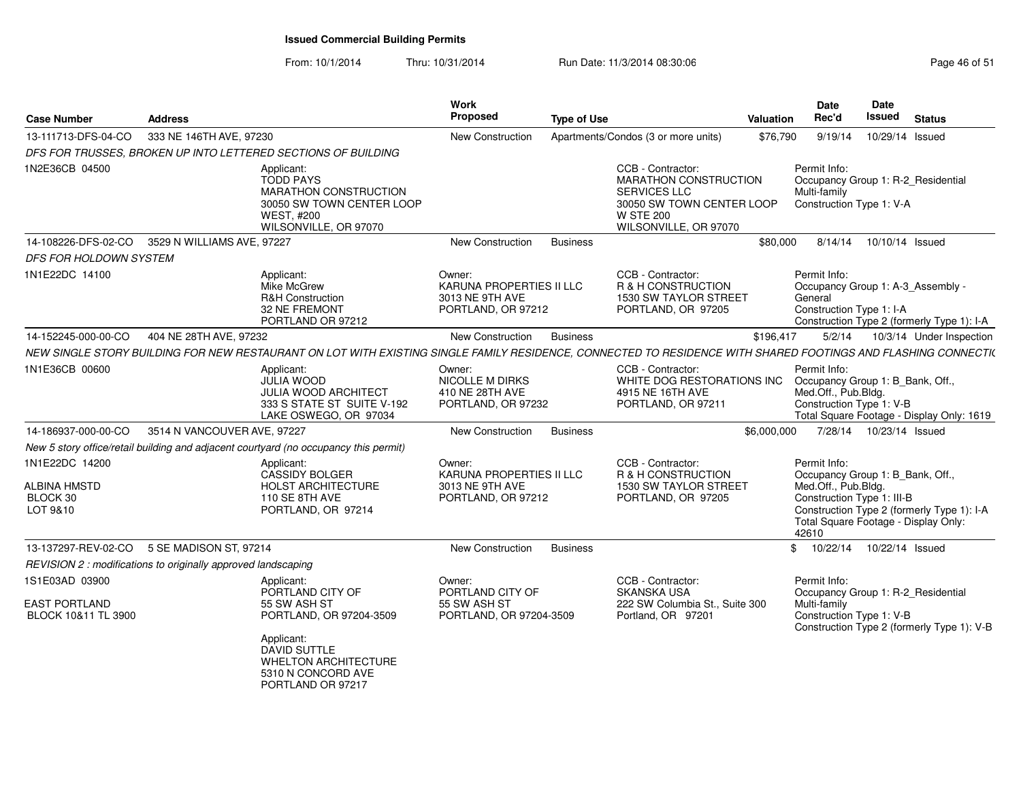|                     | <b>Address</b>                                                |                                                                                                                                                               | Work<br>Proposed                                                            | <b>Type of Use</b> |                                                                                                                                                    | Valuation      | Date<br>Rec'd                                                                                                                                          | <b>Date</b><br>Issued        | <b>Status</b>                                                                                                |
|---------------------|---------------------------------------------------------------|---------------------------------------------------------------------------------------------------------------------------------------------------------------|-----------------------------------------------------------------------------|--------------------|----------------------------------------------------------------------------------------------------------------------------------------------------|----------------|--------------------------------------------------------------------------------------------------------------------------------------------------------|------------------------------|--------------------------------------------------------------------------------------------------------------|
| 13-111713-DFS-04-CO | 333 NE 146TH AVE, 97230                                       |                                                                                                                                                               | New Construction                                                            |                    | Apartments/Condos (3 or more units)                                                                                                                | \$76,790       | 9/19/14                                                                                                                                                | 10/29/14                     | Issued                                                                                                       |
|                     |                                                               | DFS FOR TRUSSES, BROKEN UP INTO LETTERED SECTIONS OF BUILDING                                                                                                 |                                                                             |                    |                                                                                                                                                    |                |                                                                                                                                                        |                              |                                                                                                              |
|                     |                                                               | Applicant:<br><b>TODD PAYS</b><br>MARATHON CONSTRUCTION<br>30050 SW TOWN CENTER LOOP<br><b>WEST, #200</b><br>WILSONVILLE, OR 97070                            |                                                                             |                    | CCB - Contractor:<br><b>MARATHON CONSTRUCTION</b><br><b>SERVICES LLC</b><br>30050 SW TOWN CENTER LOOP<br><b>W STE 200</b><br>WILSONVILLE, OR 97070 |                | Permit Info:<br>Occupancy Group 1: R-2_Residential<br>Multi-family<br>Construction Type 1: V-A                                                         |                              |                                                                                                              |
| 14-108226-DFS-02-CO | 3529 N WILLIAMS AVE, 97227                                    |                                                                                                                                                               | <b>New Construction</b>                                                     | <b>Business</b>    |                                                                                                                                                    | \$80,000       | 8/14/14                                                                                                                                                | 10/10/14 Issued              |                                                                                                              |
|                     | DFS FOR HOLDOWN SYSTEM                                        |                                                                                                                                                               |                                                                             |                    |                                                                                                                                                    |                |                                                                                                                                                        |                              |                                                                                                              |
|                     |                                                               | Applicant:<br>Mike McGrew<br><b>R&amp;H Construction</b><br>32 NE FREMONT<br>PORTLAND OR 97212                                                                | Owner:<br>KARUNA PROPERTIES II LLC<br>3013 NE 9TH AVE<br>PORTLAND, OR 97212 |                    | CCB - Contractor:<br>R & H CONSTRUCTION<br>1530 SW TAYLOR STREET<br>PORTLAND, OR 97205                                                             |                | Permit Info:<br>Occupancy Group 1: A-3 Assembly -<br>General<br>Construction Type 1: I-A                                                               |                              | Construction Type 2 (formerly Type 1): I-A                                                                   |
| 14-152245-000-00-CO | 404 NE 28TH AVE, 97232                                        |                                                                                                                                                               | New Construction                                                            | <b>Business</b>    |                                                                                                                                                    | \$196,417      | 5/2/14                                                                                                                                                 |                              | 10/3/14 Under Inspection                                                                                     |
|                     |                                                               | NEW SINGLE STORY BUILDING FOR NEW RESTAURANT ON LOT WITH EXISTING SINGLE FAMILY RESIDENCE, CONNECTED TO RESIDENCE WITH SHARED FOOTINGS AND FLASHING CONNECTI( |                                                                             |                    |                                                                                                                                                    |                |                                                                                                                                                        |                              |                                                                                                              |
|                     |                                                               | Applicant:<br><b>JULIA WOOD</b><br><b>JULIA WOOD ARCHITECT</b><br>333 S STATE ST SUITE V-192<br>LAKE OSWEGO, OR 97034                                         | Owner:<br><b>NICOLLE M DIRKS</b><br>410 NE 28TH AVE<br>PORTLAND, OR 97232   |                    | CCB - Contractor:<br>WHITE DOG RESTORATIONS INC<br>4915 NE 16TH AVE<br>PORTLAND, OR 97211                                                          |                | Permit Info:<br>Occupancy Group 1: B_Bank, Off.,<br>Med.Off., Pub.Bldg.<br>Construction Type 1: V-B                                                    |                              | Total Square Footage - Display Only: 1619                                                                    |
| 14-186937-000-00-CO | 3514 N VANCOUVER AVE, 97227                                   |                                                                                                                                                               | New Construction                                                            | <b>Business</b>    |                                                                                                                                                    | \$6,000,000    | 7/28/14                                                                                                                                                | 10/23/14 Issued              |                                                                                                              |
|                     |                                                               | New 5 story office/retail building and adjacent courtyard (no occupancy this permit)                                                                          |                                                                             |                    |                                                                                                                                                    |                |                                                                                                                                                        |                              |                                                                                                              |
|                     |                                                               | Applicant:<br><b>CASSIDY BOLGER</b><br><b>HOLST ARCHITECTURE</b><br>110 SE 8TH AVE<br>PORTLAND, OR 97214                                                      | Owner:<br>KARUNA PROPERTIES II LLC<br>3013 NE 9TH AVE<br>PORTLAND, OR 97212 |                    | CCB - Contractor:<br>R & H CONSTRUCTION<br>1530 SW TAYLOR STREET<br>PORTLAND, OR 97205                                                             |                | Permit Info:<br>Occupancy Group 1: B_Bank, Off.,<br>Med.Off., Pub.Bldg.<br>Construction Type 1: III-B<br>Total Square Footage - Display Only:<br>42610 |                              | Construction Type 2 (formerly Type 1): I-A                                                                   |
| 13-137297-REV-02-CO | 5 SE MADISON ST, 97214                                        |                                                                                                                                                               | <b>New Construction</b>                                                     | <b>Business</b>    |                                                                                                                                                    | $\mathfrak{S}$ | 10/22/14                                                                                                                                               | 10/22/14 Issued              |                                                                                                              |
|                     | REVISION 2 : modifications to originally approved landscaping |                                                                                                                                                               |                                                                             |                    |                                                                                                                                                    |                |                                                                                                                                                        |                              |                                                                                                              |
| BLOCK 10&11 TL 3900 |                                                               | Applicant:<br>PORTLAND CITY OF<br>55 SW ASH ST<br>PORTLAND, OR 97204-3509<br>Applicant:<br><b>DAVID SUTTLE</b><br>WHELTON ARCHITECTURE                        | Owner:<br>PORTLAND CITY OF<br>55 SW ASH ST<br>PORTLAND, OR 97204-3509       |                    | CCB - Contractor:<br><b>SKANSKA USA</b><br>222 SW Columbia St., Suite 300<br>Portland, OR 97201                                                    |                |                                                                                                                                                        |                              |                                                                                                              |
|                     |                                                               | 5310 N CONCORD AVE<br>PORTLAND OR 97217                                                                                                                       |                                                                             |                    |                                                                                                                                                    |                |                                                                                                                                                        | Permit Info:<br>Multi-family | Occupancy Group 1: R-2_Residential<br>Construction Type 1: V-B<br>Construction Type 2 (formerly Type 1): V-B |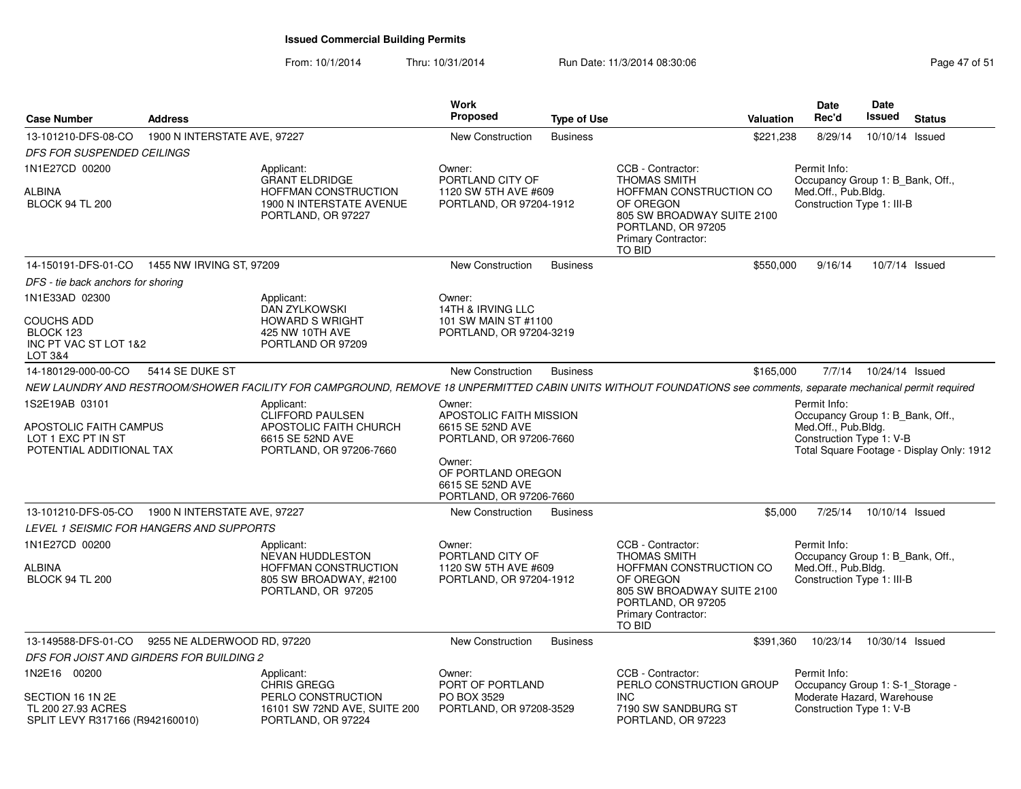| <b>Case Number</b>                                                                                    | <b>Address</b>               |                                                                                                                | Work<br><b>Proposed</b>                                                                                                                                         | <b>Type of Use</b> | <b>Valuation</b>                                                                                                                                                                                                                                                                                              | <b>Date</b><br>Rec'd                                                                                       | <b>Date</b><br>Issued                     | <b>Status</b> |
|-------------------------------------------------------------------------------------------------------|------------------------------|----------------------------------------------------------------------------------------------------------------|-----------------------------------------------------------------------------------------------------------------------------------------------------------------|--------------------|---------------------------------------------------------------------------------------------------------------------------------------------------------------------------------------------------------------------------------------------------------------------------------------------------------------|------------------------------------------------------------------------------------------------------------|-------------------------------------------|---------------|
| 13-101210-DFS-08-CO                                                                                   | 1900 N INTERSTATE AVE, 97227 |                                                                                                                | New Construction                                                                                                                                                | <b>Business</b>    | \$221,238                                                                                                                                                                                                                                                                                                     | 8/29/14                                                                                                    | 10/10/14                                  | Issued        |
| <b>DFS FOR SUSPENDED CEILINGS</b>                                                                     |                              |                                                                                                                |                                                                                                                                                                 |                    |                                                                                                                                                                                                                                                                                                               |                                                                                                            |                                           |               |
| 1N1E27CD 00200<br><b>ALBINA</b><br><b>BLOCK 94 TL 200</b>                                             |                              | Applicant:<br><b>GRANT ELDRIDGE</b><br>HOFFMAN CONSTRUCTION<br>1900 N INTERSTATE AVENUE<br>PORTLAND, OR 97227  | Owner:<br>PORTLAND CITY OF<br>1120 SW 5TH AVE #609<br>PORTLAND, OR 97204-1912                                                                                   |                    | CCB - Contractor:<br>Permit Info:<br><b>THOMAS SMITH</b><br>Occupancy Group 1: B_Bank, Off.,<br>Med.Off., Pub.Bldg.<br>HOFFMAN CONSTRUCTION CO<br>OF OREGON<br>Construction Type 1: III-B<br>805 SW BROADWAY SUITE 2100<br>PORTLAND, OR 97205<br>Primary Contractor:<br>TO BID<br>\$550,000<br>10/7/14 Issued |                                                                                                            |                                           |               |
| 14-150191-DFS-01-CO  1455 NW IRVING ST, 97209                                                         |                              |                                                                                                                | <b>New Construction</b>                                                                                                                                         | <b>Business</b>    |                                                                                                                                                                                                                                                                                                               | 9/16/14                                                                                                    |                                           |               |
| DFS - tie back anchors for shoring                                                                    |                              |                                                                                                                |                                                                                                                                                                 |                    |                                                                                                                                                                                                                                                                                                               |                                                                                                            |                                           |               |
| 1N1E33AD 02300                                                                                        |                              | Applicant:                                                                                                     | Owner:                                                                                                                                                          |                    |                                                                                                                                                                                                                                                                                                               |                                                                                                            |                                           |               |
| <b>COUCHS ADD</b><br>BLOCK 123<br>INC PT VAC ST LOT 1&2<br>LOT 3&4                                    |                              | <b>DAN ZYLKOWSKI</b><br><b>HOWARD S WRIGHT</b><br>425 NW 10TH AVE<br>PORTLAND OR 97209                         | 14TH & IRVING LLC<br>101 SW MAIN ST #1100<br>PORTLAND, OR 97204-3219                                                                                            |                    |                                                                                                                                                                                                                                                                                                               |                                                                                                            |                                           |               |
| 14-180129-000-00-CO                                                                                   | 5414 SE DUKE ST              |                                                                                                                | <b>New Construction</b>                                                                                                                                         | <b>Business</b>    | \$165,000                                                                                                                                                                                                                                                                                                     | 7/7/14                                                                                                     | 10/24/14 Issued                           |               |
|                                                                                                       |                              |                                                                                                                |                                                                                                                                                                 |                    | NEW LAUNDRY AND RESTROOM/SHOWER FACILITY FOR CAMPGROUND, REMOVE 18 UNPERMITTED CABIN UNITS WITHOUT FOUNDATIONS see comments, separate mechanical permit required                                                                                                                                              |                                                                                                            |                                           |               |
| 1S2E19AB 03101<br>APOSTOLIC FAITH CAMPUS<br>LOT 1 EXC PT IN ST<br>POTENTIAL ADDITIONAL TAX            |                              | Applicant:<br><b>CLIFFORD PAULSEN</b><br>APOSTOLIC FAITH CHURCH<br>6615 SE 52ND AVE<br>PORTLAND, OR 97206-7660 | Owner:<br>APOSTOLIC FAITH MISSION<br>6615 SE 52ND AVE<br>PORTLAND, OR 97206-7660<br>Owner:<br>OF PORTLAND OREGON<br>6615 SE 52ND AVE<br>PORTLAND, OR 97206-7660 |                    |                                                                                                                                                                                                                                                                                                               | Occupancy Group 1: B_Bank, Off.,<br>Med.Off., Pub.Bldg.<br>Construction Type 1: V-B                        | Total Square Footage - Display Only: 1912 |               |
| 13-101210-DFS-05-CO  1900 N INTERSTATE AVE, 97227                                                     |                              |                                                                                                                | New Construction                                                                                                                                                | <b>Business</b>    | \$5,000                                                                                                                                                                                                                                                                                                       | 7/25/14                                                                                                    | 10/10/14 Issued                           |               |
| LEVEL 1 SEISMIC FOR HANGERS AND SUPPORTS<br>1N1E27CD 00200<br><b>ALBINA</b><br><b>BLOCK 94 TL 200</b> |                              | Applicant:<br>NEVAN HUDDLESTON<br><b>HOFFMAN CONSTRUCTION</b><br>805 SW BROADWAY, #2100<br>PORTLAND, OR 97205  | Owner:<br>PORTLAND CITY OF<br>1120 SW 5TH AVE #609<br>PORTLAND, OR 97204-1912                                                                                   |                    | CCB - Contractor:<br><b>THOMAS SMITH</b><br>HOFFMAN CONSTRUCTION CO<br>OF OREGON<br>805 SW BROADWAY SUITE 2100<br>PORTLAND, OR 97205<br>Primary Contractor:<br>TO BID                                                                                                                                         | Permit Info:<br>Occupancy Group 1: B_Bank, Off.,<br>Med.Off., Pub.Bldg.<br>Construction Type 1: III-B      |                                           |               |
| 13-149588-DFS-01-CO                                                                                   | 9255 NE ALDERWOOD RD, 97220  |                                                                                                                | <b>New Construction</b>                                                                                                                                         | <b>Business</b>    | \$391,360                                                                                                                                                                                                                                                                                                     | 10/23/14                                                                                                   | 10/30/14 Issued                           |               |
| DFS FOR JOIST AND GIRDERS FOR BUILDING 2                                                              |                              |                                                                                                                |                                                                                                                                                                 |                    |                                                                                                                                                                                                                                                                                                               |                                                                                                            |                                           |               |
| 1N2E16 00200<br>SECTION 16 1N 2E<br>TL 200 27.93 ACRES<br>SPLIT LEVY R317166 (R942160010)             |                              | Applicant:<br><b>CHRIS GREGG</b><br>PERLO CONSTRUCTION<br>16101 SW 72ND AVE, SUITE 200<br>PORTLAND, OR 97224   | Owner:<br>PORT OF PORTLAND<br>PO BOX 3529<br>PORTLAND, OR 97208-3529                                                                                            |                    | CCB - Contractor:<br>PERLO CONSTRUCTION GROUP<br><b>INC</b><br>7190 SW SANDBURG ST<br>PORTLAND, OR 97223                                                                                                                                                                                                      | Permit Info:<br>Occupancy Group 1: S-1_Storage -<br>Moderate Hazard, Warehouse<br>Construction Type 1: V-B |                                           |               |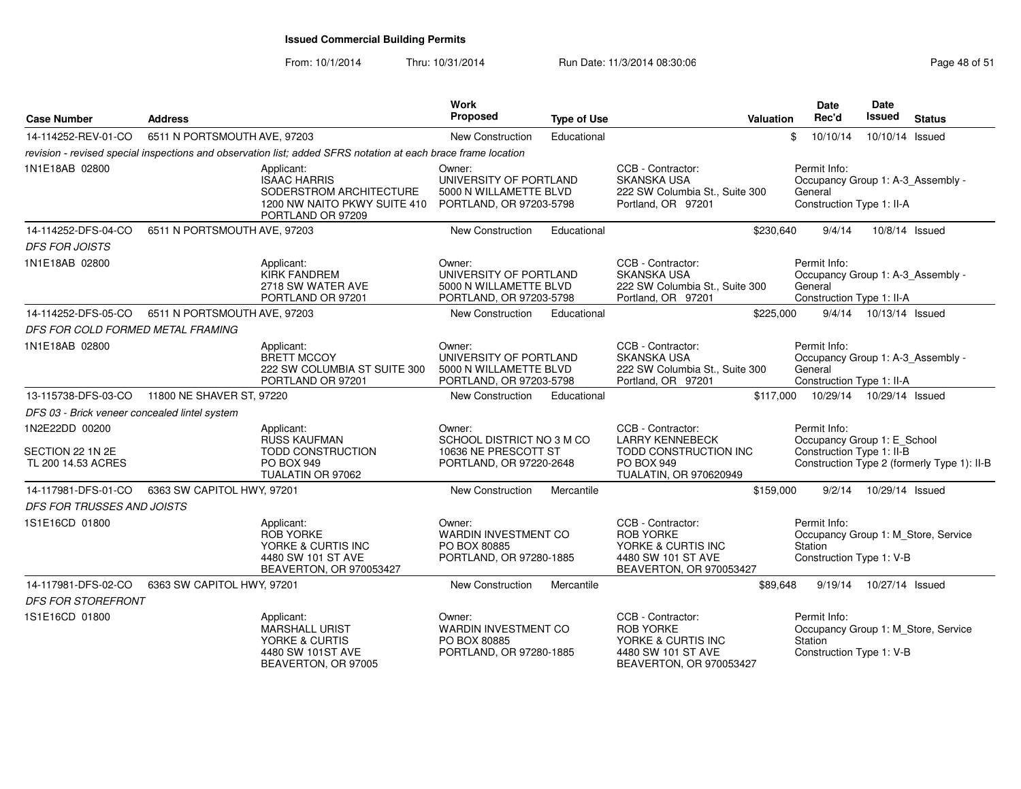From: 10/1/2014

| <b>Case Number</b>                                       | <b>Address</b>                                |                                                                                                                   | Work<br>Proposed                                                                       | <b>Type of Use</b> |                                                                                                              | <b>Valuation</b> | <b>Date</b><br>Rec'd                                                     | Date<br>Issued           | <b>Status</b>                               |
|----------------------------------------------------------|-----------------------------------------------|-------------------------------------------------------------------------------------------------------------------|----------------------------------------------------------------------------------------|--------------------|--------------------------------------------------------------------------------------------------------------|------------------|--------------------------------------------------------------------------|--------------------------|---------------------------------------------|
| 14-114252-REV-01-CO                                      | 6511 N PORTSMOUTH AVE, 97203                  |                                                                                                                   | <b>New Construction</b>                                                                | Educational        |                                                                                                              | \$               | 10/10/14                                                                 | 10/10/14 Issued          |                                             |
|                                                          |                                               | revision - revised special inspections and observation list; added SFRS notation at each brace frame location     |                                                                                        |                    |                                                                                                              |                  |                                                                          |                          |                                             |
| 1N1E18AB 02800                                           |                                               | Applicant:<br><b>ISAAC HARRIS</b><br>SODERSTROM ARCHITECTURE<br>1200 NW NAITO PKWY SUITE 410<br>PORTLAND OR 97209 | Owner:<br>UNIVERSITY OF PORTLAND<br>5000 N WILLAMETTE BLVD<br>PORTLAND, OR 97203-5798  |                    | CCB - Contractor:<br><b>SKANSKA USA</b><br>222 SW Columbia St., Suite 300<br>Portland, OR 97201              |                  | Permit Info:<br>General<br>Construction Type 1: II-A                     |                          | Occupancy Group 1: A-3_Assembly -           |
| 14-114252-DFS-04-CO                                      | 6511 N PORTSMOUTH AVE, 97203                  |                                                                                                                   | New Construction                                                                       | Educational        |                                                                                                              | \$230,640        | 9/4/14                                                                   | 10/8/14 Issued           |                                             |
| <b>DFS FOR JOISTS</b>                                    |                                               |                                                                                                                   |                                                                                        |                    |                                                                                                              |                  |                                                                          |                          |                                             |
| 1N1E18AB 02800                                           |                                               | Applicant:<br><b>KIRK FANDREM</b><br>2718 SW WATER AVE<br>PORTLAND OR 97201                                       | Owner:<br>UNIVERSITY OF PORTLAND<br>5000 N WILLAMETTE BLVD<br>PORTLAND, OR 97203-5798  |                    | CCB - Contractor:<br><b>SKANSKA USA</b><br>222 SW Columbia St., Suite 300<br>Portland, OR 97201              |                  | Permit Info:<br>General<br>Construction Type 1: II-A                     |                          | Occupancy Group 1: A-3_Assembly -           |
| 14-114252-DFS-05-CO                                      | 6511 N PORTSMOUTH AVE, 97203                  |                                                                                                                   | New Construction                                                                       | Educational        |                                                                                                              | \$225,000        |                                                                          | 9/4/14  10/13/14  Issued |                                             |
| DFS FOR COLD FORMED METAL FRAMING                        |                                               |                                                                                                                   |                                                                                        |                    |                                                                                                              |                  |                                                                          |                          |                                             |
| 1N1E18AB 02800                                           |                                               | Applicant:<br><b>BRETT MCCOY</b><br>222 SW COLUMBIA ST SUITE 300<br>PORTLAND OR 97201                             | Owner:<br>UNIVERSITY OF PORTLAND<br>5000 N WILLAMETTE BLVD<br>PORTLAND, OR 97203-5798  |                    | CCB - Contractor:<br>SKANSKA USA<br>222 SW Columbia St., Suite 300<br>Portland, OR 97201                     |                  | Permit Info:<br>General<br>Construction Type 1: II-A                     |                          | Occupancy Group 1: A-3_Assembly -           |
|                                                          | 13-115738-DFS-03-CO 11800 NE SHAVER ST, 97220 |                                                                                                                   | New Construction                                                                       | Educational        |                                                                                                              |                  | \$117,000  10/29/14  10/29/14  Issued                                    |                          |                                             |
| DFS 03 - Brick veneer concealed lintel system            |                                               |                                                                                                                   |                                                                                        |                    |                                                                                                              |                  |                                                                          |                          |                                             |
| 1N2E22DD 00200<br>SECTION 22 1N 2E<br>TL 200 14.53 ACRES |                                               | Applicant:<br><b>RUSS KAUFMAN</b><br><b>TODD CONSTRUCTION</b><br>PO BOX 949<br>TUALATIN OR 97062                  | Owner:<br>SCHOOL DISTRICT NO 3 M CO<br>10636 NE PRESCOTT ST<br>PORTLAND, OR 97220-2648 |                    | CCB - Contractor:<br><b>LARRY KENNEBECK</b><br>TODD CONSTRUCTION INC<br>PO BOX 949<br>TUALATIN, OR 970620949 |                  | Permit Info:<br>Occupancy Group 1: E_School<br>Construction Type 1: II-B |                          | Construction Type 2 (formerly Type 1): II-B |
| 14-117981-DFS-01-CO                                      | 6363 SW CAPITOL HWY, 97201                    |                                                                                                                   | <b>New Construction</b>                                                                | Mercantile         |                                                                                                              | \$159,000        | 9/2/14                                                                   | 10/29/14 Issued          |                                             |
| DFS FOR TRUSSES AND JOISTS                               |                                               |                                                                                                                   |                                                                                        |                    |                                                                                                              |                  |                                                                          |                          |                                             |
| 1S1E16CD 01800                                           |                                               | Applicant:<br><b>ROB YORKE</b><br>YORKE & CURTIS INC<br>4480 SW 101 ST AVE<br>BEAVERTON, OR 970053427             | Owner:<br>WARDIN INVESTMENT CO<br>PO BOX 80885<br>PORTLAND, OR 97280-1885              |                    | CCB - Contractor:<br><b>ROB YORKE</b><br>YORKE & CURTIS INC<br>4480 SW 101 ST AVE<br>BEAVERTON, OR 970053427 |                  | Permit Info:<br><b>Station</b><br>Construction Type 1: V-B               |                          | Occupancy Group 1: M_Store, Service         |
| 14-117981-DFS-02-CO                                      | 6363 SW CAPITOL HWY, 97201                    |                                                                                                                   | <b>New Construction</b>                                                                | Mercantile         |                                                                                                              | \$89,648         | 9/19/14                                                                  | 10/27/14 Issued          |                                             |
| <b>DFS FOR STOREFRONT</b>                                |                                               |                                                                                                                   |                                                                                        |                    |                                                                                                              |                  |                                                                          |                          |                                             |
| 1S1E16CD 01800                                           |                                               | Applicant:<br>MARSHALL URIST<br>YORKE & CURTIS<br>4480 SW 101ST AVE<br>BEAVERTON, OR 97005                        | Owner:<br><b>WARDIN INVESTMENT CO</b><br>PO BOX 80885<br>PORTLAND, OR 97280-1885       |                    | CCB - Contractor:<br><b>ROB YORKE</b><br>YORKE & CURTIS INC<br>4480 SW 101 ST AVE<br>BEAVERTON, OR 970053427 |                  | Permit Info:<br>Station<br>Construction Type 1: V-B                      |                          | Occupancy Group 1: M_Store, Service         |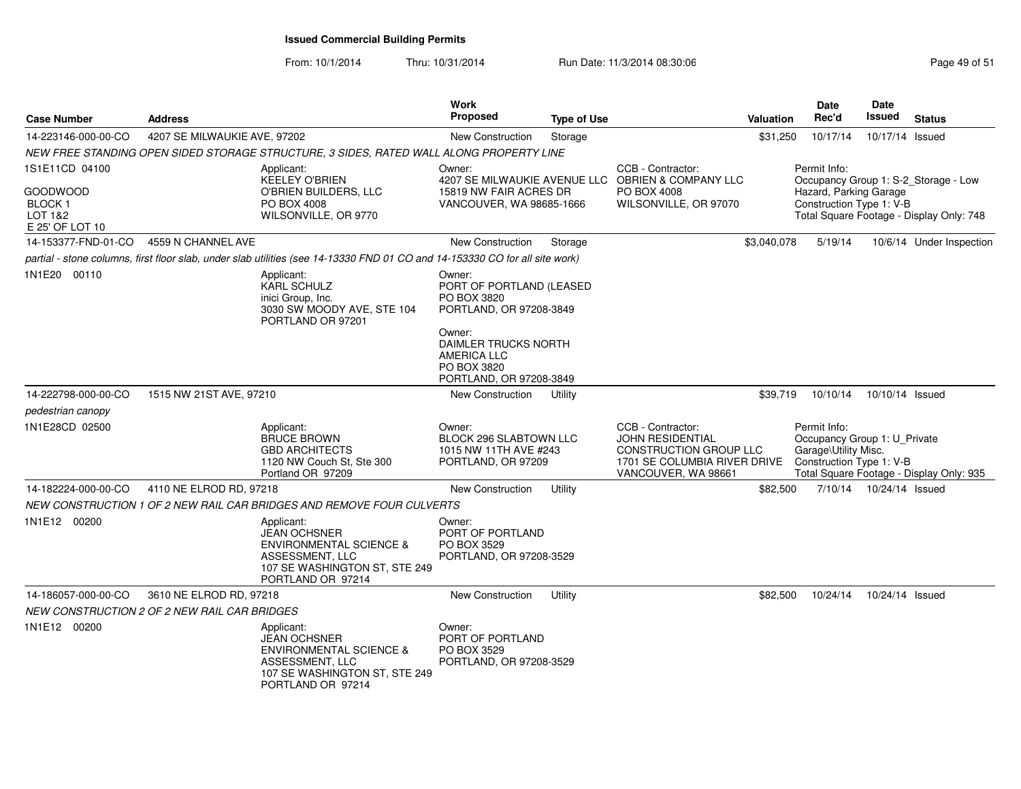From: 10/1/2014

| <b>Case Number</b>                                      | <b>Address</b>                                      |                                                                                                                                                  | Work<br>Proposed                                                                               | <b>Type of Use</b> |                                                                                                                                      | Valuation   | Date<br>Rec'd                                                                                    | Date<br><b>Issued</b>     | <b>Status</b>                            |
|---------------------------------------------------------|-----------------------------------------------------|--------------------------------------------------------------------------------------------------------------------------------------------------|------------------------------------------------------------------------------------------------|--------------------|--------------------------------------------------------------------------------------------------------------------------------------|-------------|--------------------------------------------------------------------------------------------------|---------------------------|------------------------------------------|
| 14-223146-000-00-CO                                     | 4207 SE MILWAUKIE AVE, 97202                        |                                                                                                                                                  | <b>New Construction</b>                                                                        | Storage            |                                                                                                                                      | \$31,250    | 10/17/14                                                                                         | 10/17/14 Issued           |                                          |
|                                                         |                                                     | NEW FREE STANDING OPEN SIDED STORAGE STRUCTURE, 3 SIDES, RATED WALL ALONG PROPERTY LINE                                                          |                                                                                                |                    |                                                                                                                                      |             |                                                                                                  |                           |                                          |
| 1S1E11CD 04100                                          |                                                     | Applicant:<br><b>KEELEY O'BRIEN</b>                                                                                                              | Owner:                                                                                         |                    | CCB - Contractor:<br>4207 SE MILWAUKIE AVENUE LLC OBRIEN & COMPANY LLC                                                               |             | Permit Info:                                                                                     |                           | Occupancy Group 1: S-2_Storage - Low     |
| GOODWOOD<br><b>BLOCK1</b><br>LOT 1&2<br>E 25' OF LOT 10 |                                                     | O'BRIEN BUILDERS, LLC<br>PO BOX 4008<br>WILSONVILLE, OR 9770                                                                                     | 15819 NW FAIR ACRES DR<br>VANCOUVER, WA 98685-1666                                             |                    | PO BOX 4008<br>WILSONVILLE, OR 97070                                                                                                 |             | Hazard, Parking Garage<br>Construction Type 1: V-B                                               |                           | Total Square Footage - Display Only: 748 |
| 14-153377-FND-01-CO                                     | 4559 N CHANNEL AVE                                  |                                                                                                                                                  | <b>New Construction</b>                                                                        | Storage            |                                                                                                                                      | \$3,040,078 | 5/19/14                                                                                          |                           | 10/6/14 Under Inspection                 |
|                                                         |                                                     | partial - stone columns, first floor slab, under slab utilities (see 14-13330 FND 01 CO and 14-153330 CO for all site work)                      |                                                                                                |                    |                                                                                                                                      |             |                                                                                                  |                           |                                          |
| 1N1E20 00110                                            |                                                     | Applicant:<br><b>KARL SCHULZ</b><br>inici Group, Inc.<br>3030 SW MOODY AVE, STE 104<br>PORTLAND OR 97201                                         | Owner:<br>PORT OF PORTLAND (LEASED<br>PO BOX 3820<br>PORTLAND, OR 97208-3849                   |                    |                                                                                                                                      |             |                                                                                                  |                           |                                          |
|                                                         |                                                     |                                                                                                                                                  | Owner:<br>DAIMLER TRUCKS NORTH<br><b>AMERICA LLC</b><br>PO BOX 3820<br>PORTLAND, OR 97208-3849 |                    |                                                                                                                                      |             |                                                                                                  |                           |                                          |
| 14-222798-000-00-CO                                     | 1515 NW 21ST AVE, 97210                             |                                                                                                                                                  | New Construction                                                                               | Utility            |                                                                                                                                      | \$39,719    | 10/10/14                                                                                         | 10/10/14 Issued           |                                          |
| pedestrian canopy                                       |                                                     |                                                                                                                                                  |                                                                                                |                    |                                                                                                                                      |             |                                                                                                  |                           |                                          |
| 1N1E28CD 02500                                          |                                                     | Applicant:<br><b>BRUCE BROWN</b><br><b>GBD ARCHITECTS</b><br>1120 NW Couch St. Ste 300<br>Portland OR 97209                                      | Owner:<br>BLOCK 296 SLABTOWN LLC<br>1015 NW 11TH AVE #243<br>PORTLAND, OR 97209                |                    | CCB - Contractor:<br><b>JOHN RESIDENTIAL</b><br><b>CONSTRUCTION GROUP LLC</b><br>1701 SE COLUMBIA RIVER DRIVE<br>VANCOUVER, WA 98661 |             | Permit Info:<br>Occupancy Group 1: U_Private<br>Garage\Utility Misc.<br>Construction Type 1: V-B |                           | Total Square Footage - Display Only: 935 |
| 14-182224-000-00-CO                                     | 4110 NE ELROD RD, 97218                             |                                                                                                                                                  | <b>New Construction</b>                                                                        | Utility            |                                                                                                                                      | \$82,500    |                                                                                                  | 7/10/14  10/24/14  Issued |                                          |
|                                                         |                                                     | NEW CONSTRUCTION 1 OF 2 NEW RAIL CAR BRIDGES AND REMOVE FOUR CULVERTS                                                                            |                                                                                                |                    |                                                                                                                                      |             |                                                                                                  |                           |                                          |
| 1N1E12 00200                                            |                                                     | Applicant:<br><b>JEAN OCHSNER</b><br><b>ENVIRONMENTAL SCIENCE &amp;</b><br>ASSESSMENT, LLC<br>107 SE WASHINGTON ST, STE 249<br>PORTLAND OR 97214 | Owner:<br>PORT OF PORTLAND<br>PO BOX 3529<br>PORTLAND, OR 97208-3529                           |                    |                                                                                                                                      |             |                                                                                                  |                           |                                          |
| 14-186057-000-00-CO                                     | 3610 NE ELROD RD, 97218                             |                                                                                                                                                  | <b>New Construction</b>                                                                        | Utility            |                                                                                                                                      | \$82,500    | 10/24/14                                                                                         | 10/24/14 Issued           |                                          |
|                                                         | <i>NEW CONSTRUCTION 2 OF 2 NEW RAIL CAR BRIDGES</i> |                                                                                                                                                  |                                                                                                |                    |                                                                                                                                      |             |                                                                                                  |                           |                                          |
| 1N1E12 00200                                            |                                                     | Applicant:<br><b>JEAN OCHSNER</b><br><b>ENVIRONMENTAL SCIENCE &amp;</b><br>ASSESSMENT, LLC<br>107 SE WASHINGTON ST, STE 249<br>PORTLAND OR 97214 | Owner:<br>PORT OF PORTLAND<br>PO BOX 3529<br>PORTLAND, OR 97208-3529                           |                    |                                                                                                                                      |             |                                                                                                  |                           |                                          |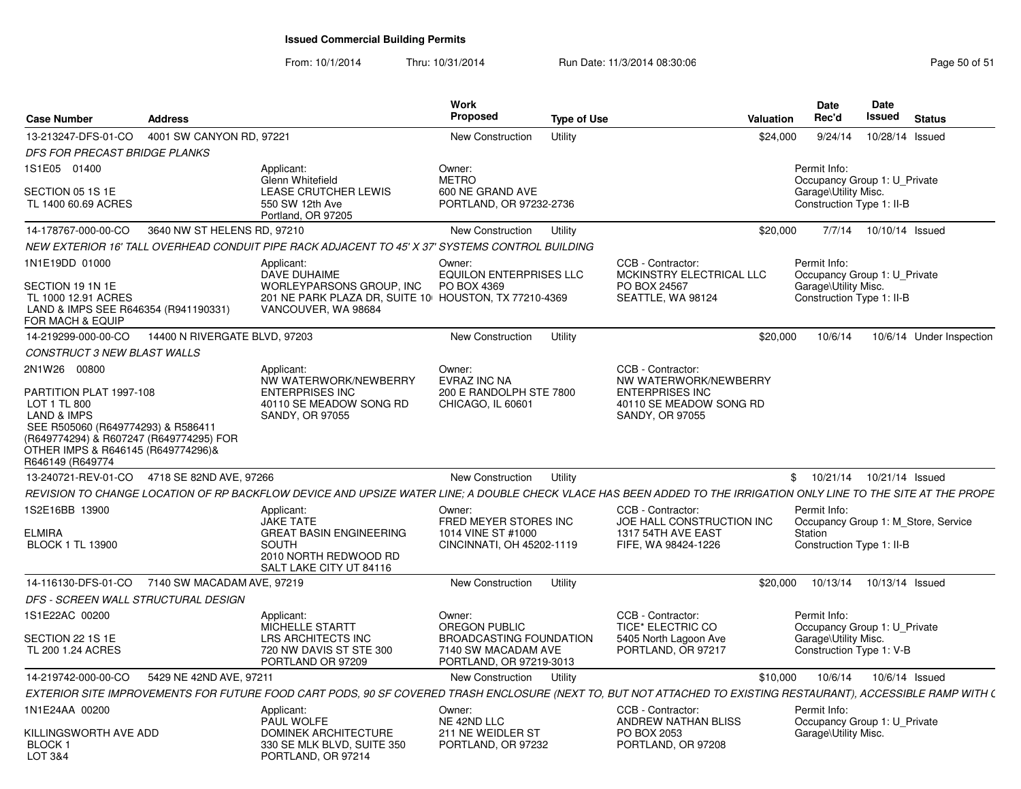From: 10/1/2014

Thru: 10/31/2014 Run Date: 11/3/2014 08:30:06 Research 2010 12:00 Page 50 of 51

| <b>Case Number</b>                                                                                                                                                                                           | <b>Address</b>                |                                                                                                                                                                   | Work<br><b>Proposed</b>                                                          | <b>Type of Use</b> |                                                                             | <b>Valuation</b> | <b>Date</b><br>Rec'd                                                              | Date<br><b>Issued</b> | <b>Status</b>                       |
|--------------------------------------------------------------------------------------------------------------------------------------------------------------------------------------------------------------|-------------------------------|-------------------------------------------------------------------------------------------------------------------------------------------------------------------|----------------------------------------------------------------------------------|--------------------|-----------------------------------------------------------------------------|------------------|-----------------------------------------------------------------------------------|-----------------------|-------------------------------------|
| 13-213247-DFS-01-CO                                                                                                                                                                                          | 4001 SW CANYON RD, 97221      |                                                                                                                                                                   | New Construction                                                                 | Utility            |                                                                             | \$24,000         | 9/24/14                                                                           |                       | 10/28/14 Issued                     |
| <b>DFS FOR PRECAST BRIDGE PLANKS</b>                                                                                                                                                                         |                               |                                                                                                                                                                   |                                                                                  |                    |                                                                             |                  |                                                                                   |                       |                                     |
| 1S1E05 01400                                                                                                                                                                                                 |                               | Applicant:                                                                                                                                                        | Owner:                                                                           |                    |                                                                             |                  | Permit Info:                                                                      |                       |                                     |
| SECTION 05 1S 1E<br>TL 1400 60.69 ACRES                                                                                                                                                                      |                               | Glenn Whitefield<br>LEASE CRUTCHER LEWIS<br>550 SW 12th Ave<br>Portland, OR 97205                                                                                 | <b>METRO</b><br>600 NE GRAND AVE<br>PORTLAND, OR 97232-2736                      |                    |                                                                             |                  | Occupancy Group 1: U Private<br>Garage\Utility Misc.<br>Construction Type 1: II-B |                       |                                     |
| 14-178767-000-00-CO                                                                                                                                                                                          | 3640 NW ST HELENS RD, 97210   |                                                                                                                                                                   | New Construction                                                                 | Utility            |                                                                             | \$20,000         | 7/7/14                                                                            | 10/10/14 Issued       |                                     |
|                                                                                                                                                                                                              |                               | NEW EXTERIOR 16' TALL OVERHEAD CONDUIT PIPE RACK ADJACENT TO 45' X 37' SYSTEMS CONTROL BUILDING                                                                   |                                                                                  |                    |                                                                             |                  |                                                                                   |                       |                                     |
| 1N1E19DD 01000                                                                                                                                                                                               |                               | Applicant:<br>DAVE DUHAIME                                                                                                                                        | Owner:<br><b>EQUILON ENTERPRISES LLC</b>                                         |                    | CCB - Contractor:<br>MCKINSTRY ELECTRICAL LLC                               |                  | Permit Info:<br>Occupancy Group 1: U Private                                      |                       |                                     |
| SECTION 19 1N 1E<br>TL 1000 12.91 ACRES<br>LAND & IMPS SEE R646354 (R941190331)<br>FOR MACH & EQUIP                                                                                                          |                               | WORLEYPARSONS GROUP, INC<br>201 NE PARK PLAZA DR, SUITE 10 HOUSTON, TX 77210-4369<br>VANCOUVER, WA 98684                                                          | PO BOX 4369                                                                      |                    | PO BOX 24567<br>SEATTLE, WA 98124                                           |                  | Garage\Utility Misc.<br>Construction Type 1: II-B                                 |                       |                                     |
| 14-219299-000-00-CO                                                                                                                                                                                          | 14400 N RIVERGATE BLVD, 97203 |                                                                                                                                                                   | New Construction                                                                 | Utility            |                                                                             | \$20,000         | 10/6/14                                                                           |                       | 10/6/14 Under Inspection            |
| CONSTRUCT 3 NEW BLAST WALLS                                                                                                                                                                                  |                               |                                                                                                                                                                   |                                                                                  |                    |                                                                             |                  |                                                                                   |                       |                                     |
| 2N1W26 00800                                                                                                                                                                                                 |                               | Applicant:<br>NW WATERWORK/NEWBERRY                                                                                                                               | Owner:<br>EVRAZ INC NA                                                           |                    | CCB - Contractor:<br>NW WATERWORK/NEWBERRY                                  |                  |                                                                                   |                       |                                     |
| PARTITION PLAT 1997-108<br>LOT 1 TL 800<br><b>LAND &amp; IMPS</b><br>SEE R505060 (R649774293) & R586411<br>(R649774294) & R607247 (R649774295) FOR<br>OTHER IMPS & R646145 (R649774296)&<br>R646149 (R649774 |                               | <b>ENTERPRISES INC</b><br>40110 SE MEADOW SONG RD<br><b>SANDY, OR 97055</b>                                                                                       | 200 E RANDOLPH STE 7800<br>CHICAGO, IL 60601                                     |                    | <b>ENTERPRISES INC</b><br>40110 SE MEADOW SONG RD<br><b>SANDY, OR 97055</b> |                  |                                                                                   |                       |                                     |
| 13-240721-REV-01-CO 4718 SE 82ND AVE, 97266                                                                                                                                                                  |                               |                                                                                                                                                                   | New Construction                                                                 | Utility            |                                                                             |                  | \$ 10/21/14 10/21/14 Issued                                                       |                       |                                     |
|                                                                                                                                                                                                              |                               | REVISION TO CHANGE LOCATION OF RP BACKFLOW DEVICE AND UPSIZE WATER LINE: A DOUBLE CHECK VLACE HAS BEEN ADDED TO THE IRRIGATION ONLY LINE TO THE SITE AT THE PROPE |                                                                                  |                    |                                                                             |                  |                                                                                   |                       |                                     |
| 1S2E16BB 13900                                                                                                                                                                                               |                               | Applicant:<br><b>JAKE TATE</b>                                                                                                                                    | Owner:<br>FRED MEYER STORES INC                                                  |                    | CCB - Contractor:<br>JOE HALL CONSTRUCTION INC                              |                  | Permit Info:                                                                      |                       | Occupancy Group 1: M Store, Service |
| <b>ELMIRA</b><br><b>BLOCK 1 TL 13900</b>                                                                                                                                                                     |                               | <b>GREAT BASIN ENGINEERING</b><br><b>SOUTH</b><br>2010 NORTH REDWOOD RD<br>SALT LAKE CITY UT 84116                                                                | 1014 VINE ST #1000<br>CINCINNATI, OH 45202-1119                                  |                    | 1317 54TH AVE EAST<br>FIFE, WA 98424-1226                                   |                  | Station<br>Construction Type 1: II-B                                              |                       |                                     |
| 14-116130-DFS-01-CO                                                                                                                                                                                          | 7140 SW MACADAM AVE, 97219    |                                                                                                                                                                   | New Construction                                                                 | Utility            |                                                                             | \$20,000         | 10/13/14                                                                          | 10/13/14 Issued       |                                     |
| DFS - SCREEN WALL STRUCTURAL DESIGN                                                                                                                                                                          |                               |                                                                                                                                                                   |                                                                                  |                    |                                                                             |                  |                                                                                   |                       |                                     |
| 1S1E22AC 00200                                                                                                                                                                                               |                               | Applicant:<br>MICHELLE STARTT                                                                                                                                     | Owner:<br>OREGON PUBLIC                                                          |                    | CCB - Contractor:<br>TICE* ELECTRIC CO                                      |                  | Permit Info:<br>Occupancy Group 1: U_Private                                      |                       |                                     |
| SECTION 22 1S 1E<br>TL 200 1.24 ACRES                                                                                                                                                                        |                               | LRS ARCHITECTS INC<br>720 NW DAVIS ST STE 300<br>PORTLAND OR 97209                                                                                                | <b>BROADCASTING FOUNDATION</b><br>7140 SW MACADAM AVE<br>PORTLAND, OR 97219-3013 |                    | 5405 North Lagoon Ave<br>PORTLAND, OR 97217                                 |                  | Garage\Utility Misc.<br>Construction Type 1: V-B                                  |                       |                                     |
| 14-219742-000-00-CO                                                                                                                                                                                          | 5429 NE 42ND AVE, 97211       |                                                                                                                                                                   | New Construction                                                                 | Utility            |                                                                             | \$10,000         | 10/6/14                                                                           |                       | 10/6/14 Issued                      |
|                                                                                                                                                                                                              |                               | EXTERIOR SITE IMPROVEMENTS FOR FUTURE FOOD CART PODS, 90 SF COVERED TRASH ENCLOSURE (NEXT TO, BUT NOT ATTACHED TO EXISTING RESTAURANT), ACCESSIBLE RAMP WITH (    |                                                                                  |                    |                                                                             |                  |                                                                                   |                       |                                     |
| 1N1E24AA 00200                                                                                                                                                                                               |                               | Applicant:<br>PAUL WOLFE                                                                                                                                          | Owner:<br>NE 42ND LLC                                                            |                    | CCB - Contractor:<br>ANDREW NATHAN BLISS                                    |                  | Permit Info:<br>Occupancy Group 1: U Private                                      |                       |                                     |
| KILLINGSWORTH AVE ADD<br><b>BLOCK1</b><br><b>LOT 3&amp;4</b>                                                                                                                                                 |                               | DOMINEK ARCHITECTURE<br>330 SE MLK BLVD, SUITE 350<br>PORTLAND, OR 97214                                                                                          | 211 NE WEIDLER ST<br>PORTLAND, OR 97232                                          |                    | PO BOX 2053<br>PORTLAND, OR 97208                                           |                  | Garage\Utility Misc.                                                              |                       |                                     |